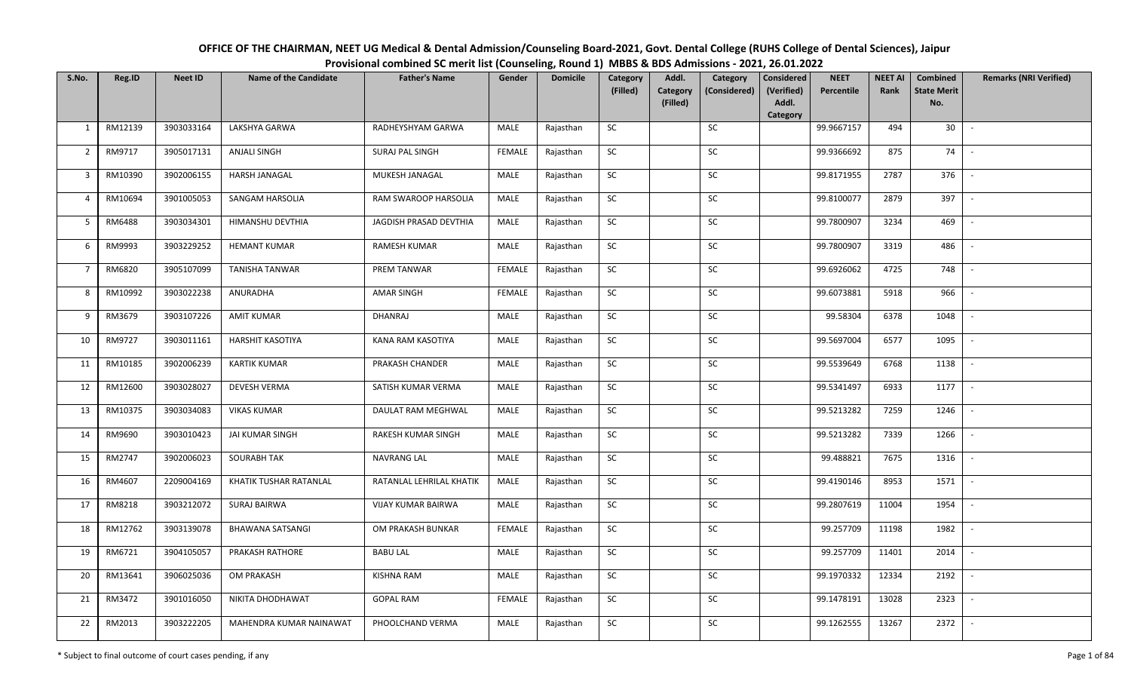| OFFICE OF THE CHAIRMAN, NEET UG Medical & Dental Admission/Counseling Board-2021, Govt. Dental College (RUHS College of Dental Sciences), Jaipur |
|--------------------------------------------------------------------------------------------------------------------------------------------------|
| Provisional combined SC merit list (Counseling, Round 1) MBBS & BDS Admissions - 2021, 26.01.2022                                                |

| S.No.          | Reg.ID  | <b>Neet ID</b> | <b>Name of the Candidate</b> | <b>Father's Name</b>      | Gender        | <b>Domicile</b> | Category<br>(Filled) | Addl.<br><b>Category</b><br>(Filled) | Category<br>(Considered) | <b>Considered</b><br>(Verified)<br>Addl.<br>Category | <b>NEET</b><br>Percentile | <b>NEET AI</b><br>Rank | Combined<br><b>State Merit</b><br>No. | <b>Remarks (NRI Verified)</b> |
|----------------|---------|----------------|------------------------------|---------------------------|---------------|-----------------|----------------------|--------------------------------------|--------------------------|------------------------------------------------------|---------------------------|------------------------|---------------------------------------|-------------------------------|
| $\mathbf{1}$   | RM12139 | 3903033164     | LAKSHYA GARWA                | RADHEYSHYAM GARWA         | MALE          | Rajasthan       | <b>SC</b>            |                                      | SC                       |                                                      | 99.9667157                | 494                    | 30                                    | $\sim$                        |
| $\overline{2}$ | RM9717  | 3905017131     | <b>ANJALI SINGH</b>          | <b>SURAJ PAL SINGH</b>    | <b>FEMALE</b> | Rajasthan       | <b>SC</b>            |                                      | SC                       |                                                      | 99.9366692                | 875                    | 74                                    |                               |
| $\mathbf{3}$   | RM10390 | 3902006155     | HARSH JANAGAL                | MUKESH JANAGAL            | MALE          | Rajasthan       | SC                   |                                      | SC                       |                                                      | 99.8171955                | 2787                   | 376                                   | $\overline{\phantom{a}}$      |
| $\overline{4}$ | RM10694 | 3901005053     | SANGAM HARSOLIA              | RAM SWAROOP HARSOLIA      | MALE          | Rajasthan       | SC                   |                                      | SC                       |                                                      | 99.8100077                | 2879                   | 397                                   | $\overline{\phantom{a}}$      |
| 5              | RM6488  | 3903034301     | HIMANSHU DEVTHIA             | JAGDISH PRASAD DEVTHIA    | MALE          | Rajasthan       | ${\sf SC}$           |                                      | ${\sf SC}$               |                                                      | 99.7800907                | 3234                   | 469                                   | $\sim$                        |
| 6              | RM9993  | 3903229252     | <b>HEMANT KUMAR</b>          | RAMESH KUMAR              | MALE          | Rajasthan       | ${\sf SC}$           |                                      | $\sf SC$                 |                                                      | 99.7800907                | 3319                   | 486                                   | $\overline{\phantom{a}}$      |
| $\overline{7}$ | RM6820  | 3905107099     | <b>TANISHA TANWAR</b>        | PREM TANWAR               | <b>FEMALE</b> | Rajasthan       | <b>SC</b>            |                                      | <b>SC</b>                |                                                      | 99.6926062                | 4725                   | 748                                   | $\overline{\phantom{a}}$      |
| 8              | RM10992 | 3903022238     | ANURADHA                     | AMAR SINGH                | FEMALE        | Rajasthan       | SC                   |                                      | SC                       |                                                      | 99.6073881                | 5918                   | 966                                   | $\overline{\phantom{a}}$      |
| 9              | RM3679  | 3903107226     | <b>AMIT KUMAR</b>            | DHANRAJ                   | MALE          | Rajasthan       | SC                   |                                      | SC                       |                                                      | 99.58304                  | 6378                   | 1048                                  |                               |
| 10             | RM9727  | 3903011161     | <b>HARSHIT KASOTIYA</b>      | KANA RAM KASOTIYA         | MALE          | Rajasthan       | SC                   |                                      | SC                       |                                                      | 99.5697004                | 6577                   | 1095                                  | $\sim$                        |
| 11             | RM10185 | 3902006239     | <b>KARTIK KUMAR</b>          | PRAKASH CHANDER           | MALE          | Rajasthan       | ${\sf SC}$           |                                      | $\sf SC$                 |                                                      | 99.5539649                | 6768                   | 1138                                  | $\sim$                        |
| 12             | RM12600 | 3903028027     | <b>DEVESH VERMA</b>          | SATISH KUMAR VERMA        | MALE          | Rajasthan       | SC                   |                                      | SC                       |                                                      | 99.5341497                | 6933                   | 1177                                  | $\sim$                        |
| 13             | RM10375 | 3903034083     | <b>VIKAS KUMAR</b>           | DAULAT RAM MEGHWAL        | MALE          | Rajasthan       | SC                   |                                      | <b>SC</b>                |                                                      | 99.5213282                | 7259                   | 1246                                  | $\overline{\phantom{a}}$      |
| 14             | RM9690  | 3903010423     | JAI KUMAR SINGH              | RAKESH KUMAR SINGH        | MALE          | Rajasthan       | SC                   |                                      | SC                       |                                                      | 99.5213282                | 7339                   | 1266                                  | $\sim$                        |
| 15             | RM2747  | 3902006023     | <b>SOURABH TAK</b>           | NAVRANG LAL               | MALE          | Rajasthan       | SC                   |                                      | SC                       |                                                      | 99.488821                 | 7675                   | 1316                                  | $\overline{\phantom{a}}$      |
| 16             | RM4607  | 2209004169     | KHATIK TUSHAR RATANLAL       | RATANLAL LEHRILAL KHATIK  | MALE          | Rajasthan       | ${\sf SC}$           |                                      | SC                       |                                                      | 99.4190146                | 8953                   | 1571                                  | $\sim$                        |
| 17             | RM8218  | 3903212072     | <b>SURAJ BAIRWA</b>          | <b>VIJAY KUMAR BAIRWA</b> | MALE          | Rajasthan       | <b>SC</b>            |                                      | SC                       |                                                      | 99.2807619                | 11004                  | 1954                                  | $\sim$                        |
| 18             | RM12762 | 3903139078     | <b>BHAWANA SATSANGI</b>      | OM PRAKASH BUNKAR         | <b>FEMALE</b> | Rajasthan       | SC                   |                                      | SC                       |                                                      | 99.257709                 | 11198                  | 1982                                  | $\sim$                        |
| 19             | RM6721  | 3904105057     | PRAKASH RATHORE              | <b>BABU LAL</b>           | MALE          | Rajasthan       | SC                   |                                      | SC                       |                                                      | 99.257709                 | 11401                  | 2014                                  | $\sim$                        |
| 20             | RM13641 | 3906025036     | <b>OM PRAKASH</b>            | <b>KISHNA RAM</b>         | MALE          | Rajasthan       | SC                   |                                      | SC                       |                                                      | 99.1970332                | 12334                  | 2192                                  | $\blacksquare$                |
| 21             | RM3472  | 3901016050     | NIKITA DHODHAWAT             | <b>GOPAL RAM</b>          | <b>FEMALE</b> | Rajasthan       | ${\sf SC}$           |                                      | ${\sf SC}$               |                                                      | 99.1478191                | 13028                  | 2323                                  | $\overline{\phantom{a}}$      |
| 22             | RM2013  | 3903222205     | MAHENDRA KUMAR NAINAWAT      | PHOOLCHAND VERMA          | MALE          | Rajasthan       | ${\sf SC}$           |                                      | ${\sf SC}$               |                                                      | 99.1262555                | 13267                  | 2372                                  |                               |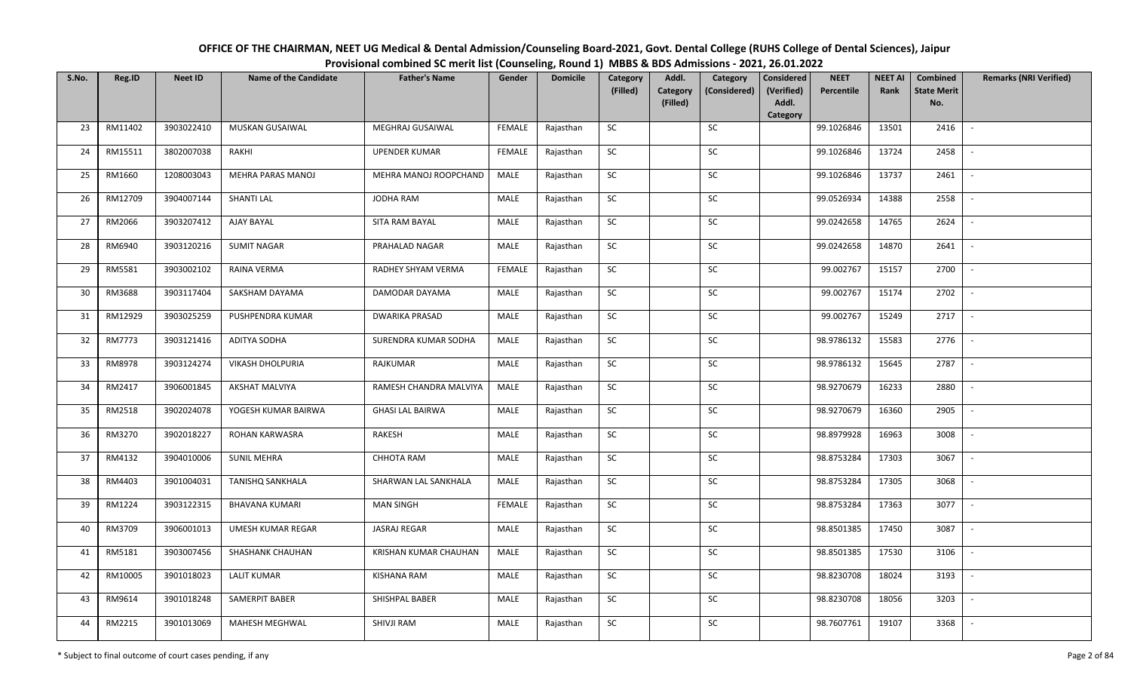| OFFICE OF THE CHAIRMAN, NEET UG Medical & Dental Admission/Counseling Board-2021, Govt. Dental College (RUHS College of Dental Sciences), Jaipur |
|--------------------------------------------------------------------------------------------------------------------------------------------------|
| Provisional combined SC merit list (Counseling, Round 1) MBBS & BDS Admissions - 2021, 26.01.2022                                                |

| S.No. | Reg.ID  | <b>Neet ID</b> | <b>Name of the Candidate</b> | <b>Father's Name</b>    | Gender        | <b>Domicile</b> | Category<br>(Filled) | Addl.<br>Category<br>(Filled) | Category<br>(Considered) | Considered<br>(Verified)<br>Addl.<br>Category | <b>NEET</b><br>Percentile | <b>NEET AI</b><br>Rank | Combined<br><b>State Merit</b><br>No. | <b>Remarks (NRI Verified)</b> |
|-------|---------|----------------|------------------------------|-------------------------|---------------|-----------------|----------------------|-------------------------------|--------------------------|-----------------------------------------------|---------------------------|------------------------|---------------------------------------|-------------------------------|
| 23    | RM11402 | 3903022410     | MUSKAN GUSAIWAL              | MEGHRAJ GUSAIWAL        | <b>FEMALE</b> | Rajasthan       | <b>SC</b>            |                               | <b>SC</b>                |                                               | 99.1026846                | 13501                  | 2416                                  | $\sim$                        |
| 24    | RM15511 | 3802007038     | RAKHI                        | <b>UPENDER KUMAR</b>    | <b>FEMALE</b> | Rajasthan       | SC                   |                               | SC                       |                                               | 99.1026846                | 13724                  | 2458                                  |                               |
| 25    | RM1660  | 1208003043     | MEHRA PARAS MANOJ            | MEHRA MANOJ ROOPCHAND   | MALE          | Rajasthan       | SC                   |                               | SC                       |                                               | 99.1026846                | 13737                  | 2461                                  |                               |
| 26    | RM12709 | 3904007144     | SHANTI LAL                   | JODHA RAM               | MALE          | Rajasthan       | <b>SC</b>            |                               | $\sf SC$                 |                                               | 99.0526934                | 14388                  | 2558                                  |                               |
| 27    | RM2066  | 3903207412     | AJAY BAYAL                   | SITA RAM BAYAL          | MALE          | Rajasthan       | SC                   |                               | SC                       |                                               | 99.0242658                | 14765                  | 2624                                  | $\sim$                        |
| 28    | RM6940  | 3903120216     | <b>SUMIT NAGAR</b>           | PRAHALAD NAGAR          | MALE          | Rajasthan       | SC                   |                               | SC                       |                                               | 99.0242658                | 14870                  | 2641                                  | $\mathbb{L}$                  |
| 29    | RM5581  | 3903002102     | RAINA VERMA                  | RADHEY SHYAM VERMA      | <b>FEMALE</b> | Rajasthan       | <b>SC</b>            |                               | SC                       |                                               | 99.002767                 | 15157                  | 2700                                  | $\sim$                        |
| 30    | RM3688  | 3903117404     | SAKSHAM DAYAMA               | DAMODAR DAYAMA          | MALE          | Rajasthan       | SC                   |                               | ${\sf SC}$               |                                               | 99.002767                 | 15174                  | 2702                                  | $\sim$                        |
| 31    | RM12929 | 3903025259     | PUSHPENDRA KUMAR             | <b>DWARIKA PRASAD</b>   | MALE          | Rajasthan       | SC                   |                               | SC                       |                                               | 99.002767                 | 15249                  | 2717                                  | $\sim$                        |
| 32    | RM7773  | 3903121416     | <b>ADITYA SODHA</b>          | SURENDRA KUMAR SODHA    | MALE          | Rajasthan       | SC                   |                               | $\sf SC$                 |                                               | 98.9786132                | 15583                  | 2776                                  | $\overline{\phantom{a}}$      |
| 33    | RM8978  | 3903124274     | <b>VIKASH DHOLPURIA</b>      | RAJKUMAR                | MALE          | Rajasthan       | SC                   |                               | SC                       |                                               | 98.9786132                | 15645                  | 2787                                  |                               |
| 34    | RM2417  | 3906001845     | <b>AKSHAT MALVIYA</b>        | RAMESH CHANDRA MALVIYA  | MALE          | Rajasthan       | SC                   |                               | SC                       |                                               | 98.9270679                | 16233                  | 2880                                  | $\sim$                        |
| 35    | RM2518  | 3902024078     | YOGESH KUMAR BAIRWA          | <b>GHASI LAL BAIRWA</b> | MALE          | Rajasthan       | SC                   |                               | SC                       |                                               | 98.9270679                | 16360                  | 2905                                  | $\sim$                        |
| 36    | RM3270  | 3902018227     | ROHAN KARWASRA               | RAKESH                  | MALE          | Rajasthan       | <b>SC</b>            |                               | SC                       |                                               | 98.8979928                | 16963                  | 3008                                  | $\sim$                        |
| 37    | RM4132  | 3904010006     | <b>SUNIL MEHRA</b>           | CHHOTA RAM              | MALE          | Rajasthan       | ${\sf SC}$           |                               | SC                       |                                               | 98.8753284                | 17303                  | 3067                                  |                               |
| 38    | RM4403  | 3901004031     | <b>TANISHQ SANKHALA</b>      | SHARWAN LAL SANKHALA    | MALE          | Rajasthan       | <b>SC</b>            |                               | SC                       |                                               | 98.8753284                | 17305                  | 3068                                  | $\sim$                        |
| 39    | RM1224  | 3903122315     | <b>BHAVANA KUMARI</b>        | <b>MAN SINGH</b>        | FEMALE        | Rajasthan       | <b>SC</b>            |                               | SC                       |                                               | 98.8753284                | 17363                  | 3077                                  |                               |
| 40    | RM3709  | 3906001013     | <b>UMESH KUMAR REGAR</b>     | <b>JASRAJ REGAR</b>     | MALE          | Rajasthan       | <b>SC</b>            |                               | SC                       |                                               | 98.8501385                | 17450                  | 3087                                  | $\mathbb{L}$                  |
| 41    | RM5181  | 3903007456     | SHASHANK CHAUHAN             | KRISHAN KUMAR CHAUHAN   | MALE          | Rajasthan       | SC                   |                               | SC                       |                                               | 98.8501385                | 17530                  | 3106                                  | $\overline{\phantom{a}}$      |
| 42    | RM10005 | 3901018023     | <b>LALIT KUMAR</b>           | KISHANA RAM             | MALE          | Rajasthan       | <b>SC</b>            |                               | SC                       |                                               | 98.8230708                | 18024                  | 3193                                  | $\sim$                        |
| 43    | RM9614  | 3901018248     | SAMERPIT BABER               | SHISHPAL BABER          | MALE          | Rajasthan       | ${\sf SC}$           |                               | ${\sf SC}$               |                                               | 98.8230708                | 18056                  | 3203                                  | $\sim$                        |
| 44    | RM2215  | 3901013069     | MAHESH MEGHWAL               | SHIVJI RAM              | MALE          | Rajasthan       | ${\sf SC}$           |                               | ${\sf SC}$               |                                               | 98.7607761                | 19107                  | 3368                                  | $\overline{\phantom{a}}$      |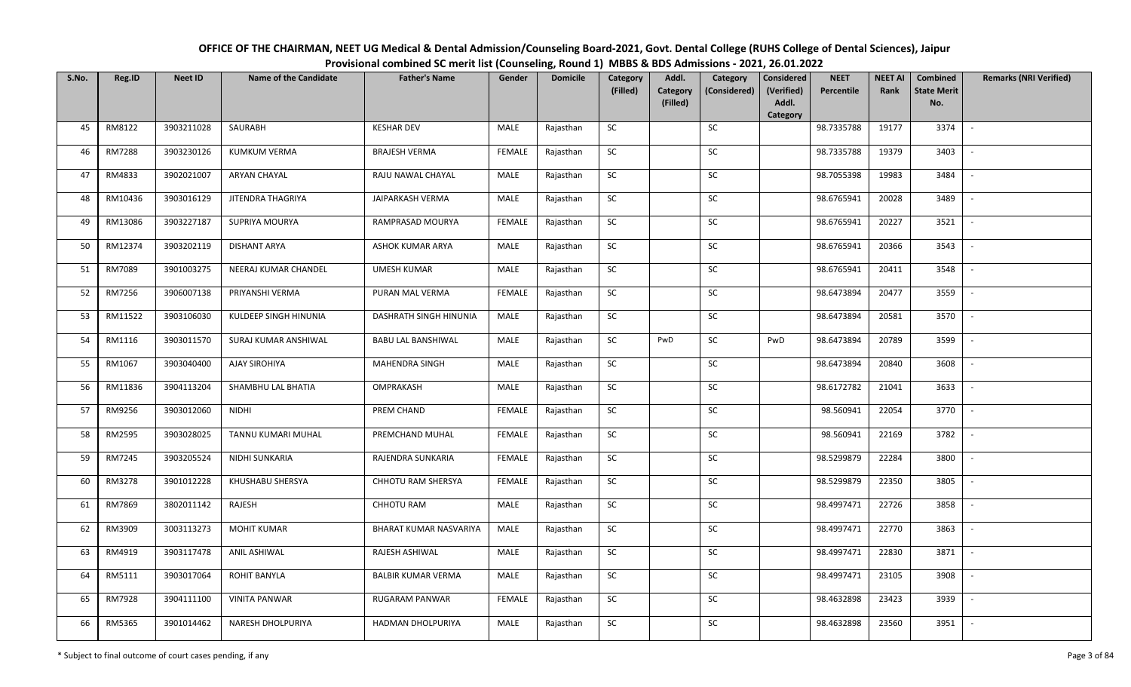| OFFICE OF THE CHAIRMAN, NEET UG Medical & Dental Admission/Counseling Board-2021, Govt. Dental College (RUHS College of Dental Sciences), Jaipur |
|--------------------------------------------------------------------------------------------------------------------------------------------------|
| Provisional combined SC merit list (Counseling, Round 1) MBBS & BDS Admissions - 2021, 26.01.2022                                                |

| S.No. | Reg.ID        | <b>Neet ID</b> | <b>Name of the Candidate</b> | <b>Father's Name</b>      | Gender        | <b>Domicile</b> | Category<br>(Filled) | Addl.<br><b>Category</b> | Category<br>(Considered) | <b>Considered</b><br>(Verified) | <b>NEET</b><br>Percentile | <b>NEET AI</b><br>Rank | <b>Combined</b><br><b>State Merit</b> | <b>Remarks (NRI Verified)</b> |
|-------|---------------|----------------|------------------------------|---------------------------|---------------|-----------------|----------------------|--------------------------|--------------------------|---------------------------------|---------------------------|------------------------|---------------------------------------|-------------------------------|
|       |               |                |                              |                           |               |                 |                      | (Filled)                 |                          | Addl.<br>Category               |                           |                        | No.                                   |                               |
| 45    | RM8122        | 3903211028     | SAURABH                      | <b>KESHAR DEV</b>         | MALE          | Rajasthan       | SC                   |                          | SC                       |                                 | 98.7335788                | 19177                  | 3374                                  | $\sim$                        |
| 46    | <b>RM7288</b> | 3903230126     | <b>KUMKUM VERMA</b>          | <b>BRAJESH VERMA</b>      | <b>FEMALE</b> | Rajasthan       | <b>SC</b>            |                          | SC                       |                                 | 98.7335788                | 19379                  | 3403                                  |                               |
| 47    | RM4833        | 3902021007     | ARYAN CHAYAL                 | RAJU NAWAL CHAYAL         | MALE          | Rajasthan       | ${\sf SC}$           |                          | ${\sf SC}$               |                                 | 98.7055398                | 19983                  | 3484                                  |                               |
| 48    | RM10436       | 3903016129     | JITENDRA THAGRIYA            | JAIPARKASH VERMA          | MALE          | Rajasthan       | SC                   |                          | SC                       |                                 | 98.6765941                | 20028                  | 3489                                  |                               |
| 49    | RM13086       | 3903227187     | SUPRIYA MOURYA               | RAMPRASAD MOURYA          | <b>FEMALE</b> | Rajasthan       | SC                   |                          | SC                       |                                 | 98.6765941                | 20227                  | 3521                                  | $\sim$                        |
| 50    | RM12374       | 3903202119     | <b>DISHANT ARYA</b>          | ASHOK KUMAR ARYA          | MALE          | Rajasthan       | SC                   |                          | SC                       |                                 | 98.6765941                | 20366                  | 3543                                  | $\sim$                        |
| 51    | RM7089        | 3901003275     | NEERAJ KUMAR CHANDEL         | <b>UMESH KUMAR</b>        | MALE          | Rajasthan       | SC                   |                          | SC                       |                                 | 98.6765941                | 20411                  | 3548                                  | $\overline{\phantom{a}}$      |
| 52    | RM7256        | 3906007138     | PRIYANSHI VERMA              | PURAN MAL VERMA           | <b>FEMALE</b> | Rajasthan       | SC                   |                          | $\sf SC$                 |                                 | 98.6473894                | 20477                  | 3559                                  |                               |
| 53    | RM11522       | 3903106030     | KULDEEP SINGH HINUNIA        | DASHRATH SINGH HINUNIA    | MALE          | Rajasthan       | SC                   |                          | SC                       |                                 | 98.6473894                | 20581                  | 3570                                  |                               |
| 54    | RM1116        | 3903011570     | SURAJ KUMAR ANSHIWAL         | <b>BABU LAL BANSHIWAL</b> | MALE          | Rajasthan       | SC                   | PwD                      | SC                       | PwD                             | 98.6473894                | 20789                  | 3599                                  |                               |
| 55    | RM1067        | 3903040400     | AJAY SIROHIYA                | <b>MAHENDRA SINGH</b>     | MALE          | Rajasthan       | SC                   |                          | SC                       |                                 | 98.6473894                | 20840                  | 3608                                  | $\blacksquare$                |
| 56    | RM11836       | 3904113204     | SHAMBHU LAL BHATIA           | OMPRAKASH                 | MALE          | Rajasthan       | SC                   |                          | ${\sf SC}$               |                                 | 98.6172782                | 21041                  | 3633                                  |                               |
| 57    | RM9256        | 3903012060     | <b>NIDHI</b>                 | PREM CHAND                | <b>FEMALE</b> | Rajasthan       | SC                   |                          | SC                       |                                 | 98.560941                 | 22054                  | 3770                                  |                               |
| 58    | RM2595        | 3903028025     | TANNU KUMARI MUHAL           | PREMCHAND MUHAL           | <b>FEMALE</b> | Rajasthan       | SC                   |                          | SC                       |                                 | 98.560941                 | 22169                  | 3782                                  | $\sim$                        |
| 59    | RM7245        | 3903205524     | NIDHI SUNKARIA               | RAJENDRA SUNKARIA         | <b>FEMALE</b> | Rajasthan       | SC                   |                          | ${\sf SC}$               |                                 | 98.5299879                | 22284                  | 3800                                  |                               |
| 60    | RM3278        | 3901012228     | KHUSHABU SHERSYA             | CHHOTU RAM SHERSYA        | FEMALE        | Rajasthan       | SC                   |                          | SC                       |                                 | 98.5299879                | 22350                  | 3805                                  | $\sim$                        |
| 61    | RM7869        | 3802011142     | RAJESH                       | CHHOTU RAM                | MALE          | Rajasthan       | ${\sf SC}$           |                          | ${\sf SC}$               |                                 | 98.4997471                | 22726                  | 3858                                  | $\overline{\phantom{a}}$      |
| 62    | RM3909        | 3003113273     | <b>MOHIT KUMAR</b>           | BHARAT KUMAR NASVARIYA    | MALE          | Rajasthan       | ${\sf SC}$           |                          | SC                       |                                 | 98.4997471                | 22770                  | 3863                                  | $\sim$                        |
| 63    | RM4919        | 3903117478     | <b>ANIL ASHIWAL</b>          | RAJESH ASHIWAL            | MALE          | Rajasthan       | SC                   |                          | SC                       |                                 | 98.4997471                | 22830                  | 3871                                  | $\overline{\phantom{a}}$      |
| 64    | RM5111        | 3903017064     | ROHIT BANYLA                 | <b>BALBIR KUMAR VERMA</b> | MALE          | Rajasthan       | ${\sf SC}$           |                          | $\sf SC$                 |                                 | 98.4997471                | 23105                  | 3908                                  |                               |
| 65    | RM7928        | 3904111100     | <b>VINITA PANWAR</b>         | <b>RUGARAM PANWAR</b>     | <b>FEMALE</b> | Rajasthan       | SC                   |                          | SC                       |                                 | 98.4632898                | 23423                  | 3939                                  |                               |
| 66    | RM5365        | 3901014462     | NARESH DHOLPURIYA            | HADMAN DHOLPURIYA         | MALE          | Rajasthan       | SC                   |                          | SC                       |                                 | 98.4632898                | 23560                  | 3951                                  | $\overline{\phantom{a}}$      |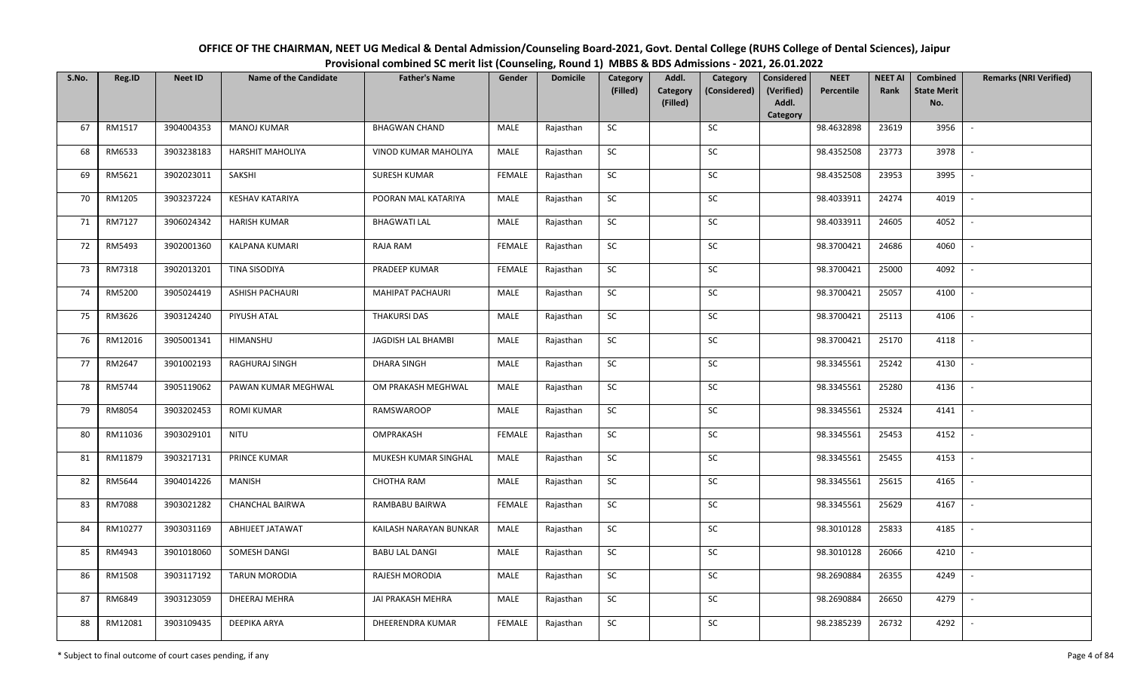| OFFICE OF THE CHAIRMAN, NEET UG Medical & Dental Admission/Counseling Board-2021, Govt. Dental College (RUHS College of Dental Sciences), Jaipur |
|--------------------------------------------------------------------------------------------------------------------------------------------------|
| Provisional combined SC merit list (Counseling, Round 1) MBBS & BDS Admissions - 2021, 26.01.2022                                                |

| S.No. | Reg.ID  | <b>Neet ID</b> | <b>Name of the Candidate</b> | <b>Father's Name</b>   | Gender        | <b>Domicile</b> | Category<br>(Filled) | Addl.<br><b>Category</b><br>(Filled) | Category<br>(Considered) | <b>Considered</b><br>(Verified)<br>Addl. | <b>NEET</b><br>Percentile | <b>NEET AI</b><br>Rank | Combined<br><b>State Merit</b><br>No. | <b>Remarks (NRI Verified)</b> |
|-------|---------|----------------|------------------------------|------------------------|---------------|-----------------|----------------------|--------------------------------------|--------------------------|------------------------------------------|---------------------------|------------------------|---------------------------------------|-------------------------------|
|       |         |                |                              |                        |               |                 |                      |                                      |                          | Category                                 |                           |                        |                                       |                               |
| 67    | RM1517  | 3904004353     | <b>MANOJ KUMAR</b>           | <b>BHAGWAN CHAND</b>   | MALE          | Rajasthan       | <b>SC</b>            |                                      | SC                       |                                          | 98.4632898                | 23619                  | 3956                                  | $\sim$                        |
| 68    | RM6533  | 3903238183     | <b>HARSHIT MAHOLIYA</b>      | VINOD KUMAR MAHOLIYA   | MALE          | Rajasthan       | <b>SC</b>            |                                      | SC                       |                                          | 98.4352508                | 23773                  | 3978                                  |                               |
| 69    | RM5621  | 3902023011     | SAKSHI                       | <b>SURESH KUMAR</b>    | <b>FEMALE</b> | Rajasthan       | SC                   |                                      | SC                       |                                          | 98.4352508                | 23953                  | 3995                                  | $\overline{\phantom{a}}$      |
| 70    | RM1205  | 3903237224     | <b>KESHAV KATARIYA</b>       | POORAN MAL KATARIYA    | MALE          | Rajasthan       | SC                   |                                      | SC                       |                                          | 98.4033911                | 24274                  | 4019                                  | $\sim$                        |
| 71    | RM7127  | 3906024342     | <b>HARISH KUMAR</b>          | <b>BHAGWATI LAL</b>    | MALE          | Rajasthan       | ${\sf SC}$           |                                      | ${\sf SC}$               |                                          | 98.4033911                | 24605                  | 4052                                  | $\sim$                        |
| 72    | RM5493  | 3902001360     | KALPANA KUMARI               | RAJA RAM               | <b>FEMALE</b> | Rajasthan       | ${\sf SC}$           |                                      | $\sf SC$                 |                                          | 98.3700421                | 24686                  | 4060                                  | $\sim$                        |
| 73    | RM7318  | 3902013201     | TINA SISODIYA                | PRADEEP KUMAR          | <b>FEMALE</b> | Rajasthan       | <b>SC</b>            |                                      | <b>SC</b>                |                                          | 98.3700421                | 25000                  | 4092                                  | $\sim$                        |
| 74    | RM5200  | 3905024419     | ASHISH PACHAURI              | MAHIPAT PACHAURI       | MALE          | Rajasthan       | SC                   |                                      | SC                       |                                          | 98.3700421                | 25057                  | 4100                                  | $\overline{\phantom{a}}$      |
| 75    | RM3626  | 3903124240     | PIYUSH ATAL                  | <b>THAKURSI DAS</b>    | MALE          | Rajasthan       | SC                   |                                      | SC                       |                                          | 98.3700421                | 25113                  | 4106                                  |                               |
| 76    | RM12016 | 3905001341     | HIMANSHU                     | JAGDISH LAL BHAMBI     | MALE          | Rajasthan       | SC                   |                                      | SC                       |                                          | 98.3700421                | 25170                  | 4118                                  | $\overline{\phantom{a}}$      |
| 77    | RM2647  | 3901002193     | RAGHURAJ SINGH               | <b>DHARA SINGH</b>     | MALE          | Rajasthan       | ${\sf SC}$           |                                      | $\sf SC$                 |                                          | 98.3345561                | 25242                  | 4130                                  | $\sim$                        |
| 78    | RM5744  | 3905119062     | PAWAN KUMAR MEGHWAL          | OM PRAKASH MEGHWAL     | MALE          | Rajasthan       | <b>SC</b>            |                                      | SC                       |                                          | 98.3345561                | 25280                  | 4136                                  | $\sim$                        |
| 79    | RM8054  | 3903202453     | <b>ROMI KUMAR</b>            | RAMSWAROOP             | MALE          | Rajasthan       | SC                   |                                      | <b>SC</b>                |                                          | 98.3345561                | 25324                  | 4141                                  | $\overline{\phantom{a}}$      |
| 80    | RM11036 | 3903029101     | <b>NITU</b>                  | OMPRAKASH              | <b>FEMALE</b> | Rajasthan       | SC                   |                                      | SC                       |                                          | 98.3345561                | 25453                  | 4152                                  | $\sim$                        |
| 81    | RM11879 | 3903217131     | PRINCE KUMAR                 | MUKESH KUMAR SINGHAL   | MALE          | Rajasthan       | SC                   |                                      | SC                       |                                          | 98.3345561                | 25455                  | 4153                                  | $\overline{\phantom{a}}$      |
| 82    | RM5644  | 3904014226     | MANISH                       | CHOTHA RAM             | MALE          | Rajasthan       | ${\sf SC}$           |                                      | ${\sf SC}$               |                                          | 98.3345561                | 25615                  | 4165                                  | $\sim$                        |
| 83    | RM7088  | 3903021282     | <b>CHANCHAL BAIRWA</b>       | RAMBABU BAIRWA         | <b>FEMALE</b> | Rajasthan       | <b>SC</b>            |                                      | SC                       |                                          | 98.3345561                | 25629                  | 4167                                  | $\sim$                        |
| 84    | RM10277 | 3903031169     | ABHIJEET JATAWAT             | KAILASH NARAYAN BUNKAR | MALE          | Rajasthan       | SC                   |                                      | SC                       |                                          | 98.3010128                | 25833                  | 4185                                  | $\sim$                        |
| 85    | RM4943  | 3901018060     | SOMESH DANGI                 | <b>BABU LAL DANGI</b>  | MALE          | Rajasthan       | SC                   |                                      | SC                       |                                          | 98.3010128                | 26066                  | 4210                                  | $\sim$                        |
| 86    | RM1508  | 3903117192     | <b>TARUN MORODIA</b>         | RAJESH MORODIA         | MALE          | Rajasthan       | SC                   |                                      | SC                       |                                          | 98.2690884                | 26355                  | 4249                                  | $\blacksquare$                |
| 87    | RM6849  | 3903123059     | DHEERAJ MEHRA                | JAI PRAKASH MEHRA      | MALE          | Rajasthan       | ${\sf SC}$           |                                      | ${\sf SC}$               |                                          | 98.2690884                | 26650                  | 4279                                  | $\overline{\phantom{a}}$      |
| 88    | RM12081 | 3903109435     | DEEPIKA ARYA                 | DHEERENDRA KUMAR       | <b>FEMALE</b> | Rajasthan       | ${\sf SC}$           |                                      | ${\sf SC}$               |                                          | 98.2385239                | 26732                  | 4292                                  |                               |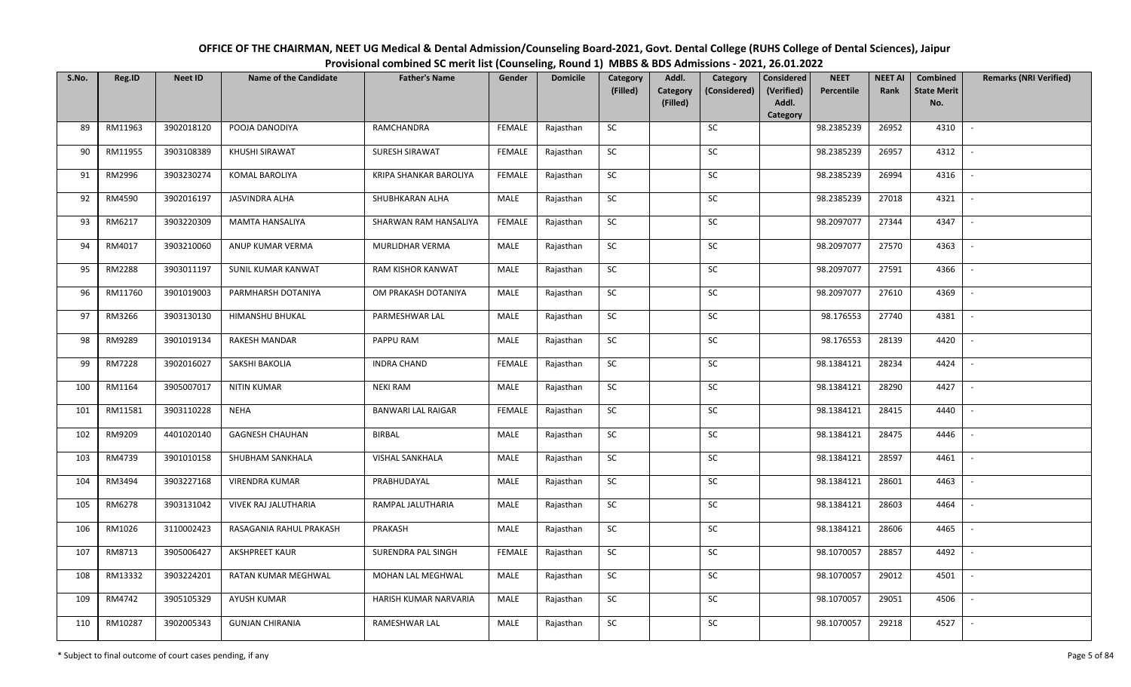| OFFICE OF THE CHAIRMAN, NEET UG Medical & Dental Admission/Counseling Board-2021, Govt. Dental College (RUHS College of Dental Sciences), Jaipur |
|--------------------------------------------------------------------------------------------------------------------------------------------------|
| Provisional combined SC merit list (Counseling, Round 1) MBBS & BDS Admissions - 2021, 26.01.2022                                                |

| S.No. | Reg.ID        | <b>Neet ID</b> | <b>Name of the Candidate</b> | <b>Father's Name</b>      | Gender        | <b>Domicile</b> | Category<br>(Filled) | Addl.<br>Category<br>(Filled) | Category<br>(Considered) | <b>Considered</b><br>(Verified)<br>Addl. | <b>NEET</b><br>Percentile | <b>NEET AI</b><br>Rank | Combined<br><b>State Merit</b><br>No. | <b>Remarks (NRI Verified)</b> |
|-------|---------------|----------------|------------------------------|---------------------------|---------------|-----------------|----------------------|-------------------------------|--------------------------|------------------------------------------|---------------------------|------------------------|---------------------------------------|-------------------------------|
|       |               |                |                              |                           |               |                 |                      |                               |                          | Category                                 |                           |                        |                                       |                               |
| 89    | RM11963       | 3902018120     | POOJA DANODIYA               | RAMCHANDRA                | <b>FEMALE</b> | Rajasthan       | <b>SC</b>            |                               | <b>SC</b>                |                                          | 98.2385239                | 26952                  | 4310                                  | $\sim$                        |
| 90    | RM11955       | 3903108389     | KHUSHI SIRAWAT               | SURESH SIRAWAT            | <b>FEMALE</b> | Rajasthan       | SC                   |                               | SC                       |                                          | 98.2385239                | 26957                  | 4312                                  |                               |
| 91    | RM2996        | 3903230274     | KOMAL BAROLIYA               | KRIPA SHANKAR BAROLIYA    | FEMALE        | Rajasthan       | SC                   |                               | SC                       |                                          | 98.2385239                | 26994                  | 4316                                  |                               |
| 92    | RM4590        | 3902016197     | JASVINDRA ALHA               | SHUBHKARAN ALHA           | MALE          | Rajasthan       | SC                   |                               | $\sf SC$                 |                                          | 98.2385239                | 27018                  | 4321                                  | $\overline{\phantom{a}}$      |
| 93    | RM6217        | 3903220309     | <b>MAMTA HANSALIYA</b>       | SHARWAN RAM HANSALIYA     | <b>FEMALE</b> | Rajasthan       | SC                   |                               | SC                       |                                          | 98.2097077                | 27344                  | 4347                                  | $\sim$                        |
| 94    | RM4017        | 3903210060     | ANUP KUMAR VERMA             | MURLIDHAR VERMA           | MALE          | Rajasthan       | <b>SC</b>            |                               | SC                       |                                          | 98.2097077                | 27570                  | 4363                                  | $\blacksquare$                |
| 95    | RM2288        | 3903011197     | SUNIL KUMAR KANWAT           | RAM KISHOR KANWAT         | MALE          | Rajasthan       | SC                   |                               | SC                       |                                          | 98.2097077                | 27591                  | 4366                                  | $\mathbb{L}^+$                |
| 96    | RM11760       | 3901019003     | PARMHARSH DOTANIYA           | OM PRAKASH DOTANIYA       | MALE          | Rajasthan       | SC                   |                               | ${\sf SC}$               |                                          | 98.2097077                | 27610                  | 4369                                  | $\sim$                        |
| 97    | RM3266        | 3903130130     | HIMANSHU BHUKAL              | PARMESHWAR LAL            | MALE          | Rajasthan       | SC                   |                               | SC                       |                                          | 98.176553                 | 27740                  | 4381                                  | $\sim$                        |
| 98    | RM9289        | 3901019134     | <b>RAKESH MANDAR</b>         | PAPPU RAM                 | MALE          | Rajasthan       | SC                   |                               | $\sf SC$                 |                                          | 98.176553                 | 28139                  | 4420                                  | $\overline{\phantom{a}}$      |
| 99    | <b>RM7228</b> | 3902016027     | SAKSHI BAKOLIA               | <b>INDRA CHAND</b>        | <b>FEMALE</b> | Rajasthan       | SC                   |                               | SC                       |                                          | 98.1384121                | 28234                  | 4424                                  | $\mathbb{L}$                  |
| 100   | RM1164        | 3905007017     | <b>NITIN KUMAR</b>           | <b>NEKI RAM</b>           | MALE          | Rajasthan       | SC                   |                               | SC                       |                                          | 98.1384121                | 28290                  | 4427                                  | $\sim$                        |
| 101   | RM11581       | 3903110228     | <b>NEHA</b>                  | <b>BANWARI LAL RAIGAR</b> | <b>FEMALE</b> | Rajasthan       | SC                   |                               | SC                       |                                          | 98.1384121                | 28415                  | 4440                                  | $\mathbb{L}$                  |
| 102   | RM9209        | 4401020140     | <b>GAGNESH CHAUHAN</b>       | BIRBAL                    | MALE          | Rajasthan       | <b>SC</b>            |                               | SC                       |                                          | 98.1384121                | 28475                  | 4446                                  | $\sim$                        |
| 103   | RM4739        | 3901010158     | SHUBHAM SANKHALA             | <b>VISHAL SANKHALA</b>    | MALE          | Rajasthan       | ${\sf SC}$           |                               | SC                       |                                          | 98.1384121                | 28597                  | 4461                                  | $\overline{\phantom{a}}$      |
| 104   | RM3494        | 3903227168     | <b>VIRENDRA KUMAR</b>        | PRABHUDAYAL               | MALE          | Rajasthan       | <b>SC</b>            |                               | SC                       |                                          | 98.1384121                | 28601                  | 4463                                  | $\sim$                        |
| 105   | RM6278        | 3903131042     | <b>VIVEK RAJ JALUTHARIA</b>  | RAMPAL JALUTHARIA         | MALE          | Rajasthan       | <b>SC</b>            |                               | SC                       |                                          | 98.1384121                | 28603                  | 4464                                  |                               |
| 106   | RM1026        | 3110002423     | RASAGANIA RAHUL PRAKASH      | PRAKASH                   | MALE          | Rajasthan       | SC                   |                               | SC                       |                                          | 98.1384121                | 28606                  | 4465                                  | $\mathbb{L}$                  |
| 107   | RM8713        | 3905006427     | <b>AKSHPREET KAUR</b>        | SURENDRA PAL SINGH        | <b>FEMALE</b> | Rajasthan       | SC                   |                               | SC                       |                                          | 98.1070057                | 28857                  | 4492                                  | $\overline{\phantom{a}}$      |
| 108   | RM13332       | 3903224201     | RATAN KUMAR MEGHWAL          | MOHAN LAL MEGHWAL         | MALE          | Rajasthan       | ${\sf SC}$           |                               | ${\sf SC}$               |                                          | 98.1070057                | 29012                  | 4501                                  | $\sim$                        |
| 109   | RM4742        | 3905105329     | AYUSH KUMAR                  | HARISH KUMAR NARVARIA     | MALE          | Rajasthan       | ${\sf SC}$           |                               | ${\sf SC}$               |                                          | 98.1070057                | 29051                  | 4506                                  | $\sim$                        |
| 110   | RM10287       | 3902005343     | <b>GUNJAN CHIRANIA</b>       | RAMESHWAR LAL             | MALE          | Rajasthan       | ${\sf SC}$           |                               | ${\sf SC}$               |                                          | 98.1070057                | 29218                  | 4527                                  | $\overline{\phantom{a}}$      |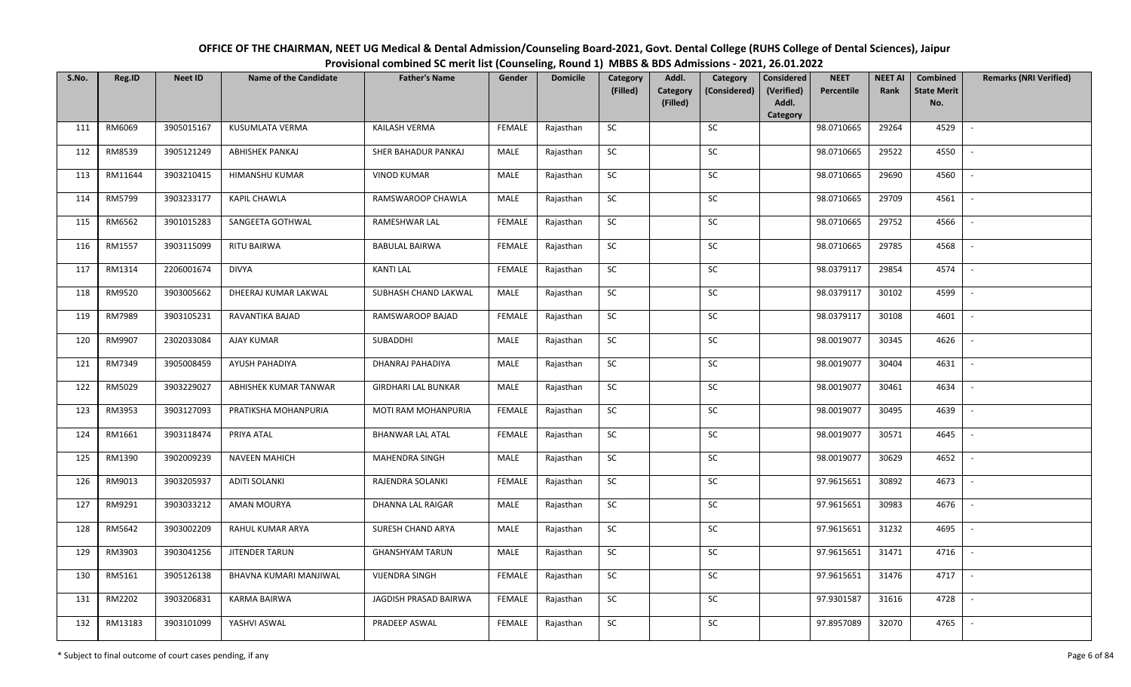| OFFICE OF THE CHAIRMAN, NEET UG Medical & Dental Admission/Counseling Board-2021, Govt. Dental College (RUHS College of Dental Sciences), Jaipur |
|--------------------------------------------------------------------------------------------------------------------------------------------------|
| Provisional combined SC merit list (Counseling, Round 1) MBBS & BDS Admissions - 2021, 26.01.2022                                                |

| S.No. | Reg.ID  | <b>Neet ID</b> | <b>Name of the Candidate</b> | <b>Father's Name</b>       | Gender        | <b>Domicile</b> | Category<br>(Filled) | Addl.                       | Category<br>(Considered) | <b>Considered</b><br>(Verified) | <b>NEET</b><br>Percentile | <b>NEET AI</b><br>Rank | Combined<br><b>State Merit</b> | <b>Remarks (NRI Verified)</b> |
|-------|---------|----------------|------------------------------|----------------------------|---------------|-----------------|----------------------|-----------------------------|--------------------------|---------------------------------|---------------------------|------------------------|--------------------------------|-------------------------------|
|       |         |                |                              |                            |               |                 |                      | <b>Category</b><br>(Filled) |                          | Addl.                           |                           |                        | No.                            |                               |
| 111   | RM6069  | 3905015167     | KUSUMLATA VERMA              | KAILASH VERMA              | <b>FEMALE</b> | Rajasthan       | SC                   |                             | SC                       | Category                        | 98.0710665                | 29264                  | 4529                           | $\overline{\phantom{a}}$      |
|       |         |                |                              |                            |               |                 |                      |                             |                          |                                 |                           |                        |                                |                               |
| 112   | RM8539  | 3905121249     | ABHISHEK PANKAJ              | SHER BAHADUR PANKAJ        | MALE          | Rajasthan       | SC                   |                             | <b>SC</b>                |                                 | 98.0710665                | 29522                  | 4550                           |                               |
| 113   | RM11644 | 3903210415     | HIMANSHU KUMAR               | <b>VINOD KUMAR</b>         | MALE          | Rajasthan       | ${\sf SC}$           |                             | SC                       |                                 | 98.0710665                | 29690                  | 4560                           |                               |
| 114   | RM5799  | 3903233177     | KAPIL CHAWLA                 | RAMSWAROOP CHAWLA          | MALE          | Rajasthan       | SC                   |                             | SC                       |                                 | 98.0710665                | 29709                  | 4561                           | $\overline{a}$                |
| 115   | RM6562  | 3901015283     | SANGEETA GOTHWAL             | RAMESHWAR LAL              | <b>FEMALE</b> | Rajasthan       | SC                   |                             | SC                       |                                 | 98.0710665                | 29752                  | 4566                           | $\sim$                        |
| 116   | RM1557  | 3903115099     | RITU BAIRWA                  | <b>BABULAL BAIRWA</b>      | <b>FEMALE</b> | Rajasthan       | SC                   |                             | SC                       |                                 | 98.0710665                | 29785                  | 4568                           | $\sim$                        |
| 117   | RM1314  | 2206001674     | <b>DIVYA</b>                 | <b>KANTI LAL</b>           | <b>FEMALE</b> | Rajasthan       | SC                   |                             | SC                       |                                 | 98.0379117                | 29854                  | 4574                           | $\overline{a}$                |
| 118   | RM9520  | 3903005662     | DHEERAJ KUMAR LAKWAL         | SUBHASH CHAND LAKWAL       | MALE          | Rajasthan       | SC                   |                             | $\sf SC$                 |                                 | 98.0379117                | 30102                  | 4599                           |                               |
| 119   | RM7989  | 3903105231     | RAVANTIKA BAJAD              | RAMSWAROOP BAJAD           | <b>FEMALE</b> | Rajasthan       | SC                   |                             | SC                       |                                 | 98.0379117                | 30108                  | 4601                           |                               |
| 120   | RM9907  | 2302033084     | AJAY KUMAR                   | SUBADDHI                   | MALE          | Rajasthan       | ${\sf SC}$           |                             | $\sf SC$                 |                                 | 98.0019077                | 30345                  | 4626                           |                               |
| 121   | RM7349  | 3905008459     | AYUSH PAHADIYA               | DHANRAJ PAHADIYA           | MALE          | Rajasthan       | SC                   |                             | SC                       |                                 | 98.0019077                | 30404                  | 4631                           | $\blacksquare$                |
| 122   | RM5029  | 3903229027     | ABHISHEK KUMAR TANWAR        | <b>GIRDHARI LAL BUNKAR</b> | MALE          | Rajasthan       | SC                   |                             | ${\sf SC}$               |                                 | 98.0019077                | 30461                  | 4634                           |                               |
| 123   | RM3953  | 3903127093     | PRATIKSHA MOHANPURIA         | MOTI RAM MOHANPURIA        | FEMALE        | Rajasthan       | SC                   |                             | SC                       |                                 | 98.0019077                | 30495                  | 4639                           |                               |
| 124   | RM1661  | 3903118474     | PRIYA ATAL                   | <b>BHANWAR LAL ATAL</b>    | <b>FEMALE</b> | Rajasthan       | SC                   |                             | SC                       |                                 | 98.0019077                | 30571                  | 4645                           |                               |
| 125   | RM1390  | 3902009239     | <b>NAVEEN MAHICH</b>         | <b>MAHENDRA SINGH</b>      | MALE          | Rajasthan       | SC                   |                             | ${\sf SC}$               |                                 | 98.0019077                | 30629                  | 4652                           |                               |
| 126   | RM9013  | 3903205937     | <b>ADITI SOLANKI</b>         | RAJENDRA SOLANKI           | <b>FEMALE</b> | Rajasthan       | SC                   |                             | SC                       |                                 | 97.9615651                | 30892                  | 4673                           | $\sim$                        |
| 127   | RM9291  | 3903033212     | AMAN MOURYA                  | DHANNA LAL RAIGAR          | MALE          | Rajasthan       | ${\sf SC}$           |                             | ${\sf SC}$               |                                 | 97.9615651                | 30983                  | 4676                           | $\sim$                        |
| 128   | RM5642  | 3903002209     | RAHUL KUMAR ARYA             | SURESH CHAND ARYA          | MALE          | Rajasthan       | SC                   |                             | SC                       |                                 | 97.9615651                | 31232                  | 4695                           |                               |
| 129   | RM3903  | 3903041256     | <b>JITENDER TARUN</b>        | <b>GHANSHYAM TARUN</b>     | MALE          | Rajasthan       | SC                   |                             | SC                       |                                 | 97.9615651                | 31471                  | 4716                           | $\overline{\phantom{a}}$      |
| 130   | RM5161  | 3905126138     | BHAVNA KUMARI MANJIWAL       | <b>VIJENDRA SINGH</b>      | <b>FEMALE</b> | Rajasthan       | ${\sf SC}$           |                             | ${\sf SC}$               |                                 | 97.9615651                | 31476                  | 4717                           |                               |
| 131   | RM2202  | 3903206831     | KARMA BAIRWA                 | JAGDISH PRASAD BAIRWA      | <b>FEMALE</b> | Rajasthan       | SC                   |                             | SC                       |                                 | 97.9301587                | 31616                  | 4728                           |                               |
| 132   | RM13183 | 3903101099     | YASHVI ASWAL                 | PRADEEP ASWAL              | FEMALE        | Rajasthan       | SC                   |                             | SC                       |                                 | 97.8957089                | 32070                  | 4765                           | $\overline{\phantom{a}}$      |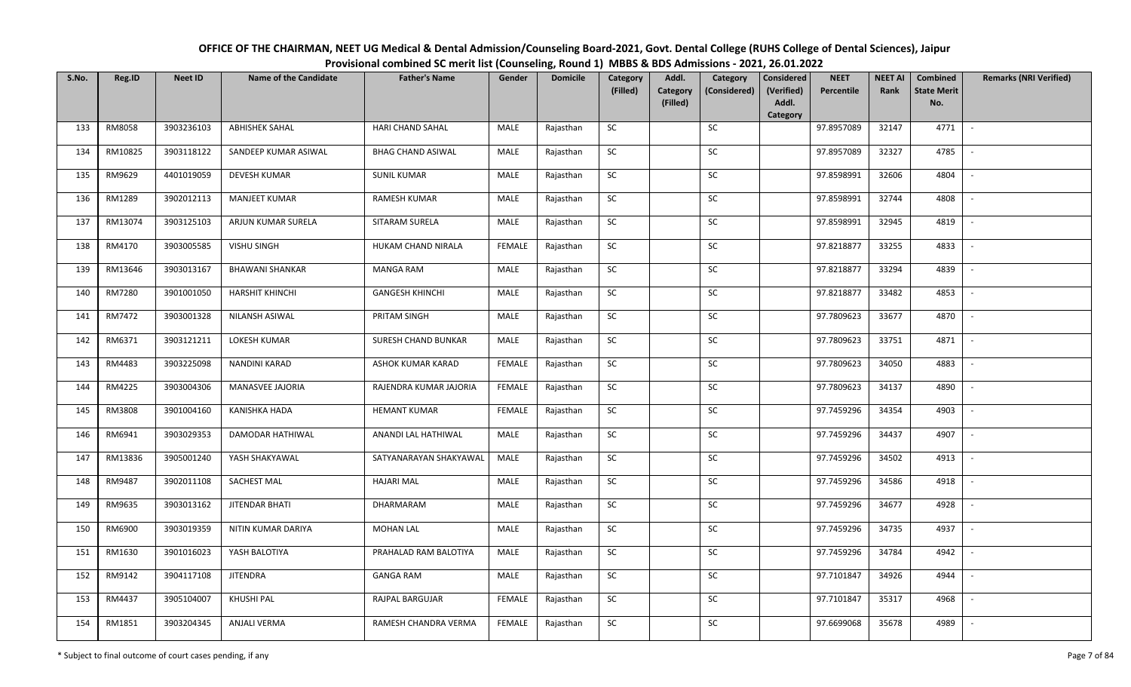| OFFICE OF THE CHAIRMAN, NEET UG Medical & Dental Admission/Counseling Board-2021, Govt. Dental College (RUHS College of Dental Sciences), Jaipur |
|--------------------------------------------------------------------------------------------------------------------------------------------------|
| Provisional combined SC merit list (Counseling, Round 1) MBBS & BDS Admissions - 2021, 26.01.2022                                                |

| S.No. | Reg.ID  | <b>Neet ID</b> | <b>Name of the Candidate</b> | <b>Father's Name</b>     | Gender        | <b>Domicile</b> | Category<br>(Filled) | Addl.<br><b>Category</b> | Category<br>(Considered) | <b>Considered</b><br>(Verified) | <b>NEET</b><br>Percentile | <b>NEET AI</b><br>Rank | Combined<br><b>State Merit</b> | <b>Remarks (NRI Verified)</b> |
|-------|---------|----------------|------------------------------|--------------------------|---------------|-----------------|----------------------|--------------------------|--------------------------|---------------------------------|---------------------------|------------------------|--------------------------------|-------------------------------|
|       |         |                |                              |                          |               |                 |                      | (Filled)                 |                          | Addl.<br>Category               |                           |                        | No.                            |                               |
| 133   | RM8058  | 3903236103     | <b>ABHISHEK SAHAL</b>        | <b>HARI CHAND SAHAL</b>  | MALE          | Rajasthan       | <b>SC</b>            |                          | SC                       |                                 | 97.8957089                | 32147                  | 4771                           | $\sim$                        |
| 134   | RM10825 | 3903118122     | SANDEEP KUMAR ASIWAL         | <b>BHAG CHAND ASIWAL</b> | MALE          | Rajasthan       | <b>SC</b>            |                          | SC                       |                                 | 97.8957089                | 32327                  | 4785                           |                               |
| 135   | RM9629  | 4401019059     | DEVESH KUMAR                 | <b>SUNIL KUMAR</b>       | MALE          | Rajasthan       | SC                   |                          | SC                       |                                 | 97.8598991                | 32606                  | 4804                           | $\overline{\phantom{a}}$      |
| 136   | RM1289  | 3902012113     | <b>MANJEET KUMAR</b>         | <b>RAMESH KUMAR</b>      | MALE          | Rajasthan       | SC                   |                          | SC                       |                                 | 97.8598991                | 32744                  | 4808                           | $\overline{\phantom{a}}$      |
| 137   | RM13074 | 3903125103     | ARJUN KUMAR SURELA           | SITARAM SURELA           | MALE          | Rajasthan       | ${\sf SC}$           |                          | ${\sf SC}$               |                                 | 97.8598991                | 32945                  | 4819                           | $\sim$                        |
| 138   | RM4170  | 3903005585     | <b>VISHU SINGH</b>           | HUKAM CHAND NIRALA       | <b>FEMALE</b> | Rajasthan       | ${\sf SC}$           |                          | ${\sf SC}$               |                                 | 97.8218877                | 33255                  | 4833                           | $\sim$                        |
| 139   | RM13646 | 3903013167     | <b>BHAWANI SHANKAR</b>       | <b>MANGA RAM</b>         | MALE          | Rajasthan       | <b>SC</b>            |                          | <b>SC</b>                |                                 | 97.8218877                | 33294                  | 4839                           | $\sim$                        |
| 140   | RM7280  | 3901001050     | <b>HARSHIT KHINCHI</b>       | <b>GANGESH KHINCHI</b>   | MALE          | Rajasthan       | SC                   |                          | SC                       |                                 | 97.8218877                | 33482                  | 4853                           | $\overline{\phantom{a}}$      |
| 141   | RM7472  | 3903001328     | NILANSH ASIWAL               | PRITAM SINGH             | MALE          | Rajasthan       | SC                   |                          | SC                       |                                 | 97.7809623                | 33677                  | 4870                           |                               |
| 142   | RM6371  | 3903121211     | <b>LOKESH KUMAR</b>          | SURESH CHAND BUNKAR      | MALE          | Rajasthan       | SC                   |                          | SC                       |                                 | 97.7809623                | 33751                  | 4871                           | $\sim$                        |
| 143   | RM4483  | 3903225098     | NANDINI KARAD                | ASHOK KUMAR KARAD        | <b>FEMALE</b> | Rajasthan       | ${\sf SC}$           |                          | $\sf SC$                 |                                 | 97.7809623                | 34050                  | 4883                           | $\sim$                        |
| 144   | RM4225  | 3903004306     | MANASVEE JAJORIA             | RAJENDRA KUMAR JAJORIA   | FEMALE        | Rajasthan       | <b>SC</b>            |                          | SC                       |                                 | 97.7809623                | 34137                  | 4890                           | $\sim$                        |
| 145   | RM3808  | 3901004160     | <b>KANISHKA HADA</b>         | <b>HEMANT KUMAR</b>      | <b>FEMALE</b> | Rajasthan       | SC                   |                          | <b>SC</b>                |                                 | 97.7459296                | 34354                  | 4903                           | $\overline{\phantom{a}}$      |
| 146   | RM6941  | 3903029353     | DAMODAR HATHIWAL             | ANANDI LAL HATHIWAL      | MALE          | Rajasthan       | SC                   |                          | SC                       |                                 | 97.7459296                | 34437                  | 4907                           | $\sim$                        |
| 147   | RM13836 | 3905001240     | YASH SHAKYAWAL               | SATYANARAYAN SHAKYAWAL   | MALE          | Rajasthan       | SC                   |                          | SC                       |                                 | 97.7459296                | 34502                  | 4913                           | $\overline{\phantom{a}}$      |
| 148   | RM9487  | 3902011108     | SACHEST MAL                  | <b>HAJARI MAL</b>        | MALE          | Rajasthan       | ${\sf SC}$           |                          | ${\sf SC}$               |                                 | 97.7459296                | 34586                  | 4918                           | $\sim$                        |
| 149   | RM9635  | 3903013162     | <b>JITENDAR BHATI</b>        | DHARMARAM                | MALE          | Rajasthan       | <b>SC</b>            |                          | SC                       |                                 | 97.7459296                | 34677                  | 4928                           | $\sim$                        |
| 150   | RM6900  | 3903019359     | NITIN KUMAR DARIYA           | <b>MOHAN LAL</b>         | MALE          | Rajasthan       | SC                   |                          | SC                       |                                 | 97.7459296                | 34735                  | 4937                           | $\sim$                        |
| 151   | RM1630  | 3901016023     | YASH BALOTIYA                | PRAHALAD RAM BALOTIYA    | MALE          | Rajasthan       | SC                   |                          | SC                       |                                 | 97.7459296                | 34784                  | 4942                           | $\sim$                        |
| 152   | RM9142  | 3904117108     | <b>JITENDRA</b>              | <b>GANGA RAM</b>         | MALE          | Rajasthan       | SC                   |                          | SC                       |                                 | 97.7101847                | 34926                  | 4944                           | $\blacksquare$                |
| 153   | RM4437  | 3905104007     | <b>KHUSHI PAL</b>            | RAJPAL BARGUJAR          | <b>FEMALE</b> | Rajasthan       | ${\sf SC}$           |                          | ${\sf SC}$               |                                 | 97.7101847                | 35317                  | 4968                           | $\overline{\phantom{a}}$      |
| 154   | RM1851  | 3903204345     | <b>ANJALI VERMA</b>          | RAMESH CHANDRA VERMA     | <b>FEMALE</b> | Rajasthan       | ${\sf SC}$           |                          | ${\sf SC}$               |                                 | 97.6699068                | 35678                  | 4989                           |                               |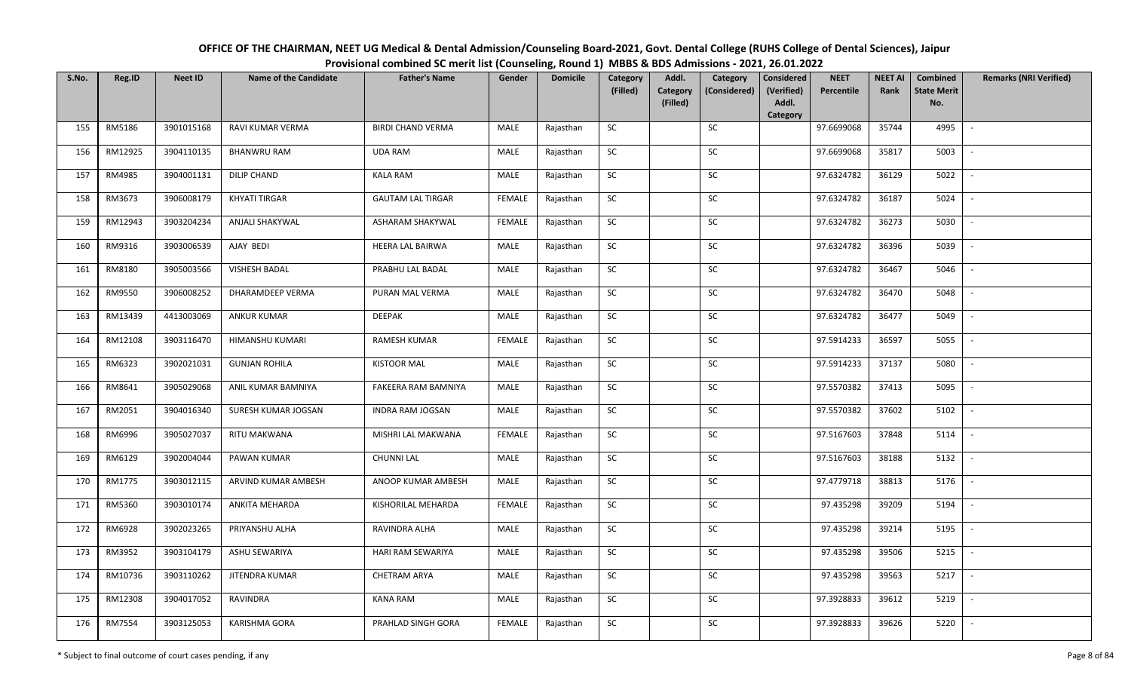| OFFICE OF THE CHAIRMAN, NEET UG Medical & Dental Admission/Counseling Board-2021, Govt. Dental College (RUHS College of Dental Sciences), Jaipur |
|--------------------------------------------------------------------------------------------------------------------------------------------------|
| Provisional combined SC merit list (Counseling, Round 1) MBBS & BDS Admissions - 2021, 26.01.2022                                                |

| S.No. | Reg.ID  | <b>Neet ID</b> | <b>Name of the Candidate</b> | <b>Father's Name</b>     | Gender        | <b>Domicile</b> | Category<br>(Filled) | Addl.<br><b>Category</b> | Category<br>(Considered) | <b>Considered</b><br>(Verified) | <b>NEET</b><br>Percentile | <b>NEET AI</b><br>Rank | Combined<br><b>State Merit</b> | <b>Remarks (NRI Verified)</b> |
|-------|---------|----------------|------------------------------|--------------------------|---------------|-----------------|----------------------|--------------------------|--------------------------|---------------------------------|---------------------------|------------------------|--------------------------------|-------------------------------|
|       |         |                |                              |                          |               |                 |                      | (Filled)                 |                          | Addl.<br>Category               |                           |                        | No.                            |                               |
| 155   | RM5186  | 3901015168     | RAVI KUMAR VERMA             | <b>BIRDI CHAND VERMA</b> | MALE          | Rajasthan       | SC                   |                          | SC                       |                                 | 97.6699068                | 35744                  | 4995                           | $\overline{\phantom{a}}$      |
| 156   | RM12925 | 3904110135     | <b>BHANWRU RAM</b>           | <b>UDA RAM</b>           | MALE          | Rajasthan       | SC                   |                          | <b>SC</b>                |                                 | 97.6699068                | 35817                  | 5003                           |                               |
| 157   | RM4985  | 3904001131     | <b>DILIP CHAND</b>           | <b>KALA RAM</b>          | <b>MALE</b>   | Rajasthan       | SC                   |                          | SC                       |                                 | 97.6324782                | 36129                  | 5022                           |                               |
| 158   | RM3673  | 3906008179     | KHYATI TIRGAR                | <b>GAUTAM LAL TIRGAR</b> | <b>FEMALE</b> | Rajasthan       | SC                   |                          | ${\sf SC}$               |                                 | 97.6324782                | 36187                  | 5024                           |                               |
| 159   | RM12943 | 3903204234     | ANJALI SHAKYWAL              | ASHARAM SHAKYWAL         | <b>FEMALE</b> | Rajasthan       | SC                   |                          | ${\sf SC}$               |                                 | 97.6324782                | 36273                  | 5030                           | $\sim$                        |
| 160   | RM9316  | 3903006539     | AJAY BEDI                    | <b>HEERA LAL BAIRWA</b>  | MALE          | Rajasthan       | ${\sf SC}$           |                          | ${\sf SC}$               |                                 | 97.6324782                | 36396                  | 5039                           | $\overline{\phantom{a}}$      |
| 161   | RM8180  | 3905003566     | VISHESH BADAL                | PRABHU LAL BADAL         | MALE          | Rajasthan       | SC                   |                          | SC                       |                                 | 97.6324782                | 36467                  | 5046                           |                               |
| 162   | RM9550  | 3906008252     | DHARAMDEEP VERMA             | PURAN MAL VERMA          | MALE          | Rajasthan       | ${\sf SC}$           |                          | SC                       |                                 | 97.6324782                | 36470                  | 5048                           | $\blacksquare$                |
| 163   | RM13439 | 4413003069     | <b>ANKUR KUMAR</b>           | <b>DEEPAK</b>            | MALE          | Rajasthan       | SC                   |                          | SC                       |                                 | 97.6324782                | 36477                  | 5049                           |                               |
| 164   | RM12108 | 3903116470     | HIMANSHU KUMARI              | <b>RAMESH KUMAR</b>      | <b>FEMALE</b> | Rajasthan       | SC                   |                          | SC                       |                                 | 97.5914233                | 36597                  | 5055                           |                               |
| 165   | RM6323  | 3902021031     | <b>GUNJAN ROHILA</b>         | <b>KISTOOR MAL</b>       | MALE          | Rajasthan       | ${\sf SC}$           |                          | ${\sf SC}$               |                                 | 97.5914233                | 37137                  | 5080                           | $\overline{\phantom{a}}$      |
| 166   | RM8641  | 3905029068     | ANIL KUMAR BAMNIYA           | FAKEERA RAM BAMNIYA      | MALE          | Rajasthan       | SC                   |                          | SC                       |                                 | 97.5570382                | 37413                  | 5095                           |                               |
| 167   | RM2051  | 3904016340     | SURESH KUMAR JOGSAN          | <b>INDRA RAM JOGSAN</b>  | MALE          | Rajasthan       | <b>SC</b>            |                          | SC                       |                                 | 97.5570382                | 37602                  | 5102                           |                               |
| 168   | RM6996  | 3905027037     | <b>RITU MAKWANA</b>          | MISHRI LAL MAKWANA       | <b>FEMALE</b> | Rajasthan       | SC                   |                          | SC                       |                                 | 97.5167603                | 37848                  | 5114                           | $\overline{\phantom{a}}$      |
| 169   | RM6129  | 3902004044     | PAWAN KUMAR                  | <b>CHUNNI LAL</b>        | MALE          | Rajasthan       | SC                   |                          | SC                       |                                 | 97.5167603                | 38188                  | 5132                           |                               |
| 170   | RM1775  | 3903012115     | ARVIND KUMAR AMBESH          | ANOOP KUMAR AMBESH       | MALE          | Rajasthan       | ${\sf SC}$           |                          | ${\sf SC}$               |                                 | 97.4779718                | 38813                  | 5176                           | $\sim$                        |
| 171   | RM5360  | 3903010174     | ANKITA MEHARDA               | KISHORILAL MEHARDA       | <b>FEMALE</b> | Rajasthan       | SC                   |                          | SC                       |                                 | 97.435298                 | 39209                  | 5194                           | $\overline{\phantom{a}}$      |
| 172   | RM6928  | 3902023265     | PRIYANSHU ALHA               | RAVINDRA ALHA            | MALE          | Rajasthan       | SC                   |                          | SC                       |                                 | 97.435298                 | 39214                  | 5195                           | $\sim$                        |
| 173   | RM3952  | 3903104179     | ASHU SEWARIYA                | HARI RAM SEWARIYA        | <b>MALE</b>   | Rajasthan       | ${\sf SC}$           |                          | $\sf SC$                 |                                 | 97.435298                 | 39506                  | 5215                           | $\overline{\phantom{a}}$      |
| 174   | RM10736 | 3903110262     | JITENDRA KUMAR               | <b>CHETRAM ARYA</b>      | MALE          | Rajasthan       | SC                   |                          | SC                       |                                 | 97.435298                 | 39563                  | 5217                           | $\overline{\phantom{a}}$      |
| 175   | RM12308 | 3904017052     | RAVINDRA                     | <b>KANA RAM</b>          | MALE          | Rajasthan       | SC                   |                          | ${\sf SC}$               |                                 | 97.3928833                | 39612                  | 5219                           |                               |
| 176   | RM7554  | 3903125053     | <b>KARISHMA GORA</b>         | PRAHLAD SINGH GORA       | <b>FEMALE</b> | Rajasthan       | ${\sf SC}$           |                          | ${\sf SC}$               |                                 | 97.3928833                | 39626                  | 5220                           |                               |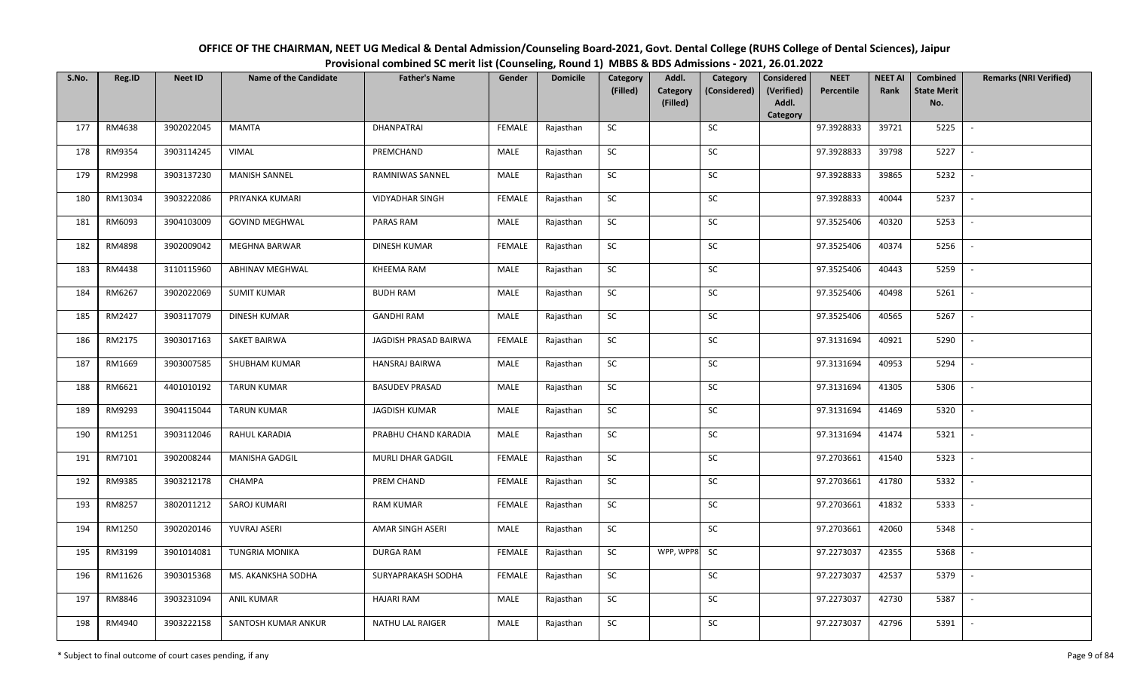| OFFICE OF THE CHAIRMAN, NEET UG Medical & Dental Admission/Counseling Board-2021, Govt. Dental College (RUHS College of Dental Sciences), Jaipur |
|--------------------------------------------------------------------------------------------------------------------------------------------------|
| Provisional combined SC merit list (Counseling, Round 1) MBBS & BDS Admissions - 2021, 26.01.2022                                                |

| S.No. | Reg.ID  | <b>Neet ID</b> | <b>Name of the Candidate</b> | <b>Father's Name</b>   | Gender        | <b>Domicile</b> | Category<br>(Filled) | Addl.<br><b>Category</b> | Category<br>(Considered) | <b>Considered</b><br>(Verified) | <b>NEET</b><br>Percentile | <b>NEET AI</b><br>Rank | Combined<br><b>State Merit</b> | <b>Remarks (NRI Verified)</b> |
|-------|---------|----------------|------------------------------|------------------------|---------------|-----------------|----------------------|--------------------------|--------------------------|---------------------------------|---------------------------|------------------------|--------------------------------|-------------------------------|
|       |         |                |                              |                        |               |                 |                      | (Filled)                 |                          | Addl.<br>Category               |                           |                        | No.                            |                               |
| 177   | RM4638  | 3902022045     | <b>MAMTA</b>                 | DHANPATRAI             | <b>FEMALE</b> | Rajasthan       | <b>SC</b>            |                          | SC                       |                                 | 97.3928833                | 39721                  | 5225                           | $\sim$                        |
| 178   | RM9354  | 3903114245     | VIMAL                        | PREMCHAND              | MALE          | Rajasthan       | SC                   |                          | SC                       |                                 | 97.3928833                | 39798                  | 5227                           |                               |
| 179   | RM2998  | 3903137230     | <b>MANISH SANNEL</b>         | RAMNIWAS SANNEL        | MALE          | Rajasthan       | <b>SC</b>            |                          | SC                       |                                 | 97.3928833                | 39865                  | 5232                           | $\sim$                        |
| 180   | RM13034 | 3903222086     | PRIYANKA KUMARI              | <b>VIDYADHAR SINGH</b> | <b>FEMALE</b> | Rajasthan       | <b>SC</b>            |                          | <b>SC</b>                |                                 | 97.3928833                | 40044                  | 5237                           | $\sim$                        |
| 181   | RM6093  | 3904103009     | <b>GOVIND MEGHWAL</b>        | PARAS RAM              | MALE          | Rajasthan       | SC                   |                          | SC                       |                                 | 97.3525406                | 40320                  | 5253                           | $\sim$                        |
| 182   | RM4898  | 3902009042     | MEGHNA BARWAR                | DINESH KUMAR           | <b>FEMALE</b> | Rajasthan       | SC                   |                          | $\sf SC$                 |                                 | 97.3525406                | 40374                  | 5256                           | $\sim$                        |
| 183   | RM4438  | 3110115960     | <b>ABHINAV MEGHWAL</b>       | KHEEMA RAM             | MALE          | Rajasthan       | SC                   |                          | ${\sf SC}$               |                                 | 97.3525406                | 40443                  | 5259                           | $\overline{\phantom{a}}$      |
| 184   | RM6267  | 3902022069     | <b>SUMIT KUMAR</b>           | <b>BUDH RAM</b>        | MALE          | Rajasthan       | SC                   |                          | <b>SC</b>                |                                 | 97.3525406                | 40498                  | 5261                           | $\overline{\phantom{a}}$      |
| 185   | RM2427  | 3903117079     | <b>DINESH KUMAR</b>          | <b>GANDHI RAM</b>      | MALE          | Rajasthan       | ${\sf SC}$           |                          | $\sf SC$                 |                                 | 97.3525406                | 40565                  | 5267                           | $\overline{\phantom{a}}$      |
| 186   | RM2175  | 3903017163     | <b>SAKET BAIRWA</b>          | JAGDISH PRASAD BAIRWA  | <b>FEMALE</b> | Rajasthan       | SC                   |                          | SC                       |                                 | 97.3131694                | 40921                  | 5290                           | $\sim$                        |
| 187   | RM1669  | 3903007585     | SHUBHAM KUMAR                | HANSRAJ BAIRWA         | MALE          | Rajasthan       | ${\sf SC}$           |                          | SC                       |                                 | 97.3131694                | 40953                  | 5294                           | $\overline{\phantom{a}}$      |
| 188   | RM6621  | 4401010192     | <b>TARUN KUMAR</b>           | <b>BASUDEV PRASAD</b>  | MALE          | Rajasthan       | <b>SC</b>            |                          | SC                       |                                 | 97.3131694                | 41305                  | 5306                           | $\sim$                        |
| 189   | RM9293  | 3904115044     | <b>TARUN KUMAR</b>           | <b>JAGDISH KUMAR</b>   | MALE          | Rajasthan       | <b>SC</b>            |                          | <b>SC</b>                |                                 | 97.3131694                | 41469                  | 5320                           |                               |
| 190   | RM1251  | 3903112046     | RAHUL KARADIA                | PRABHU CHAND KARADIA   | MALE          | Rajasthan       | SC                   |                          | SC                       |                                 | 97.3131694                | 41474                  | 5321                           | $\sim$                        |
| 191   | RM7101  | 3902008244     | <b>MANISHA GADGIL</b>        | MURLI DHAR GADGIL      | <b>FEMALE</b> | Rajasthan       | SC                   |                          | SC                       |                                 | 97.2703661                | 41540                  | 5323                           | $\overline{\phantom{a}}$      |
| 192   | RM9385  | 3903212178     | CHAMPA                       | PREM CHAND             | <b>FEMALE</b> | Rajasthan       | ${\sf SC}$           |                          | SC                       |                                 | 97.2703661                | 41780                  | 5332                           | $\sim$                        |
| 193   | RM8257  | 3802011212     | SAROJ KUMARI                 | <b>RAM KUMAR</b>       | <b>FEMALE</b> | Rajasthan       | SC                   |                          | SC                       |                                 | 97.2703661                | 41832                  | 5333                           | $\sim$                        |
| 194   | RM1250  | 3902020146     | YUVRAJ ASERI                 | AMAR SINGH ASERI       | MALE          | Rajasthan       | SC                   |                          | SC                       |                                 | 97.2703661                | 42060                  | 5348                           | $\sim$                        |
| 195   | RM3199  | 3901014081     | <b>TUNGRIA MONIKA</b>        | <b>DURGA RAM</b>       | <b>FEMALE</b> | Rajasthan       | SC                   | WPP, WPP8 SC             |                          |                                 | 97.2273037                | 42355                  | 5368                           | $\overline{\phantom{a}}$      |
| 196   | RM11626 | 3903015368     | MS. AKANKSHA SODHA           | SURYAPRAKASH SODHA     | <b>FEMALE</b> | Rajasthan       | SC                   |                          | $\sf SC$                 |                                 | 97.2273037                | 42537                  | 5379                           |                               |
| 197   | RM8846  | 3903231094     | <b>ANIL KUMAR</b>            | <b>HAJARI RAM</b>      | MALE          | Rajasthan       | ${\sf SC}$           |                          | SC                       |                                 | 97.2273037                | 42730                  | 5387                           | $\sim$                        |
| 198   | RM4940  | 3903222158     | SANTOSH KUMAR ANKUR          | NATHU LAL RAIGER       | MALE          | Rajasthan       | ${\sf SC}$           |                          | SC                       |                                 | 97.2273037                | 42796                  | 5391                           | $\overline{\phantom{a}}$      |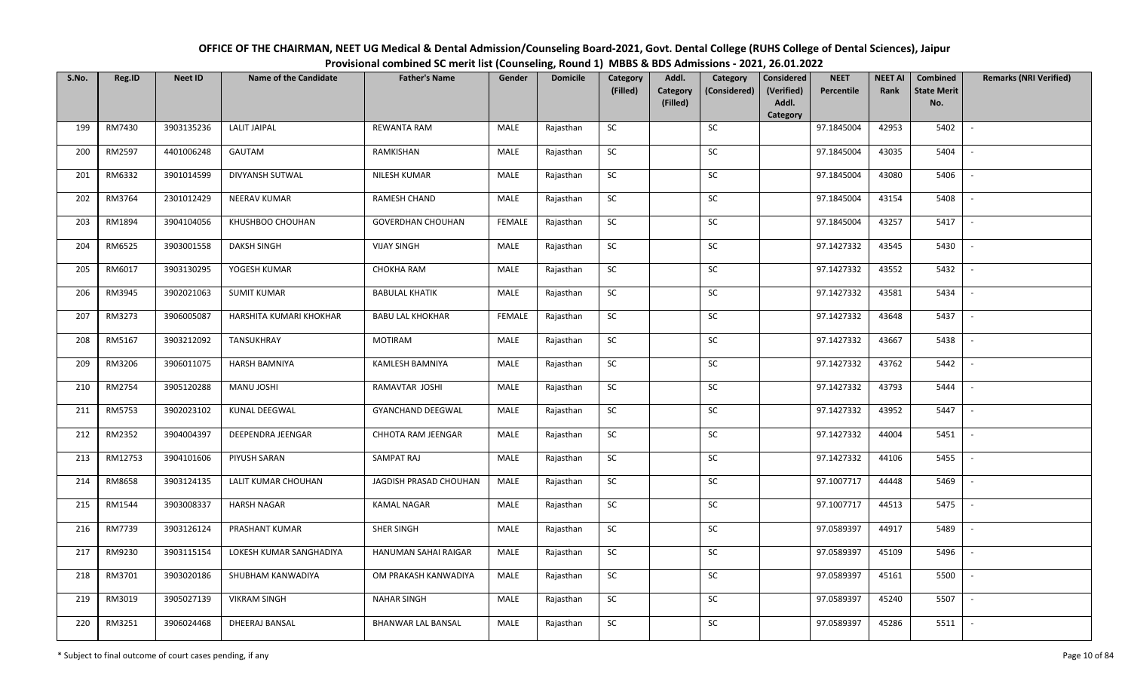| OFFICE OF THE CHAIRMAN, NEET UG Medical & Dental Admission/Counseling Board-2021, Govt. Dental College (RUHS College of Dental Sciences), Jaipur |
|--------------------------------------------------------------------------------------------------------------------------------------------------|
| Provisional combined SC merit list (Counseling, Round 1) MBBS & BDS Admissions - 2021, 26.01.2022                                                |

| S.No. | Reg.ID  | <b>Neet ID</b> | <b>Name of the Candidate</b> | <b>Father's Name</b>      | Gender        | <b>Domicile</b> | Category<br>(Filled) | Addl.<br><b>Category</b><br>(Filled) | Category<br>(Considered) | <b>Considered</b><br>(Verified)<br>Addl. | <b>NEET</b><br>Percentile | <b>NEET AI</b><br>Rank | Combined<br><b>State Merit</b><br>No. | <b>Remarks (NRI Verified)</b> |
|-------|---------|----------------|------------------------------|---------------------------|---------------|-----------------|----------------------|--------------------------------------|--------------------------|------------------------------------------|---------------------------|------------------------|---------------------------------------|-------------------------------|
|       |         |                |                              |                           |               |                 |                      |                                      |                          | Category                                 |                           |                        |                                       |                               |
| 199   | RM7430  | 3903135236     | <b>LALIT JAIPAL</b>          | REWANTA RAM               | MALE          | Rajasthan       | <b>SC</b>            |                                      | SC                       |                                          | 97.1845004                | 42953                  | 5402                                  | $\sim$                        |
| 200   | RM2597  | 4401006248     | GAUTAM                       | RAMKISHAN                 | MALE          | Rajasthan       | <b>SC</b>            |                                      | SC                       |                                          | 97.1845004                | 43035                  | 5404                                  |                               |
| 201   | RM6332  | 3901014599     | DIVYANSH SUTWAL              | NILESH KUMAR              | <b>MALE</b>   | Rajasthan       | SC                   |                                      | SC                       |                                          | 97.1845004                | 43080                  | 5406                                  | $\overline{\phantom{a}}$      |
| 202   | RM3764  | 2301012429     | NEERAV KUMAR                 | <b>RAMESH CHAND</b>       | MALE          | Rajasthan       | SC                   |                                      | SC                       |                                          | 97.1845004                | 43154                  | 5408                                  | $\overline{\phantom{a}}$      |
| 203   | RM1894  | 3904104056     | KHUSHBOO CHOUHAN             | <b>GOVERDHAN CHOUHAN</b>  | <b>FEMALE</b> | Rajasthan       | ${\sf SC}$           |                                      | ${\sf SC}$               |                                          | 97.1845004                | 43257                  | 5417                                  | $\sim$                        |
| 204   | RM6525  | 3903001558     | <b>DAKSH SINGH</b>           | <b>VIJAY SINGH</b>        | MALE          | Rajasthan       | ${\sf SC}$           |                                      | ${\sf SC}$               |                                          | 97.1427332                | 43545                  | 5430                                  | $\sim$                        |
| 205   | RM6017  | 3903130295     | YOGESH KUMAR                 | CHOKHA RAM                | MALE          | Rajasthan       | <b>SC</b>            |                                      | <b>SC</b>                |                                          | 97.1427332                | 43552                  | 5432                                  | $\sim$                        |
| 206   | RM3945  | 3902021063     | <b>SUMIT KUMAR</b>           | <b>BABULAL KHATIK</b>     | MALE          | Rajasthan       | SC                   |                                      | SC                       |                                          | 97.1427332                | 43581                  | 5434                                  | $\overline{\phantom{a}}$      |
| 207   | RM3273  | 3906005087     | HARSHITA KUMARI KHOKHAR      | <b>BABU LAL KHOKHAR</b>   | <b>FEMALE</b> | Rajasthan       | SC                   |                                      | SC                       |                                          | 97.1427332                | 43648                  | 5437                                  |                               |
| 208   | RM5167  | 3903212092     | TANSUKHRAY                   | <b>MOTIRAM</b>            | MALE          | Rajasthan       | SC                   |                                      | SC                       |                                          | 97.1427332                | 43667                  | 5438                                  | $\overline{\phantom{a}}$      |
| 209   | RM3206  | 3906011075     | <b>HARSH BAMNIYA</b>         | KAMLESH BAMNIYA           | MALE          | Rajasthan       | ${\sf SC}$           |                                      | $\sf SC$                 |                                          | 97.1427332                | 43762                  | 5442                                  | $\sim$                        |
| 210   | RM2754  | 3905120288     | MANU JOSHI                   | RAMAVTAR JOSHI            | MALE          | Rajasthan       | <b>SC</b>            |                                      | SC                       |                                          | 97.1427332                | 43793                  | 5444                                  | $\sim$                        |
| 211   | RM5753  | 3902023102     | <b>KUNAL DEEGWAL</b>         | <b>GYANCHAND DEEGWAL</b>  | MALE          | Rajasthan       | SC                   |                                      | <b>SC</b>                |                                          | 97.1427332                | 43952                  | 5447                                  | $\overline{\phantom{a}}$      |
| 212   | RM2352  | 3904004397     | DEEPENDRA JEENGAR            | CHHOTA RAM JEENGAR        | MALE          | Rajasthan       | SC                   |                                      | SC                       |                                          | 97.1427332                | 44004                  | 5451                                  | $\sim$                        |
| 213   | RM12753 | 3904101606     | PIYUSH SARAN                 | SAMPAT RAJ                | MALE          | Rajasthan       | SC                   |                                      | SC                       |                                          | 97.1427332                | 44106                  | 5455                                  | $\overline{\phantom{a}}$      |
| 214   | RM8658  | 3903124135     | LALIT KUMAR CHOUHAN          | JAGDISH PRASAD CHOUHAN    | MALE          | Rajasthan       | ${\sf SC}$           |                                      | ${\sf SC}$               |                                          | 97.1007717                | 44448                  | 5469                                  | $\sim$                        |
| 215   | RM1544  | 3903008337     | <b>HARSH NAGAR</b>           | <b>KAMAL NAGAR</b>        | MALE          | Rajasthan       | <b>SC</b>            |                                      | SC                       |                                          | 97.1007717                | 44513                  | 5475                                  | $\sim$                        |
| 216   | RM7739  | 3903126124     | PRASHANT KUMAR               | SHER SINGH                | MALE          | Rajasthan       | SC                   |                                      | SC                       |                                          | 97.0589397                | 44917                  | 5489                                  | $\sim$                        |
| 217   | RM9230  | 3903115154     | LOKESH KUMAR SANGHADIYA      | HANUMAN SAHAI RAIGAR      | MALE          | Rajasthan       | SC                   |                                      | SC                       |                                          | 97.0589397                | 45109                  | 5496                                  | $\sim$                        |
| 218   | RM3701  | 3903020186     | SHUBHAM KANWADIYA            | OM PRAKASH KANWADIYA      | MALE          | Rajasthan       | SC                   |                                      | SC                       |                                          | 97.0589397                | 45161                  | 5500                                  |                               |
| 219   | RM3019  | 3905027139     | <b>VIKRAM SINGH</b>          | <b>NAHAR SINGH</b>        | MALE          | Rajasthan       | ${\sf SC}$           |                                      | ${\sf SC}$               |                                          | 97.0589397                | 45240                  | 5507                                  | $\overline{\phantom{a}}$      |
| 220   | RM3251  | 3906024468     | DHEERAJ BANSAL               | <b>BHANWAR LAL BANSAL</b> | MALE          | Rajasthan       | ${\sf SC}$           |                                      | ${\sf SC}$               |                                          | 97.0589397                | 45286                  | 5511                                  |                               |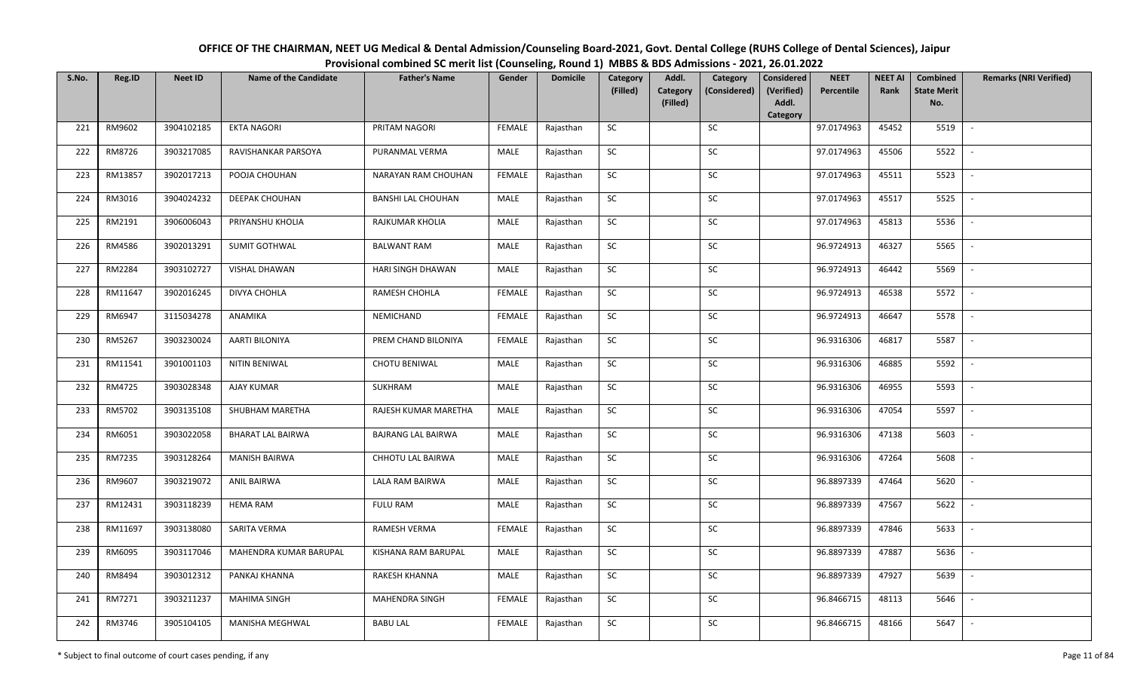| OFFICE OF THE CHAIRMAN, NEET UG Medical & Dental Admission/Counseling Board-2021, Govt. Dental College (RUHS College of Dental Sciences), Jaipur |
|--------------------------------------------------------------------------------------------------------------------------------------------------|
| Provisional combined SC merit list (Counseling, Round 1) MBBS & BDS Admissions - 2021, 26.01.2022                                                |

| S.No. | Reg.ID  | <b>Neet ID</b> | <b>Name of the Candidate</b> | <b>Father's Name</b>      | Gender        | <b>Domicile</b> | Category<br>(Filled) | Addl.<br><b>Category</b> | Category<br>(Considered) | <b>Considered</b><br>(Verified) | <b>NEET</b><br>Percentile | <b>NEET AI</b><br>Rank | Combined<br><b>State Merit</b> | <b>Remarks (NRI Verified)</b> |
|-------|---------|----------------|------------------------------|---------------------------|---------------|-----------------|----------------------|--------------------------|--------------------------|---------------------------------|---------------------------|------------------------|--------------------------------|-------------------------------|
|       |         |                |                              |                           |               |                 |                      | (Filled)                 |                          | Addl.<br>Category               |                           |                        | No.                            |                               |
| 221   | RM9602  | 3904102185     | <b>EKTA NAGORI</b>           | PRITAM NAGORI             | <b>FEMALE</b> | Rajasthan       | <b>SC</b>            |                          | SC                       |                                 | 97.0174963                | 45452                  | 5519                           | $\sim$                        |
| 222   | RM8726  | 3903217085     | RAVISHANKAR PARSOYA          | PURANMAL VERMA            | MALE          | Rajasthan       | <b>SC</b>            |                          | SC                       |                                 | 97.0174963                | 45506                  | 5522                           |                               |
| 223   | RM13857 | 3902017213     | POOJA CHOUHAN                | NARAYAN RAM CHOUHAN       | <b>FEMALE</b> | Rajasthan       | SC                   |                          | $\sf SC$                 |                                 | 97.0174963                | 45511                  | 5523                           | $\overline{\phantom{a}}$      |
| 224   | RM3016  | 3904024232     | DEEPAK CHOUHAN               | <b>BANSHI LAL CHOUHAN</b> | MALE          | Rajasthan       | <b>SC</b>            |                          | <b>SC</b>                |                                 | 97.0174963                | 45517                  | 5525                           | $\overline{\phantom{a}}$      |
| 225   | RM2191  | 3906006043     | PRIYANSHU KHOLIA             | RAJKUMAR KHOLIA           | MALE          | Rajasthan       | SC                   |                          | SC                       |                                 | 97.0174963                | 45813                  | 5536                           | $\sim$                        |
| 226   | RM4586  | 3902013291     | <b>SUMIT GOTHWAL</b>         | <b>BALWANT RAM</b>        | MALE          | Rajasthan       | SC                   |                          | SC                       |                                 | 96.9724913                | 46327                  | 5565                           | $\sim$                        |
| 227   | RM2284  | 3903102727     | VISHAL DHAWAN                | HARI SINGH DHAWAN         | MALE          | Rajasthan       | $\sf SC$             |                          | <b>SC</b>                |                                 | 96.9724913                | 46442                  | 5569                           | $\overline{\phantom{a}}$      |
| 228   | RM11647 | 3902016245     | DIVYA CHOHLA                 | RAMESH CHOHLA             | <b>FEMALE</b> | Rajasthan       | SC                   |                          | $\sf SC$                 |                                 | 96.9724913                | 46538                  | 5572                           | $\overline{\phantom{a}}$      |
| 229   | RM6947  | 3115034278     | ANAMIKA                      | NEMICHAND                 | <b>FEMALE</b> | Rajasthan       | SC                   |                          | <b>SC</b>                |                                 | 96.9724913                | 46647                  | 5578                           |                               |
| 230   | RM5267  | 3903230024     | AARTI BILONIYA               | PREM CHAND BILONIYA       | <b>FEMALE</b> | Rajasthan       | ${\sf SC}$           |                          | SC                       |                                 | 96.9316306                | 46817                  | 5587                           | $\sim$                        |
| 231   | RM11541 | 3901001103     | NITIN BENIWAL                | <b>CHOTU BENIWAL</b>      | MALE          | Rajasthan       | <b>SC</b>            |                          | SC                       |                                 | 96.9316306                | 46885                  | 5592                           | $\sim$                        |
| 232   | RM4725  | 3903028348     | <b>AJAY KUMAR</b>            | SUKHRAM                   | MALE          | Rajasthan       | ${\sf SC}$           |                          | SC                       |                                 | 96.9316306                | 46955                  | 5593                           | $\sim$                        |
| 233   | RM5702  | 3903135108     | SHUBHAM MARETHA              | RAJESH KUMAR MARETHA      | MALE          | Rajasthan       | <b>SC</b>            |                          | SC                       |                                 | 96.9316306                | 47054                  | 5597                           | $\overline{\phantom{a}}$      |
| 234   | RM6051  | 3903022058     | <b>BHARAT LAL BAIRWA</b>     | <b>BAJRANG LAL BAIRWA</b> | MALE          | Rajasthan       | SC                   |                          | <b>SC</b>                |                                 | 96.9316306                | 47138                  | 5603                           | $\overline{\phantom{a}}$      |
| 235   | RM7235  | 3903128264     | <b>MANISH BAIRWA</b>         | CHHOTU LAL BAIRWA         | MALE          | Rajasthan       | ${\sf SC}$           |                          | $\sf SC$                 |                                 | 96.9316306                | 47264                  | 5608                           | $\overline{\phantom{a}}$      |
| 236   | RM9607  | 3903219072     | <b>ANIL BAIRWA</b>           | LALA RAM BAIRWA           | MALE          | Rajasthan       | <b>SC</b>            |                          | SC                       |                                 | 96.8897339                | 47464                  | 5620                           | $\mathbb{L}$                  |
| 237   | RM12431 | 3903118239     | <b>HEMA RAM</b>              | <b>FULU RAM</b>           | MALE          | Rajasthan       | ${\sf SC}$           |                          | $\sf SC$                 |                                 | 96.8897339                | 47567                  | 5622                           | $\mathbb{L}$                  |
| 238   | RM11697 | 3903138080     | SARITA VERMA                 | RAMESH VERMA              | <b>FEMALE</b> | Rajasthan       | SC                   |                          | SC                       |                                 | 96.8897339                | 47846                  | 5633                           | $\overline{\phantom{a}}$      |
| 239   | RM6095  | 3903117046     | MAHENDRA KUMAR BARUPAL       | KISHANA RAM BARUPAL       | MALE          | Rajasthan       | SC                   |                          | SC                       |                                 | 96.8897339                | 47887                  | 5636                           | $\overline{\phantom{a}}$      |
| 240   | RM8494  | 3903012312     | PANKAJ KHANNA                | RAKESH KHANNA             | MALE          | Rajasthan       | ${\sf SC}$           |                          | ${\sf SC}$               |                                 | 96.8897339                | 47927                  | 5639                           |                               |
| 241   | RM7271  | 3903211237     | <b>MAHIMA SINGH</b>          | MAHENDRA SINGH            | <b>FEMALE</b> | Rajasthan       | <b>SC</b>            |                          | <b>SC</b>                |                                 | 96.8466715                | 48113                  | 5646                           | $\sim$                        |
| 242   | RM3746  | 3905104105     | <b>MANISHA MEGHWAL</b>       | <b>BABU LAL</b>           | <b>FEMALE</b> | Rajasthan       | ${\sf SC}$           |                          | SC                       |                                 | 96.8466715                | 48166                  | 5647                           | $\sim$                        |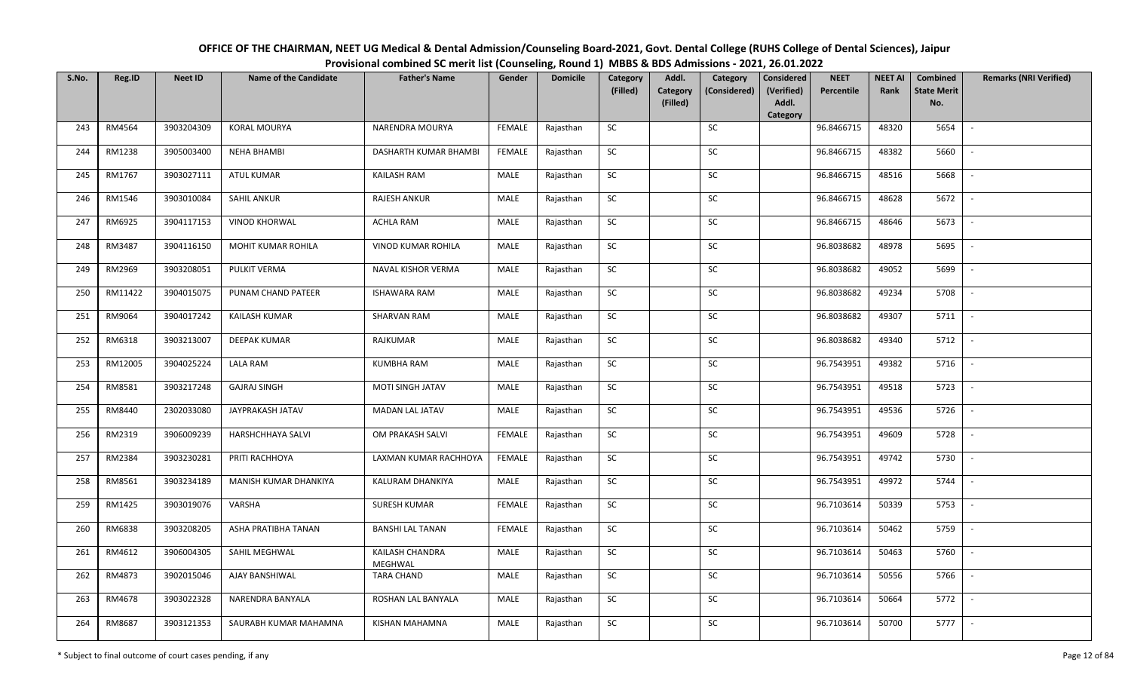| OFFICE OF THE CHAIRMAN, NEET UG Medical & Dental Admission/Counseling Board-2021, Govt. Dental College (RUHS College of Dental Sciences), Jaipur |
|--------------------------------------------------------------------------------------------------------------------------------------------------|
| Provisional combined SC merit list (Counseling, Round 1) MBBS & BDS Admissions - 2021, 26.01.2022                                                |

| S.No. | Reg.ID  | <b>Neet ID</b> | <b>Name of the Candidate</b> | <b>Father's Name</b>       | Gender        | <b>Domicile</b> | Category<br>(Filled) | Addl.<br><b>Category</b> | Category<br>(Considered) | <b>Considered</b><br>(Verified) | <b>NEET</b><br>Percentile | <b>NEET AI</b><br>Rank | Combined<br><b>State Merit</b> | <b>Remarks (NRI Verified)</b> |
|-------|---------|----------------|------------------------------|----------------------------|---------------|-----------------|----------------------|--------------------------|--------------------------|---------------------------------|---------------------------|------------------------|--------------------------------|-------------------------------|
|       |         |                |                              |                            |               |                 |                      | (Filled)                 |                          | Addl.<br>Category               |                           |                        | No.                            |                               |
| 243   | RM4564  | 3903204309     | <b>KORAL MOURYA</b>          | NARENDRA MOURYA            | <b>FEMALE</b> | Rajasthan       | <b>SC</b>            |                          | SC                       |                                 | 96.8466715                | 48320                  | 5654                           | $\sim$                        |
| 244   | RM1238  | 3905003400     | <b>NEHA BHAMBI</b>           | DASHARTH KUMAR BHAMBI      | FEMALE        | Rajasthan       | <b>SC</b>            |                          | SC                       |                                 | 96.8466715                | 48382                  | 5660                           |                               |
| 245   | RM1767  | 3903027111     | ATUL KUMAR                   | <b>KAILASH RAM</b>         | MALE          | Rajasthan       | SC                   |                          | SC                       |                                 | 96.8466715                | 48516                  | 5668                           | $\overline{\phantom{a}}$      |
| 246   | RM1546  | 3903010084     | <b>SAHIL ANKUR</b>           | RAJESH ANKUR               | MALE          | Rajasthan       | <b>SC</b>            |                          | <b>SC</b>                |                                 | 96.8466715                | 48628                  | 5672                           | $\overline{\phantom{a}}$      |
| 247   | RM6925  | 3904117153     | <b>VINOD KHORWAL</b>         | <b>ACHLA RAM</b>           | MALE          | Rajasthan       | SC                   |                          | SC                       |                                 | 96.8466715                | 48646                  | 5673                           | $\sim$                        |
| 248   | RM3487  | 3904116150     | MOHIT KUMAR ROHILA           | VINOD KUMAR ROHILA         | MALE          | Rajasthan       | SC                   |                          | SC                       |                                 | 96.8038682                | 48978                  | 5695                           | $\sim$                        |
| 249   | RM2969  | 3903208051     | PULKIT VERMA                 | NAVAL KISHOR VERMA         | MALE          | Rajasthan       | $\sf SC$             |                          | <b>SC</b>                |                                 | 96.8038682                | 49052                  | 5699                           | $\overline{\phantom{a}}$      |
| 250   | RM11422 | 3904015075     | PUNAM CHAND PATEER           | <b>ISHAWARA RAM</b>        | MALE          | Rajasthan       | SC                   |                          | $\sf SC$                 |                                 | 96.8038682                | 49234                  | 5708                           | $\overline{\phantom{a}}$      |
| 251   | RM9064  | 3904017242     | <b>KAILASH KUMAR</b>         | SHARVAN RAM                | MALE          | Rajasthan       | SC                   |                          | <b>SC</b>                |                                 | 96.8038682                | 49307                  | 5711                           | $\overline{\phantom{a}}$      |
| 252   | RM6318  | 3903213007     | <b>DEEPAK KUMAR</b>          | RAJKUMAR                   | MALE          | Rajasthan       | ${\sf SC}$           |                          | SC                       |                                 | 96.8038682                | 49340                  | 5712                           | $\sim$                        |
| 253   | RM12005 | 3904025224     | <b>LALA RAM</b>              | <b>KUMBHA RAM</b>          | MALE          | Rajasthan       | SC                   |                          | SC                       |                                 | 96.7543951                | 49382                  | 5716                           | $\sim$                        |
| 254   | RM8581  | 3903217248     | <b>GAJRAJ SINGH</b>          | MOTI SINGH JATAV           | MALE          | Rajasthan       | <b>SC</b>            |                          | SC                       |                                 | 96.7543951                | 49518                  | 5723                           | $\sim$                        |
| 255   | RM8440  | 2302033080     | JAYPRAKASH JATAV             | MADAN LAL JATAV            | MALE          | Rajasthan       | <b>SC</b>            |                          | SC                       |                                 | 96.7543951                | 49536                  | 5726                           | $\overline{\phantom{a}}$      |
| 256   | RM2319  | 3906009239     | <b>HARSHCHHAYA SALVI</b>     | OM PRAKASH SALVI           | <b>FEMALE</b> | Rajasthan       | SC                   |                          | <b>SC</b>                |                                 | 96.7543951                | 49609                  | 5728                           | $\overline{\phantom{a}}$      |
| 257   | RM2384  | 3903230281     | PRITI RACHHOYA               | LAXMAN KUMAR RACHHOYA      | FEMALE        | Rajasthan       | ${\sf SC}$           |                          | $\sf SC$                 |                                 | 96.7543951                | 49742                  | 5730                           | $\overline{\phantom{a}}$      |
| 258   | RM8561  | 3903234189     | MANISH KUMAR DHANKIYA        | KALURAM DHANKIYA           | MALE          | Rajasthan       | <b>SC</b>            |                          | SC                       |                                 | 96.7543951                | 49972                  | 5744                           | $\mathbb{L}$                  |
| 259   | RM1425  | 3903019076     | VARSHA                       | <b>SURESH KUMAR</b>        | <b>FEMALE</b> | Rajasthan       | ${\sf SC}$           |                          | $\sf SC$                 |                                 | 96.7103614                | 50339                  | 5753                           | $\mathbb{L}$                  |
| 260   | RM6838  | 3903208205     | ASHA PRATIBHA TANAN          | <b>BANSHI LAL TANAN</b>    | <b>FEMALE</b> | Rajasthan       | SC                   |                          | SC                       |                                 | 96.7103614                | 50462                  | 5759                           | $\mathbb{L}$                  |
| 261   | RM4612  | 3906004305     | SAHIL MEGHWAL                | KAILASH CHANDRA<br>MEGHWAL | MALE          | Rajasthan       | SC                   |                          | SC                       |                                 | 96.7103614                | 50463                  | 5760                           | $\overline{\phantom{a}}$      |
| 262   | RM4873  | 3902015046     | AJAY BANSHIWAL               | <b>TARA CHAND</b>          | MALE          | Rajasthan       | $\sf SC$             |                          | ${\sf SC}$               |                                 | 96.7103614                | 50556                  | 5766                           |                               |
| 263   | RM4678  | 3903022328     | NARENDRA BANYALA             | ROSHAN LAL BANYALA         | MALE          | Rajasthan       | <b>SC</b>            |                          | <b>SC</b>                |                                 | 96.7103614                | 50664                  | 5772                           | $\overline{\phantom{a}}$      |
| 264   | RM8687  | 3903121353     | SAURABH KUMAR MAHAMNA        | KISHAN MAHAMNA             | MALE          | Rajasthan       | ${\sf SC}$           |                          | SC                       |                                 | 96.7103614                | 50700                  | 5777                           | $\sim$                        |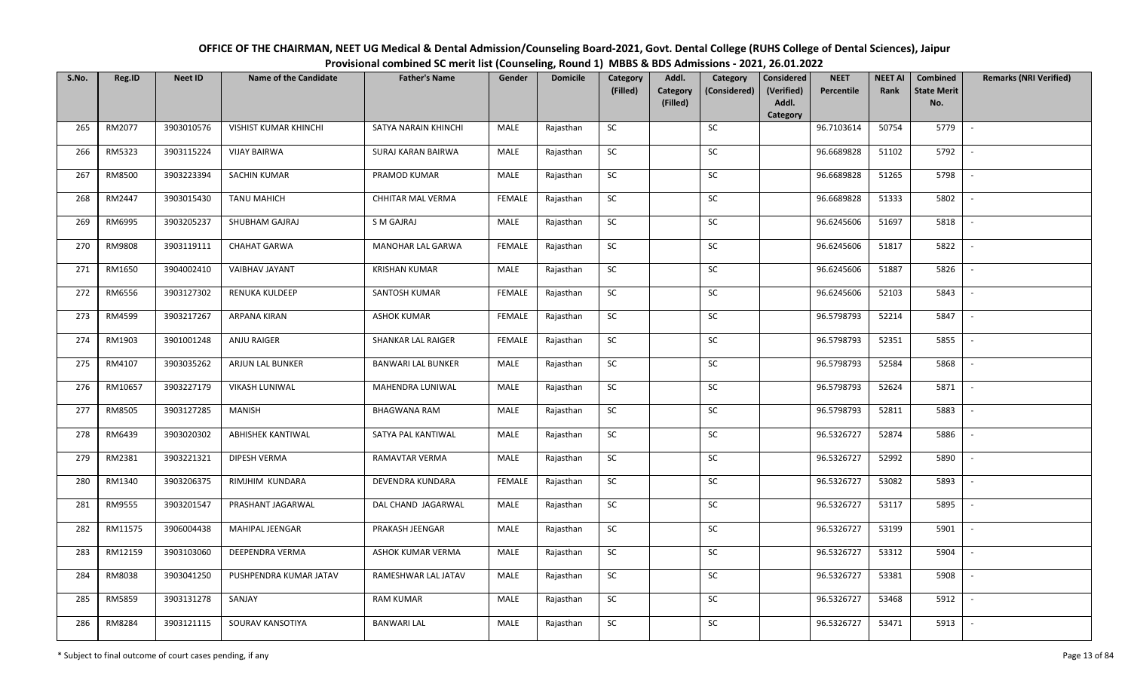| OFFICE OF THE CHAIRMAN, NEET UG Medical & Dental Admission/Counseling Board-2021, Govt. Dental College (RUHS College of Dental Sciences), Jaipur |
|--------------------------------------------------------------------------------------------------------------------------------------------------|
| Provisional combined SC merit list (Counseling, Round 1) MBBS & BDS Admissions - 2021, 26.01.2022                                                |

| S.No. | Reg.ID  | <b>Neet ID</b> | <b>Name of the Candidate</b> | <b>Father's Name</b>      | Gender        | <b>Domicile</b> | Category<br>(Filled) | Addl.<br>Category | Category<br>(Considered) | <b>Considered</b><br>(Verified) | <b>NEET</b><br>Percentile | <b>NEET AI</b><br>Rank | Combined<br><b>State Merit</b> | <b>Remarks (NRI Verified)</b> |
|-------|---------|----------------|------------------------------|---------------------------|---------------|-----------------|----------------------|-------------------|--------------------------|---------------------------------|---------------------------|------------------------|--------------------------------|-------------------------------|
|       |         |                |                              |                           |               |                 |                      | (Filled)          |                          | Addl.<br>Category               |                           |                        | No.                            |                               |
| 265   | RM2077  | 3903010576     | <b>VISHIST KUMAR KHINCHI</b> | SATYA NARAIN KHINCHI      | MALE          | Rajasthan       | SC                   |                   | SC                       |                                 | 96.7103614                | 50754                  | 5779                           | $\overline{\phantom{a}}$      |
| 266   | RM5323  | 3903115224     | <b>VIJAY BAIRWA</b>          | SURAJ KARAN BAIRWA        | MALE          | Rajasthan       | SC                   |                   | <b>SC</b>                |                                 | 96.6689828                | 51102                  | 5792                           |                               |
| 267   | RM8500  | 3903223394     | <b>SACHIN KUMAR</b>          | PRAMOD KUMAR              | <b>MALE</b>   | Rajasthan       | SC                   |                   | SC                       |                                 | 96.6689828                | 51265                  | 5798                           |                               |
| 268   | RM2447  | 3903015430     | <b>TANU MAHICH</b>           | CHHITAR MAL VERMA         | <b>FEMALE</b> | Rajasthan       | SC                   |                   | SC                       |                                 | 96.6689828                | 51333                  | 5802                           |                               |
| 269   | RM6995  | 3903205237     | SHUBHAM GAJRAJ               | S M GAJRAJ                | MALE          | Rajasthan       | ${\sf SC}$           |                   | SC                       |                                 | 96.6245606                | 51697                  | 5818                           | $\sim$                        |
| 270   | RM9808  | 3903119111     | CHAHAT GARWA                 | MANOHAR LAL GARWA         | <b>FEMALE</b> | Rajasthan       | SC                   |                   | SC                       |                                 | 96.6245606                | 51817                  | 5822                           | $\overline{\phantom{a}}$      |
| 271   | RM1650  | 3904002410     | VAIBHAV JAYANT               | <b>KRISHAN KUMAR</b>      | MALE          | Rajasthan       | SC                   |                   | SC                       |                                 | 96.6245606                | 51887                  | 5826                           | $\overline{a}$                |
| 272   | RM6556  | 3903127302     | RENUKA KULDEEP               | SANTOSH KUMAR             | <b>FEMALE</b> | Rajasthan       | SC                   |                   | $\sf SC$                 |                                 | 96.6245606                | 52103                  | 5843                           | $\overline{\phantom{a}}$      |
| 273   | RM4599  | 3903217267     | ARPANA KIRAN                 | <b>ASHOK KUMAR</b>        | <b>FEMALE</b> | Rajasthan       | SC                   |                   | SC                       |                                 | 96.5798793                | 52214                  | 5847                           |                               |
| 274   | RM1903  | 3901001248     | ANJU RAIGER                  | <b>SHANKAR LAL RAIGER</b> | <b>FEMALE</b> | Rajasthan       | SC                   |                   | ${\sf SC}$               |                                 | 96.5798793                | 52351                  | 5855                           |                               |
| 275   | RM4107  | 3903035262     | ARJUN LAL BUNKER             | <b>BANWARI LAL BUNKER</b> | MALE          | Rajasthan       | SC                   |                   | SC                       |                                 | 96.5798793                | 52584                  | 5868                           |                               |
| 276   | RM10657 | 3903227179     | <b>VIKASH LUNIWAL</b>        | MAHENDRA LUNIWAL          | MALE          | Rajasthan       | SC                   |                   | ${\sf SC}$               |                                 | 96.5798793                | 52624                  | 5871                           |                               |
| 277   | RM8505  | 3903127285     | <b>MANISH</b>                | <b>BHAGWANA RAM</b>       | MALE          | Rajasthan       | SC                   |                   | SC                       |                                 | 96.5798793                | 52811                  | 5883                           |                               |
| 278   | RM6439  | 3903020302     | <b>ABHISHEK KANTIWAL</b>     | SATYA PAL KANTIWAL        | MALE          | Rajasthan       | <b>SC</b>            |                   | SC                       |                                 | 96.5326727                | 52874                  | 5886                           |                               |
| 279   | RM2381  | 3903221321     | DIPESH VERMA                 | RAMAVTAR VERMA            | MALE          | Rajasthan       | SC                   |                   | ${\sf SC}$               |                                 | 96.5326727                | 52992                  | 5890                           |                               |
| 280   | RM1340  | 3903206375     | RIMJHIM KUNDARA              | DEVENDRA KUNDARA          | <b>FEMALE</b> | Rajasthan       | SC                   |                   | SC                       |                                 | 96.5326727                | 53082                  | 5893                           | $\sim$                        |
| 281   | RM9555  | 3903201547     | PRASHANT JAGARWAL            | DAL CHAND JAGARWAL        | MALE          | Rajasthan       | SC                   |                   | SC                       |                                 | 96.5326727                | 53117                  | 5895                           | $\overline{\phantom{a}}$      |
| 282   | RM11575 | 3906004438     | MAHIPAL JEENGAR              | PRAKASH JEENGAR           | MALE          | Rajasthan       | SC                   |                   | SC                       |                                 | 96.5326727                | 53199                  | 5901                           | $\overline{\phantom{a}}$      |
| 283   | RM12159 | 3903103060     | DEEPENDRA VERMA              | ASHOK KUMAR VERMA         | MALE          | Rajasthan       | SC                   |                   | SC                       |                                 | 96.5326727                | 53312                  | 5904                           | $\sim$                        |
| 284   | RM8038  | 3903041250     | PUSHPENDRA KUMAR JATAV       | RAMESHWAR LAL JATAV       | MALE          | Rajasthan       | SC                   |                   | ${\sf SC}$               |                                 | 96.5326727                | 53381                  | 5908                           |                               |
| 285   | RM5859  | 3903131278     | SANJAY                       | <b>RAM KUMAR</b>          | MALE          | Rajasthan       | SC                   |                   | SC                       |                                 | 96.5326727                | 53468                  | 5912                           |                               |
| 286   | RM8284  | 3903121115     | SOURAV KANSOTIYA             | <b>BANWARI LAL</b>        | MALE          | Rajasthan       | SC                   |                   | SC                       |                                 | 96.5326727                | 53471                  | 5913                           | $\overline{\phantom{a}}$      |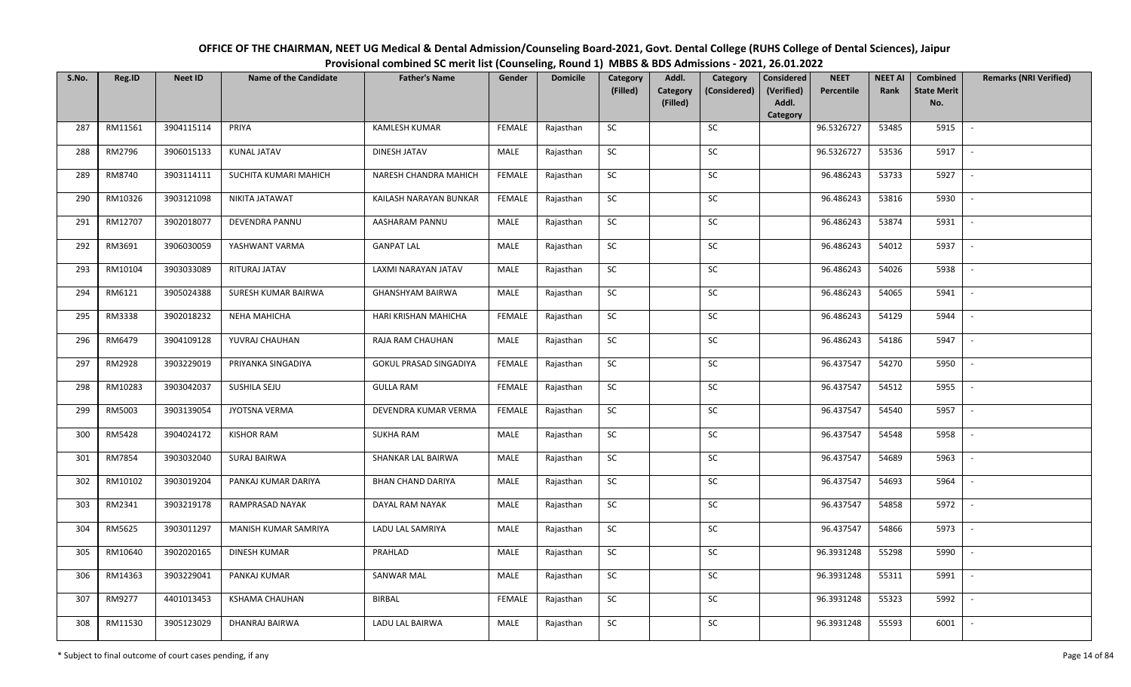| OFFICE OF THE CHAIRMAN, NEET UG Medical & Dental Admission/Counseling Board-2021, Govt. Dental College (RUHS College of Dental Sciences), Jaipur |
|--------------------------------------------------------------------------------------------------------------------------------------------------|
| Provisional combined SC merit list (Counseling, Round 1) MBBS & BDS Admissions - 2021, 26.01.2022                                                |

| S.No. | Reg.ID  | <b>Neet ID</b> | <b>Name of the Candidate</b> | <b>Father's Name</b>          | Gender        | <b>Domicile</b> | Category<br>(Filled) | Addl.<br><b>Category</b> | Category<br>(Considered) | <b>Considered</b><br>(Verified) | <b>NEET</b><br>Percentile | <b>NEET AI</b><br>Rank | Combined<br><b>State Merit</b> | <b>Remarks (NRI Verified)</b> |
|-------|---------|----------------|------------------------------|-------------------------------|---------------|-----------------|----------------------|--------------------------|--------------------------|---------------------------------|---------------------------|------------------------|--------------------------------|-------------------------------|
|       |         |                |                              |                               |               |                 |                      | (Filled)                 |                          | Addl.<br>Category               |                           |                        | No.                            |                               |
| 287   | RM11561 | 3904115114     | PRIYA                        | <b>KAMLESH KUMAR</b>          | <b>FEMALE</b> | Rajasthan       | <b>SC</b>            |                          | SC                       |                                 | 96.5326727                | 53485                  | 5915                           | $\sim$                        |
| 288   | RM2796  | 3906015133     | <b>KUNAL JATAV</b>           | DINESH JATAV                  | MALE          | Rajasthan       | <b>SC</b>            |                          | SC                       |                                 | 96.5326727                | 53536                  | 5917                           |                               |
| 289   | RM8740  | 3903114111     | SUCHITA KUMARI MAHICH        | NARESH CHANDRA MAHICH         | <b>FEMALE</b> | Rajasthan       | SC                   |                          | SC                       |                                 | 96.486243                 | 53733                  | 5927                           | $\overline{\phantom{a}}$      |
| 290   | RM10326 | 3903121098     | NIKITA JATAWAT               | KAILASH NARAYAN BUNKAR        | <b>FEMALE</b> | Rajasthan       | SC                   |                          | <b>SC</b>                |                                 | 96.486243                 | 53816                  | 5930                           | $\overline{\phantom{a}}$      |
| 291   | RM12707 | 3902018077     | DEVENDRA PANNU               | AASHARAM PANNU                | MALE          | Rajasthan       | SC                   |                          | SC                       |                                 | 96.486243                 | 53874                  | 5931                           | $\sim$                        |
| 292   | RM3691  | 3906030059     | YASHWANT VARMA               | <b>GANPAT LAL</b>             | MALE          | Rajasthan       | SC                   |                          | SC                       |                                 | 96.486243                 | 54012                  | 5937                           | $\sim$                        |
| 293   | RM10104 | 3903033089     | RITURAJ JATAV                | LAXMI NARAYAN JATAV           | MALE          | Rajasthan       | $\sf SC$             |                          | <b>SC</b>                |                                 | 96.486243                 | 54026                  | 5938                           | $\sim$                        |
| 294   | RM6121  | 3905024388     | SURESH KUMAR BAIRWA          | <b>GHANSHYAM BAIRWA</b>       | MALE          | Rajasthan       | SC                   |                          | $\sf SC$                 |                                 | 96.486243                 | 54065                  | 5941                           | $\overline{\phantom{a}}$      |
| 295   | RM3338  | 3902018232     | NEHA MAHICHA                 | HARI KRISHAN MAHICHA          | <b>FEMALE</b> | Rajasthan       | SC                   |                          | <b>SC</b>                |                                 | 96.486243                 | 54129                  | 5944                           |                               |
| 296   | RM6479  | 3904109128     | YUVRAJ CHAUHAN               | RAJA RAM CHAUHAN              | MALE          | Rajasthan       | ${\sf SC}$           |                          | SC                       |                                 | 96.486243                 | 54186                  | 5947                           | $\sim$                        |
| 297   | RM2928  | 3903229019     | PRIYANKA SINGADIYA           | <b>GOKUL PRASAD SINGADIYA</b> | <b>FEMALE</b> | Rajasthan       | SC                   |                          | SC                       |                                 | 96.437547                 | 54270                  | 5950                           | $\sim$                        |
| 298   | RM10283 | 3903042037     | SUSHILA SEJU                 | <b>GULLA RAM</b>              | <b>FEMALE</b> | Rajasthan       | <b>SC</b>            |                          | SC                       |                                 | 96.437547                 | 54512                  | 5955                           | $\sim$                        |
| 299   | RM5003  | 3903139054     | JYOTSNA VERMA                | DEVENDRA KUMAR VERMA          | <b>FEMALE</b> | Rajasthan       | <b>SC</b>            |                          | SC                       |                                 | 96.437547                 | 54540                  | 5957                           | $\overline{\phantom{a}}$      |
| 300   | RM5428  | 3904024172     | <b>KISHOR RAM</b>            | <b>SUKHA RAM</b>              | MALE          | Rajasthan       | SC                   |                          | <b>SC</b>                |                                 | 96.437547                 | 54548                  | 5958                           | $\overline{\phantom{a}}$      |
| 301   | RM7854  | 3903032040     | <b>SURAJ BAIRWA</b>          | SHANKAR LAL BAIRWA            | MALE          | Rajasthan       | ${\sf SC}$           |                          | $\sf SC$                 |                                 | 96.437547                 | 54689                  | 5963                           | $\overline{\phantom{a}}$      |
| 302   | RM10102 | 3903019204     | PANKAJ KUMAR DARIYA          | <b>BHAN CHAND DARIYA</b>      | MALE          | Rajasthan       | SC                   |                          | SC                       |                                 | 96.437547                 | 54693                  | 5964                           | $\sim$                        |
| 303   | RM2341  | 3903219178     | RAMPRASAD NAYAK              | DAYAL RAM NAYAK               | MALE          | Rajasthan       | ${\sf SC}$           |                          | $\sf SC$                 |                                 | 96.437547                 | 54858                  | 5972                           | $\sim$                        |
| 304   | RM5625  | 3903011297     | MANISH KUMAR SAMRIYA         | LADU LAL SAMRIYA              | MALE          | Rajasthan       | <b>SC</b>            |                          | SC                       |                                 | 96.437547                 | 54866                  | 5973                           | $\overline{\phantom{a}}$      |
| 305   | RM10640 | 3902020165     | <b>DINESH KUMAR</b>          | PRAHLAD                       | MALE          | Rajasthan       | SC                   |                          | SC                       |                                 | 96.3931248                | 55298                  | 5990                           | $\overline{\phantom{a}}$      |
| 306   | RM14363 | 3903229041     | PANKAJ KUMAR                 | SANWAR MAL                    | MALE          | Rajasthan       | $\sf SC$             |                          | ${\sf SC}$               |                                 | 96.3931248                | 55311                  | 5991                           |                               |
| 307   | RM9277  | 4401013453     | <b>KSHAMA CHAUHAN</b>        | <b>BIRBAL</b>                 | <b>FEMALE</b> | Rajasthan       | <b>SC</b>            |                          | <b>SC</b>                |                                 | 96.3931248                | 55323                  | 5992                           | $\overline{\phantom{a}}$      |
| 308   | RM11530 | 3905123029     | DHANRAJ BAIRWA               | LADU LAL BAIRWA               | MALE          | Rajasthan       | ${\sf SC}$           |                          | SC                       |                                 | 96.3931248                | 55593                  | 6001                           | $\sim$                        |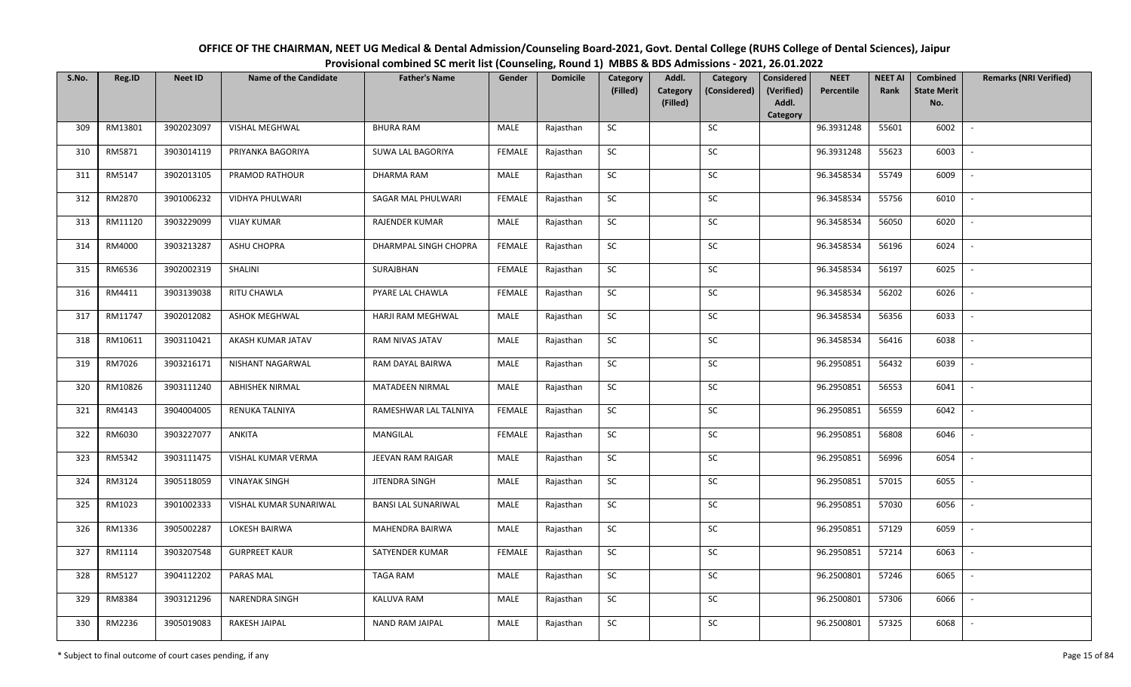| OFFICE OF THE CHAIRMAN, NEET UG Medical & Dental Admission/Counseling Board-2021, Govt. Dental College (RUHS College of Dental Sciences), Jaipur |
|--------------------------------------------------------------------------------------------------------------------------------------------------|
| Provisional combined SC merit list (Counseling, Round 1) MBBS & BDS Admissions - 2021, 26.01.2022                                                |

| S.No. | Reg.ID  | <b>Neet ID</b> | <b>Name of the Candidate</b> | <b>Father's Name</b>       | Gender        | <b>Domicile</b> | Category<br>(Filled) | Addl.<br><b>Category</b> | Category<br>(Considered) | <b>Considered</b><br>(Verified) | <b>NEET</b><br>Percentile | <b>NEET AI</b><br>Rank | Combined<br><b>State Merit</b> | <b>Remarks (NRI Verified)</b> |
|-------|---------|----------------|------------------------------|----------------------------|---------------|-----------------|----------------------|--------------------------|--------------------------|---------------------------------|---------------------------|------------------------|--------------------------------|-------------------------------|
|       |         |                |                              |                            |               |                 |                      | (Filled)                 |                          | Addl.<br>Category               |                           |                        | No.                            |                               |
| 309   | RM13801 | 3902023097     | VISHAL MEGHWAL               | <b>BHURA RAM</b>           | MALE          | Rajasthan       | <b>SC</b>            |                          | SC                       |                                 | 96.3931248                | 55601                  | 6002                           | $\sim$                        |
| 310   | RM5871  | 3903014119     | PRIYANKA BAGORIYA            | SUWA LAL BAGORIYA          | <b>FEMALE</b> | Rajasthan       | SC                   |                          | SC                       |                                 | 96.3931248                | 55623                  | 6003                           |                               |
| 311   | RM5147  | 3902013105     | PRAMOD RATHOUR               | DHARMA RAM                 | MALE          | Rajasthan       | SC                   |                          | SC                       |                                 | 96.3458534                | 55749                  | 6009                           | $\overline{\phantom{a}}$      |
| 312   | RM2870  | 3901006232     | VIDHYA PHULWARI              | SAGAR MAL PHULWARI         | <b>FEMALE</b> | Rajasthan       | <b>SC</b>            |                          | <b>SC</b>                |                                 | 96.3458534                | 55756                  | 6010                           | $\overline{\phantom{a}}$      |
| 313   | RM11120 | 3903229099     | <b>VIJAY KUMAR</b>           | RAJENDER KUMAR             | MALE          | Rajasthan       | SC                   |                          | SC                       |                                 | 96.3458534                | 56050                  | 6020                           | $\sim$                        |
| 314   | RM4000  | 3903213287     | ASHU CHOPRA                  | DHARMPAL SINGH CHOPRA      | <b>FEMALE</b> | Rajasthan       | SC                   |                          | SC                       |                                 | 96.3458534                | 56196                  | 6024                           | $\sim$                        |
| 315   | RM6536  | 3902002319     | SHALINI                      | SURAJBHAN                  | <b>FEMALE</b> | Rajasthan       | $\sf SC$             |                          | <b>SC</b>                |                                 | 96.3458534                | 56197                  | 6025                           | $\overline{\phantom{a}}$      |
| 316   | RM4411  | 3903139038     | RITU CHAWLA                  | PYARE LAL CHAWLA           | <b>FEMALE</b> | Rajasthan       | SC                   |                          | $\sf SC$                 |                                 | 96.3458534                | 56202                  | 6026                           | $\overline{\phantom{a}}$      |
| 317   | RM11747 | 3902012082     | <b>ASHOK MEGHWAL</b>         | HARJI RAM MEGHWAL          | MALE          | Rajasthan       | SC                   |                          | <b>SC</b>                |                                 | 96.3458534                | 56356                  | 6033                           | $\overline{\phantom{a}}$      |
| 318   | RM10611 | 3903110421     | AKASH KUMAR JATAV            | RAM NIVAS JATAV            | MALE          | Rajasthan       | ${\sf SC}$           |                          | SC                       |                                 | 96.3458534                | 56416                  | 6038                           | $\sim$                        |
| 319   | RM7026  | 3903216171     | NISHANT NAGARWAL             | RAM DAYAL BAIRWA           | MALE          | Rajasthan       | SC                   |                          | SC                       |                                 | 96.2950851                | 56432                  | 6039                           | $\sim$                        |
| 320   | RM10826 | 3903111240     | ABHISHEK NIRMAL              | MATADEEN NIRMAL            | MALE          | Rajasthan       | <b>SC</b>            |                          | SC                       |                                 | 96.2950851                | 56553                  | 6041                           | $\sim$                        |
| 321   | RM4143  | 3904004005     | RENUKA TALNIYA               | RAMESHWAR LAL TALNIYA      | <b>FEMALE</b> | Rajasthan       | <b>SC</b>            |                          | SC                       |                                 | 96.2950851                | 56559                  | 6042                           | $\overline{\phantom{a}}$      |
| 322   | RM6030  | 3903227077     | <b>ANKITA</b>                | MANGILAL                   | <b>FEMALE</b> | Rajasthan       | SC                   |                          | <b>SC</b>                |                                 | 96.2950851                | 56808                  | 6046                           | $\overline{\phantom{a}}$      |
| 323   | RM5342  | 3903111475     | VISHAL KUMAR VERMA           | JEEVAN RAM RAIGAR          | MALE          | Rajasthan       | ${\sf SC}$           |                          | $\sf SC$                 |                                 | 96.2950851                | 56996                  | 6054                           | $\overline{\phantom{a}}$      |
| 324   | RM3124  | 3905118059     | <b>VINAYAK SINGH</b>         | JITENDRA SINGH             | MALE          | Rajasthan       | <b>SC</b>            |                          | SC                       |                                 | 96.2950851                | 57015                  | 6055                           | $\sim$                        |
| 325   | RM1023  | 3901002333     | VISHAL KUMAR SUNARIWAL       | <b>BANSI LAL SUNARIWAL</b> | MALE          | Rajasthan       | ${\sf SC}$           |                          | $\sf SC$                 |                                 | 96.2950851                | 57030                  | 6056                           | $\mathbb{L}$                  |
| 326   | RM1336  | 3905002287     | LOKESH BAIRWA                | MAHENDRA BAIRWA            | MALE          | Rajasthan       | SC                   |                          | SC                       |                                 | 96.2950851                | 57129                  | 6059                           | $\mathbb{L}$                  |
| 327   | RM1114  | 3903207548     | <b>GURPREET KAUR</b>         | SATYENDER KUMAR            | <b>FEMALE</b> | Rajasthan       | SC                   |                          | SC                       |                                 | 96.2950851                | 57214                  | 6063                           | $\overline{\phantom{a}}$      |
| 328   | RM5127  | 3904112202     | PARAS MAL                    | TAGA RAM                   | MALE          | Rajasthan       | $\sf SC$             |                          | $\sf SC$                 |                                 | 96.2500801                | 57246                  | 6065                           |                               |
| 329   | RM8384  | 3903121296     | NARENDRA SINGH               | <b>KALUVA RAM</b>          | MALE          | Rajasthan       | <b>SC</b>            |                          | <b>SC</b>                |                                 | 96.2500801                | 57306                  | 6066                           | $\overline{\phantom{a}}$      |
| 330   | RM2236  | 3905019083     | RAKESH JAIPAL                | <b>NAND RAM JAIPAL</b>     | MALE          | Rajasthan       | ${\sf SC}$           |                          | SC                       |                                 | 96.2500801                | 57325                  | 6068                           | $\overline{\phantom{a}}$      |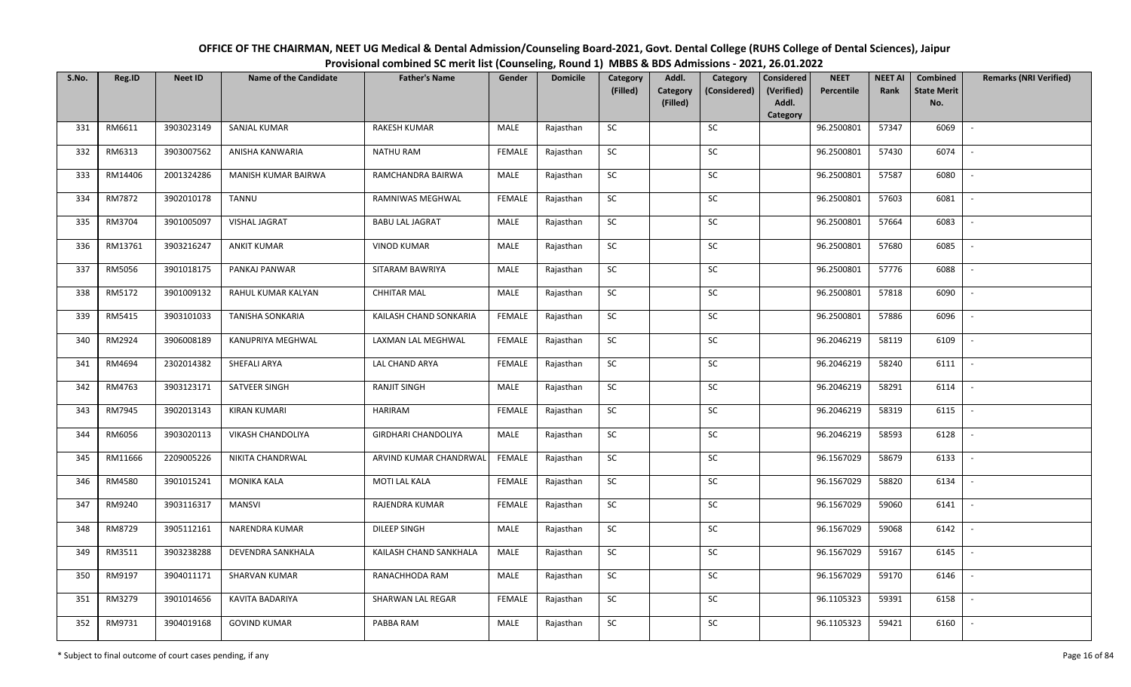| OFFICE OF THE CHAIRMAN, NEET UG Medical & Dental Admission/Counseling Board-2021, Govt. Dental College (RUHS College of Dental Sciences), Jaipur |
|--------------------------------------------------------------------------------------------------------------------------------------------------|
| Provisional combined SC merit list (Counseling, Round 1) MBBS & BDS Admissions - 2021, 26.01.2022                                                |

| S.No. | Reg.ID  | <b>Neet ID</b> | <b>Name of the Candidate</b> | <b>Father's Name</b>       | Gender        | <b>Domicile</b> | Category<br>(Filled) | Addl.<br>Category | Category<br>(Considered) | Considered<br>(Verified) | <b>NEET</b><br>Percentile | <b>NEET AI</b><br>Rank | Combined<br><b>State Merit</b> | <b>Remarks (NRI Verified)</b> |
|-------|---------|----------------|------------------------------|----------------------------|---------------|-----------------|----------------------|-------------------|--------------------------|--------------------------|---------------------------|------------------------|--------------------------------|-------------------------------|
|       |         |                |                              |                            |               |                 |                      | (Filled)          |                          | Addl.<br>Category        |                           |                        | No.                            |                               |
| 331   | RM6611  | 3903023149     | SANJAL KUMAR                 | <b>RAKESH KUMAR</b>        | MALE          | Rajasthan       | SC                   |                   | SC                       |                          | 96.2500801                | 57347                  | 6069                           |                               |
| 332   | RM6313  | 3903007562     | ANISHA KANWARIA              | <b>NATHU RAM</b>           | <b>FEMALE</b> | Rajasthan       | SC                   |                   | SC                       |                          | 96.2500801                | 57430                  | 6074                           |                               |
| 333   | RM14406 | 2001324286     | MANISH KUMAR BAIRWA          | RAMCHANDRA BAIRWA          | MALE          | Rajasthan       | ${\sf SC}$           |                   | ${\sf SC}$               |                          | 96.2500801                | 57587                  | 6080                           |                               |
| 334   | RM7872  | 3902010178     | TANNU                        | RAMNIWAS MEGHWAL           | <b>FEMALE</b> | Rajasthan       | SC                   |                   | SC                       |                          | 96.2500801                | 57603                  | 6081                           | $\blacksquare$                |
| 335   | RM3704  | 3901005097     | VISHAL JAGRAT                | <b>BABU LAL JAGRAT</b>     | MALE          | Rajasthan       | SC                   |                   | SC                       |                          | 96.2500801                | 57664                  | 6083                           | $\sim$                        |
| 336   | RM13761 | 3903216247     | <b>ANKIT KUMAR</b>           | <b>VINOD KUMAR</b>         | MALE          | Rajasthan       | SC                   |                   | SC                       |                          | 96.2500801                | 57680                  | 6085                           |                               |
| 337   | RM5056  | 3901018175     | PANKAJ PANWAR                | SITARAM BAWRIYA            | MALE          | Rajasthan       | SC                   |                   | SC                       |                          | 96.2500801                | 57776                  | 6088                           | $\sim$                        |
| 338   | RM5172  | 3901009132     | RAHUL KUMAR KALYAN           | <b>CHHITAR MAL</b>         | <b>MALE</b>   | Rajasthan       | ${\sf SC}$           |                   | $\sf SC$                 |                          | 96.2500801                | 57818                  | 6090                           |                               |
| 339   | RM5415  | 3903101033     | TANISHA SONKARIA             | KAILASH CHAND SONKARIA     | <b>FEMALE</b> | Rajasthan       | SC                   |                   | SC                       |                          | 96.2500801                | 57886                  | 6096                           |                               |
| 340   | RM2924  | 3906008189     | KANUPRIYA MEGHWAL            | LAXMAN LAL MEGHWAL         | <b>FEMALE</b> | Rajasthan       | ${\sf SC}$           |                   | ${\sf SC}$               |                          | 96.2046219                | 58119                  | 6109                           | $\overline{\phantom{a}}$      |
| 341   | RM4694  | 2302014382     | SHEFALI ARYA                 | LAL CHAND ARYA             | FEMALE        | Rajasthan       | SC                   |                   | SC                       |                          | 96.2046219                | 58240                  | 6111                           |                               |
| 342   | RM4763  | 3903123171     | SATVEER SINGH                | <b>RANJIT SINGH</b>        | MALE          | Rajasthan       | SC                   |                   | SC                       |                          | 96.2046219                | 58291                  | 6114                           |                               |
| 343   | RM7945  | 3902013143     | <b>KIRAN KUMARI</b>          | <b>HARIRAM</b>             | <b>FEMALE</b> | Rajasthan       | SC                   |                   | SC                       |                          | 96.2046219                | 58319                  | 6115                           |                               |
| 344   | RM6056  | 3903020113     | <b>VIKASH CHANDOLIYA</b>     | <b>GIRDHARI CHANDOLIYA</b> | MALE          | Rajasthan       | SC                   |                   | SC                       |                          | 96.2046219                | 58593                  | 6128                           |                               |
| 345   | RM11666 | 2209005226     | NIKITA CHANDRWAL             | ARVIND KUMAR CHANDRWAL     | <b>FEMALE</b> | Rajasthan       | ${\sf SC}$           |                   | ${\sf SC}$               |                          | 96.1567029                | 58679                  | 6133                           |                               |
| 346   | RM4580  | 3901015241     | <b>MONIKA KALA</b>           | MOTI LAL KALA              | <b>FEMALE</b> | Rajasthan       | SC                   |                   | SC                       |                          | 96.1567029                | 58820                  | 6134                           | $\sim$                        |
| 347   | RM9240  | 3903116317     | <b>MANSVI</b>                | RAJENDRA KUMAR             | <b>FEMALE</b> | Rajasthan       | ${\sf SC}$           |                   | SC                       |                          | 96.1567029                | 59060                  | 6141                           | $\overline{\phantom{a}}$      |
| 348   | RM8729  | 3905112161     | NARENDRA KUMAR               | DILEEP SINGH               | MALE          | Rajasthan       | ${\sf SC}$           |                   | $\sf SC$                 |                          | 96.1567029                | 59068                  | 6142                           | $\sim$                        |
| 349   | RM3511  | 3903238288     | DEVENDRA SANKHALA            | KAILASH CHAND SANKHALA     | MALE          | Rajasthan       | <b>SC</b>            |                   | SC                       |                          | 96.1567029                | 59167                  | 6145                           | $\overline{\phantom{a}}$      |
| 350   | RM9197  | 3904011171     | SHARVAN KUMAR                | RANACHHODA RAM             | MALE          | Rajasthan       | ${\sf SC}$           |                   | ${\sf SC}$               |                          | 96.1567029                | 59170                  | 6146                           |                               |
| 351   | RM3279  | 3901014656     | KAVITA BADARIYA              | SHARWAN LAL REGAR          | <b>FEMALE</b> | Rajasthan       | SC                   |                   | SC                       |                          | 96.1105323                | 59391                  | 6158                           |                               |
| 352   | RM9731  | 3904019168     | <b>GOVIND KUMAR</b>          | PABBA RAM                  | MALE          | Rajasthan       | <b>SC</b>            |                   | <b>SC</b>                |                          | 96.1105323                | 59421                  | 6160                           |                               |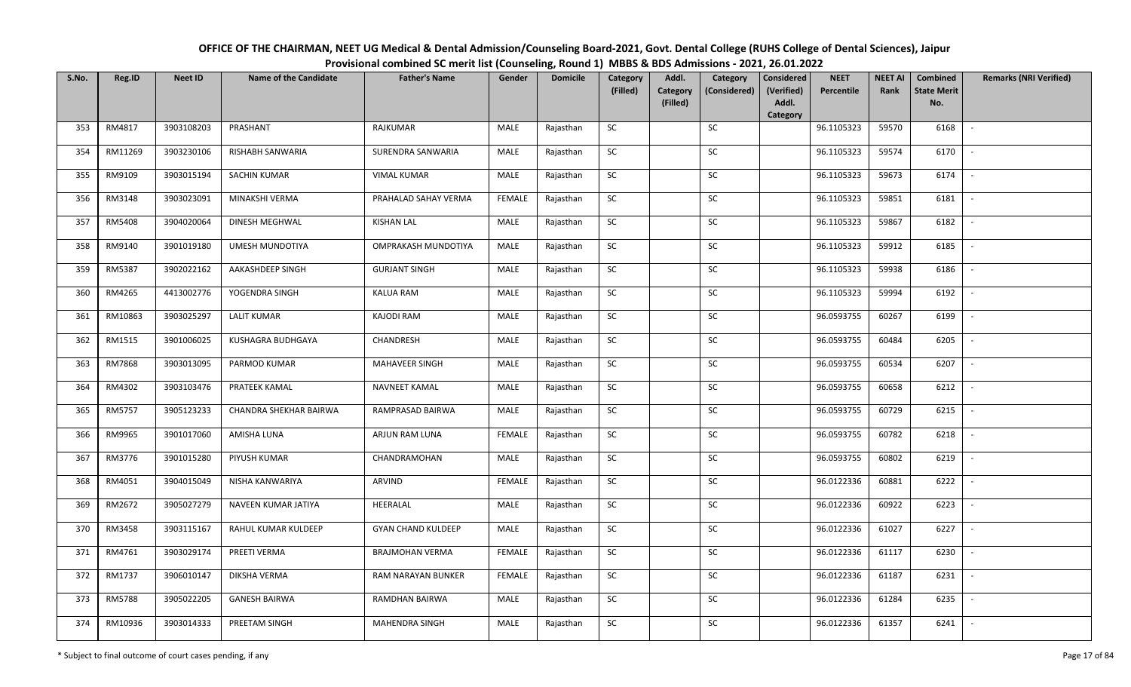| OFFICE OF THE CHAIRMAN, NEET UG Medical & Dental Admission/Counseling Board-2021, Govt. Dental College (RUHS College of Dental Sciences), Jaipur |
|--------------------------------------------------------------------------------------------------------------------------------------------------|
| Provisional combined SC merit list (Counseling, Round 1) MBBS & BDS Admissions - 2021, 26.01.2022                                                |

| S.No. | Reg.ID  | <b>Neet ID</b> | <b>Name of the Candidate</b> | <b>Father's Name</b>      | Gender        | <b>Domicile</b> | Category<br>(Filled) | Addl.<br><b>Category</b> | Category<br>(Considered) | <b>Considered</b><br>(Verified) | <b>NEET</b><br>Percentile | <b>NEET AI</b><br>Rank | Combined<br><b>State Merit</b> | <b>Remarks (NRI Verified)</b> |
|-------|---------|----------------|------------------------------|---------------------------|---------------|-----------------|----------------------|--------------------------|--------------------------|---------------------------------|---------------------------|------------------------|--------------------------------|-------------------------------|
|       |         |                |                              |                           |               |                 |                      | (Filled)                 |                          | Addl.<br>Category               |                           |                        | No.                            |                               |
| 353   | RM4817  | 3903108203     | PRASHANT                     | RAJKUMAR                  | MALE          | Rajasthan       | <b>SC</b>            |                          | SC                       |                                 | 96.1105323                | 59570                  | 6168                           | $\sim$                        |
| 354   | RM11269 | 3903230106     | RISHABH SANWARIA             | SURENDRA SANWARIA         | MALE          | Rajasthan       | <b>SC</b>            |                          | SC                       |                                 | 96.1105323                | 59574                  | 6170                           |                               |
| 355   | RM9109  | 3903015194     | SACHIN KUMAR                 | <b>VIMAL KUMAR</b>        | MALE          | Rajasthan       | SC                   |                          | $\sf SC$                 |                                 | 96.1105323                | 59673                  | 6174                           | $\overline{\phantom{a}}$      |
| 356   | RM3148  | 3903023091     | MINAKSHI VERMA               | PRAHALAD SAHAY VERMA      | <b>FEMALE</b> | Rajasthan       | <b>SC</b>            |                          | <b>SC</b>                |                                 | 96.1105323                | 59851                  | 6181                           | $\overline{\phantom{a}}$      |
| 357   | RM5408  | 3904020064     | DINESH MEGHWAL               | <b>KISHAN LAL</b>         | MALE          | Rajasthan       | SC                   |                          | SC                       |                                 | 96.1105323                | 59867                  | 6182                           | $\sim$                        |
| 358   | RM9140  | 3901019180     | UMESH MUNDOTIYA              | OMPRAKASH MUNDOTIYA       | MALE          | Rajasthan       | SC                   |                          | SC                       |                                 | 96.1105323                | 59912                  | 6185                           | $\sim$                        |
| 359   | RM5387  | 3902022162     | AAKASHDEEP SINGH             | <b>GURJANT SINGH</b>      | MALE          | Rajasthan       | ${\sf SC}$           |                          | <b>SC</b>                |                                 | 96.1105323                | 59938                  | 6186                           | $\overline{\phantom{a}}$      |
| 360   | RM4265  | 4413002776     | YOGENDRA SINGH               | KALUA RAM                 | MALE          | Rajasthan       | SC                   |                          | $\sf SC$                 |                                 | 96.1105323                | 59994                  | 6192                           | $\overline{\phantom{a}}$      |
| 361   | RM10863 | 3903025297     | <b>LALIT KUMAR</b>           | <b>KAJODI RAM</b>         | MALE          | Rajasthan       | SC                   |                          | <b>SC</b>                |                                 | 96.0593755                | 60267                  | 6199                           |                               |
| 362   | RM1515  | 3901006025     | KUSHAGRA BUDHGAYA            | CHANDRESH                 | MALE          | Rajasthan       | ${\sf SC}$           |                          | SC                       |                                 | 96.0593755                | 60484                  | 6205                           | $\sim$                        |
| 363   | RM7868  | 3903013095     | PARMOD KUMAR                 | <b>MAHAVEER SINGH</b>     | MALE          | Rajasthan       | SC                   |                          | SC                       |                                 | 96.0593755                | 60534                  | 6207                           | $\sim$                        |
| 364   | RM4302  | 3903103476     | PRATEEK KAMAL                | NAVNEET KAMAL             | MALE          | Rajasthan       | ${\sf SC}$           |                          | SC                       |                                 | 96.0593755                | 60658                  | 6212                           | $\sim$                        |
| 365   | RM5757  | 3905123233     | CHANDRA SHEKHAR BAIRWA       | RAMPRASAD BAIRWA          | MALE          | Rajasthan       | <b>SC</b>            |                          | SC                       |                                 | 96.0593755                | 60729                  | 6215                           | $\overline{\phantom{a}}$      |
| 366   | RM9965  | 3901017060     | AMISHA LUNA                  | ARJUN RAM LUNA            | <b>FEMALE</b> | Rajasthan       | SC                   |                          | <b>SC</b>                |                                 | 96.0593755                | 60782                  | 6218                           | $\overline{\phantom{a}}$      |
| 367   | RM3776  | 3901015280     | PIYUSH KUMAR                 | CHANDRAMOHAN              | MALE          | Rajasthan       | ${\sf SC}$           |                          | $\sf SC$                 |                                 | 96.0593755                | 60802                  | 6219                           | $\overline{\phantom{a}}$      |
| 368   | RM4051  | 3904015049     | NISHA KANWARIYA              | <b>ARVIND</b>             | <b>FEMALE</b> | Rajasthan       | <b>SC</b>            |                          | SC                       |                                 | 96.0122336                | 60881                  | 6222                           | $\sim$                        |
| 369   | RM2672  | 3905027279     | NAVEEN KUMAR JATIYA          | HEERALAL                  | MALE          | Rajasthan       | ${\sf SC}$           |                          | $\sf SC$                 |                                 | 96.0122336                | 60922                  | 6223                           | $\mathbb{L}$                  |
| 370   | RM3458  | 3903115167     | RAHUL KUMAR KULDEEP          | <b>GYAN CHAND KULDEEP</b> | MALE          | Rajasthan       | SC                   |                          | SC                       |                                 | 96.0122336                | 61027                  | 6227                           | $\mathbb{L}$                  |
| 371   | RM4761  | 3903029174     | PREETI VERMA                 | <b>BRAJMOHAN VERMA</b>    | <b>FEMALE</b> | Rajasthan       | SC                   |                          | SC                       |                                 | 96.0122336                | 61117                  | 6230                           | $\overline{\phantom{a}}$      |
| 372   | RM1737  | 3906010147     | DIKSHA VERMA                 | RAM NARAYAN BUNKER        | <b>FEMALE</b> | Rajasthan       | ${\sf SC}$           |                          | ${\sf SC}$               |                                 | 96.0122336                | 61187                  | 6231                           |                               |
| 373   | RM5788  | 3905022205     | <b>GANESH BAIRWA</b>         | RAMDHAN BAIRWA            | MALE          | Rajasthan       | SC                   |                          | <b>SC</b>                |                                 | 96.0122336                | 61284                  | 6235                           | $\overline{\phantom{a}}$      |
| 374   | RM10936 | 3903014333     | PREETAM SINGH                | MAHENDRA SINGH            | MALE          | Rajasthan       | ${\sf SC}$           |                          | SC                       |                                 | 96.0122336                | 61357                  | 6241                           | $\overline{\phantom{a}}$      |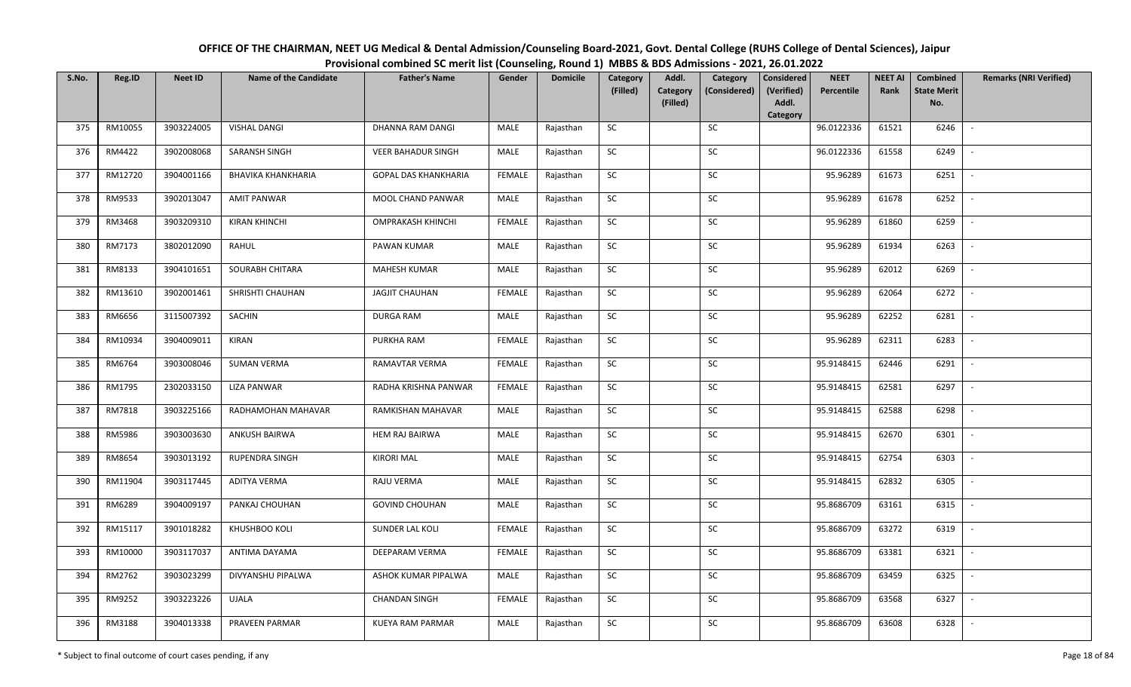| OFFICE OF THE CHAIRMAN, NEET UG Medical & Dental Admission/Counseling Board-2021, Govt. Dental College (RUHS College of Dental Sciences), Jaipur |
|--------------------------------------------------------------------------------------------------------------------------------------------------|
| Provisional combined SC merit list (Counseling, Round 1) MBBS & BDS Admissions - 2021, 26.01.2022                                                |

| S.No. | Reg.ID  | <b>Neet ID</b> | <b>Name of the Candidate</b> | <b>Father's Name</b>        | Gender        | <b>Domicile</b> | Category   | Addl.                       | Category     | <b>Considered</b>   | <b>NEET</b> | <b>NEET AI</b> | Combined                  | <b>Remarks (NRI Verified)</b> |
|-------|---------|----------------|------------------------------|-----------------------------|---------------|-----------------|------------|-----------------------------|--------------|---------------------|-------------|----------------|---------------------------|-------------------------------|
|       |         |                |                              |                             |               |                 | (Filled)   | <b>Category</b><br>(Filled) | (Considered) | (Verified)<br>Addl. | Percentile  | Rank           | <b>State Merit</b><br>No. |                               |
|       |         |                |                              |                             |               |                 |            |                             |              | Category            |             |                |                           |                               |
| 375   | RM10055 | 3903224005     | <b>VISHAL DANGI</b>          | DHANNA RAM DANGI            | MALE          | Rajasthan       | SC         |                             | SC           |                     | 96.0122336  | 61521          | 6246                      |                               |
| 376   | RM4422  | 3902008068     | SARANSH SINGH                | <b>VEER BAHADUR SINGH</b>   | MALE          | Rajasthan       | ${\sf SC}$ |                             | SC           |                     | 96.0122336  | 61558          | 6249                      |                               |
| 377   | RM12720 | 3904001166     | <b>BHAVIKA KHANKHARIA</b>    | <b>GOPAL DAS KHANKHARIA</b> | FEMALE        | Rajasthan       | SC         |                             | SC           |                     | 95.96289    | 61673          | 6251                      |                               |
| 378   | RM9533  | 3902013047     | AMIT PANWAR                  | MOOL CHAND PANWAR           | MALE          | Rajasthan       | ${\sf SC}$ |                             | ${\sf SC}$   |                     | 95.96289    | 61678          | 6252                      |                               |
| 379   | RM3468  | 3903209310     | <b>KIRAN KHINCHI</b>         | <b>OMPRAKASH KHINCHI</b>    | <b>FEMALE</b> | Rajasthan       | SC         |                             | SC           |                     | 95.96289    | 61860          | 6259                      | $\overline{\phantom{a}}$      |
| 380   | RM7173  | 3802012090     | RAHUL                        | PAWAN KUMAR                 | MALE          | Rajasthan       | ${\sf SC}$ |                             | ${\sf SC}$   |                     | 95.96289    | 61934          | 6263                      | $\overline{\phantom{a}}$      |
| 381   | RM8133  | 3904101651     | SOURABH CHITARA              | <b>MAHESH KUMAR</b>         | MALE          | Rajasthan       | SC         |                             | SC           |                     | 95.96289    | 62012          | 6269                      | $\overline{\phantom{a}}$      |
| 382   | RM13610 | 3902001461     | SHRISHTI CHAUHAN             | <b>JAGJIT CHAUHAN</b>       | <b>FEMALE</b> | Rajasthan       | ${\sf SC}$ |                             | $\sf SC$     |                     | 95.96289    | 62064          | 6272                      | $\overline{\phantom{a}}$      |
| 383   | RM6656  | 3115007392     | SACHIN                       | <b>DURGA RAM</b>            | MALE          | Rajasthan       | ${\sf SC}$ |                             | SC           |                     | 95.96289    | 62252          | 6281                      |                               |
| 384   | RM10934 | 3904009011     | KIRAN                        | PURKHA RAM                  | <b>FEMALE</b> | Rajasthan       | ${\sf SC}$ |                             | ${\sf SC}$   |                     | 95.96289    | 62311          | 6283                      |                               |
| 385   | RM6764  | 3903008046     | <b>SUMAN VERMA</b>           | RAMAVTAR VERMA              | FEMALE        | Rajasthan       | SC         |                             | SC           |                     | 95.9148415  | 62446          | 6291                      |                               |
| 386   | RM1795  | 2302033150     | LIZA PANWAR                  | RADHA KRISHNA PANWAR        | <b>FEMALE</b> | Rajasthan       | SC         |                             | ${\sf SC}$   |                     | 95.9148415  | 62581          | 6297                      |                               |
| 387   | RM7818  | 3903225166     | RADHAMOHAN MAHAVAR           | RAMKISHAN MAHAVAR           | MALE          | Rajasthan       | SC         |                             | SC           |                     | 95.9148415  | 62588          | 6298                      |                               |
| 388   | RM5986  | 3903003630     | ANKUSH BAIRWA                | <b>HEM RAJ BAIRWA</b>       | MALE          | Rajasthan       | SC         |                             | ${\sf SC}$   |                     | 95.9148415  | 62670          | 6301                      |                               |
| 389   | RM8654  | 3903013192     | RUPENDRA SINGH               | <b>KIRORI MAL</b>           | MALE          | Rajasthan       | SC         |                             | ${\sf SC}$   |                     | 95.9148415  | 62754          | 6303                      |                               |
| 390   | RM11904 | 3903117445     | ADITYA VERMA                 | RAJU VERMA                  | MALE          | Rajasthan       | ${\sf SC}$ |                             | ${\sf SC}$   |                     | 95.9148415  | 62832          | 6305                      | $\sim$                        |
| 391   | RM6289  | 3904009197     | PANKAJ CHOUHAN               | <b>GOVIND CHOUHAN</b>       | MALE          | Rajasthan       | SC         |                             | SC           |                     | 95.8686709  | 63161          | 6315                      | $\sim$                        |
| 392   | RM15117 | 3901018282     | KHUSHBOO KOLI                | SUNDER LAL KOLI             | <b>FEMALE</b> | Rajasthan       | SC         |                             | SC           |                     | 95.8686709  | 63272          | 6319                      |                               |
| 393   | RM10000 | 3903117037     | ANTIMA DAYAMA                | <b>DEEPARAM VERMA</b>       | <b>FEMALE</b> | Rajasthan       | SC         |                             | SC           |                     | 95.8686709  | 63381          | 6321                      | $\blacksquare$                |
| 394   | RM2762  | 3903023299     | <b>DIVYANSHU PIPALWA</b>     | ASHOK KUMAR PIPALWA         | MALE          | Rajasthan       | ${\sf SC}$ |                             | ${\sf SC}$   |                     | 95.8686709  | 63459          | 6325                      |                               |
| 395   | RM9252  | 3903223226     | <b>UJALA</b>                 | <b>CHANDAN SINGH</b>        | <b>FEMALE</b> | Rajasthan       | SC         |                             | SC           |                     | 95.8686709  | 63568          | 6327                      |                               |
| 396   | RM3188  | 3904013338     | PRAVEEN PARMAR               | <b>KUEYA RAM PARMAR</b>     | MALE          | Rajasthan       | SC         |                             | ${\sf SC}$   |                     | 95.8686709  | 63608          | 6328                      |                               |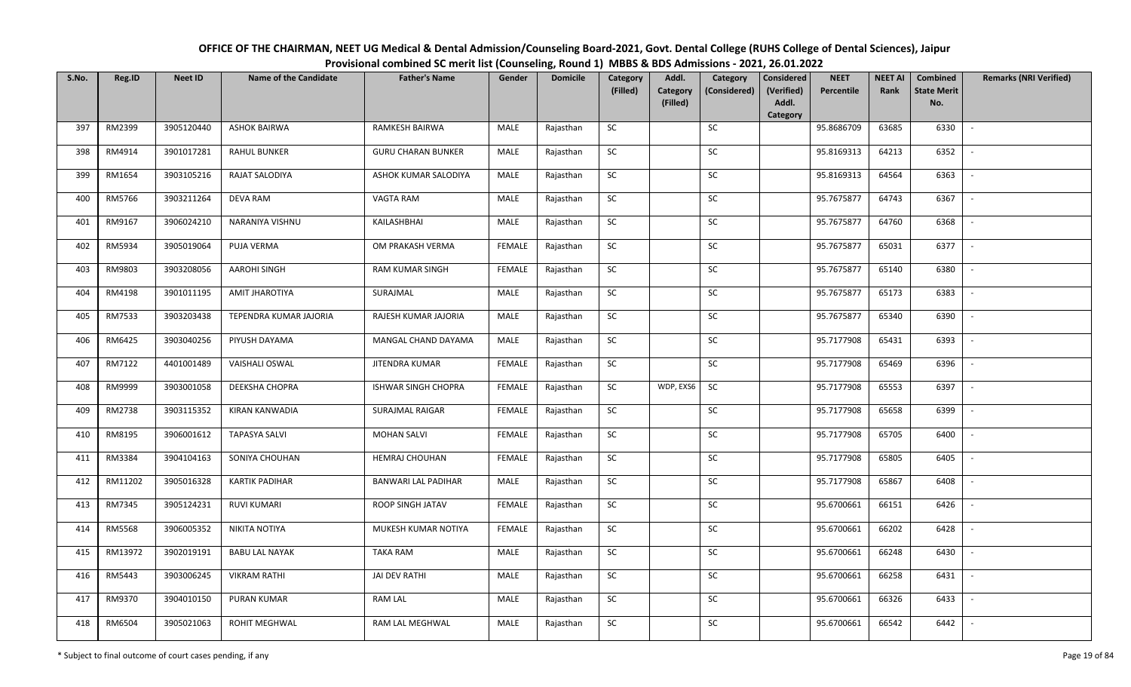| OFFICE OF THE CHAIRMAN, NEET UG Medical & Dental Admission/Counseling Board-2021, Govt. Dental College (RUHS College of Dental Sciences), Jaipur |
|--------------------------------------------------------------------------------------------------------------------------------------------------|
| Provisional combined SC merit list (Counseling, Round 1) MBBS & BDS Admissions - 2021, 26.01.2022                                                |

| S.No. | Reg.ID  | <b>Neet ID</b> | <b>Name of the Candidate</b> | <b>Father's Name</b>      | Gender        | <b>Domicile</b> | Category<br>(Filled) | Addl.<br><b>Category</b><br>(Filled) | Category<br>(Considered) | <b>Considered</b><br>(Verified)<br>Addl. | <b>NEET</b><br>Percentile | <b>NEET AI</b><br>Rank | Combined<br><b>State Merit</b><br>No. | <b>Remarks (NRI Verified)</b> |
|-------|---------|----------------|------------------------------|---------------------------|---------------|-----------------|----------------------|--------------------------------------|--------------------------|------------------------------------------|---------------------------|------------------------|---------------------------------------|-------------------------------|
|       |         |                |                              |                           |               |                 |                      |                                      |                          | Category                                 |                           |                        |                                       |                               |
| 397   | RM2399  | 3905120440     | <b>ASHOK BAIRWA</b>          | RAMKESH BAIRWA            | MALE          | Rajasthan       | <b>SC</b>            |                                      | SC                       |                                          | 95.8686709                | 63685                  | 6330                                  | $\sim$                        |
| 398   | RM4914  | 3901017281     | <b>RAHUL BUNKER</b>          | <b>GURU CHARAN BUNKER</b> | MALE          | Rajasthan       | <b>SC</b>            |                                      | SC                       |                                          | 95.8169313                | 64213                  | 6352                                  |                               |
| 399   | RM1654  | 3903105216     | RAJAT SALODIYA               | ASHOK KUMAR SALODIYA      | MALE          | Rajasthan       | SC                   |                                      | SC                       |                                          | 95.8169313                | 64564                  | 6363                                  | $\overline{\phantom{a}}$      |
| 400   | RM5766  | 3903211264     | DEVA RAM                     | VAGTA RAM                 | MALE          | Rajasthan       | SC                   |                                      | SC                       |                                          | 95.7675877                | 64743                  | 6367                                  | $\overline{\phantom{a}}$      |
| 401   | RM9167  | 3906024210     | NARANIYA VISHNU              | KAILASHBHAI               | MALE          | Rajasthan       | ${\sf SC}$           |                                      | ${\sf SC}$               |                                          | 95.7675877                | 64760                  | 6368                                  | $\sim$                        |
| 402   | RM5934  | 3905019064     | PUJA VERMA                   | OM PRAKASH VERMA          | <b>FEMALE</b> | Rajasthan       | ${\sf SC}$           |                                      | $\sf SC$                 |                                          | 95.7675877                | 65031                  | 6377                                  | $\sim$                        |
| 403   | RM9803  | 3903208056     | <b>AAROHI SINGH</b>          | RAM KUMAR SINGH           | <b>FEMALE</b> | Rajasthan       | <b>SC</b>            |                                      | <b>SC</b>                |                                          | 95.7675877                | 65140                  | 6380                                  | $\sim$                        |
| 404   | RM4198  | 3901011195     | AMIT JHAROTIYA               | SURAJMAL                  | MALE          | Rajasthan       | SC                   |                                      | SC                       |                                          | 95.7675877                | 65173                  | 6383                                  | $\overline{\phantom{a}}$      |
| 405   | RM7533  | 3903203438     | TEPENDRA KUMAR JAJORIA       | RAJESH KUMAR JAJORIA      | MALE          | Rajasthan       | SC                   |                                      | SC                       |                                          | 95.7675877                | 65340                  | 6390                                  |                               |
| 406   | RM6425  | 3903040256     | PIYUSH DAYAMA                | MANGAL CHAND DAYAMA       | MALE          | Rajasthan       | SC                   |                                      | SC                       |                                          | 95.7177908                | 65431                  | 6393                                  | $\overline{\phantom{a}}$      |
| 407   | RM7122  | 4401001489     | <b>VAISHALI OSWAL</b>        | JITENDRA KUMAR            | <b>FEMALE</b> | Rajasthan       | ${\sf SC}$           |                                      | SC                       |                                          | 95.7177908                | 65469                  | 6396                                  | $\sim$                        |
| 408   | RM9999  | 3903001058     | <b>DEEKSHA CHOPRA</b>        | ISHWAR SINGH CHOPRA       | <b>FEMALE</b> | Rajasthan       | <b>SC</b>            | WDP, EXS6                            | SC                       |                                          | 95.7177908                | 65553                  | 6397                                  | $\sim$                        |
| 409   | RM2738  | 3903115352     | KIRAN KANWADIA               | <b>SURAJMAL RAIGAR</b>    | <b>FEMALE</b> | Rajasthan       | <b>SC</b>            |                                      | <b>SC</b>                |                                          | 95.7177908                | 65658                  | 6399                                  | $\overline{\phantom{a}}$      |
| 410   | RM8195  | 3906001612     | <b>TAPASYA SALVI</b>         | <b>MOHAN SALVI</b>        | <b>FEMALE</b> | Rajasthan       | SC                   |                                      | SC                       |                                          | 95.7177908                | 65705                  | 6400                                  | $\sim$                        |
| 411   | RM3384  | 3904104163     | SONIYA CHOUHAN               | HEMRAJ CHOUHAN            | FEMALE        | Rajasthan       | SC                   |                                      | SC                       |                                          | 95.7177908                | 65805                  | 6405                                  | $\overline{\phantom{a}}$      |
| 412   | RM11202 | 3905016328     | <b>KARTIK PADIHAR</b>        | BANWARI LAL PADIHAR       | MALE          | Rajasthan       | ${\sf SC}$           |                                      | ${\sf SC}$               |                                          | 95.7177908                | 65867                  | 6408                                  | $\sim$                        |
| 413   | RM7345  | 3905124231     | <b>RUVI KUMARI</b>           | ROOP SINGH JATAV          | <b>FEMALE</b> | Rajasthan       | SC                   |                                      | SC                       |                                          | 95.6700661                | 66151                  | 6426                                  | $\sim$                        |
| 414   | RM5568  | 3906005352     | NIKITA NOTIYA                | MUKESH KUMAR NOTIYA       | <b>FEMALE</b> | Rajasthan       | SC                   |                                      | SC                       |                                          | 95.6700661                | 66202                  | 6428                                  | $\sim$                        |
| 415   | RM13972 | 3902019191     | <b>BABU LAL NAYAK</b>        | TAKA RAM                  | MALE          | Rajasthan       | SC                   |                                      | SC                       |                                          | 95.6700661                | 66248                  | 6430                                  | $\sim$                        |
| 416   | RM5443  | 3903006245     | <b>VIKRAM RATHI</b>          | JAI DEV RATHI             | MALE          | Rajasthan       | SC                   |                                      | SC                       |                                          | 95.6700661                | 66258                  | 6431                                  |                               |
| 417   | RM9370  | 3904010150     | PURAN KUMAR                  | <b>RAM LAL</b>            | MALE          | Rajasthan       | ${\sf SC}$           |                                      | ${\sf SC}$               |                                          | 95.6700661                | 66326                  | 6433                                  | $\overline{\phantom{a}}$      |
| 418   | RM6504  | 3905021063     | <b>ROHIT MEGHWAL</b>         | RAM LAL MEGHWAL           | MALE          | Rajasthan       | ${\sf SC}$           |                                      | ${\sf SC}$               |                                          | 95.6700661                | 66542                  | 6442                                  |                               |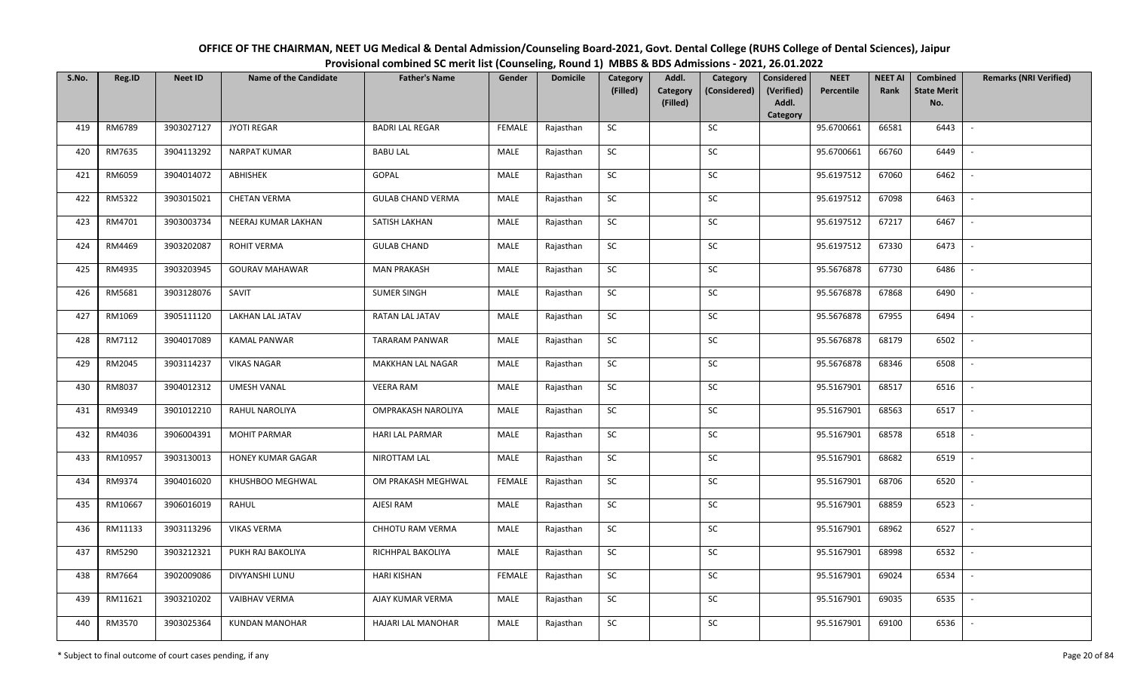| OFFICE OF THE CHAIRMAN, NEET UG Medical & Dental Admission/Counseling Board-2021, Govt. Dental College (RUHS College of Dental Sciences), Jaipur |
|--------------------------------------------------------------------------------------------------------------------------------------------------|
| Provisional combined SC merit list (Counseling, Round 1) MBBS & BDS Admissions - 2021, 26.01.2022                                                |

| S.No. | Reg.ID  | <b>Neet ID</b> | <b>Name of the Candidate</b> | <b>Father's Name</b>      | Gender        | <b>Domicile</b> | Category<br>(Filled) | Addl.<br><b>Category</b> | Category<br>(Considered) | <b>Considered</b><br>(Verified) | <b>NEET</b><br>Percentile | <b>NEET AI</b><br>Rank | Combined<br><b>State Merit</b> | <b>Remarks (NRI Verified)</b> |
|-------|---------|----------------|------------------------------|---------------------------|---------------|-----------------|----------------------|--------------------------|--------------------------|---------------------------------|---------------------------|------------------------|--------------------------------|-------------------------------|
|       |         |                |                              |                           |               |                 |                      | (Filled)                 |                          | Addl.<br>Category               |                           |                        | No.                            |                               |
| 419   | RM6789  | 3903027127     | <b>JYOTI REGAR</b>           | <b>BADRI LAL REGAR</b>    | <b>FEMALE</b> | Rajasthan       | <b>SC</b>            |                          | SC                       |                                 | 95.6700661                | 66581                  | 6443                           | $\sim$                        |
| 420   | RM7635  | 3904113292     | <b>NARPAT KUMAR</b>          | <b>BABU LAL</b>           | MALE          | Rajasthan       | <b>SC</b>            |                          | SC                       |                                 | 95.6700661                | 66760                  | 6449                           |                               |
| 421   | RM6059  | 3904014072     | ABHISHEK                     | GOPAL                     | MALE          | Rajasthan       | ${\sf SC}$           |                          | $\sf SC$                 |                                 | 95.6197512                | 67060                  | 6462                           | $\overline{\phantom{a}}$      |
| 422   | RM5322  | 3903015021     | <b>CHETAN VERMA</b>          | <b>GULAB CHAND VERMA</b>  | MALE          | Rajasthan       | <b>SC</b>            |                          | <b>SC</b>                |                                 | 95.6197512                | 67098                  | 6463                           | $\overline{\phantom{a}}$      |
| 423   | RM4701  | 3903003734     | NEERAJ KUMAR LAKHAN          | SATISH LAKHAN             | MALE          | Rajasthan       | SC                   |                          | SC                       |                                 | 95.6197512                | 67217                  | 6467                           | $\sim$                        |
| 424   | RM4469  | 3903202087     | ROHIT VERMA                  | <b>GULAB CHAND</b>        | MALE          | Rajasthan       | SC                   |                          | SC                       |                                 | 95.6197512                | 67330                  | 6473                           | $\sim$                        |
| 425   | RM4935  | 3903203945     | <b>GOURAV MAHAWAR</b>        | <b>MAN PRAKASH</b>        | MALE          | Rajasthan       | ${\sf SC}$           |                          | <b>SC</b>                |                                 | 95.5676878                | 67730                  | 6486                           | $\overline{\phantom{a}}$      |
| 426   | RM5681  | 3903128076     | SAVIT                        | <b>SUMER SINGH</b>        | MALE          | Rajasthan       | SC                   |                          | $\sf SC$                 |                                 | 95.5676878                | 67868                  | 6490                           | $\overline{\phantom{a}}$      |
| 427   | RM1069  | 3905111120     | LAKHAN LAL JATAV             | RATAN LAL JATAV           | MALE          | Rajasthan       | SC                   |                          | SC                       |                                 | 95.5676878                | 67955                  | 6494                           | $\overline{\phantom{a}}$      |
| 428   | RM7112  | 3904017089     | <b>KAMAL PANWAR</b>          | <b>TARARAM PANWAR</b>     | MALE          | Rajasthan       | ${\sf SC}$           |                          | SC                       |                                 | 95.5676878                | 68179                  | 6502                           | $\sim$                        |
| 429   | RM2045  | 3903114237     | <b>VIKAS NAGAR</b>           | MAKKHAN LAL NAGAR         | MALE          | Rajasthan       | SC                   |                          | SC                       |                                 | 95.5676878                | 68346                  | 6508                           | $\sim$                        |
| 430   | RM8037  | 3904012312     | <b>UMESH VANAL</b>           | <b>VEERA RAM</b>          | MALE          | Rajasthan       | ${\sf SC}$           |                          | SC                       |                                 | 95.5167901                | 68517                  | 6516                           | $\sim$                        |
| 431   | RM9349  | 3901012210     | RAHUL NAROLIYA               | <b>OMPRAKASH NAROLIYA</b> | MALE          | Rajasthan       | <b>SC</b>            |                          | SC                       |                                 | 95.5167901                | 68563                  | 6517                           | $\overline{\phantom{a}}$      |
| 432   | RM4036  | 3906004391     | <b>MOHIT PARMAR</b>          | <b>HARI LAL PARMAR</b>    | MALE          | Rajasthan       | SC                   |                          | <b>SC</b>                |                                 | 95.5167901                | 68578                  | 6518                           | $\overline{\phantom{a}}$      |
| 433   | RM10957 | 3903130013     | HONEY KUMAR GAGAR            | NIROTTAM LAL              | MALE          | Rajasthan       | ${\sf SC}$           |                          | $\sf SC$                 |                                 | 95.5167901                | 68682                  | 6519                           | $\overline{\phantom{a}}$      |
| 434   | RM9374  | 3904016020     | KHUSHBOO MEGHWAL             | OM PRAKASH MEGHWAL        | <b>FEMALE</b> | Rajasthan       | <b>SC</b>            |                          | SC                       |                                 | 95.5167901                | 68706                  | 6520                           | $\mathbb{L}$                  |
| 435   | RM10667 | 3906016019     | RAHUL                        | AJESI RAM                 | MALE          | Rajasthan       | ${\sf SC}$           |                          | $\sf SC$                 |                                 | 95.5167901                | 68859                  | 6523                           | $\mathbb{L}$                  |
| 436   | RM11133 | 3903113296     | <b>VIKAS VERMA</b>           | CHHOTU RAM VERMA          | MALE          | Rajasthan       | SC                   |                          | SC                       |                                 | 95.5167901                | 68962                  | 6527                           | $\overline{\phantom{a}}$      |
| 437   | RM5290  | 3903212321     | PUKH RAJ BAKOLIYA            | RICHHPAL BAKOLIYA         | MALE          | Rajasthan       | SC                   |                          | SC                       |                                 | 95.5167901                | 68998                  | 6532                           | $\overline{\phantom{a}}$      |
| 438   | RM7664  | 3902009086     | DIVYANSHI LUNU               | <b>HARI KISHAN</b>        | <b>FEMALE</b> | Rajasthan       | SC                   |                          | $\sf SC$                 |                                 | 95.5167901                | 69024                  | 6534                           |                               |
| 439   | RM11621 | 3903210202     | <b>VAIBHAV VERMA</b>         | AJAY KUMAR VERMA          | MALE          | Rajasthan       | SC                   |                          | <b>SC</b>                |                                 | 95.5167901                | 69035                  | 6535                           | $\overline{\phantom{a}}$      |
| 440   | RM3570  | 3903025364     | <b>KUNDAN MANOHAR</b>        | HAJARI LAL MANOHAR        | MALE          | Rajasthan       | ${\sf SC}$           |                          | SC                       |                                 | 95.5167901                | 69100                  | 6536                           | $\overline{\phantom{a}}$      |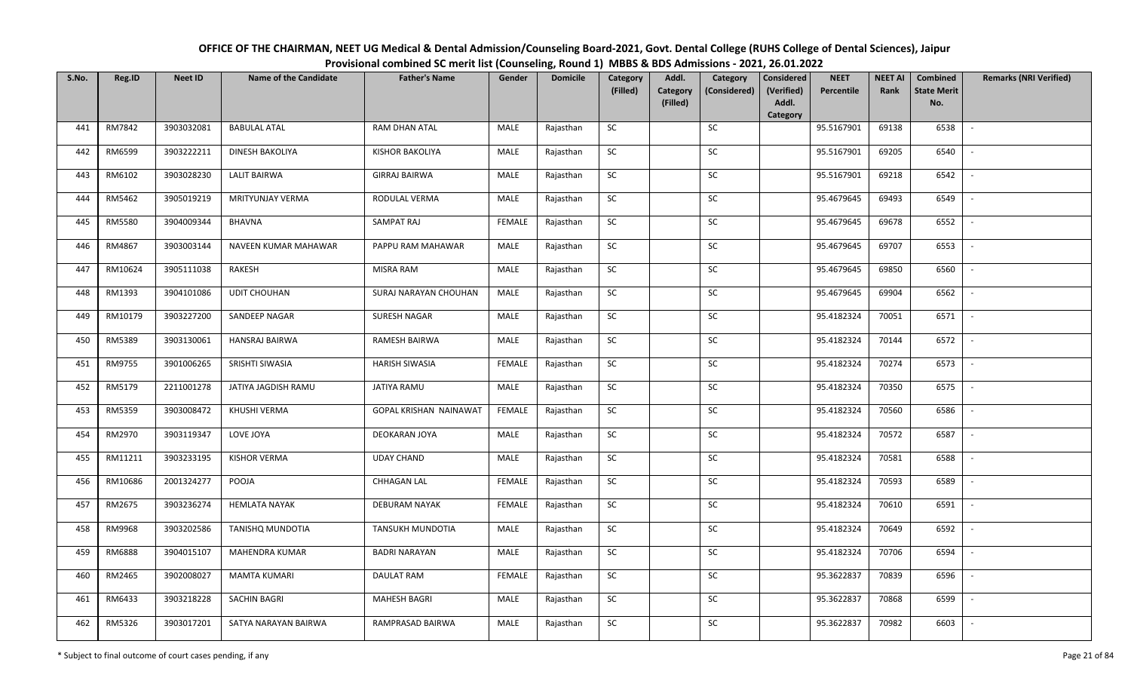| OFFICE OF THE CHAIRMAN, NEET UG Medical & Dental Admission/Counseling Board-2021, Govt. Dental College (RUHS College of Dental Sciences), Jaipur |
|--------------------------------------------------------------------------------------------------------------------------------------------------|
| Provisional combined SC merit list (Counseling, Round 1) MBBS & BDS Admissions - 2021, 26.01.2022                                                |

| S.No. | Reg.ID  | <b>Neet ID</b> | <b>Name of the Candidate</b> | <b>Father's Name</b>    | Gender        | <b>Domicile</b> | Category<br>(Filled) | Addl.<br><b>Category</b> | Category<br>(Considered) | <b>Considered</b><br>(Verified) | <b>NEET</b><br>Percentile | <b>NEET AI</b><br>Rank | Combined<br><b>State Merit</b> | <b>Remarks (NRI Verified)</b> |
|-------|---------|----------------|------------------------------|-------------------------|---------------|-----------------|----------------------|--------------------------|--------------------------|---------------------------------|---------------------------|------------------------|--------------------------------|-------------------------------|
|       |         |                |                              |                         |               |                 |                      | (Filled)                 |                          | Addl.<br>Category               |                           |                        | No.                            |                               |
| 441   | RM7842  | 3903032081     | <b>BABULAL ATAL</b>          | RAM DHAN ATAL           | MALE          | Rajasthan       | <b>SC</b>            |                          | SC                       |                                 | 95.5167901                | 69138                  | 6538                           | $\sim$                        |
| 442   | RM6599  | 3903222211     | DINESH BAKOLIYA              | <b>KISHOR BAKOLIYA</b>  | MALE          | Rajasthan       | <b>SC</b>            |                          | SC                       |                                 | 95.5167901                | 69205                  | 6540                           |                               |
| 443   | RM6102  | 3903028230     | <b>LALIT BAIRWA</b>          | <b>GIRRAJ BAIRWA</b>    | MALE          | Rajasthan       | SC                   |                          | $\sf SC$                 |                                 | 95.5167901                | 69218                  | 6542                           | $\overline{\phantom{a}}$      |
| 444   | RM5462  | 3905019219     | MRITYUNJAY VERMA             | RODULAL VERMA           | MALE          | Rajasthan       | <b>SC</b>            |                          | <b>SC</b>                |                                 | 95.4679645                | 69493                  | 6549                           | $\overline{\phantom{a}}$      |
| 445   | RM5580  | 3904009344     | <b>BHAVNA</b>                | SAMPAT RAJ              | <b>FEMALE</b> | Rajasthan       | SC                   |                          | SC                       |                                 | 95.4679645                | 69678                  | 6552                           | $\sim$                        |
| 446   | RM4867  | 3903003144     | NAVEEN KUMAR MAHAWAR         | PAPPU RAM MAHAWAR       | MALE          | Rajasthan       | SC                   |                          | SC                       |                                 | 95.4679645                | 69707                  | 6553                           | $\sim$                        |
| 447   | RM10624 | 3905111038     | RAKESH                       | <b>MISRA RAM</b>        | MALE          | Rajasthan       | ${\sf SC}$           |                          | <b>SC</b>                |                                 | 95.4679645                | 69850                  | 6560                           | $\overline{\phantom{a}}$      |
| 448   | RM1393  | 3904101086     | <b>UDIT CHOUHAN</b>          | SURAJ NARAYAN CHOUHAN   | MALE          | Rajasthan       | SC                   |                          | $\sf SC$                 |                                 | 95.4679645                | 69904                  | 6562                           |                               |
| 449   | RM10179 | 3903227200     | SANDEEP NAGAR                | SURESH NAGAR            | MALE          | Rajasthan       | SC                   |                          | <b>SC</b>                |                                 | 95.4182324                | 70051                  | 6571                           | $\overline{\phantom{a}}$      |
| 450   | RM5389  | 3903130061     | HANSRAJ BAIRWA               | RAMESH BAIRWA           | MALE          | Rajasthan       | ${\sf SC}$           |                          | SC                       |                                 | 95.4182324                | 70144                  | 6572                           | $\sim$                        |
| 451   | RM9755  | 3901006265     | SRISHTI SIWASIA              | <b>HARISH SIWASIA</b>   | <b>FEMALE</b> | Rajasthan       | SC                   |                          | SC                       |                                 | 95.4182324                | 70274                  | 6573                           | $\sim$                        |
| 452   | RM5179  | 2211001278     | JATIYA JAGDISH RAMU          | JATIYA RAMU             | MALE          | Rajasthan       | ${\sf SC}$           |                          | SC                       |                                 | 95.4182324                | 70350                  | 6575                           | $\sim$                        |
| 453   | RM5359  | 3903008472     | KHUSHI VERMA                 | GOPAL KRISHAN NAINAWAT  | FEMALE        | Rajasthan       | <b>SC</b>            |                          | SC                       |                                 | 95.4182324                | 70560                  | 6586                           | $\overline{\phantom{a}}$      |
| 454   | RM2970  | 3903119347     | LOVE JOYA                    | DEOKARAN JOYA           | MALE          | Rajasthan       | SC                   |                          | <b>SC</b>                |                                 | 95.4182324                | 70572                  | 6587                           | $\overline{\phantom{a}}$      |
| 455   | RM11211 | 3903233195     | <b>KISHOR VERMA</b>          | <b>UDAY CHAND</b>       | MALE          | Rajasthan       | ${\sf SC}$           |                          | $\sf SC$                 |                                 | 95.4182324                | 70581                  | 6588                           | $\overline{\phantom{a}}$      |
| 456   | RM10686 | 2001324277     | POOJA                        | <b>CHHAGAN LAL</b>      | <b>FEMALE</b> | Rajasthan       | <b>SC</b>            |                          | SC                       |                                 | 95.4182324                | 70593                  | 6589                           | $\sim$                        |
| 457   | RM2675  | 3903236274     | <b>HEMLATA NAYAK</b>         | <b>DEBURAM NAYAK</b>    | <b>FEMALE</b> | Rajasthan       | ${\sf SC}$           |                          | $\sf SC$                 |                                 | 95.4182324                | 70610                  | 6591                           | $\mathbb{L}$                  |
| 458   | RM9968  | 3903202586     | <b>TANISHQ MUNDOTIA</b>      | <b>TANSUKH MUNDOTIA</b> | MALE          | Rajasthan       | SC                   |                          | SC                       |                                 | 95.4182324                | 70649                  | 6592                           | $\mathbb{L}$                  |
| 459   | RM6888  | 3904015107     | MAHENDRA KUMAR               | <b>BADRI NARAYAN</b>    | MALE          | Rajasthan       | SC                   |                          | SC                       |                                 | 95.4182324                | 70706                  | 6594                           | $\overline{\phantom{a}}$      |
| 460   | RM2465  | 3902008027     | <b>MAMTA KUMARI</b>          | DAULAT RAM              | <b>FEMALE</b> | Rajasthan       | ${\sf SC}$           |                          | ${\sf SC}$               |                                 | 95.3622837                | 70839                  | 6596                           |                               |
| 461   | RM6433  | 3903218228     | <b>SACHIN BAGRI</b>          | <b>MAHESH BAGRI</b>     | MALE          | Rajasthan       | SC                   |                          | <b>SC</b>                |                                 | 95.3622837                | 70868                  | 6599                           | $\overline{\phantom{a}}$      |
| 462   | RM5326  | 3903017201     | SATYA NARAYAN BAIRWA         | RAMPRASAD BAIRWA        | MALE          | Rajasthan       | ${\sf SC}$           |                          | SC                       |                                 | 95.3622837                | 70982                  | 6603                           | $\overline{\phantom{a}}$      |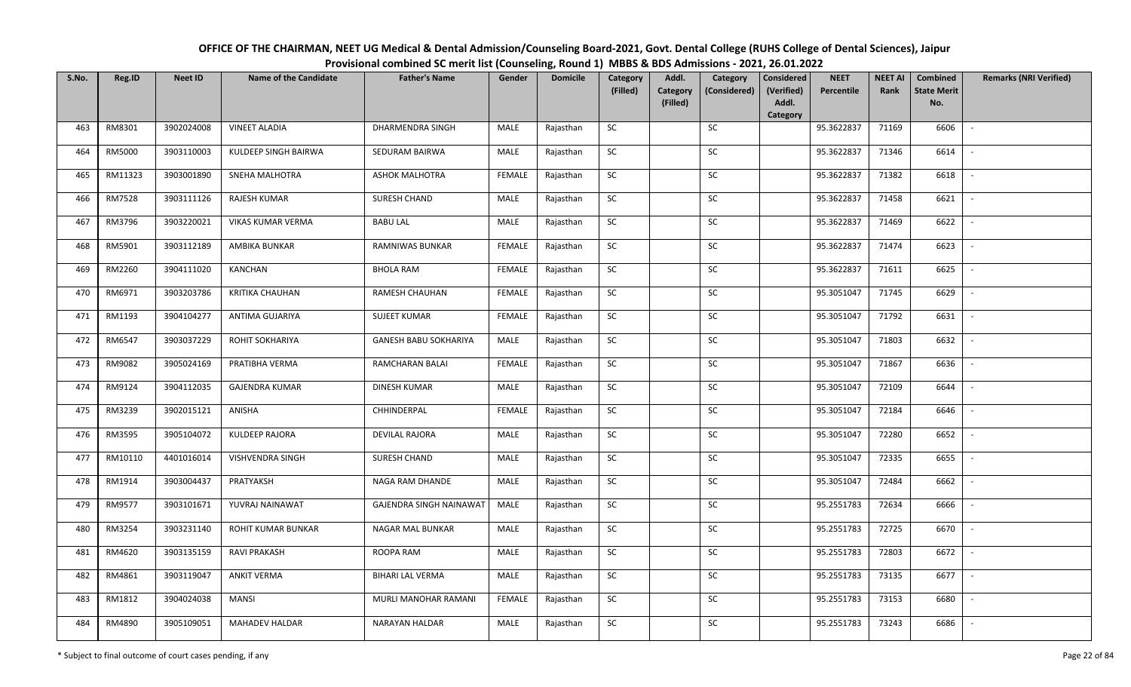| OFFICE OF THE CHAIRMAN, NEET UG Medical & Dental Admission/Counseling Board-2021, Govt. Dental College (RUHS College of Dental Sciences), Jaipur |
|--------------------------------------------------------------------------------------------------------------------------------------------------|
| Provisional combined SC merit list (Counseling, Round 1) MBBS & BDS Admissions - 2021, 26.01.2022                                                |

| S.No. | Reg.ID  | <b>Neet ID</b> | <b>Name of the Candidate</b> | <b>Father's Name</b>    | Gender        | <b>Domicile</b> | Category   | Addl.                       | Category     | <b>Considered</b>   | <b>NEET</b> | <b>NEET AI</b> | Combined                  | <b>Remarks (NRI Verified)</b> |
|-------|---------|----------------|------------------------------|-------------------------|---------------|-----------------|------------|-----------------------------|--------------|---------------------|-------------|----------------|---------------------------|-------------------------------|
|       |         |                |                              |                         |               |                 | (Filled)   | <b>Category</b><br>(Filled) | (Considered) | (Verified)<br>Addl. | Percentile  | Rank           | <b>State Merit</b><br>No. |                               |
|       |         |                |                              |                         |               |                 |            |                             |              | Category            |             |                |                           |                               |
| 463   | RM8301  | 3902024008     | <b>VINEET ALADIA</b>         | DHARMENDRA SINGH        | MALE          | Rajasthan       | SC         |                             | SC           |                     | 95.3622837  | 71169          | 6606                      |                               |
| 464   | RM5000  | 3903110003     | KULDEEP SINGH BAIRWA         | SEDURAM BAIRWA          | MALE          | Rajasthan       | SC         |                             | <b>SC</b>    |                     | 95.3622837  | 71346          | 6614                      |                               |
| 465   | RM11323 | 3903001890     | SNEHA MALHOTRA               | <b>ASHOK MALHOTRA</b>   | FEMALE        | Rajasthan       | SC         |                             | SC           |                     | 95.3622837  | 71382          | 6618                      | $\blacksquare$                |
| 466   | RM7528  | 3903111126     | RAJESH KUMAR                 | SURESH CHAND            | MALE          | Rajasthan       | SC         |                             | SC           |                     | 95.3622837  | 71458          | 6621                      |                               |
| 467   | RM3796  | 3903220021     | VIKAS KUMAR VERMA            | <b>BABU LAL</b>         | MALE          | Rajasthan       | ${\sf SC}$ |                             | ${\sf SC}$   |                     | 95.3622837  | 71469          | 6622                      | $\overline{\phantom{a}}$      |
| 468   | RM5901  | 3903112189     | AMBIKA BUNKAR                | <b>RAMNIWAS BUNKAR</b>  | <b>FEMALE</b> | Rajasthan       | SC         |                             | SC           |                     | 95.3622837  | 71474          | 6623                      | $\overline{\phantom{a}}$      |
| 469   | RM2260  | 3904111020     | KANCHAN                      | <b>BHOLA RAM</b>        | <b>FEMALE</b> | Rajasthan       | ${\sf SC}$ |                             | SC           |                     | 95.3622837  | 71611          | 6625                      | $\overline{\phantom{a}}$      |
| 470   | RM6971  | 3903203786     | <b>KRITIKA CHAUHAN</b>       | <b>RAMESH CHAUHAN</b>   | <b>FEMALE</b> | Rajasthan       | SC         |                             | SC           |                     | 95.3051047  | 71745          | 6629                      | $\sim$                        |
| 471   | RM1193  | 3904104277     | ANTIMA GUJARIYA              | <b>SUJEET KUMAR</b>     | FEMALE        | Rajasthan       | ${\sf SC}$ |                             | SC           |                     | 95.3051047  | 71792          | 6631                      |                               |
| 472   | RM6547  | 3903037229     | ROHIT SOKHARIYA              | GANESH BABU SOKHARIYA   | MALE          | Rajasthan       | ${\sf SC}$ |                             | ${\sf SC}$   |                     | 95.3051047  | 71803          | 6632                      |                               |
| 473   | RM9082  | 3905024169     | PRATIBHA VERMA               | RAMCHARAN BALAI         | FEMALE        | Rajasthan       | SC         |                             | SC           |                     | 95.3051047  | 71867          | 6636                      |                               |
| 474   | RM9124  | 3904112035     | <b>GAJENDRA KUMAR</b>        | <b>DINESH KUMAR</b>     | MALE          | Rajasthan       | SC         |                             | SC           |                     | 95.3051047  | 72109          | 6644                      |                               |
| 475   | RM3239  | 3902015121     | ANISHA                       | CHHINDERPAL             | <b>FEMALE</b> | Rajasthan       | SC         |                             | SC           |                     | 95.3051047  | 72184          | 6646                      |                               |
| 476   | RM3595  | 3905104072     | <b>KULDEEP RAJORA</b>        | <b>DEVILAL RAJORA</b>   | MALE          | Rajasthan       | SC         |                             | ${\sf SC}$   |                     | 95.3051047  | 72280          | 6652                      | $\sim$                        |
| 477   | RM10110 | 4401016014     | <b>VISHVENDRA SINGH</b>      | SURESH CHAND            | MALE          | Rajasthan       | ${\sf SC}$ |                             | ${\sf SC}$   |                     | 95.3051047  | 72335          | 6655                      |                               |
| 478   | RM1914  | 3903004437     | PRATYAKSH                    | NAGA RAM DHANDE         | MALE          | Rajasthan       | SC         |                             | SC           |                     | 95.3051047  | 72484          | 6662                      | $\sim$                        |
| 479   | RM9577  | 3903101671     | YUVRAJ NAINAWAT              | GAJENDRA SINGH NAINAWAT | MALE          | Rajasthan       | SC         |                             | ${\sf SC}$   |                     | 95.2551783  | 72634          | 6666                      | $\overline{\phantom{a}}$      |
| 480   | RM3254  | 3903231140     | ROHIT KUMAR BUNKAR           | NAGAR MAL BUNKAR        | MALE          | Rajasthan       | SC         |                             | SC           |                     | 95.2551783  | 72725          | 6670                      | $\sim$                        |
| 481   | RM4620  | 3903135159     | <b>RAVI PRAKASH</b>          | ROOPA RAM               | MALE          | Rajasthan       | SC         |                             | SC           |                     | 95.2551783  | 72803          | 6672                      | $\overline{\phantom{a}}$      |
| 482   | RM4861  | 3903119047     | <b>ANKIT VERMA</b>           | <b>BIHARI LAL VERMA</b> | MALE          | Rajasthan       | SC         |                             | SC           |                     | 95.2551783  | 73135          | 6677                      | $\overline{\phantom{a}}$      |
| 483   | RM1812  | 3904024038     | <b>MANSI</b>                 | MURLI MANOHAR RAMANI    | FEMALE        | Rajasthan       | SC         |                             | ${\sf SC}$   |                     | 95.2551783  | 73153          | 6680                      |                               |
| 484   | RM4890  | 3905109051     | <b>MAHADEV HALDAR</b>        | NARAYAN HALDAR          | MALE          | Rajasthan       | ${\sf SC}$ |                             | ${\sf SC}$   |                     | 95.2551783  | 73243          | 6686                      |                               |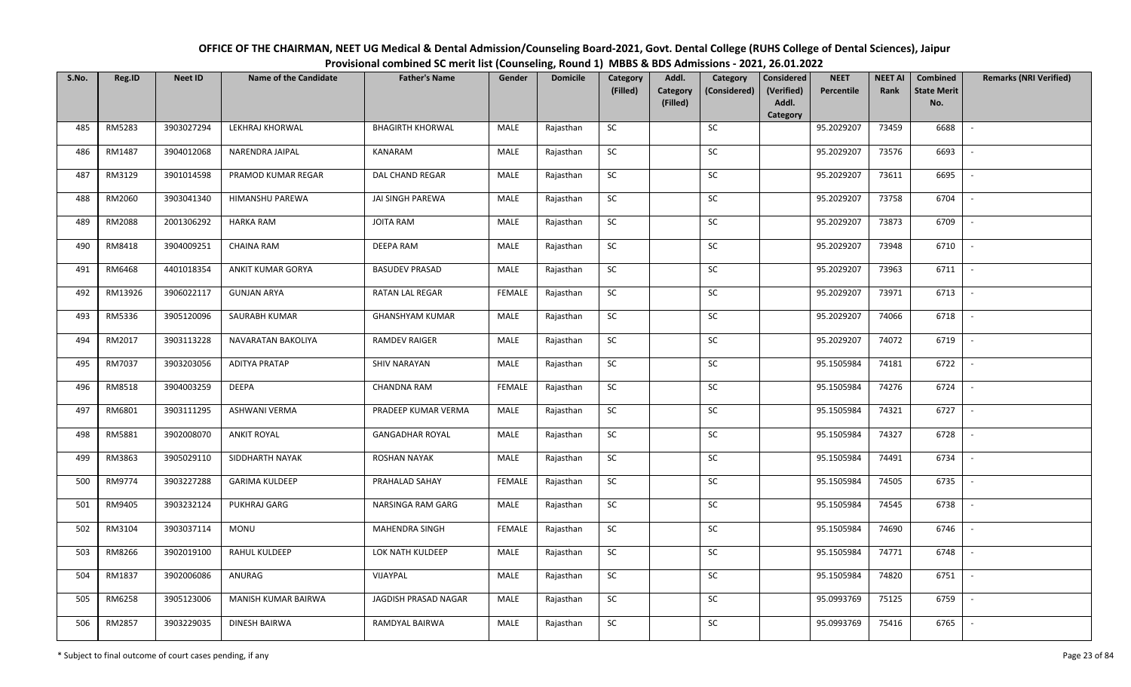| OFFICE OF THE CHAIRMAN, NEET UG Medical & Dental Admission/Counseling Board-2021, Govt. Dental College (RUHS College of Dental Sciences), Jaipur |
|--------------------------------------------------------------------------------------------------------------------------------------------------|
| Provisional combined SC merit list (Counseling, Round 1) MBBS & BDS Admissions - 2021, 26.01.2022                                                |

| S.No. | Reg.ID  | <b>Neet ID</b> | <b>Name of the Candidate</b> | <b>Father's Name</b>    | Gender        | <b>Domicile</b> | Category<br>(Filled) | Addl.<br><b>Category</b> | Category<br>(Considered) | <b>Considered</b><br>(Verified) | <b>NEET</b><br>Percentile | <b>NEET AI</b><br>Rank | Combined<br><b>State Merit</b> | <b>Remarks (NRI Verified)</b> |
|-------|---------|----------------|------------------------------|-------------------------|---------------|-----------------|----------------------|--------------------------|--------------------------|---------------------------------|---------------------------|------------------------|--------------------------------|-------------------------------|
|       |         |                |                              |                         |               |                 |                      | (Filled)                 |                          | Addl.<br>Category               |                           |                        | No.                            |                               |
| 485   | RM5283  | 3903027294     | LEKHRAJ KHORWAL              | <b>BHAGIRTH KHORWAL</b> | MALE          | Rajasthan       | <b>SC</b>            |                          | SC                       |                                 | 95.2029207                | 73459                  | 6688                           | $\sim$                        |
| 486   | RM1487  | 3904012068     | NARENDRA JAIPAL              | KANARAM                 | MALE          | Rajasthan       | <b>SC</b>            |                          | SC                       |                                 | 95.2029207                | 73576                  | 6693                           |                               |
| 487   | RM3129  | 3901014598     | PRAMOD KUMAR REGAR           | <b>DAL CHAND REGAR</b>  | MALE          | Rajasthan       | SC                   |                          | $\sf SC$                 |                                 | 95.2029207                | 73611                  | 6695                           | $\overline{\phantom{a}}$      |
| 488   | RM2060  | 3903041340     | HIMANSHU PAREWA              | JAI SINGH PAREWA        | MALE          | Rajasthan       | <b>SC</b>            |                          | <b>SC</b>                |                                 | 95.2029207                | 73758                  | 6704                           | $\overline{\phantom{a}}$      |
| 489   | RM2088  | 2001306292     | <b>HARKA RAM</b>             | <b>JOITA RAM</b>        | MALE          | Rajasthan       | SC                   |                          | SC                       |                                 | 95.2029207                | 73873                  | 6709                           | $\sim$                        |
| 490   | RM8418  | 3904009251     | <b>CHAINA RAM</b>            | <b>DEEPA RAM</b>        | MALE          | Rajasthan       | SC                   |                          | SC                       |                                 | 95.2029207                | 73948                  | 6710                           | $\sim$                        |
| 491   | RM6468  | 4401018354     | ANKIT KUMAR GORYA            | <b>BASUDEV PRASAD</b>   | MALE          | Rajasthan       | ${\sf SC}$           |                          | <b>SC</b>                |                                 | 95.2029207                | 73963                  | 6711                           | $\sim$                        |
| 492   | RM13926 | 3906022117     | <b>GUNJAN ARYA</b>           | <b>RATAN LAL REGAR</b>  | <b>FEMALE</b> | Rajasthan       | SC                   |                          | $\sf SC$                 |                                 | 95.2029207                | 73971                  | 6713                           | $\overline{\phantom{a}}$      |
| 493   | RM5336  | 3905120096     | SAURABH KUMAR                | <b>GHANSHYAM KUMAR</b>  | MALE          | Rajasthan       | SC                   |                          | SC                       |                                 | 95.2029207                | 74066                  | 6718                           |                               |
| 494   | RM2017  | 3903113228     | NAVARATAN BAKOLIYA           | <b>RAMDEV RAIGER</b>    | MALE          | Rajasthan       | ${\sf SC}$           |                          | SC                       |                                 | 95.2029207                | 74072                  | 6719                           | $\sim$                        |
| 495   | RM7037  | 3903203056     | <b>ADITYA PRATAP</b>         | <b>SHIV NARAYAN</b>     | MALE          | Rajasthan       | SC                   |                          | SC                       |                                 | 95.1505984                | 74181                  | 6722                           | $\sim$                        |
| 496   | RM8518  | 3904003259     | <b>DEEPA</b>                 | CHANDNA RAM             | <b>FEMALE</b> | Rajasthan       | ${\sf SC}$           |                          | SC                       |                                 | 95.1505984                | 74276                  | 6724                           | $\sim$                        |
| 497   | RM6801  | 3903111295     | <b>ASHWANI VERMA</b>         | PRADEEP KUMAR VERMA     | MALE          | Rajasthan       | <b>SC</b>            |                          | SC                       |                                 | 95.1505984                | 74321                  | 6727                           | $\overline{\phantom{a}}$      |
| 498   | RM5881  | 3902008070     | <b>ANKIT ROYAL</b>           | <b>GANGADHAR ROYAL</b>  | MALE          | Rajasthan       | SC                   |                          | <b>SC</b>                |                                 | 95.1505984                | 74327                  | 6728                           | $\overline{\phantom{a}}$      |
| 499   | RM3863  | 3905029110     | SIDDHARTH NAYAK              | <b>ROSHAN NAYAK</b>     | MALE          | Rajasthan       | ${\sf SC}$           |                          | $\sf SC$                 |                                 | 95.1505984                | 74491                  | 6734                           | $\overline{\phantom{a}}$      |
| 500   | RM9774  | 3903227288     | <b>GARIMA KULDEEP</b>        | PRAHALAD SAHAY          | <b>FEMALE</b> | Rajasthan       | <b>SC</b>            |                          | SC                       |                                 | 95.1505984                | 74505                  | 6735                           | $\sim$                        |
| 501   | RM9405  | 3903232124     | <b>PUKHRAJ GARG</b>          | NARSINGA RAM GARG       | MALE          | Rajasthan       | ${\sf SC}$           |                          | $\sf SC$                 |                                 | 95.1505984                | 74545                  | 6738                           | $\mathbb{L}$                  |
| 502   | RM3104  | 3903037114     | <b>MONU</b>                  | MAHENDRA SINGH          | FEMALE        | Rajasthan       | SC                   |                          | SC                       |                                 | 95.1505984                | 74690                  | 6746                           | $\overline{\phantom{a}}$      |
| 503   | RM8266  | 3902019100     | RAHUL KULDEEP                | LOK NATH KULDEEP        | MALE          | Rajasthan       | SC                   |                          | SC                       |                                 | 95.1505984                | 74771                  | 6748                           | $\overline{\phantom{a}}$      |
| 504   | RM1837  | 3902006086     | ANURAG                       | VIJAYPAL                | MALE          | Rajasthan       | SC                   |                          | $\sf SC$                 |                                 | 95.1505984                | 74820                  | 6751                           |                               |
| 505   | RM6258  | 3905123006     | MANISH KUMAR BAIRWA          | JAGDISH PRASAD NAGAR    | MALE          | Rajasthan       | <b>SC</b>            |                          | <b>SC</b>                |                                 | 95.0993769                | 75125                  | 6759                           | $\overline{\phantom{a}}$      |
| 506   | RM2857  | 3903229035     | <b>DINESH BAIRWA</b>         | RAMDYAL BAIRWA          | MALE          | Rajasthan       | ${\sf SC}$           |                          | SC                       |                                 | 95.0993769                | 75416                  | 6765                           | $\sim$                        |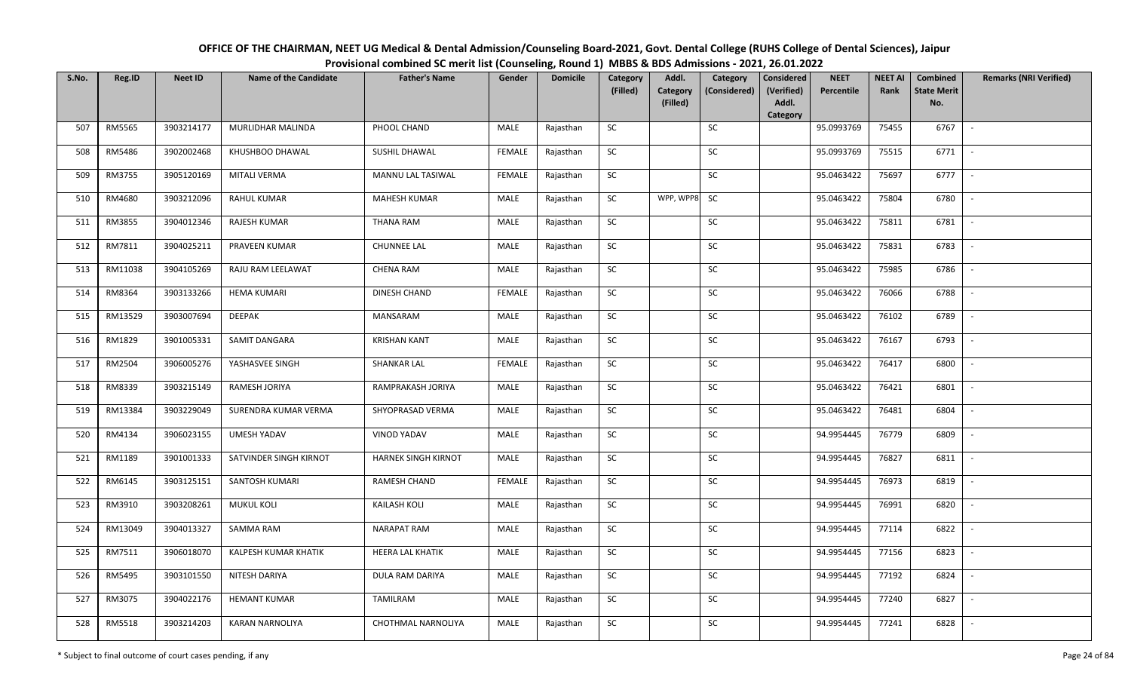| OFFICE OF THE CHAIRMAN, NEET UG Medical & Dental Admission/Counseling Board-2021, Govt. Dental College (RUHS College of Dental Sciences), Jaipur |
|--------------------------------------------------------------------------------------------------------------------------------------------------|
| Provisional combined SC merit list (Counseling, Round 1) MBBS & BDS Admissions - 2021, 26.01.2022                                                |

| S.No. | Reg.ID  | <b>Neet ID</b> | <b>Name of the Candidate</b> | <b>Father's Name</b> | Gender        | <b>Domicile</b> | Category<br>(Filled) | Addl.<br><b>Category</b> | Category<br>(Considered) | <b>Considered</b><br>(Verified) | <b>NEET</b><br>Percentile | <b>NEET AI</b><br>Rank | Combined<br><b>State Merit</b> | <b>Remarks (NRI Verified)</b> |
|-------|---------|----------------|------------------------------|----------------------|---------------|-----------------|----------------------|--------------------------|--------------------------|---------------------------------|---------------------------|------------------------|--------------------------------|-------------------------------|
|       |         |                |                              |                      |               |                 |                      | (Filled)                 |                          | Addl.<br>Category               |                           |                        | No.                            |                               |
| 507   | RM5565  | 3903214177     | MURLIDHAR MALINDA            | PHOOL CHAND          | MALE          | Rajasthan       | SC                   |                          | SC                       |                                 | 95.0993769                | 75455                  | 6767                           | $\sim$                        |
| 508   | RM5486  | 3902002468     | KHUSHBOO DHAWAL              | SUSHIL DHAWAL        | <b>FEMALE</b> | Rajasthan       | SC                   |                          | <b>SC</b>                |                                 | 95.0993769                | 75515                  | 6771                           |                               |
| 509   | RM3755  | 3905120169     | <b>MITALI VERMA</b>          | MANNU LAL TASIWAL    | <b>FEMALE</b> | Rajasthan       | SC                   |                          | SC                       |                                 | 95.0463422                | 75697                  | 6777                           | $\blacksquare$                |
| 510   | RM4680  | 3903212096     | RAHUL KUMAR                  | <b>MAHESH KUMAR</b>  | MALE          | Rajasthan       | SC                   | WPP, WPP8                | SC                       |                                 | 95.0463422                | 75804                  | 6780                           |                               |
| 511   | RM3855  | 3904012346     | <b>RAJESH KUMAR</b>          | <b>THANA RAM</b>     | MALE          | Rajasthan       | SC                   |                          | ${\sf SC}$               |                                 | 95.0463422                | 75811                  | 6781                           | $\sim$                        |
| 512   | RM7811  | 3904025211     | PRAVEEN KUMAR                | <b>CHUNNEE LAL</b>   | MALE          | Rajasthan       | ${\sf SC}$           |                          | ${\sf SC}$               |                                 | 95.0463422                | 75831                  | 6783                           | $\sim$                        |
| 513   | RM11038 | 3904105269     | RAJU RAM LEELAWAT            | <b>CHENA RAM</b>     | MALE          | Rajasthan       | SC                   |                          | SC                       |                                 | 95.0463422                | 75985                  | 6786                           |                               |
| 514   | RM8364  | 3903133266     | <b>HEMA KUMARI</b>           | DINESH CHAND         | <b>FEMALE</b> | Rajasthan       | SC                   |                          | SC                       |                                 | 95.0463422                | 76066                  | 6788                           | $\blacksquare$                |
| 515   | RM13529 | 3903007694     | <b>DEEPAK</b>                | MANSARAM             | MALE          | Rajasthan       | SC                   |                          | SC                       |                                 | 95.0463422                | 76102                  | 6789                           |                               |
| 516   | RM1829  | 3901005331     | SAMIT DANGARA                | <b>KRISHAN KANT</b>  | MALE          | Rajasthan       | SC                   |                          | SC                       |                                 | 95.0463422                | 76167                  | 6793                           |                               |
| 517   | RM2504  | 3906005276     | YASHASVEE SINGH              | <b>SHANKAR LAL</b>   | <b>FEMALE</b> | Rajasthan       | $\sf SC$             |                          | $\sf SC$                 |                                 | 95.0463422                | 76417                  | 6800                           | $\overline{\phantom{a}}$      |
| 518   | RM8339  | 3903215149     | RAMESH JORIYA                | RAMPRAKASH JORIYA    | MALE          | Rajasthan       | <b>SC</b>            |                          | SC                       |                                 | 95.0463422                | 76421                  | 6801                           |                               |
| 519   | RM13384 | 3903229049     | SURENDRA KUMAR VERMA         | SHYOPRASAD VERMA     | MALE          | Rajasthan       | <b>SC</b>            |                          | SC                       |                                 | 95.0463422                | 76481                  | 6804                           |                               |
| 520   | RM4134  | 3906023155     | UMESH YADAV                  | <b>VINOD YADAV</b>   | MALE          | Rajasthan       | SC                   |                          | SC                       |                                 | 94.9954445                | 76779                  | 6809                           | $\blacksquare$                |
| 521   | RM1189  | 3901001333     | SATVINDER SINGH KIRNOT       | HARNEK SINGH KIRNOT  | MALE          | Rajasthan       | SC                   |                          | SC                       |                                 | 94.9954445                | 76827                  | 6811                           |                               |
| 522   | RM6145  | 3903125151     | SANTOSH KUMARI               | RAMESH CHAND         | <b>FEMALE</b> | Rajasthan       | ${\sf SC}$           |                          | ${\sf SC}$               |                                 | 94.9954445                | 76973                  | 6819                           | $\sim$                        |
| 523   | RM3910  | 3903208261     | <b>MUKUL KOLI</b>            | <b>KAILASH KOLI</b>  | MALE          | Rajasthan       | <b>SC</b>            |                          | SC                       |                                 | 94.9954445                | 76991                  | 6820                           | $\overline{\phantom{a}}$      |
| 524   | RM13049 | 3904013327     | SAMMA RAM                    | NARAPAT RAM          | MALE          | Rajasthan       | SC                   |                          | SC                       |                                 | 94.9954445                | 77114                  | 6822                           | $\overline{\phantom{a}}$      |
| 525   | RM7511  | 3906018070     | KALPESH KUMAR KHATIK         | HEERA LAL KHATIK     | MALE          | Rajasthan       | ${\sf SC}$           |                          | ${\sf SC}$               |                                 | 94.9954445                | 77156                  | 6823                           | $\overline{\phantom{a}}$      |
| 526   | RM5495  | 3903101550     | NITESH DARIYA                | DULA RAM DARIYA      | MALE          | Rajasthan       | SC                   |                          | SC                       |                                 | 94.9954445                | 77192                  | 6824                           |                               |
| 527   | RM3075  | 3904022176     | <b>HEMANT KUMAR</b>          | TAMILRAM             | MALE          | Rajasthan       | SC                   |                          | ${\sf SC}$               |                                 | 94.9954445                | 77240                  | 6827                           |                               |
| 528   | RM5518  | 3903214203     | <b>KARAN NARNOLIYA</b>       | CHOTHMAL NARNOLIYA   | MALE          | Rajasthan       | ${\sf SC}$           |                          | ${\sf SC}$               |                                 | 94.9954445                | 77241                  | 6828                           |                               |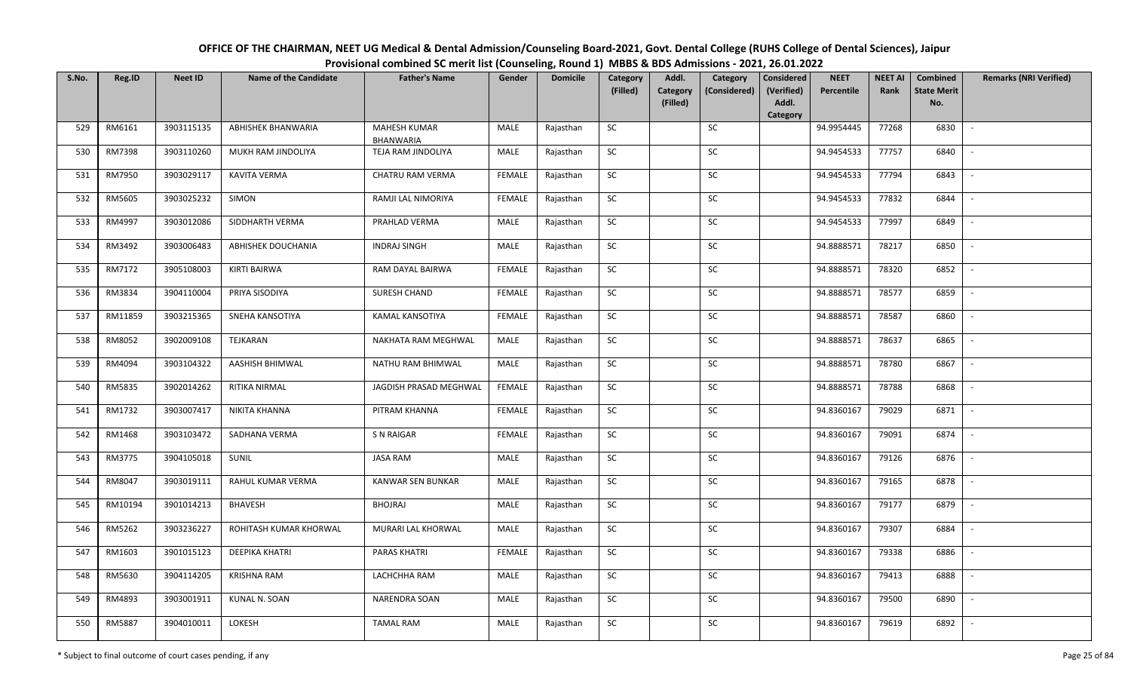| OFFICE OF THE CHAIRMAN, NEET UG Medical & Dental Admission/Counseling Board-2021, Govt. Dental College (RUHS College of Dental Sciences), Jaipur |
|--------------------------------------------------------------------------------------------------------------------------------------------------|
| Provisional combined SC merit list (Counseling, Round 1) MBBS & BDS Admissions - 2021, 26.01.2022                                                |

| S.No. | Reg.ID  | <b>Neet ID</b> | <b>Name of the Candidate</b> | <b>Father's Name</b>                    | Gender        | <b>Domicile</b> | Category<br>(Filled) | Addl.<br>Category<br>(Filled) | Category<br>(Considered) | <b>Considered</b><br>(Verified)<br>Addl.<br>Category | <b>NEET</b><br>Percentile | <b>NEET AI</b><br>Rank | Combined<br><b>State Merit</b><br>No. | <b>Remarks (NRI Verified)</b> |
|-------|---------|----------------|------------------------------|-----------------------------------------|---------------|-----------------|----------------------|-------------------------------|--------------------------|------------------------------------------------------|---------------------------|------------------------|---------------------------------------|-------------------------------|
| 529   | RM6161  | 3903115135     | ABHISHEK BHANWARIA           | <b>MAHESH KUMAR</b><br><b>BHANWARIA</b> | MALE          | Rajasthan       | <b>SC</b>            |                               | <b>SC</b>                |                                                      | 94.9954445                | 77268                  | 6830                                  | $\sim$                        |
| 530   | RM7398  | 3903110260     | MUKH RAM JINDOLIYA           | TEJA RAM JINDOLIYA                      | MALE          | Rajasthan       | <b>SC</b>            |                               | <b>SC</b>                |                                                      | 94.9454533                | 77757                  | 6840                                  |                               |
| 531   | RM7950  | 3903029117     | <b>KAVITA VERMA</b>          | CHATRU RAM VERMA                        | FEMALE        | Rajasthan       | <b>SC</b>            |                               | <b>SC</b>                |                                                      | 94.9454533                | 77794                  | 6843                                  | $\overline{\phantom{a}}$      |
| 532   | RM5605  | 3903025232     | SIMON                        | RAMJI LAL NIMORIYA                      | FEMALE        | Rajasthan       | SC                   |                               | SC                       |                                                      | 94.9454533                | 77832                  | 6844                                  |                               |
| 533   | RM4997  | 3903012086     | SIDDHARTH VERMA              | PRAHLAD VERMA                           | MALE          | Rajasthan       | ${\sf SC}$           |                               | SC                       |                                                      | 94.9454533                | 77997                  | 6849                                  | $\overline{\phantom{a}}$      |
| 534   | RM3492  | 3903006483     | ABHISHEK DOUCHANIA           | <b>INDRAJ SINGH</b>                     | MALE          | Rajasthan       | ${\sf SC}$           |                               | SC                       |                                                      | 94.8888571                | 78217                  | 6850                                  | $\sim$                        |
| 535   | RM7172  | 3905108003     | KIRTI BAIRWA                 | RAM DAYAL BAIRWA                        | FEMALE        | Rajasthan       | ${\sf SC}$           |                               | $\sf SC$                 |                                                      | 94.8888571                | 78320                  | 6852                                  | $\blacksquare$                |
| 536   | RM3834  | 3904110004     | PRIYA SISODIYA               | SURESH CHAND                            | FEMALE        | Rajasthan       | <b>SC</b>            |                               | SC                       |                                                      | 94.8888571                | 78577                  | 6859                                  | $\overline{\phantom{a}}$      |
| 537   | RM11859 | 3903215365     | SNEHA KANSOTIYA              | KAMAL KANSOTIYA                         | <b>FEMALE</b> | Rajasthan       | SC                   |                               | <b>SC</b>                |                                                      | 94.8888571                | 78587                  | 6860                                  | $\sim$                        |
| 538   | RM8052  | 3902009108     | TEJKARAN                     | NAKHATA RAM MEGHWAL                     | MALE          | Rajasthan       | <b>SC</b>            |                               | SC                       |                                                      | 94.8888571                | 78637                  | 6865                                  | $\sim$                        |
| 539   | RM4094  | 3903104322     | AASHISH BHIMWAL              | NATHU RAM BHIMWAL                       | <b>MALE</b>   | Rajasthan       | SC                   |                               | SC                       |                                                      | 94.8888571                | 78780                  | 6867                                  |                               |
| 540   | RM5835  | 3902014262     | RITIKA NIRMAL                | JAGDISH PRASAD MEGHWAL                  | FEMALE        | Rajasthan       | SC                   |                               | SC                       |                                                      | 94.8888571                | 78788                  | 6868                                  | $\overline{\phantom{a}}$      |
| 541   | RM1732  | 3903007417     | NIKITA KHANNA                | PITRAM KHANNA                           | FEMALE        | Rajasthan       | ${\sf SC}$           |                               | SC                       |                                                      | 94.8360167                | 79029                  | 6871                                  | $\overline{\phantom{a}}$      |
| 542   | RM1468  | 3903103472     | SADHANA VERMA                | S N RAIGAR                              | FEMALE        | Rajasthan       | SC                   |                               | SC                       |                                                      | 94.8360167                | 79091                  | 6874                                  | $\sim$                        |
| 543   | RM3775  | 3904105018     | SUNIL                        | <b>JASA RAM</b>                         | <b>MALE</b>   | Rajasthan       | ${\sf SC}$           |                               | <b>SC</b>                |                                                      | 94.8360167                | 79126                  | 6876                                  |                               |
| 544   | RM8047  | 3903019111     | RAHUL KUMAR VERMA            | KANWAR SEN BUNKAR                       | MALE          | Rajasthan       | SC                   |                               | <b>SC</b>                |                                                      | 94.8360167                | 79165                  | 6878                                  | $\sim$                        |
| 545   | RM10194 | 3901014213     | <b>BHAVESH</b>               | <b>BHOJRAJ</b>                          | MALE          | Rajasthan       | <b>SC</b>            |                               | <b>SC</b>                |                                                      | 94.8360167                | 79177                  | 6879                                  |                               |
| 546   | RM5262  | 3903236227     | ROHITASH KUMAR KHORWAL       | MURARI LAL KHORWAL                      | MALE          | Rajasthan       | SC                   |                               | <b>SC</b>                |                                                      | 94.8360167                | 79307                  | 6884                                  |                               |
| 547   | RM1603  | 3901015123     | DEEPIKA KHATRI               | <b>PARAS KHATRI</b>                     | FEMALE        | Rajasthan       | SC                   |                               | SC                       |                                                      | 94.8360167                | 79338                  | 6886                                  | $\sim$                        |
| 548   | RM5630  | 3904114205     | <b>KRISHNA RAM</b>           | LACHCHHA RAM                            | MALE          | Rajasthan       | ${\sf SC}$           |                               | SC                       |                                                      | 94.8360167                | 79413                  | 6888                                  | $\sim$                        |
| 549   | RM4893  | 3903001911     | KUNAL N. SOAN                | NARENDRA SOAN                           | MALE          | Rajasthan       | ${\sf SC}$           |                               | SC                       |                                                      | 94.8360167                | 79500                  | 6890                                  | $\sim$                        |
| 550   | RM5887  | 3904010011     | LOKESH                       | <b>TAMAL RAM</b>                        | MALE          | Rajasthan       | ${\sf SC}$           |                               | SC                       |                                                      | 94.8360167                | 79619                  | 6892                                  |                               |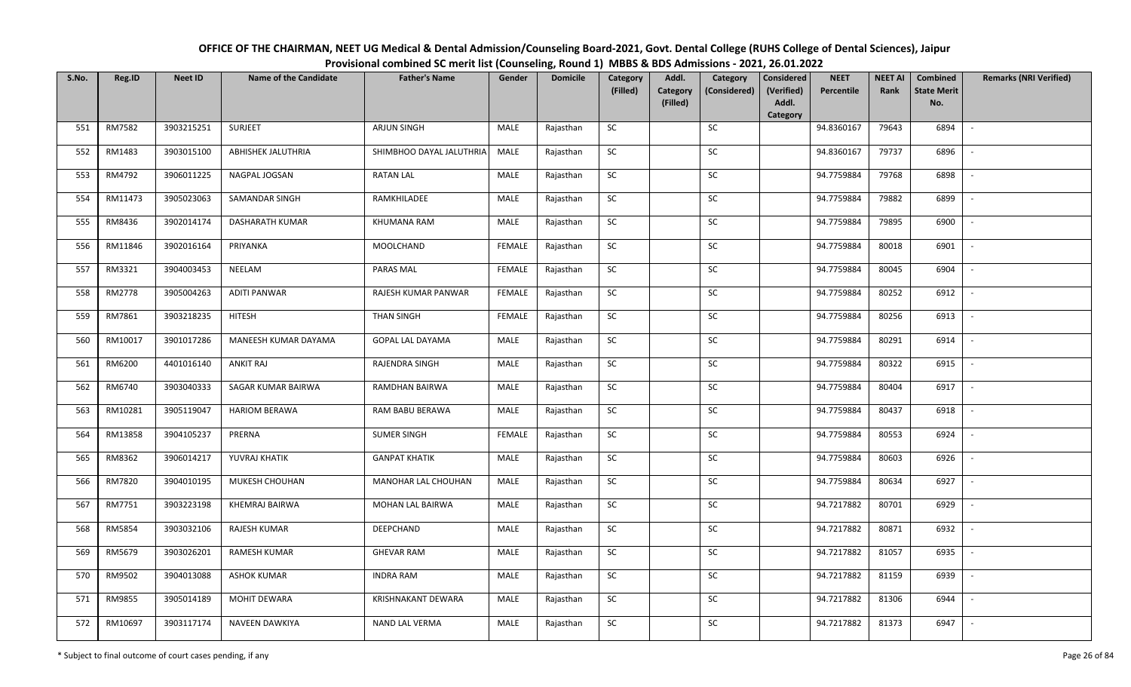| OFFICE OF THE CHAIRMAN, NEET UG Medical & Dental Admission/Counseling Board-2021, Govt. Dental College (RUHS College of Dental Sciences), Jaipur |
|--------------------------------------------------------------------------------------------------------------------------------------------------|
| Provisional combined SC merit list (Counseling, Round 1) MBBS & BDS Admissions - 2021, 26.01.2022                                                |

| S.No. | Reg.ID  | <b>Neet ID</b> | <b>Name of the Candidate</b> | <b>Father's Name</b>     | Gender        | <b>Domicile</b> | Category<br>(Filled) | Addl.<br><b>Category</b> | Category<br>(Considered) | <b>Considered</b><br>(Verified) | <b>NEET</b><br>Percentile | <b>NEET AI</b><br>Rank | Combined<br><b>State Merit</b> | <b>Remarks (NRI Verified)</b> |
|-------|---------|----------------|------------------------------|--------------------------|---------------|-----------------|----------------------|--------------------------|--------------------------|---------------------------------|---------------------------|------------------------|--------------------------------|-------------------------------|
|       |         |                |                              |                          |               |                 |                      | (Filled)                 |                          | Addl.<br>Category               |                           |                        | No.                            |                               |
| 551   | RM7582  | 3903215251     | <b>SURJEET</b>               | <b>ARJUN SINGH</b>       | MALE          | Rajasthan       | <b>SC</b>            |                          | SC                       |                                 | 94.8360167                | 79643                  | 6894                           | $\sim$                        |
| 552   | RM1483  | 3903015100     | <b>ABHISHEK JALUTHRIA</b>    | SHIMBHOO DAYAL JALUTHRIA | MALE          | Rajasthan       | <b>SC</b>            |                          | SC                       |                                 | 94.8360167                | 79737                  | 6896                           |                               |
| 553   | RM4792  | 3906011225     | NAGPAL JOGSAN                | RATAN LAL                | MALE          | Rajasthan       | SC                   |                          | $\sf SC$                 |                                 | 94.7759884                | 79768                  | 6898                           | $\overline{\phantom{a}}$      |
| 554   | RM11473 | 3905023063     | SAMANDAR SINGH               | RAMKHILADEE              | MALE          | Rajasthan       | <b>SC</b>            |                          | <b>SC</b>                |                                 | 94.7759884                | 79882                  | 6899                           | $\overline{\phantom{a}}$      |
| 555   | RM8436  | 3902014174     | DASHARATH KUMAR              | KHUMANA RAM              | MALE          | Rajasthan       | SC                   |                          | SC                       |                                 | 94.7759884                | 79895                  | 6900                           | $\sim$                        |
| 556   | RM11846 | 3902016164     | PRIYANKA                     | MOOLCHAND                | <b>FEMALE</b> | Rajasthan       | SC                   |                          | SC                       |                                 | 94.7759884                | 80018                  | 6901                           | $\sim$                        |
| 557   | RM3321  | 3904003453     | NEELAM                       | PARAS MAL                | <b>FEMALE</b> | Rajasthan       | ${\sf SC}$           |                          | <b>SC</b>                |                                 | 94.7759884                | 80045                  | 6904                           | $\overline{\phantom{a}}$      |
| 558   | RM2778  | 3905004263     | <b>ADITI PANWAR</b>          | RAJESH KUMAR PANWAR      | <b>FEMALE</b> | Rajasthan       | SC                   |                          | $\sf SC$                 |                                 | 94.7759884                | 80252                  | 6912                           | $\overline{\phantom{a}}$      |
| 559   | RM7861  | 3903218235     | <b>HITESH</b>                | <b>THAN SINGH</b>        | <b>FEMALE</b> | Rajasthan       | $\sf SC$             |                          | SC                       |                                 | 94.7759884                | 80256                  | 6913                           | $\overline{\phantom{a}}$      |
| 560   | RM10017 | 3901017286     | MANEESH KUMAR DAYAMA         | GOPAL LAL DAYAMA         | MALE          | Rajasthan       | ${\sf SC}$           |                          | SC                       |                                 | 94.7759884                | 80291                  | 6914                           | $\sim$                        |
| 561   | RM6200  | 4401016140     | <b>ANKIT RAJ</b>             | RAJENDRA SINGH           | MALE          | Rajasthan       | SC                   |                          | SC                       |                                 | 94.7759884                | 80322                  | 6915                           | $\sim$                        |
| 562   | RM6740  | 3903040333     | SAGAR KUMAR BAIRWA           | RAMDHAN BAIRWA           | MALE          | Rajasthan       | ${\sf SC}$           |                          | SC                       |                                 | 94.7759884                | 80404                  | 6917                           | $\sim$                        |
| 563   | RM10281 | 3905119047     | <b>HARIOM BERAWA</b>         | RAM BABU BERAWA          | MALE          | Rajasthan       | <b>SC</b>            |                          | SC                       |                                 | 94.7759884                | 80437                  | 6918                           | $\overline{\phantom{a}}$      |
| 564   | RM13858 | 3904105237     | PRERNA                       | <b>SUMER SINGH</b>       | <b>FEMALE</b> | Rajasthan       | SC                   |                          | <b>SC</b>                |                                 | 94.7759884                | 80553                  | 6924                           | $\overline{\phantom{a}}$      |
| 565   | RM8362  | 3906014217     | YUVRAJ KHATIK                | <b>GANPAT KHATIK</b>     | MALE          | Rajasthan       | ${\sf SC}$           |                          | $\sf SC$                 |                                 | 94.7759884                | 80603                  | 6926                           | $\overline{\phantom{a}}$      |
| 566   | RM7820  | 3904010195     | MUKESH CHOUHAN               | MANOHAR LAL CHOUHAN      | MALE          | Rajasthan       | <b>SC</b>            |                          | SC                       |                                 | 94.7759884                | 80634                  | 6927                           | $\mathbb{L}$                  |
| 567   | RM7751  | 3903223198     | KHEMRAJ BAIRWA               | MOHAN LAL BAIRWA         | MALE          | Rajasthan       | ${\sf SC}$           |                          | $\sf SC$                 |                                 | 94.7217882                | 80701                  | 6929                           | $\mathbb{L}$                  |
| 568   | RM5854  | 3903032106     | RAJESH KUMAR                 | DEEPCHAND                | MALE          | Rajasthan       | SC                   |                          | SC                       |                                 | 94.7217882                | 80871                  | 6932                           | $\mathbb{L}$                  |
| 569   | RM5679  | 3903026201     | <b>RAMESH KUMAR</b>          | <b>GHEVAR RAM</b>        | MALE          | Rajasthan       | SC                   |                          | SC                       |                                 | 94.7217882                | 81057                  | 6935                           | $\overline{\phantom{a}}$      |
| 570   | RM9502  | 3904013088     | <b>ASHOK KUMAR</b>           | <b>INDRA RAM</b>         | MALE          | Rajasthan       | ${\sf SC}$           |                          | $\sf SC$                 |                                 | 94.7217882                | 81159                  | 6939                           |                               |
| 571   | RM9855  | 3905014189     | <b>MOHIT DEWARA</b>          | KRISHNAKANT DEWARA       | MALE          | Rajasthan       | <b>SC</b>            |                          | <b>SC</b>                |                                 | 94.7217882                | 81306                  | 6944                           | $\overline{\phantom{a}}$      |
| 572   | RM10697 | 3903117174     | NAVEEN DAWKIYA               | NAND LAL VERMA           | MALE          | Rajasthan       | ${\sf SC}$           |                          | SC                       |                                 | 94.7217882                | 81373                  | 6947                           | $\overline{\phantom{a}}$      |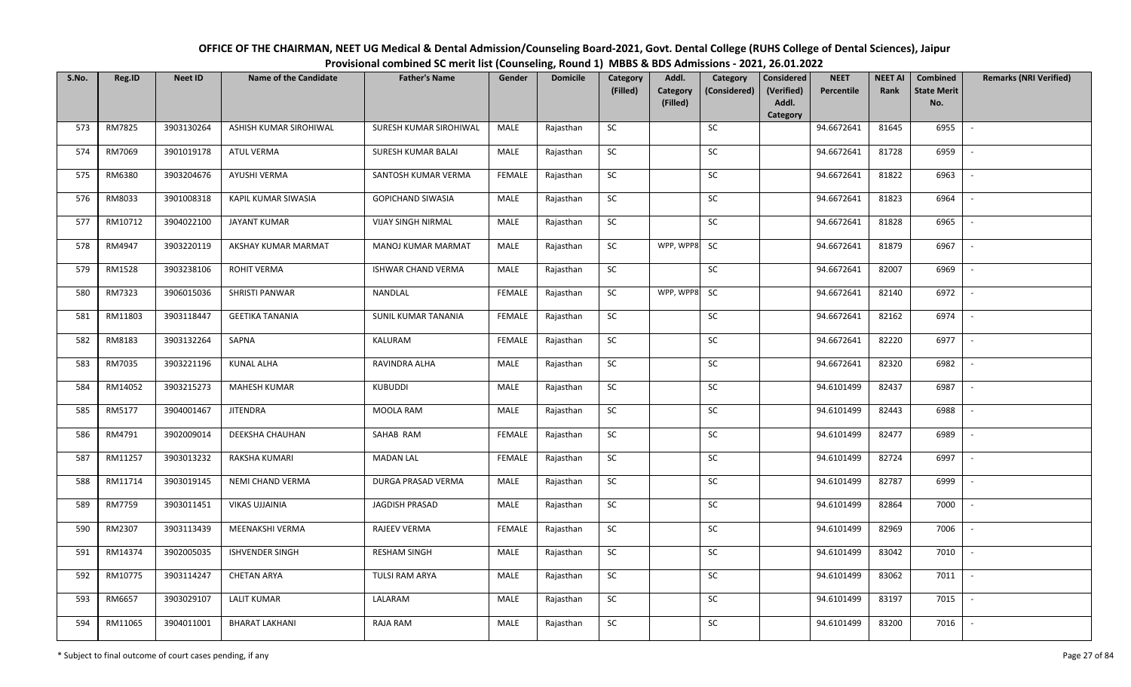| OFFICE OF THE CHAIRMAN, NEET UG Medical & Dental Admission/Counseling Board-2021, Govt. Dental College (RUHS College of Dental Sciences), Jaipur |
|--------------------------------------------------------------------------------------------------------------------------------------------------|
| Provisional combined SC merit list (Counseling, Round 1) MBBS & BDS Admissions - 2021, 26.01.2022                                                |

| S.No. | Reg.ID  | <b>Neet ID</b> | <b>Name of the Candidate</b> | <b>Father's Name</b>      | Gender        | <b>Domicile</b> | Category   | Addl.                       | Category     | <b>Considered</b>   | <b>NEET</b> | <b>NEET AI</b> | Combined                  | <b>Remarks (NRI Verified)</b> |
|-------|---------|----------------|------------------------------|---------------------------|---------------|-----------------|------------|-----------------------------|--------------|---------------------|-------------|----------------|---------------------------|-------------------------------|
|       |         |                |                              |                           |               |                 | (Filled)   | <b>Category</b><br>(Filled) | (Considered) | (Verified)<br>Addl. | Percentile  | Rank           | <b>State Merit</b><br>No. |                               |
|       |         |                |                              |                           |               |                 |            |                             |              | Category            |             |                |                           |                               |
| 573   | RM7825  | 3903130264     | ASHISH KUMAR SIROHIWAL       | SURESH KUMAR SIROHIWAL    | MALE          | Rajasthan       | <b>SC</b>  |                             | <b>SC</b>    |                     | 94.6672641  | 81645          | 6955                      | $\sim$                        |
| 574   | RM7069  | 3901019178     | <b>ATUL VERMA</b>            | SURESH KUMAR BALAI        | MALE          | Rajasthan       | SC         |                             | SC           |                     | 94.6672641  | 81728          | 6959                      | $\sim$                        |
| 575   | RM6380  | 3903204676     | AYUSHI VERMA                 | SANTOSH KUMAR VERMA       | <b>FEMALE</b> | Rajasthan       | SC         |                             | SC           |                     | 94.6672641  | 81822          | 6963                      | $\overline{\phantom{a}}$      |
| 576   | RM8033  | 3901008318     | KAPIL KUMAR SIWASIA          | GOPICHAND SIWASIA         | MALE          | Rajasthan       | ${\sf SC}$ |                             | ${\sf SC}$   |                     | 94.6672641  | 81823          | 6964                      | $\overline{\phantom{a}}$      |
| 577   | RM10712 | 3904022100     | <b>JAYANT KUMAR</b>          | <b>VIJAY SINGH NIRMAL</b> | MALE          | Rajasthan       | SC         |                             | SC           |                     | 94.6672641  | 81828          | 6965                      | $\sim$                        |
| 578   | RM4947  | 3903220119     | AKSHAY KUMAR MARMAT          | MANOJ KUMAR MARMAT        | MALE          | Rajasthan       | ${\sf SC}$ | WPP, WPP8                   | <b>SC</b>    |                     | 94.6672641  | 81879          | 6967                      | $\mathbb{L}$                  |
| 579   | RM1528  | 3903238106     | ROHIT VERMA                  | ISHWAR CHAND VERMA        | MALE          | Rajasthan       | <b>SC</b>  |                             | <b>SC</b>    |                     | 94.6672641  | 82007          | 6969                      | $\mathbb{L}$                  |
| 580   | RM7323  | 3906015036     | SHRISTI PANWAR               | NANDLAL                   | <b>FEMALE</b> | Rajasthan       | SC         | WPP, WPP8                   | <b>SC</b>    |                     | 94.6672641  | 82140          | 6972                      | $\overline{\phantom{a}}$      |
| 581   | RM11803 | 3903118447     | <b>GEETIKA TANANIA</b>       | SUNIL KUMAR TANANIA       | <b>FEMALE</b> | Rajasthan       | ${\sf SC}$ |                             | $\sf SC$     |                     | 94.6672641  | 82162          | 6974                      |                               |
| 582   | RM8183  | 3903132264     | SAPNA                        | KALURAM                   | <b>FEMALE</b> | Rajasthan       | ${\sf SC}$ |                             | $\sf SC$     |                     | 94.6672641  | 82220          | 6977                      | $\sim$                        |
| 583   | RM7035  | 3903221196     | <b>KUNAL ALHA</b>            | RAVINDRA ALHA             | MALE          | Rajasthan       | SC         |                             | SC           |                     | 94.6672641  | 82320          | 6982                      | $\overline{\phantom{a}}$      |
| 584   | RM14052 | 3903215273     | MAHESH KUMAR                 | KUBUDDI                   | MALE          | Rajasthan       | SC         |                             | SC           |                     | 94.6101499  | 82437          | 6987                      | $\sim$                        |
| 585   | RM5177  | 3904001467     | <b>JITENDRA</b>              | MOOLA RAM                 | MALE          | Rajasthan       | SC         |                             | SC           |                     | 94.6101499  | 82443          | 6988                      | $\blacksquare$                |
| 586   | RM4791  | 3902009014     | <b>DEEKSHA CHAUHAN</b>       | SAHAB RAM                 | <b>FEMALE</b> | Rajasthan       | SC         |                             | ${\sf SC}$   |                     | 94.6101499  | 82477          | 6989                      | $\overline{\phantom{a}}$      |
| 587   | RM11257 | 3903013232     | RAKSHA KUMARI                | <b>MADAN LAL</b>          | <b>FEMALE</b> | Rajasthan       | SC         |                             | SC           |                     | 94.6101499  | 82724          | 6997                      | $\overline{\phantom{a}}$      |
| 588   | RM11714 | 3903019145     | NEMI CHAND VERMA             | DURGA PRASAD VERMA        | MALE          | Rajasthan       | ${\sf SC}$ |                             | SC           |                     | 94.6101499  | 82787          | 6999                      | $\sim$                        |
| 589   | RM7759  | 3903011451     | <b>VIKAS UJJAINIA</b>        | JAGDISH PRASAD            | MALE          | Rajasthan       | SC         |                             | SC           |                     | 94.6101499  | 82864          | 7000                      | $\sim$                        |
| 590   | RM2307  | 3903113439     | MEENAKSHI VERMA              | RAJEEV VERMA              | <b>FEMALE</b> | Rajasthan       | ${\sf SC}$ |                             | <b>SC</b>    |                     | 94.6101499  | 82969          | 7006                      | $\overline{\phantom{a}}$      |
| 591   | RM14374 | 3902005035     | <b>ISHVENDER SINGH</b>       | <b>RESHAM SINGH</b>       | <b>MALE</b>   | Rajasthan       | SC         |                             | SC           |                     | 94.6101499  | 83042          | 7010                      | $\overline{\phantom{a}}$      |
| 592   | RM10775 | 3903114247     | <b>CHETAN ARYA</b>           | TULSI RAM ARYA            | MALE          | Rajasthan       | SC         |                             | ${\sf SC}$   |                     | 94.6101499  | 83062          | 7011                      |                               |
| 593   | RM6657  | 3903029107     | <b>LALIT KUMAR</b>           | LALARAM                   | MALE          | Rajasthan       | SC         |                             | SC           |                     | 94.6101499  | 83197          | 7015                      | $\sim$                        |
| 594   | RM11065 | 3904011001     | <b>BHARAT LAKHANI</b>        | RAJA RAM                  | MALE          | Rajasthan       | ${\sf SC}$ |                             | SC           |                     | 94.6101499  | 83200          | 7016                      |                               |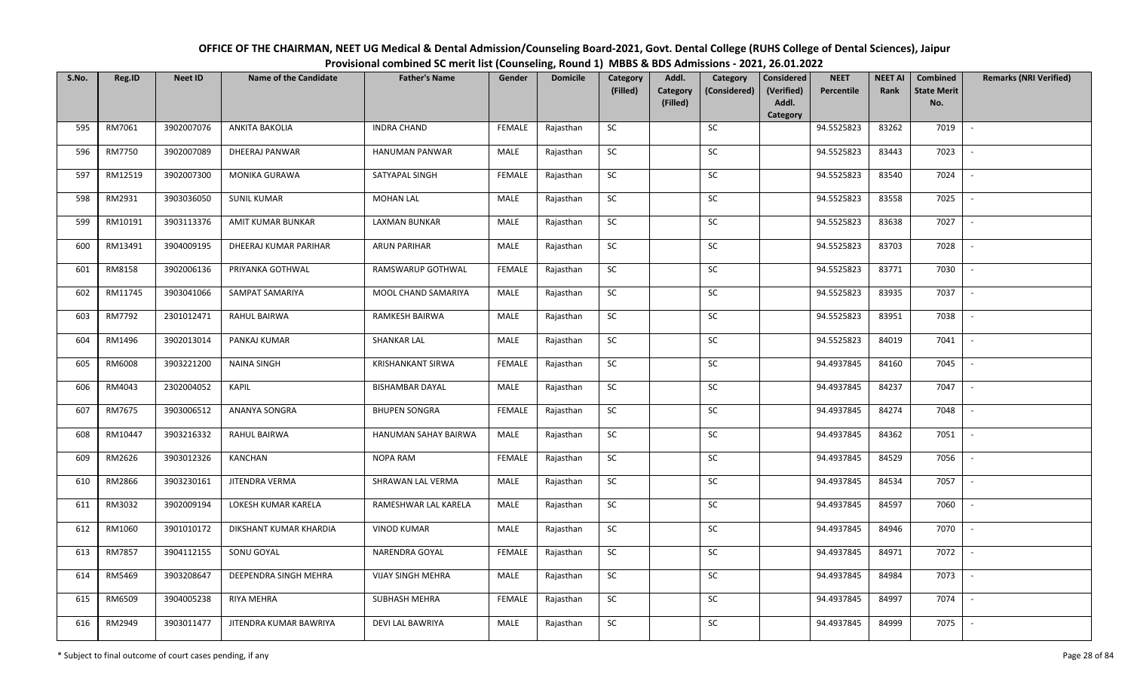| OFFICE OF THE CHAIRMAN, NEET UG Medical & Dental Admission/Counseling Board-2021, Govt. Dental College (RUHS College of Dental Sciences), Jaipur |
|--------------------------------------------------------------------------------------------------------------------------------------------------|
| Provisional combined SC merit list (Counseling, Round 1) MBBS & BDS Admissions - 2021, 26.01.2022                                                |

| S.No. | Reg.ID  | <b>Neet ID</b> | <b>Name of the Candidate</b> | <b>Father's Name</b>     | Gender        | <b>Domicile</b> | Category<br>(Filled) | Addl.<br><b>Category</b> | Category<br>(Considered) | <b>Considered</b><br>(Verified) | <b>NEET</b><br>Percentile | <b>NEET AI</b><br>Rank | Combined<br><b>State Merit</b> | <b>Remarks (NRI Verified)</b> |
|-------|---------|----------------|------------------------------|--------------------------|---------------|-----------------|----------------------|--------------------------|--------------------------|---------------------------------|---------------------------|------------------------|--------------------------------|-------------------------------|
|       |         |                |                              |                          |               |                 |                      | (Filled)                 |                          | Addl.<br>Category               |                           |                        | No.                            |                               |
| 595   | RM7061  | 3902007076     | <b>ANKITA BAKOLIA</b>        | <b>INDRA CHAND</b>       | <b>FEMALE</b> | Rajasthan       | <b>SC</b>            |                          | SC                       |                                 | 94.5525823                | 83262                  | 7019                           | $\sim$                        |
| 596   | RM7750  | 3902007089     | DHEERAJ PANWAR               | HANUMAN PANWAR           | MALE          | Rajasthan       | SC                   |                          | SC                       |                                 | 94.5525823                | 83443                  | 7023                           |                               |
| 597   | RM12519 | 3902007300     | <b>MONIKA GURAWA</b>         | SATYAPAL SINGH           | <b>FEMALE</b> | Rajasthan       | SC                   |                          | $\sf SC$                 |                                 | 94.5525823                | 83540                  | 7024                           | $\overline{\phantom{a}}$      |
| 598   | RM2931  | 3903036050     | <b>SUNIL KUMAR</b>           | <b>MOHAN LAL</b>         | MALE          | Rajasthan       | <b>SC</b>            |                          | <b>SC</b>                |                                 | 94.5525823                | 83558                  | 7025                           | $\sim$                        |
| 599   | RM10191 | 3903113376     | AMIT KUMAR BUNKAR            | <b>LAXMAN BUNKAR</b>     | MALE          | Rajasthan       | SC                   |                          | SC                       |                                 | 94.5525823                | 83638                  | 7027                           | $\sim$                        |
| 600   | RM13491 | 3904009195     | DHEERAJ KUMAR PARIHAR        | <b>ARUN PARIHAR</b>      | MALE          | Rajasthan       | SC                   |                          | SC                       |                                 | 94.5525823                | 83703                  | 7028                           | $\sim$                        |
| 601   | RM8158  | 3902006136     | PRIYANKA GOTHWAL             | RAMSWARUP GOTHWAL        | <b>FEMALE</b> | Rajasthan       | ${\sf SC}$           |                          | <b>SC</b>                |                                 | 94.5525823                | 83771                  | 7030                           | $\sim$                        |
| 602   | RM11745 | 3903041066     | SAMPAT SAMARIYA              | MOOL CHAND SAMARIYA      | MALE          | Rajasthan       | SC                   |                          | $\sf SC$                 |                                 | 94.5525823                | 83935                  | 7037                           | $\overline{\phantom{a}}$      |
| 603   | RM7792  | 2301012471     | RAHUL BAIRWA                 | RAMKESH BAIRWA           | MALE          | Rajasthan       | SC                   |                          | <b>SC</b>                |                                 | 94.5525823                | 83951                  | 7038                           | $\overline{\phantom{a}}$      |
| 604   | RM1496  | 3902013014     | PANKAJ KUMAR                 | <b>SHANKAR LAL</b>       | MALE          | Rajasthan       | ${\sf SC}$           |                          | SC                       |                                 | 94.5525823                | 84019                  | 7041                           | $\sim$                        |
| 605   | RM6008  | 3903221200     | <b>NAINA SINGH</b>           | <b>KRISHANKANT SIRWA</b> | <b>FEMALE</b> | Rajasthan       | <b>SC</b>            |                          | SC                       |                                 | 94.4937845                | 84160                  | 7045                           | $\sim$                        |
| 606   | RM4043  | 2302004052     | <b>KAPIL</b>                 | <b>BISHAMBAR DAYAL</b>   | MALE          | Rajasthan       | <b>SC</b>            |                          | SC                       |                                 | 94.4937845                | 84237                  | 7047                           | $\sim$                        |
| 607   | RM7675  | 3903006512     | ANANYA SONGRA                | <b>BHUPEN SONGRA</b>     | <b>FEMALE</b> | Rajasthan       | <b>SC</b>            |                          | SC                       |                                 | 94.4937845                | 84274                  | 7048                           | $\overline{\phantom{a}}$      |
| 608   | RM10447 | 3903216332     | RAHUL BAIRWA                 | HANUMAN SAHAY BAIRWA     | MALE          | Rajasthan       | SC                   |                          | <b>SC</b>                |                                 | 94.4937845                | 84362                  | 7051                           | $\overline{\phantom{a}}$      |
| 609   | RM2626  | 3903012326     | <b>KANCHAN</b>               | NOPA RAM                 | <b>FEMALE</b> | Rajasthan       | ${\sf SC}$           |                          | $\sf SC$                 |                                 | 94.4937845                | 84529                  | 7056                           | $\overline{\phantom{a}}$      |
| 610   | RM2866  | 3903230161     | JITENDRA VERMA               | SHRAWAN LAL VERMA        | MALE          | Rajasthan       | <b>SC</b>            |                          | SC                       |                                 | 94.4937845                | 84534                  | 7057                           | $\mathbb{L}$                  |
| 611   | RM3032  | 3902009194     | LOKESH KUMAR KARELA          | RAMESHWAR LAL KARELA     | MALE          | Rajasthan       | ${\sf SC}$           |                          | $\sf SC$                 |                                 | 94.4937845                | 84597                  | 7060                           | $\mathbb{L}$                  |
| 612   | RM1060  | 3901010172     | DIKSHANT KUMAR KHARDIA       | <b>VINOD KUMAR</b>       | MALE          | Rajasthan       | SC                   |                          | SC                       |                                 | 94.4937845                | 84946                  | 7070                           | $\overline{\phantom{a}}$      |
| 613   | RM7857  | 3904112155     | SONU GOYAL                   | NARENDRA GOYAL           | <b>FEMALE</b> | Rajasthan       | SC                   |                          | SC                       |                                 | 94.4937845                | 84971                  | 7072                           | $\overline{\phantom{a}}$      |
| 614   | RM5469  | 3903208647     | DEEPENDRA SINGH MEHRA        | <b>VIJAY SINGH MEHRA</b> | MALE          | Rajasthan       | ${\sf SC}$           |                          | ${\sf SC}$               |                                 | 94.4937845                | 84984                  | 7073                           |                               |
| 615   | RM6509  | 3904005238     | RIYA MEHRA                   | SUBHASH MEHRA            | <b>FEMALE</b> | Rajasthan       | <b>SC</b>            |                          | <b>SC</b>                |                                 | 94.4937845                | 84997                  | 7074                           | $\sim$                        |
| 616   | RM2949  | 3903011477     | JITENDRA KUMAR BAWRIYA       | DEVI LAL BAWRIYA         | MALE          | Rajasthan       | ${\sf SC}$           |                          | SC                       |                                 | 94.4937845                | 84999                  | 7075                           | $\sim$                        |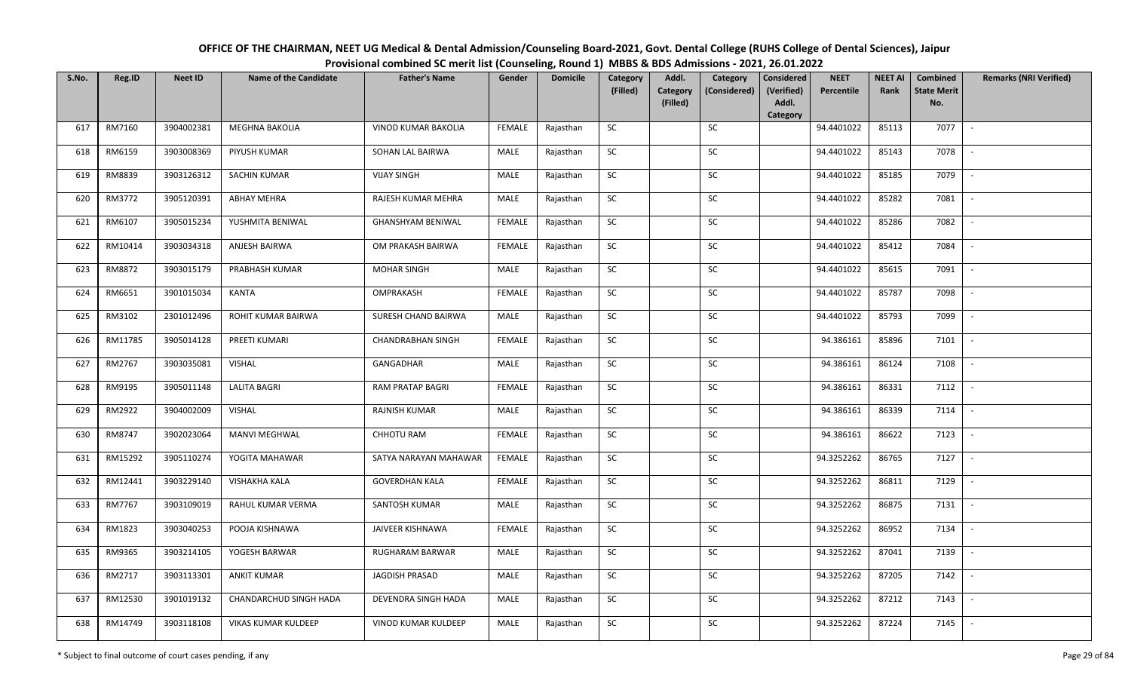| OFFICE OF THE CHAIRMAN, NEET UG Medical & Dental Admission/Counseling Board-2021, Govt. Dental College (RUHS College of Dental Sciences), Jaipur |
|--------------------------------------------------------------------------------------------------------------------------------------------------|
| Provisional combined SC merit list (Counseling, Round 1) MBBS & BDS Admissions - 2021, 26.01.2022                                                |

| S.No. | Reg.ID  | <b>Neet ID</b> | <b>Name of the Candidate</b> | <b>Father's Name</b>       | Gender        | <b>Domicile</b> | Category<br>(Filled) | Addl.<br><b>Category</b> | Category<br>(Considered) | <b>Considered</b><br>(Verified) | <b>NEET</b><br>Percentile | <b>NEET AI</b><br>Rank | Combined<br><b>State Merit</b> | <b>Remarks (NRI Verified)</b> |
|-------|---------|----------------|------------------------------|----------------------------|---------------|-----------------|----------------------|--------------------------|--------------------------|---------------------------------|---------------------------|------------------------|--------------------------------|-------------------------------|
|       |         |                |                              |                            |               |                 |                      | (Filled)                 |                          | Addl.<br>Category               |                           |                        | No.                            |                               |
| 617   | RM7160  | 3904002381     | <b>MEGHNA BAKOLIA</b>        | <b>VINOD KUMAR BAKOLIA</b> | <b>FEMALE</b> | Rajasthan       | <b>SC</b>            |                          | SC                       |                                 | 94.4401022                | 85113                  | 7077                           | $\sim$                        |
| 618   | RM6159  | 3903008369     | PIYUSH KUMAR                 | SOHAN LAL BAIRWA           | MALE          | Rajasthan       | <b>SC</b>            |                          | SC                       |                                 | 94.4401022                | 85143                  | 7078                           |                               |
| 619   | RM8839  | 3903126312     | <b>SACHIN KUMAR</b>          | <b>VIJAY SINGH</b>         | MALE          | Rajasthan       | SC                   |                          | $\sf SC$                 |                                 | 94.4401022                | 85185                  | 7079                           | $\overline{\phantom{a}}$      |
| 620   | RM3772  | 3905120391     | <b>ABHAY MEHRA</b>           | RAJESH KUMAR MEHRA         | MALE          | Rajasthan       | <b>SC</b>            |                          | <b>SC</b>                |                                 | 94.4401022                | 85282                  | 7081                           | $\sim$                        |
| 621   | RM6107  | 3905015234     | YUSHMITA BENIWAL             | GHANSHYAM BENIWAL          | <b>FEMALE</b> | Rajasthan       | SC                   |                          | SC                       |                                 | 94.4401022                | 85286                  | 7082                           | $\sim$                        |
| 622   | RM10414 | 3903034318     | ANJESH BAIRWA                | OM PRAKASH BAIRWA          | <b>FEMALE</b> | Rajasthan       | SC                   |                          | SC                       |                                 | 94.4401022                | 85412                  | 7084                           | $\sim$                        |
| 623   | RM8872  | 3903015179     | PRABHASH KUMAR               | <b>MOHAR SINGH</b>         | MALE          | Rajasthan       | ${\sf SC}$           |                          | <b>SC</b>                |                                 | 94.4401022                | 85615                  | 7091                           | $\sim$                        |
| 624   | RM6651  | 3901015034     | KANTA                        | OMPRAKASH                  | <b>FEMALE</b> | Rajasthan       | SC                   |                          | $\sf SC$                 |                                 | 94.4401022                | 85787                  | 7098                           | $\overline{\phantom{a}}$      |
| 625   | RM3102  | 2301012496     | ROHIT KUMAR BAIRWA           | SURESH CHAND BAIRWA        | MALE          | Rajasthan       | SC                   |                          | <b>SC</b>                |                                 | 94.4401022                | 85793                  | 7099                           | $\overline{\phantom{a}}$      |
| 626   | RM11785 | 3905014128     | PREETI KUMARI                | <b>CHANDRABHAN SINGH</b>   | <b>FEMALE</b> | Rajasthan       | ${\sf SC}$           |                          | SC                       |                                 | 94.386161                 | 85896                  | 7101                           | $\sim$                        |
| 627   | RM2767  | 3903035081     | <b>VISHAL</b>                | GANGADHAR                  | MALE          | Rajasthan       | SC                   |                          | SC                       |                                 | 94.386161                 | 86124                  | 7108                           | $\sim$                        |
| 628   | RM9195  | 3905011148     | <b>LALITA BAGRI</b>          | RAM PRATAP BAGRI           | <b>FEMALE</b> | Rajasthan       | <b>SC</b>            |                          | SC                       |                                 | 94.386161                 | 86331                  | 7112                           | $\sim$                        |
| 629   | RM2922  | 3904002009     | <b>VISHAL</b>                | RAJNISH KUMAR              | MALE          | Rajasthan       | <b>SC</b>            |                          | SC                       |                                 | 94.386161                 | 86339                  | 7114                           | $\overline{\phantom{a}}$      |
| 630   | RM8747  | 3902023064     | <b>MANVI MEGHWAL</b>         | CHHOTU RAM                 | <b>FEMALE</b> | Rajasthan       | SC                   |                          | <b>SC</b>                |                                 | 94.386161                 | 86622                  | 7123                           | $\overline{\phantom{a}}$      |
| 631   | RM15292 | 3905110274     | YOGITA MAHAWAR               | SATYA NARAYAN MAHAWAR      | FEMALE        | Rajasthan       | ${\sf SC}$           |                          | $\sf SC$                 |                                 | 94.3252262                | 86765                  | 7127                           | $\overline{\phantom{a}}$      |
| 632   | RM12441 | 3903229140     | <b>VISHAKHA KALA</b>         | <b>GOVERDHAN KALA</b>      | <b>FEMALE</b> | Rajasthan       | <b>SC</b>            |                          | SC                       |                                 | 94.3252262                | 86811                  | 7129                           | $\sim$                        |
| 633   | RM7767  | 3903109019     | RAHUL KUMAR VERMA            | SANTOSH KUMAR              | MALE          | Rajasthan       | ${\sf SC}$           |                          | $\sf SC$                 |                                 | 94.3252262                | 86875                  | 7131                           | $\sim$                        |
| 634   | RM1823  | 3903040253     | POOJA KISHNAWA               | JAIVEER KISHNAWA           | <b>FEMALE</b> | Rajasthan       | SC                   |                          | SC                       |                                 | 94.3252262                | 86952                  | 7134                           | $\overline{\phantom{a}}$      |
| 635   | RM9365  | 3903214105     | YOGESH BARWAR                | RUGHARAM BARWAR            | MALE          | Rajasthan       | SC                   |                          | SC                       |                                 | 94.3252262                | 87041                  | 7139                           | $\overline{\phantom{a}}$      |
| 636   | RM2717  | 3903113301     | ANKIT KUMAR                  | <b>JAGDISH PRASAD</b>      | MALE          | Rajasthan       | ${\sf SC}$           |                          | ${\sf SC}$               |                                 | 94.3252262                | 87205                  | 7142                           |                               |
| 637   | RM12530 | 3901019132     | CHANDARCHUD SINGH HADA       | DEVENDRA SINGH HADA        | MALE          | Rajasthan       | <b>SC</b>            |                          | <b>SC</b>                |                                 | 94.3252262                | 87212                  | 7143                           | $\sim$                        |
| 638   | RM14749 | 3903118108     | VIKAS KUMAR KULDEEP          | VINOD KUMAR KULDEEP        | MALE          | Rajasthan       | ${\sf SC}$           |                          | SC                       |                                 | 94.3252262                | 87224                  | 7145                           | $\sim$                        |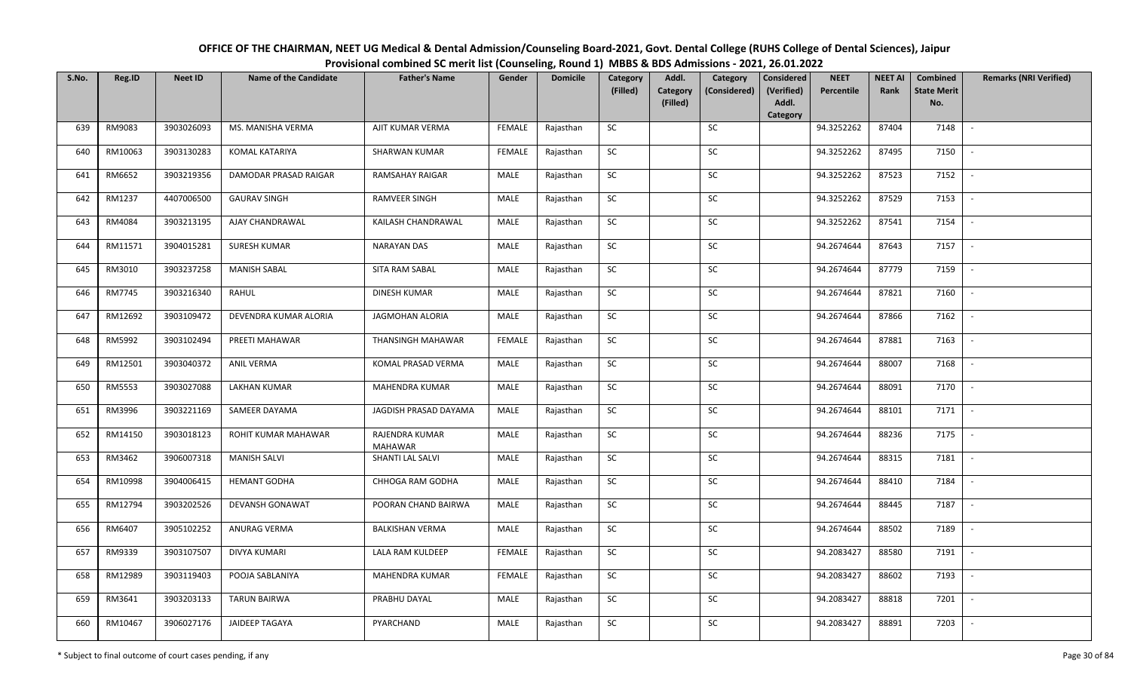| OFFICE OF THE CHAIRMAN, NEET UG Medical & Dental Admission/Counseling Board-2021, Govt. Dental College (RUHS College of Dental Sciences), Jaipur |
|--------------------------------------------------------------------------------------------------------------------------------------------------|
| Provisional combined SC merit list (Counseling, Round 1) MBBS & BDS Admissions - 2021, 26.01.2022                                                |

| S.No. | Reg.ID  | <b>Neet ID</b> | <b>Name of the Candidate</b> | <b>Father's Name</b>             | Gender        | <b>Domicile</b> | Category<br>(Filled) | Addl.<br>Category | Category<br>(Considered) | <b>Considered</b><br>(Verified) | <b>NEET</b><br>Percentile | <b>NEET AI</b><br>Rank | Combined<br><b>State Merit</b> | <b>Remarks (NRI Verified)</b> |
|-------|---------|----------------|------------------------------|----------------------------------|---------------|-----------------|----------------------|-------------------|--------------------------|---------------------------------|---------------------------|------------------------|--------------------------------|-------------------------------|
|       |         |                |                              |                                  |               |                 |                      | (Filled)          |                          | Addl.<br>Category               |                           |                        | No.                            |                               |
| 639   | RM9083  | 3903026093     | MS. MANISHA VERMA            | AJIT KUMAR VERMA                 | <b>FEMALE</b> | Rajasthan       | SC                   |                   | SC                       |                                 | 94.3252262                | 87404                  | 7148                           |                               |
| 640   | RM10063 | 3903130283     | KOMAL KATARIYA               | <b>SHARWAN KUMAR</b>             | <b>FEMALE</b> | Rajasthan       | <b>SC</b>            |                   | <b>SC</b>                |                                 | 94.3252262                | 87495                  | 7150                           |                               |
| 641   | RM6652  | 3903219356     | DAMODAR PRASAD RAIGAR        | <b>RAMSAHAY RAIGAR</b>           | <b>MALE</b>   | Rajasthan       | SC                   |                   | SC                       |                                 | 94.3252262                | 87523                  | 7152                           |                               |
| 642   | RM1237  | 4407006500     | <b>GAURAV SINGH</b>          | <b>RAMVEER SINGH</b>             | MALE          | Rajasthan       | SC                   |                   | ${\sf SC}$               |                                 | 94.3252262                | 87529                  | 7153                           |                               |
| 643   | RM4084  | 3903213195     | AJAY CHANDRAWAL              | KAILASH CHANDRAWAL               | MALE          | Rajasthan       | <b>SC</b>            |                   | ${\sf SC}$               |                                 | 94.3252262                | 87541                  | 7154                           | $\sim$                        |
| 644   | RM11571 | 3904015281     | <b>SURESH KUMAR</b>          | <b>NARAYAN DAS</b>               | <b>MALE</b>   | Rajasthan       | ${\sf SC}$           |                   | ${\sf SC}$               |                                 | 94.2674644                | 87643                  | 7157                           | $\sim$                        |
| 645   | RM3010  | 3903237258     | <b>MANISH SABAL</b>          | SITA RAM SABAL                   | MALE          | Rajasthan       | <b>SC</b>            |                   | SC                       |                                 | 94.2674644                | 87779                  | 7159                           |                               |
| 646   | RM7745  | 3903216340     | RAHUL                        | <b>DINESH KUMAR</b>              | MALE          | Rajasthan       | SC                   |                   | SC                       |                                 | 94.2674644                | 87821                  | 7160                           | $\overline{\phantom{a}}$      |
| 647   | RM12692 | 3903109472     | DEVENDRA KUMAR ALORIA        | <b>JAGMOHAN ALORIA</b>           | <b>MALE</b>   | Rajasthan       | SC                   |                   | SC                       |                                 | 94.2674644                | 87866                  | 7162                           |                               |
| 648   | RM5992  | 3903102494     | PREETI MAHAWAR               | THANSINGH MAHAWAR                | <b>FEMALE</b> | Rajasthan       | SC                   |                   | SC                       |                                 | 94.2674644                | 87881                  | 7163                           |                               |
| 649   | RM12501 | 3903040372     | ANIL VERMA                   | KOMAL PRASAD VERMA               | MALE          | Rajasthan       | ${\sf SC}$           |                   | SC                       |                                 | 94.2674644                | 88007                  | 7168                           | $\sim$                        |
| 650   | RM5553  | 3903027088     | <b>LAKHAN KUMAR</b>          | <b>MAHENDRA KUMAR</b>            | MALE          | Rajasthan       | SC                   |                   | SC                       |                                 | 94.2674644                | 88091                  | 7170                           |                               |
| 651   | RM3996  | 3903221169     | SAMEER DAYAMA                | JAGDISH PRASAD DAYAMA            | MALE          | Rajasthan       | <b>SC</b>            |                   | SC                       |                                 | 94.2674644                | 88101                  | 7171                           |                               |
| 652   | RM14150 | 3903018123     | ROHIT KUMAR MAHAWAR          | RAJENDRA KUMAR<br><b>MAHAWAR</b> | <b>MALE</b>   | Rajasthan       | SC                   |                   | SC                       |                                 | 94.2674644                | 88236                  | 7175                           | $\overline{\phantom{a}}$      |
| 653   | RM3462  | 3906007318     | <b>MANISH SALVI</b>          | SHANTI LAL SALVI                 | MALE          | Rajasthan       | SC                   |                   | SC                       |                                 | 94.2674644                | 88315                  | 7181                           |                               |
| 654   | RM10998 | 3904006415     | <b>HEMANT GODHA</b>          | CHHOGA RAM GODHA                 | MALE          | Rajasthan       | SC                   |                   | ${\sf SC}$               |                                 | 94.2674644                | 88410                  | 7184                           | $\overline{a}$                |
| 655   | RM12794 | 3903202526     | <b>DEVANSH GONAWAT</b>       | POORAN CHAND BAIRWA              | MALE          | Rajasthan       | <b>SC</b>            |                   | SC                       |                                 | 94.2674644                | 88445                  | 7187                           | $\sim$                        |
| 656   | RM6407  | 3905102252     | ANURAG VERMA                 | <b>BALKISHAN VERMA</b>           | MALE          | Rajasthan       | <b>SC</b>            |                   | SC                       |                                 | 94.2674644                | 88502                  | 7189                           |                               |
| 657   | RM9339  | 3903107507     | DIVYA KUMARI                 | LALA RAM KULDEEP                 | FEMALE        | Rajasthan       | SC                   |                   | SC                       |                                 | 94.2083427                | 88580                  | 7191                           | $\overline{\phantom{a}}$      |
| 658   | RM12989 | 3903119403     | POOJA SABLANIYA              | MAHENDRA KUMAR                   | <b>FEMALE</b> | Rajasthan       | SC                   |                   | SC                       |                                 | 94.2083427                | 88602                  | 7193                           |                               |
| 659   | RM3641  | 3903203133     | <b>TARUN BAIRWA</b>          | PRABHU DAYAL                     | MALE          | Rajasthan       | SC                   |                   | ${\sf SC}$               |                                 | 94.2083427                | 88818                  | 7201                           |                               |
| 660   | RM10467 | 3906027176     | <b>JAIDEEP TAGAYA</b>        | PYARCHAND                        | MALE          | Rajasthan       | ${\sf SC}$           |                   | ${\sf SC}$               |                                 | 94.2083427                | 88891                  | 7203                           |                               |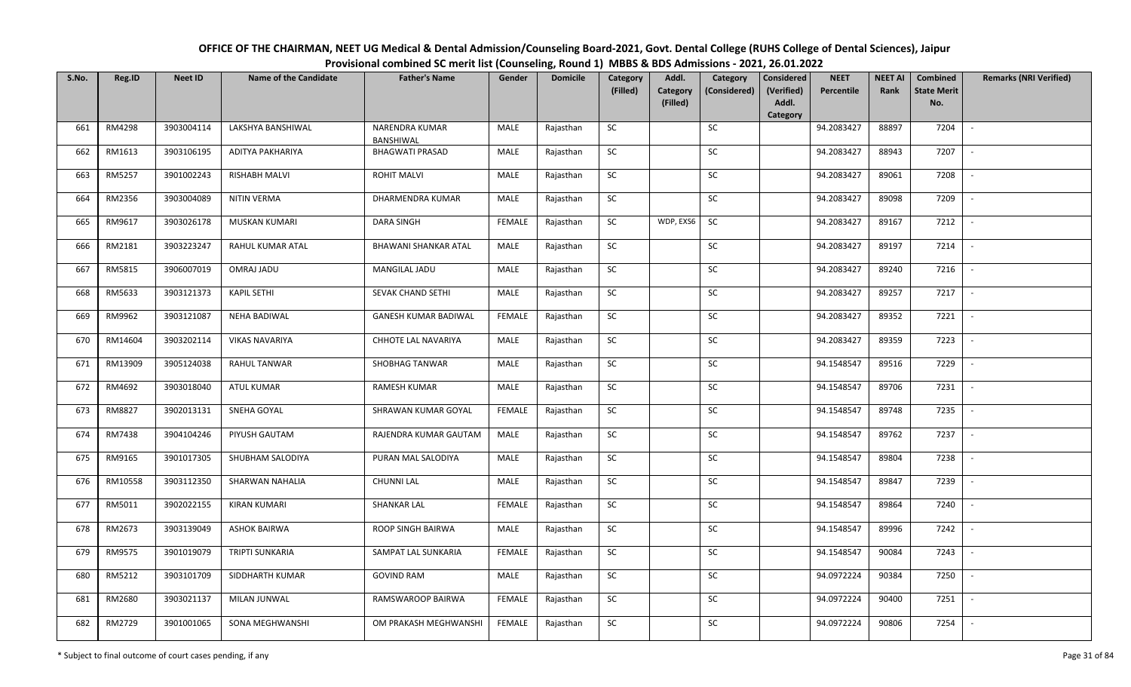| OFFICE OF THE CHAIRMAN, NEET UG Medical & Dental Admission/Counseling Board-2021, Govt. Dental College (RUHS College of Dental Sciences), Jaipur |
|--------------------------------------------------------------------------------------------------------------------------------------------------|
| Provisional combined SC merit list (Counseling, Round 1) MBBS & BDS Admissions - 2021, 26.01.2022                                                |

| S.No. | Reg.ID  | <b>Neet ID</b> | <b>Name of the Candidate</b> | <b>Father's Name</b>               | Gender        | <b>Domicile</b> | Category<br>(Filled) | Addl.<br>Category | Category<br>(Considered) | <b>Considered</b><br>(Verified) | <b>NEET</b><br>Percentile | <b>NEET AI</b><br>Rank | Combined<br><b>State Merit</b> | <b>Remarks (NRI Verified)</b> |
|-------|---------|----------------|------------------------------|------------------------------------|---------------|-----------------|----------------------|-------------------|--------------------------|---------------------------------|---------------------------|------------------------|--------------------------------|-------------------------------|
|       |         |                |                              |                                    |               |                 |                      | (Filled)          |                          | Addl.<br>Category               |                           |                        | No.                            |                               |
| 661   | RM4298  | 3903004114     | LAKSHYA BANSHIWAL            | <b>NARENDRA KUMAR</b><br>BANSHIWAL | MALE          | Rajasthan       | SC                   |                   | SC                       |                                 | 94.2083427                | 88897                  | 7204                           |                               |
| 662   | RM1613  | 3903106195     | ADITYA PAKHARIYA             | <b>BHAGWATI PRASAD</b>             | MALE          | Rajasthan       | SC                   |                   | <b>SC</b>                |                                 | 94.2083427                | 88943                  | 7207                           |                               |
| 663   | RM5257  | 3901002243     | <b>RISHABH MALVI</b>         | <b>ROHIT MALVI</b>                 | MALE          | Rajasthan       | SC                   |                   | SC                       |                                 | 94.2083427                | 89061                  | 7208                           |                               |
| 664   | RM2356  | 3903004089     | <b>NITIN VERMA</b>           | DHARMENDRA KUMAR                   | MALE          | Rajasthan       | SC                   |                   | SC                       |                                 | 94.2083427                | 89098                  | 7209                           |                               |
| 665   | RM9617  | 3903026178     | MUSKAN KUMARI                | <b>DARA SINGH</b>                  | <b>FEMALE</b> | Rajasthan       | SC                   | WDP, EXS6         | <b>SC</b>                |                                 | 94.2083427                | 89167                  | 7212                           | $\sim$                        |
| 666   | RM2181  | 3903223247     | RAHUL KUMAR ATAL             | <b>BHAWANI SHANKAR ATAL</b>        | MALE          | Rajasthan       | ${\sf SC}$           |                   | ${\sf SC}$               |                                 | 94.2083427                | 89197                  | 7214                           | $\overline{\phantom{a}}$      |
| 667   | RM5815  | 3906007019     | OMRAJ JADU                   | MANGILAL JADU                      | MALE          | Rajasthan       | SC                   |                   | SC                       |                                 | 94.2083427                | 89240                  | 7216                           |                               |
| 668   | RM5633  | 3903121373     | <b>KAPIL SETHI</b>           | SEVAK CHAND SETHI                  | MALE          | Rajasthan       | SC                   |                   | SC                       |                                 | 94.2083427                | 89257                  | 7217                           | $\overline{\phantom{a}}$      |
| 669   | RM9962  | 3903121087     | <b>NEHA BADIWAL</b>          | <b>GANESH KUMAR BADIWAL</b>        | <b>FEMALE</b> | Rajasthan       | SC                   |                   | SC                       |                                 | 94.2083427                | 89352                  | 7221                           |                               |
| 670   | RM14604 | 3903202114     | <b>VIKAS NAVARIYA</b>        | CHHOTE LAL NAVARIYA                | MALE          | Rajasthan       | SC                   |                   | SC                       |                                 | 94.2083427                | 89359                  | 7223                           |                               |
| 671   | RM13909 | 3905124038     | <b>RAHUL TANWAR</b>          | SHOBHAG TANWAR                     | <b>MALE</b>   | Rajasthan       | ${\sf SC}$           |                   | SC                       |                                 | 94.1548547                | 89516                  | 7229                           | $\blacksquare$                |
| 672   | RM4692  | 3903018040     | <b>ATUL KUMAR</b>            | <b>RAMESH KUMAR</b>                | MALE          | Rajasthan       | SC                   |                   | SC                       |                                 | 94.1548547                | 89706                  | 7231                           |                               |
| 673   | RM8827  | 3902013131     | SNEHA GOYAL                  | SHRAWAN KUMAR GOYAL                | <b>FEMALE</b> | Rajasthan       | SC                   |                   | SC                       |                                 | 94.1548547                | 89748                  | 7235                           |                               |
| 674   | RM7438  | 3904104246     | PIYUSH GAUTAM                | RAJENDRA KUMAR GAUTAM              | <b>MALE</b>   | Rajasthan       | SC                   |                   | SC                       |                                 | 94.1548547                | 89762                  | 7237                           | $\blacksquare$                |
| 675   | RM9165  | 3901017305     | SHUBHAM SALODIYA             | PURAN MAL SALODIYA                 | MALE          | Rajasthan       | SC                   |                   | SC                       |                                 | 94.1548547                | 89804                  | 7238                           |                               |
| 676   | RM10558 | 3903112350     | SHARWAN NAHALIA              | <b>CHUNNI LAL</b>                  | MALE          | Rajasthan       | SC                   |                   | ${\sf SC}$               |                                 | 94.1548547                | 89847                  | 7239                           |                               |
| 677   | RM5011  | 3902022155     | <b>KIRAN KUMARI</b>          | <b>SHANKAR LAL</b>                 | <b>FEMALE</b> | Rajasthan       | <b>SC</b>            |                   | SC                       |                                 | 94.1548547                | 89864                  | 7240                           | $\overline{\phantom{a}}$      |
| 678   | RM2673  | 3903139049     | <b>ASHOK BAIRWA</b>          | ROOP SINGH BAIRWA                  | MALE          | Rajasthan       | <b>SC</b>            |                   | SC                       |                                 | 94.1548547                | 89996                  | 7242                           |                               |
| 679   | RM9575  | 3901019079     | TRIPTI SUNKARIA              | SAMPAT LAL SUNKARIA                | <b>FEMALE</b> | Rajasthan       | SC                   |                   | SC                       |                                 | 94.1548547                | 90084                  | 7243                           | $\overline{\phantom{a}}$      |
| 680   | RM5212  | 3903101709     | SIDDHARTH KUMAR              | <b>GOVIND RAM</b>                  | MALE          | Rajasthan       | SC                   |                   | SC                       |                                 | 94.0972224                | 90384                  | 7250                           |                               |
| 681   | RM2680  | 3903021137     | MILAN JUNWAL                 | RAMSWAROOP BAIRWA                  | FEMALE        | Rajasthan       | SC                   |                   | ${\sf SC}$               |                                 | 94.0972224                | 90400                  | 7251                           |                               |
| 682   | RM2729  | 3901001065     | SONA MEGHWANSHI              | OM PRAKASH MEGHWANSHI              | <b>FEMALE</b> | Rajasthan       | ${\sf SC}$           |                   | SC                       |                                 | 94.0972224                | 90806                  | 7254                           |                               |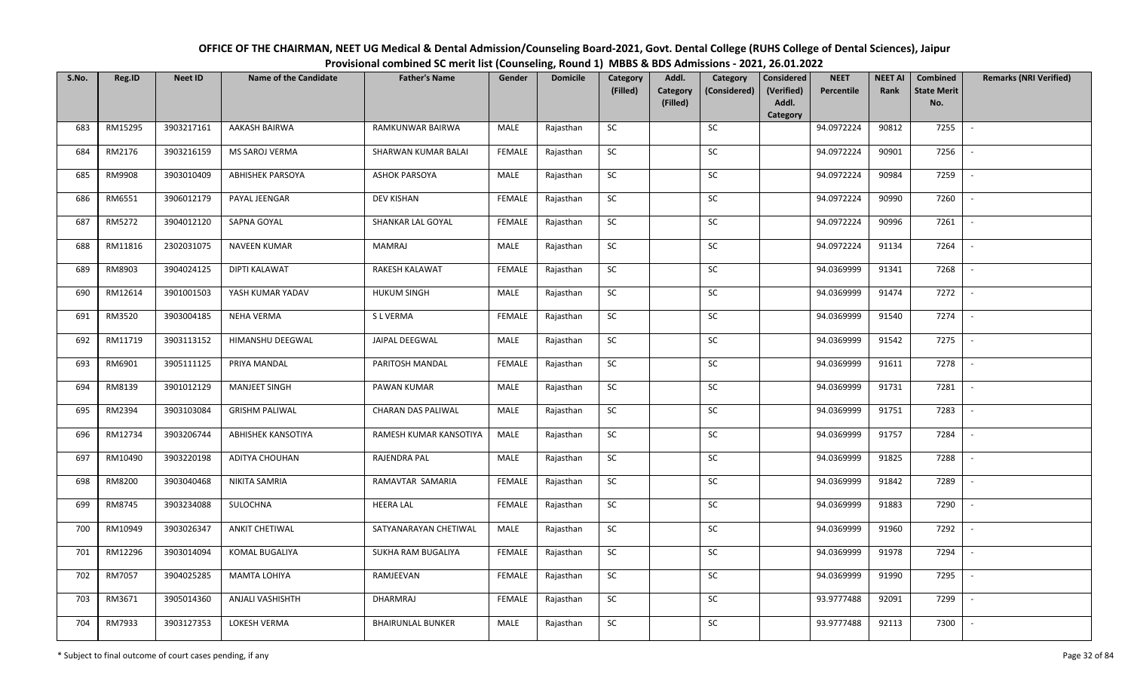| OFFICE OF THE CHAIRMAN, NEET UG Medical & Dental Admission/Counseling Board-2021, Govt. Dental College (RUHS College of Dental Sciences), Jaipur |
|--------------------------------------------------------------------------------------------------------------------------------------------------|
| Provisional combined SC merit list (Counseling, Round 1) MBBS & BDS Admissions - 2021, 26.01.2022                                                |

| S.No. | Reg.ID  | <b>Neet ID</b> | <b>Name of the Candidate</b> | <b>Father's Name</b>     | Gender        | <b>Domicile</b> | Category<br>(Filled) | Addl.                       | Category<br>(Considered) | <b>Considered</b><br>(Verified) | <b>NEET</b><br>Percentile | <b>NEET AI</b><br>Rank | Combined<br><b>State Merit</b> | <b>Remarks (NRI Verified)</b> |
|-------|---------|----------------|------------------------------|--------------------------|---------------|-----------------|----------------------|-----------------------------|--------------------------|---------------------------------|---------------------------|------------------------|--------------------------------|-------------------------------|
|       |         |                |                              |                          |               |                 |                      | <b>Category</b><br>(Filled) |                          | Addl.                           |                           |                        | No.                            |                               |
| 683   | RM15295 | 3903217161     | AAKASH BAIRWA                | RAMKUNWAR BAIRWA         | MALE          | Rajasthan       | SC                   |                             | SC                       | Category                        | 94.0972224                | 90812                  | 7255                           | $\mathcal{L}$                 |
|       |         |                |                              |                          |               |                 |                      |                             |                          |                                 |                           |                        |                                |                               |
| 684   | RM2176  | 3903216159     | MS SAROJ VERMA               | SHARWAN KUMAR BALAI      | <b>FEMALE</b> | Rajasthan       | <b>SC</b>            |                             | SC                       |                                 | 94.0972224                | 90901                  | 7256                           |                               |
| 685   | RM9908  | 3903010409     | <b>ABHISHEK PARSOYA</b>      | <b>ASHOK PARSOYA</b>     | MALE          | Rajasthan       | ${\sf SC}$           |                             | SC                       |                                 | 94.0972224                | 90984                  | 7259                           |                               |
| 686   | RM6551  | 3906012179     | PAYAL JEENGAR                | DEV KISHAN               | <b>FEMALE</b> | Rajasthan       | <b>SC</b>            |                             | SC                       |                                 | 94.0972224                | 90990                  | 7260                           |                               |
| 687   | RM5272  | 3904012120     | SAPNA GOYAL                  | SHANKAR LAL GOYAL        | <b>FEMALE</b> | Rajasthan       | SC                   |                             | SC                       |                                 | 94.0972224                | 90996                  | 7261                           | $\sim$                        |
| 688   | RM11816 | 2302031075     | <b>NAVEEN KUMAR</b>          | MAMRAJ                   | MALE          | Rajasthan       | SC                   |                             | SC                       |                                 | 94.0972224                | 91134                  | 7264                           | $\sim$                        |
| 689   | RM8903  | 3904024125     | DIPTI KALAWAT                | RAKESH KALAWAT           | <b>FEMALE</b> | Rajasthan       | SC                   |                             | SC                       |                                 | 94.0369999                | 91341                  | 7268                           | $\overline{a}$                |
| 690   | RM12614 | 3901001503     | YASH KUMAR YADAV             | <b>HUKUM SINGH</b>       | MALE          | Rajasthan       | SC                   |                             | $\sf SC$                 |                                 | 94.0369999                | 91474                  | 7272                           | $\overline{\phantom{a}}$      |
| 691   | RM3520  | 3903004185     | <b>NEHA VERMA</b>            | S L VERMA                | <b>FEMALE</b> | Rajasthan       | $\sf SC$             |                             | SC                       |                                 | 94.0369999                | 91540                  | 7274                           |                               |
| 692   | RM11719 | 3903113152     | HIMANSHU DEEGWAL             | JAIPAL DEEGWAL           | MALE          | Rajasthan       | ${\sf SC}$           |                             | $\sf SC$                 |                                 | 94.0369999                | 91542                  | 7275                           | $\overline{\phantom{a}}$      |
| 693   | RM6901  | 3905111125     | PRIYA MANDAL                 | PARITOSH MANDAL          | <b>FEMALE</b> | Rajasthan       | SC                   |                             | SC                       |                                 | 94.0369999                | 91611                  | 7278                           | $\blacksquare$                |
| 694   | RM8139  | 3901012129     | MANJEET SINGH                | PAWAN KUMAR              | MALE          | Rajasthan       | SC                   |                             | ${\sf SC}$               |                                 | 94.0369999                | 91731                  | 7281                           |                               |
| 695   | RM2394  | 3903103084     | <b>GRISHM PALIWAL</b>        | CHARAN DAS PALIWAL       | MALE          | Rajasthan       | SC                   |                             | SC                       |                                 | 94.0369999                | 91751                  | 7283                           |                               |
| 696   | RM12734 | 3903206744     | <b>ABHISHEK KANSOTIYA</b>    | RAMESH KUMAR KANSOTIYA   | MALE          | Rajasthan       | SC                   |                             | SC                       |                                 | 94.0369999                | 91757                  | 7284                           |                               |
| 697   | RM10490 | 3903220198     | ADITYA CHOUHAN               | RAJENDRA PAL             | MALE          | Rajasthan       | ${\sf SC}$           |                             | ${\sf SC}$               |                                 | 94.0369999                | 91825                  | 7288                           |                               |
| 698   | RM8200  | 3903040468     | NIKITA SAMRIA                | RAMAVTAR SAMARIA         | <b>FEMALE</b> | Rajasthan       | SC                   |                             | SC                       |                                 | 94.0369999                | 91842                  | 7289                           | $\sim$                        |
| 699   | RM8745  | 3903234088     | SULOCHNA                     | <b>HEERA LAL</b>         | <b>FEMALE</b> | Rajasthan       | $\sf SC$             |                             | ${\sf SC}$               |                                 | 94.0369999                | 91883                  | 7290                           | $\sim$                        |
| 700   | RM10949 | 3903026347     | <b>ANKIT CHETIWAL</b>        | SATYANARAYAN CHETIWAL    | MALE          | Rajasthan       | SC                   |                             | SC                       |                                 | 94.0369999                | 91960                  | 7292                           |                               |
| 701   | RM12296 | 3903014094     | KOMAL BUGALIYA               | SUKHA RAM BUGALIYA       | <b>FEMALE</b> | Rajasthan       | SC                   |                             | SC                       |                                 | 94.0369999                | 91978                  | 7294                           | $\overline{\phantom{a}}$      |
| 702   | RM7057  | 3904025285     | MAMTA LOHIYA                 | RAMJEEVAN                | FEMALE        | Rajasthan       | ${\sf SC}$           |                             | $\sf SC$                 |                                 | 94.0369999                | 91990                  | 7295                           |                               |
| 703   | RM3671  | 3905014360     | ANJALI VASHISHTH             | DHARMRAJ                 | <b>FEMALE</b> | Rajasthan       | SC                   |                             | SC                       |                                 | 93.9777488                | 92091                  | 7299                           |                               |
| 704   | RM7933  | 3903127353     | LOKESH VERMA                 | <b>BHAIRUNLAL BUNKER</b> | MALE          | Rajasthan       | SC                   |                             | SC                       |                                 | 93.9777488                | 92113                  | 7300                           | $\overline{\phantom{a}}$      |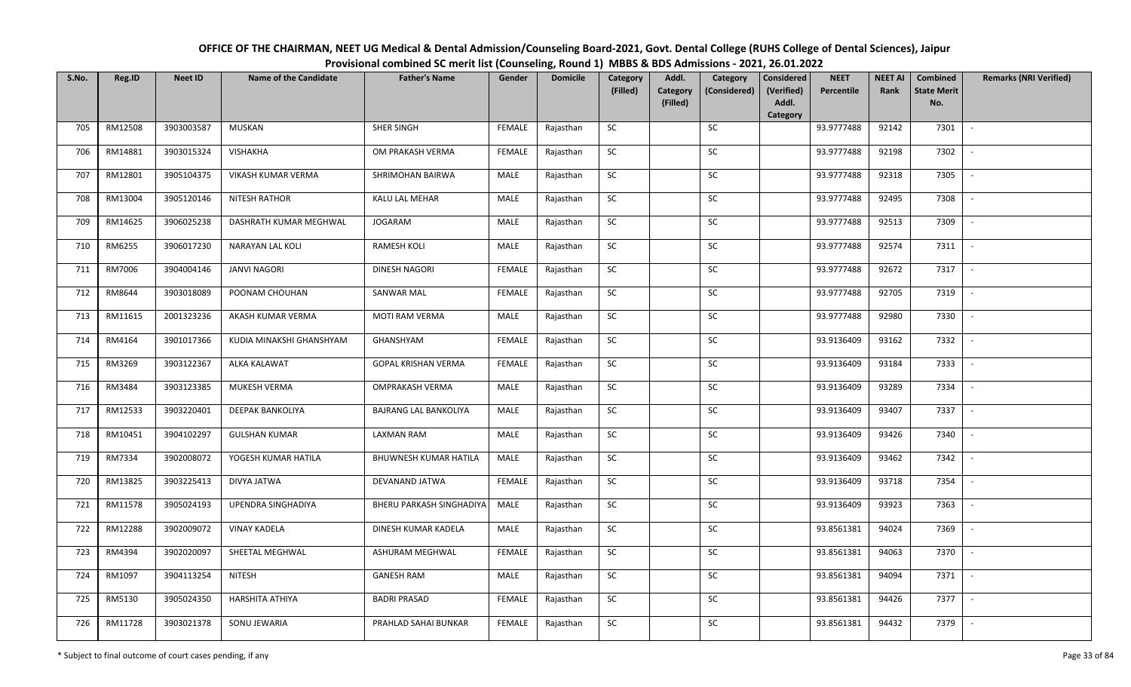| OFFICE OF THE CHAIRMAN, NEET UG Medical & Dental Admission/Counseling Board-2021, Govt. Dental College (RUHS College of Dental Sciences), Jaipur |
|--------------------------------------------------------------------------------------------------------------------------------------------------|
| Provisional combined SC merit list (Counseling, Round 1) MBBS & BDS Admissions - 2021, 26.01.2022                                                |

| S.No. | Reg.ID  | <b>Neet ID</b> | <b>Name of the Candidate</b> | <b>Father's Name</b>       | Gender        | <b>Domicile</b> | Category<br>(Filled) | Addl.<br>Category | Category<br>(Considered) | Considered<br>(Verified) | <b>NEET</b><br>Percentile | <b>NEET AI</b><br>Rank | Combined<br><b>State Merit</b> | <b>Remarks (NRI Verified)</b> |
|-------|---------|----------------|------------------------------|----------------------------|---------------|-----------------|----------------------|-------------------|--------------------------|--------------------------|---------------------------|------------------------|--------------------------------|-------------------------------|
|       |         |                |                              |                            |               |                 |                      | (Filled)          |                          | Addl.<br>Category        |                           |                        | No.                            |                               |
| 705   | RM12508 | 3903003587     | <b>MUSKAN</b>                | SHER SINGH                 | FEMALE        | Rajasthan       | SC                   |                   | SC                       |                          | 93.9777488                | 92142                  | 7301                           | $\overline{\phantom{a}}$      |
| 706   | RM14881 | 3903015324     | <b>VISHAKHA</b>              | OM PRAKASH VERMA           | FEMALE        | Rajasthan       | SC                   |                   | SC                       |                          | 93.9777488                | 92198                  | 7302                           |                               |
| 707   | RM12801 | 3905104375     | VIKASH KUMAR VERMA           | SHRIMOHAN BAIRWA           | MALE          | Rajasthan       | SC                   |                   | SC                       |                          | 93.9777488                | 92318                  | 7305                           |                               |
| 708   | RM13004 | 3905120146     | <b>NITESH RATHOR</b>         | KALU LAL MEHAR             | MALE          | Rajasthan       | ${\sf SC}$           |                   | ${\sf SC}$               |                          | 93.9777488                | 92495                  | 7308                           |                               |
| 709   | RM14625 | 3906025238     | DASHRATH KUMAR MEGHWAL       | JOGARAM                    | MALE          | Rajasthan       | SC                   |                   | SC                       |                          | 93.9777488                | 92513                  | 7309                           | $\sim$                        |
| 710   | RM6255  | 3906017230     | NARAYAN LAL KOLI             | RAMESH KOLI                | MALE          | Rajasthan       | SC                   |                   | SC                       |                          | 93.9777488                | 92574                  | 7311                           | $\overline{\phantom{a}}$      |
| 711   | RM7006  | 3904004146     | <b>JANVI NAGORI</b>          | <b>DINESH NAGORI</b>       | FEMALE        | Rajasthan       | ${\sf SC}$           |                   | SC                       |                          | 93.9777488                | 92672                  | 7317                           | $\overline{\phantom{a}}$      |
| 712   | RM8644  | 3903018089     | POONAM CHOUHAN               | <b>SANWAR MAL</b>          | <b>FEMALE</b> | Rajasthan       | SC                   |                   | SC                       |                          | 93.9777488                | 92705                  | 7319                           | $\overline{a}$                |
| 713   | RM11615 | 2001323236     | AKASH KUMAR VERMA            | MOTI RAM VERMA             | MALE          | Rajasthan       | ${\sf SC}$           |                   | ${\sf SC}$               |                          | 93.9777488                | 92980                  | 7330                           |                               |
| 714   | RM4164  | 3901017366     | KUDIA MINAKSHI GHANSHYAM     | GHANSHYAM                  | <b>FEMALE</b> | Rajasthan       | ${\sf SC}$           |                   | $\sf SC$                 |                          | 93.9136409                | 93162                  | 7332                           |                               |
| 715   | RM3269  | 3903122367     | ALKA KALAWAT                 | <b>GOPAL KRISHAN VERMA</b> | FEMALE        | Rajasthan       | <b>SC</b>            |                   | SC                       |                          | 93.9136409                | 93184                  | 7333                           |                               |
| 716   | RM3484  | 3903123385     | MUKESH VERMA                 | OMPRAKASH VERMA            | MALE          | Rajasthan       | <b>SC</b>            |                   | ${\sf SC}$               |                          | 93.9136409                | 93289                  | 7334                           |                               |
| 717   | RM12533 | 3903220401     | <b>DEEPAK BANKOLIYA</b>      | BAJRANG LAL BANKOLIYA      | MALE          | Rajasthan       | SC                   |                   | SC                       |                          | 93.9136409                | 93407                  | 7337                           |                               |
| 718   | RM10451 | 3904102297     | <b>GULSHAN KUMAR</b>         | <b>LAXMAN RAM</b>          | MALE          | Rajasthan       | SC                   |                   | SC                       |                          | 93.9136409                | 93426                  | 7340                           | $\sim$                        |
| 719   | RM7334  | 3902008072     | YOGESH KUMAR HATILA          | BHUWNESH KUMAR HATILA      | MALE          | Rajasthan       | SC                   |                   | ${\sf SC}$               |                          | 93.9136409                | 93462                  | 7342                           |                               |
| 720   | RM13825 | 3903225413     | DIVYA JATWA                  | DEVANAND JATWA             | <b>FEMALE</b> | Rajasthan       | ${\sf SC}$           |                   | ${\sf SC}$               |                          | 93.9136409                | 93718                  | 7354                           | $\sim$                        |
| 721   | RM11578 | 3905024193     | UPENDRA SINGHADIYA           | BHERU PARKASH SINGHADIYA   | MALE          | Rajasthan       | SC                   |                   | SC                       |                          | 93.9136409                | 93923                  | 7363                           | $\overline{\phantom{a}}$      |
| 722   | RM12288 | 3902009072     | <b>VINAY KADELA</b>          | DINESH KUMAR KADELA        | MALE          | Rajasthan       | SC                   |                   | SC                       |                          | 93.8561381                | 94024                  | 7369                           | $\sim$                        |
| 723   | RM4394  | 3902020097     | SHEETAL MEGHWAL              | ASHURAM MEGHWAL            | <b>FEMALE</b> | Rajasthan       | ${\sf SC}$           |                   | $\sf SC$                 |                          | 93.8561381                | 94063                  | 7370                           | $\sim$                        |
| 724   | RM1097  | 3904113254     | <b>NITESH</b>                | <b>GANESH RAM</b>          | MALE          | Rajasthan       | ${\sf SC}$           |                   | SC                       |                          | 93.8561381                | 94094                  | 7371                           |                               |
| 725   | RM5130  | 3905024350     | HARSHITA ATHIYA              | <b>BADRI PRASAD</b>        | <b>FEMALE</b> | Rajasthan       | SC                   |                   | ${\sf SC}$               |                          | 93.8561381                | 94426                  | 7377                           |                               |
| 726   | RM11728 | 3903021378     | SONU JEWARIA                 | PRAHLAD SAHAI BUNKAR       | <b>FEMALE</b> | Rajasthan       | ${\sf SC}$           |                   | ${\sf SC}$               |                          | 93.8561381                | 94432                  | 7379                           |                               |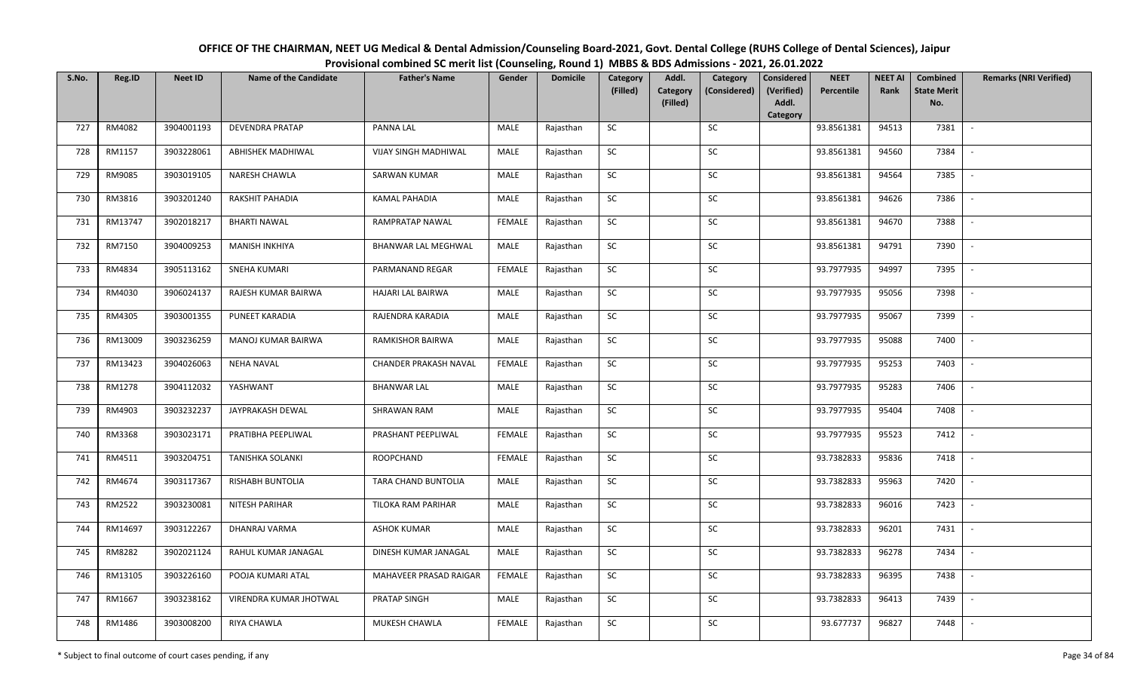| OFFICE OF THE CHAIRMAN, NEET UG Medical & Dental Admission/Counseling Board-2021, Govt. Dental College (RUHS College of Dental Sciences), Jaipur |
|--------------------------------------------------------------------------------------------------------------------------------------------------|
| Provisional combined SC merit list (Counseling, Round 1) MBBS & BDS Admissions - 2021, 26.01.2022                                                |

| S.No. | Reg.ID  | <b>Neet ID</b> | <b>Name of the Candidate</b> | <b>Father's Name</b>         | Gender        | <b>Domicile</b> | Category<br>(Filled) | Addl.<br><b>Category</b> | Category<br>(Considered) | <b>Considered</b><br>(Verified) | <b>NEET</b><br>Percentile | <b>NEET AI</b><br>Rank | Combined<br><b>State Merit</b> | <b>Remarks (NRI Verified)</b> |
|-------|---------|----------------|------------------------------|------------------------------|---------------|-----------------|----------------------|--------------------------|--------------------------|---------------------------------|---------------------------|------------------------|--------------------------------|-------------------------------|
|       |         |                |                              |                              |               |                 |                      | (Filled)                 |                          | Addl.<br>Category               |                           |                        | No.                            |                               |
| 727   | RM4082  | 3904001193     | <b>DEVENDRA PRATAP</b>       | PANNA LAL                    | MALE          | Rajasthan       | SC                   |                          | SC                       |                                 | 93.8561381                | 94513                  | 7381                           | $\sim$                        |
| 728   | RM1157  | 3903228061     | ABHISHEK MADHIWAL            | <b>VIJAY SINGH MADHIWAL</b>  | MALE          | Rajasthan       | <b>SC</b>            |                          | <b>SC</b>                |                                 | 93.8561381                | 94560                  | 7384                           |                               |
| 729   | RM9085  | 3903019105     | NARESH CHAWLA                | SARWAN KUMAR                 | MALE          | Rajasthan       | ${\sf SC}$           |                          | SC                       |                                 | 93.8561381                | 94564                  | 7385                           | $\overline{\phantom{a}}$      |
| 730   | RM3816  | 3903201240     | RAKSHIT PAHADIA              | <b>KAMAL PAHADIA</b>         | MALE          | Rajasthan       | <b>SC</b>            |                          | SC                       |                                 | 93.8561381                | 94626                  | 7386                           | $\overline{\phantom{a}}$      |
| 731   | RM13747 | 3902018217     | <b>BHARTI NAWAL</b>          | RAMPRATAP NAWAL              | <b>FEMALE</b> | Rajasthan       | ${\sf SC}$           |                          | SC                       |                                 | 93.8561381                | 94670                  | 7388                           | $\sim$                        |
| 732   | RM7150  | 3904009253     | MANISH INKHIYA               | BHANWAR LAL MEGHWAL          | MALE          | Rajasthan       | SC                   |                          | SC                       |                                 | 93.8561381                | 94791                  | 7390                           | $\sim$                        |
| 733   | RM4834  | 3905113162     | <b>SNEHA KUMARI</b>          | PARMANAND REGAR              | <b>FEMALE</b> | Rajasthan       | SC                   |                          | <b>SC</b>                |                                 | 93.7977935                | 94997                  | 7395                           | $\sim$                        |
| 734   | RM4030  | 3906024137     | RAJESH KUMAR BAIRWA          | <b>HAJARI LAL BAIRWA</b>     | MALE          | Rajasthan       | SC                   |                          | SC                       |                                 | 93.7977935                | 95056                  | 7398                           | $\overline{\phantom{a}}$      |
| 735   | RM4305  | 3903001355     | PUNEET KARADIA               | RAJENDRA KARADIA             | MALE          | Rajasthan       | ${\sf SC}$           |                          | SC                       |                                 | 93.7977935                | 95067                  | 7399                           |                               |
| 736   | RM13009 | 3903236259     | MANOJ KUMAR BAIRWA           | RAMKISHOR BAIRWA             | MALE          | Rajasthan       | ${\sf SC}$           |                          | ${\sf SC}$               |                                 | 93.7977935                | 95088                  | 7400                           | $\overline{\phantom{a}}$      |
| 737   | RM13423 | 3904026063     | <b>NEHA NAVAL</b>            | <b>CHANDER PRAKASH NAVAL</b> | <b>FEMALE</b> | Rajasthan       | <b>SC</b>            |                          | <b>SC</b>                |                                 | 93.7977935                | 95253                  | 7403                           |                               |
| 738   | RM1278  | 3904112032     | YASHWANT                     | <b>BHANWAR LAL</b>           | MALE          | Rajasthan       | <b>SC</b>            |                          | <b>SC</b>                |                                 | 93.7977935                | 95283                  | 7406                           | $\overline{\phantom{a}}$      |
| 739   | RM4903  | 3903232237     | JAYPRAKASH DEWAL             | SHRAWAN RAM                  | MALE          | Rajasthan       | SC                   |                          | SC                       |                                 | 93.7977935                | 95404                  | 7408                           |                               |
| 740   | RM3368  | 3903023171     | PRATIBHA PEEPLIWAL           | PRASHANT PEEPLIWAL           | <b>FEMALE</b> | Rajasthan       | <b>SC</b>            |                          | SC                       |                                 | 93.7977935                | 95523                  | 7412                           | $\overline{\phantom{a}}$      |
| 741   | RM4511  | 3903204751     | TANISHKA SOLANKI             | ROOPCHAND                    | <b>FEMALE</b> | Rajasthan       | ${\sf SC}$           |                          | ${\sf SC}$               |                                 | 93.7382833                | 95836                  | 7418                           |                               |
| 742   | RM4674  | 3903117367     | <b>RISHABH BUNTOLIA</b>      | TARA CHAND BUNTOLIA          | MALE          | Rajasthan       | <b>SC</b>            |                          | SC                       |                                 | 93.7382833                | 95963                  | 7420                           | $\sim$                        |
| 743   | RM2522  | 3903230081     | NITESH PARIHAR               | TILOKA RAM PARIHAR           | MALE          | Rajasthan       | ${\sf SC}$           |                          | SC                       |                                 | 93.7382833                | 96016                  | 7423                           | $\overline{\phantom{a}}$      |
| 744   | RM14697 | 3903122267     | DHANRAJ VARMA                | <b>ASHOK KUMAR</b>           | MALE          | Rajasthan       | SC                   |                          | SC                       |                                 | 93.7382833                | 96201                  | 7431                           | $\sim$                        |
| 745   | RM8282  | 3902021124     | RAHUL KUMAR JANAGAL          | DINESH KUMAR JANAGAL         | MALE          | Rajasthan       | SC                   |                          | SC                       |                                 | 93.7382833                | 96278                  | 7434                           | $\overline{\phantom{a}}$      |
| 746   | RM13105 | 3903226160     | POOJA KUMARI ATAL            | MAHAVEER PRASAD RAIGAR       | <b>FEMALE</b> | Rajasthan       | ${\sf SC}$           |                          | $\sf SC$                 |                                 | 93.7382833                | 96395                  | 7438                           |                               |
| 747   | RM1667  | 3903238162     | VIRENDRA KUMAR JHOTWAL       | PRATAP SINGH                 | MALE          | Rajasthan       | SC                   |                          | <b>SC</b>                |                                 | 93.7382833                | 96413                  | 7439                           |                               |
| 748   | RM1486  | 3903008200     | RIYA CHAWLA                  | MUKESH CHAWLA                | <b>FEMALE</b> | Rajasthan       | ${\sf SC}$           |                          | SC                       |                                 | 93.677737                 | 96827                  | 7448                           |                               |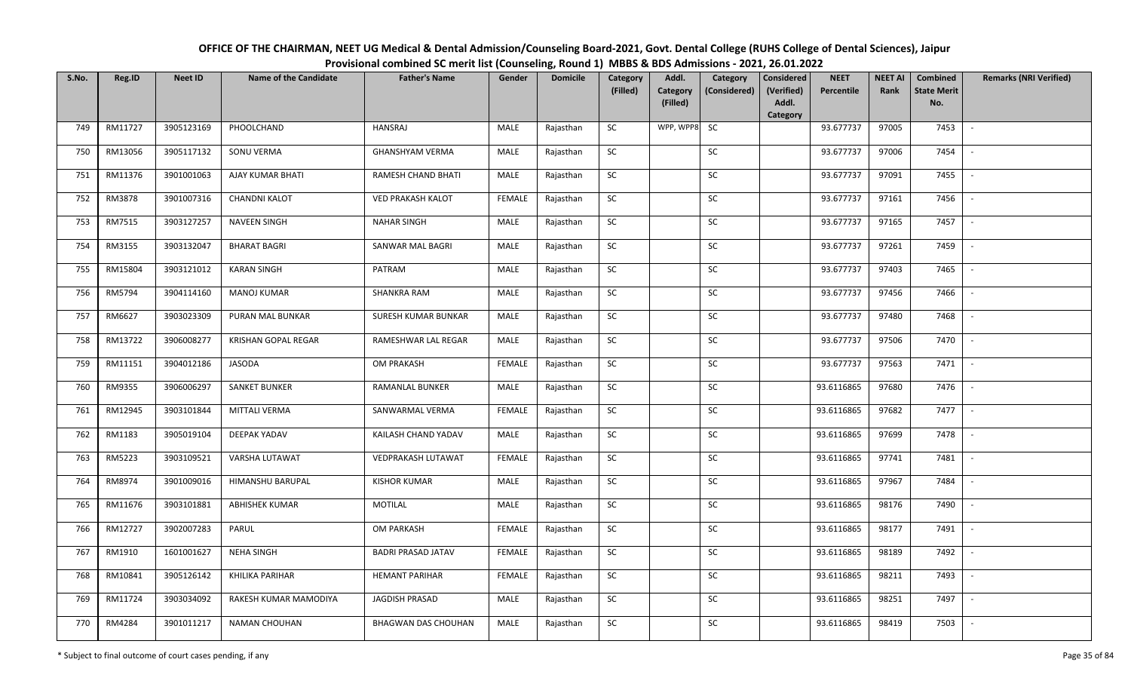| OFFICE OF THE CHAIRMAN, NEET UG Medical & Dental Admission/Counseling Board-2021, Govt. Dental College (RUHS College of Dental Sciences), Jaipur |
|--------------------------------------------------------------------------------------------------------------------------------------------------|
| Provisional combined SC merit list (Counseling, Round 1) MBBS & BDS Admissions - 2021, 26.01.2022                                                |

| S.No. | Reg.ID  | <b>Neet ID</b> | <b>Name of the Candidate</b> | <b>Father's Name</b>      | Gender        | <b>Domicile</b> | Category<br>(Filled) | Addl.<br><b>Category</b> | Category<br>(Considered) | <b>Considered</b><br>(Verified) | <b>NEET</b><br>Percentile | <b>NEET AI</b><br>Rank | Combined<br><b>State Merit</b> | <b>Remarks (NRI Verified)</b> |
|-------|---------|----------------|------------------------------|---------------------------|---------------|-----------------|----------------------|--------------------------|--------------------------|---------------------------------|---------------------------|------------------------|--------------------------------|-------------------------------|
|       |         |                |                              |                           |               |                 |                      | (Filled)                 |                          | Addl.<br>Category               |                           |                        | No.                            |                               |
| 749   | RM11727 | 3905123169     | PHOOLCHAND                   | <b>HANSRAJ</b>            | MALE          | Rajasthan       | <b>SC</b>            | WPP, WPP8                | <b>SC</b>                |                                 | 93.677737                 | 97005                  | 7453                           | $\sim$                        |
| 750   | RM13056 | 3905117132     | SONU VERMA                   | <b>GHANSHYAM VERMA</b>    | MALE          | Rajasthan       | <b>SC</b>            |                          | SC                       |                                 | 93.677737                 | 97006                  | 7454                           |                               |
| 751   | RM11376 | 3901001063     | AJAY KUMAR BHATI             | RAMESH CHAND BHATI        | MALE          | Rajasthan       | ${\sf SC}$           |                          | SC                       |                                 | 93.677737                 | 97091                  | 7455                           | $\overline{\phantom{a}}$      |
| 752   | RM3878  | 3901007316     | <b>CHANDNI KALOT</b>         | <b>VED PRAKASH KALOT</b>  | <b>FEMALE</b> | Rajasthan       | <b>SC</b>            |                          | <b>SC</b>                |                                 | 93.677737                 | 97161                  | 7456                           | $\overline{\phantom{a}}$      |
| 753   | RM7515  | 3903127257     | <b>NAVEEN SINGH</b>          | <b>NAHAR SINGH</b>        | MALE          | Rajasthan       | SC                   |                          | SC                       |                                 | 93.677737                 | 97165                  | 7457                           | $\sim$                        |
| 754   | RM3155  | 3903132047     | <b>BHARAT BAGRI</b>          | SANWAR MAL BAGRI          | MALE          | Rajasthan       | SC                   |                          | SC                       |                                 | 93.677737                 | 97261                  | 7459                           | $\sim$                        |
| 755   | RM15804 | 3903121012     | <b>KARAN SINGH</b>           | PATRAM                    | MALE          | Rajasthan       | ${\sf SC}$           |                          | <b>SC</b>                |                                 | 93.677737                 | 97403                  | 7465                           | $\sim$                        |
| 756   | RM5794  | 3904114160     | <b>MANOJ KUMAR</b>           | <b>SHANKRA RAM</b>        | MALE          | Rajasthan       | SC                   |                          | $\sf SC$                 |                                 | 93.677737                 | 97456                  | 7466                           | $\overline{\phantom{a}}$      |
| 757   | RM6627  | 3903023309     | PURAN MAL BUNKAR             | SURESH KUMAR BUNKAR       | MALE          | Rajasthan       | SC                   |                          | SC                       |                                 | 93.677737                 | 97480                  | 7468                           | $\overline{\phantom{a}}$      |
| 758   | RM13722 | 3906008277     | <b>KRISHAN GOPAL REGAR</b>   | RAMESHWAR LAL REGAR       | MALE          | Rajasthan       | ${\sf SC}$           |                          | SC                       |                                 | 93.677737                 | 97506                  | 7470                           | $\sim$                        |
| 759   | RM11151 | 3904012186     | <b>JASODA</b>                | OM PRAKASH                | <b>FEMALE</b> | Rajasthan       | SC                   |                          | SC                       |                                 | 93.677737                 | 97563                  | 7471                           | $\sim$                        |
| 760   | RM9355  | 3906006297     | <b>SANKET BUNKER</b>         | RAMANLAL BUNKER           | MALE          | Rajasthan       | <b>SC</b>            |                          | SC                       |                                 | 93.6116865                | 97680                  | 7476                           | $\sim$                        |
| 761   | RM12945 | 3903101844     | <b>MITTALI VERMA</b>         | SANWARMAL VERMA           | <b>FEMALE</b> | Rajasthan       | <b>SC</b>            |                          | SC                       |                                 | 93.6116865                | 97682                  | 7477                           | $\overline{\phantom{a}}$      |
| 762   | RM1183  | 3905019104     | DEEPAK YADAV                 | KAILASH CHAND YADAV       | MALE          | Rajasthan       | SC                   |                          | <b>SC</b>                |                                 | 93.6116865                | 97699                  | 7478                           | $\overline{\phantom{a}}$      |
| 763   | RM5223  | 3903109521     | VARSHA LUTAWAT               | VEDPRAKASH LUTAWAT        | <b>FEMALE</b> | Rajasthan       | ${\sf SC}$           |                          | $\sf SC$                 |                                 | 93.6116865                | 97741                  | 7481                           | $\overline{\phantom{a}}$      |
| 764   | RM8974  | 3901009016     | HIMANSHU BARUPAL             | <b>KISHOR KUMAR</b>       | MALE          | Rajasthan       | <b>SC</b>            |                          | SC                       |                                 | 93.6116865                | 97967                  | 7484                           | $\sim$                        |
| 765   | RM11676 | 3903101881     | <b>ABHISHEK KUMAR</b>        | MOTILAL                   | MALE          | Rajasthan       | ${\sf SC}$           |                          | $\sf SC$                 |                                 | 93.6116865                | 98176                  | 7490                           | $\mathbb{L}$                  |
| 766   | RM12727 | 3902007283     | PARUL                        | OM PARKASH                | <b>FEMALE</b> | Rajasthan       | SC                   |                          | SC                       |                                 | 93.6116865                | 98177                  | 7491                           | $\sim$                        |
| 767   | RM1910  | 1601001627     | NEHA SINGH                   | <b>BADRI PRASAD JATAV</b> | <b>FEMALE</b> | Rajasthan       | SC                   |                          | SC                       |                                 | 93.6116865                | 98189                  | 7492                           | $\overline{\phantom{a}}$      |
| 768   | RM10841 | 3905126142     | KHILIKA PARIHAR              | <b>HEMANT PARIHAR</b>     | <b>FEMALE</b> | Rajasthan       | ${\sf SC}$           |                          | ${\sf SC}$               |                                 | 93.6116865                | 98211                  | 7493                           |                               |
| 769   | RM11724 | 3903034092     | RAKESH KUMAR MAMODIYA        | JAGDISH PRASAD            | MALE          | Rajasthan       | <b>SC</b>            |                          | <b>SC</b>                |                                 | 93.6116865                | 98251                  | 7497                           | $\sim$                        |
| 770   | RM4284  | 3901011217     | NAMAN CHOUHAN                | BHAGWAN DAS CHOUHAN       | MALE          | Rajasthan       | ${\sf SC}$           |                          | SC                       |                                 | 93.6116865                | 98419                  | 7503                           | $\sim$                        |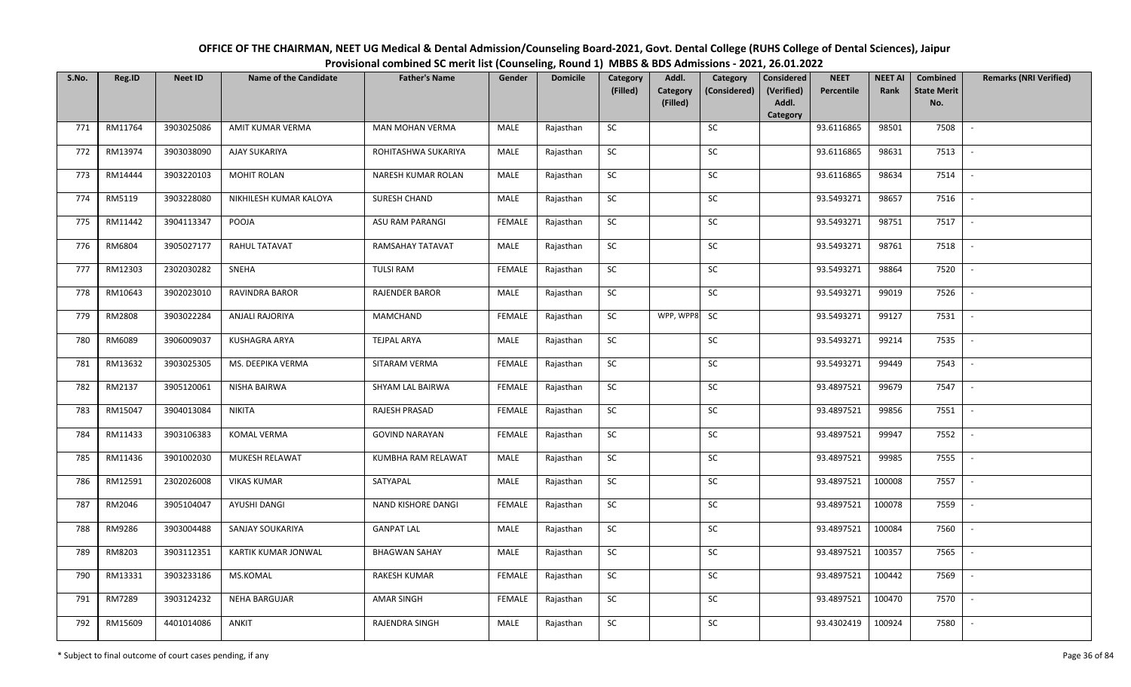| OFFICE OF THE CHAIRMAN, NEET UG Medical & Dental Admission/Counseling Board-2021, Govt. Dental College (RUHS College of Dental Sciences), Jaipur |
|--------------------------------------------------------------------------------------------------------------------------------------------------|
| Provisional combined SC merit list (Counseling, Round 1) MBBS & BDS Admissions - 2021, 26.01.2022                                                |

| S.No. | Reg.ID  | <b>Neet ID</b> | <b>Name of the Candidate</b> | <b>Father's Name</b>   | Gender        | <b>Domicile</b> | Category<br>(Filled) | Addl.<br>Category | Category<br>(Considered) | <b>Considered</b><br>(Verified)<br>Addl. | <b>NEET</b><br>Percentile | <b>NEET AI</b><br>Rank | Combined<br><b>State Merit</b> | <b>Remarks (NRI Verified)</b> |
|-------|---------|----------------|------------------------------|------------------------|---------------|-----------------|----------------------|-------------------|--------------------------|------------------------------------------|---------------------------|------------------------|--------------------------------|-------------------------------|
|       |         |                |                              |                        |               |                 |                      | (Filled)          |                          | Category                                 |                           |                        | No.                            |                               |
| 771   | RM11764 | 3903025086     | AMIT KUMAR VERMA             | <b>MAN MOHAN VERMA</b> | MALE          | Rajasthan       | <b>SC</b>            |                   | <b>SC</b>                |                                          | 93.6116865                | 98501                  | 7508                           | $\sim$                        |
| 772   | RM13974 | 3903038090     | AJAY SUKARIYA                | ROHITASHWA SUKARIYA    | MALE          | Rajasthan       | SC                   |                   | SC                       |                                          | 93.6116865                | 98631                  | 7513                           |                               |
| 773   | RM14444 | 3903220103     | <b>MOHIT ROLAN</b>           | NARESH KUMAR ROLAN     | MALE          | Rajasthan       | SC                   |                   | SC                       |                                          | 93.6116865                | 98634                  | 7514                           | $\overline{\phantom{a}}$      |
| 774   | RM5119  | 3903228080     | NIKHILESH KUMAR KALOYA       | SURESH CHAND           | MALE          | Rajasthan       | SC                   |                   | $\sf SC$                 |                                          | 93.5493271                | 98657                  | 7516                           |                               |
| 775   | RM11442 | 3904113347     | POOJA                        | ASU RAM PARANGI        | <b>FEMALE</b> | Rajasthan       | SC                   |                   | SC                       |                                          | 93.5493271                | 98751                  | 7517                           | $\sim$                        |
| 776   | RM6804  | 3905027177     | RAHUL TATAVAT                | RAMSAHAY TATAVAT       | MALE          | Rajasthan       | <b>SC</b>            |                   | SC                       |                                          | 93.5493271                | 98761                  | 7518                           | $\sim$                        |
| 777   | RM12303 | 2302030282     | SNEHA                        | <b>TULSI RAM</b>       | <b>FEMALE</b> | Rajasthan       | <b>SC</b>            |                   | <b>SC</b>                |                                          | 93.5493271                | 98864                  | 7520                           | $\sim$                        |
| 778   | RM10643 | 3902023010     | <b>RAVINDRA BAROR</b>        | <b>RAJENDER BAROR</b>  | MALE          | Rajasthan       | SC                   |                   | <b>SC</b>                |                                          | 93.5493271                | 99019                  | 7526                           | $\sim$                        |
| 779   | RM2808  | 3903022284     | ANJALI RAJORIYA              | MAMCHAND               | <b>FEMALE</b> | Rajasthan       | SC                   | WPP, WPP8         | SC                       |                                          | 93.5493271                | 99127                  | 7531                           | $\overline{\phantom{a}}$      |
| 780   | RM6089  | 3906009037     | KUSHAGRA ARYA                | <b>TEJPAL ARYA</b>     | MALE          | Rajasthan       | SC                   |                   | $\sf SC$                 |                                          | 93.5493271                | 99214                  | 7535                           | $\sim$                        |
| 781   | RM13632 | 3903025305     | MS. DEEPIKA VERMA            | SITARAM VERMA          | <b>FEMALE</b> | Rajasthan       | ${\sf SC}$           |                   | SC                       |                                          | 93.5493271                | 99449                  | 7543                           |                               |
| 782   | RM2137  | 3905120061     | NISHA BAIRWA                 | SHYAM LAL BAIRWA       | <b>FEMALE</b> | Rajasthan       | SC                   |                   | SC                       |                                          | 93.4897521                | 99679                  | 7547                           | $\sim$                        |
| 783   | RM15047 | 3904013084     | <b>NIKITA</b>                | RAJESH PRASAD          | <b>FEMALE</b> | Rajasthan       | SC                   |                   | SC                       |                                          | 93.4897521                | 99856                  | 7551                           | $\sim$                        |
| 784   | RM11433 | 3903106383     | KOMAL VERMA                  | <b>GOVIND NARAYAN</b>  | <b>FEMALE</b> | Rajasthan       | <b>SC</b>            |                   | <b>SC</b>                |                                          | 93.4897521                | 99947                  | 7552                           | $\overline{\phantom{a}}$      |
| 785   | RM11436 | 3901002030     | MUKESH RELAWAT               | KUMBHA RAM RELAWAT     | MALE          | Rajasthan       | SC                   |                   | SC                       |                                          | 93.4897521                | 99985                  | 7555                           | $\sim$                        |
| 786   | RM12591 | 2302026008     | <b>VIKAS KUMAR</b>           | SATYAPAL               | MALE          | Rajasthan       | SC                   |                   | SC                       |                                          | 93.4897521                | 100008                 | 7557                           | $\mathcal{L}_{\mathcal{A}}$   |
| 787   | RM2046  | 3905104047     | AYUSHI DANGI                 | NAND KISHORE DANGI     | FEMALE        | Rajasthan       | <b>SC</b>            |                   | <b>SC</b>                |                                          | 93.4897521                | 100078                 | 7559                           | $\overline{\phantom{a}}$      |
| 788   | RM9286  | 3903004488     | SANJAY SOUKARIYA             | <b>GANPAT LAL</b>      | MALE          | Rajasthan       | SC                   |                   | SC                       |                                          | 93.4897521                | 100084                 | 7560                           | $\sim$                        |
| 789   | RM8203  | 3903112351     | KARTIK KUMAR JONWAL          | <b>BHAGWAN SAHAY</b>   | MALE          | Rajasthan       | SC                   |                   | SC                       |                                          | 93.4897521                | 100357                 | 7565                           | $\sim$                        |
| 790   | RM13331 | 3903233186     | MS.KOMAL                     | RAKESH KUMAR           | <b>FEMALE</b> | Rajasthan       | <b>SC</b>            |                   | SC                       |                                          | 93.4897521                | 100442                 | 7569                           | $\sim$                        |
| 791   | RM7289  | 3903124232     | NEHA BARGUJAR                | <b>AMAR SINGH</b>      | <b>FEMALE</b> | Rajasthan       | ${\sf SC}$           |                   | SC                       |                                          | 93.4897521                | 100470                 | 7570                           | $\sim$                        |
| 792   | RM15609 | 4401014086     | ANKIT                        | RAJENDRA SINGH         | MALE          | Rajasthan       | SC                   |                   | SC                       |                                          | 93.4302419                | 100924                 | 7580                           | $\sim$                        |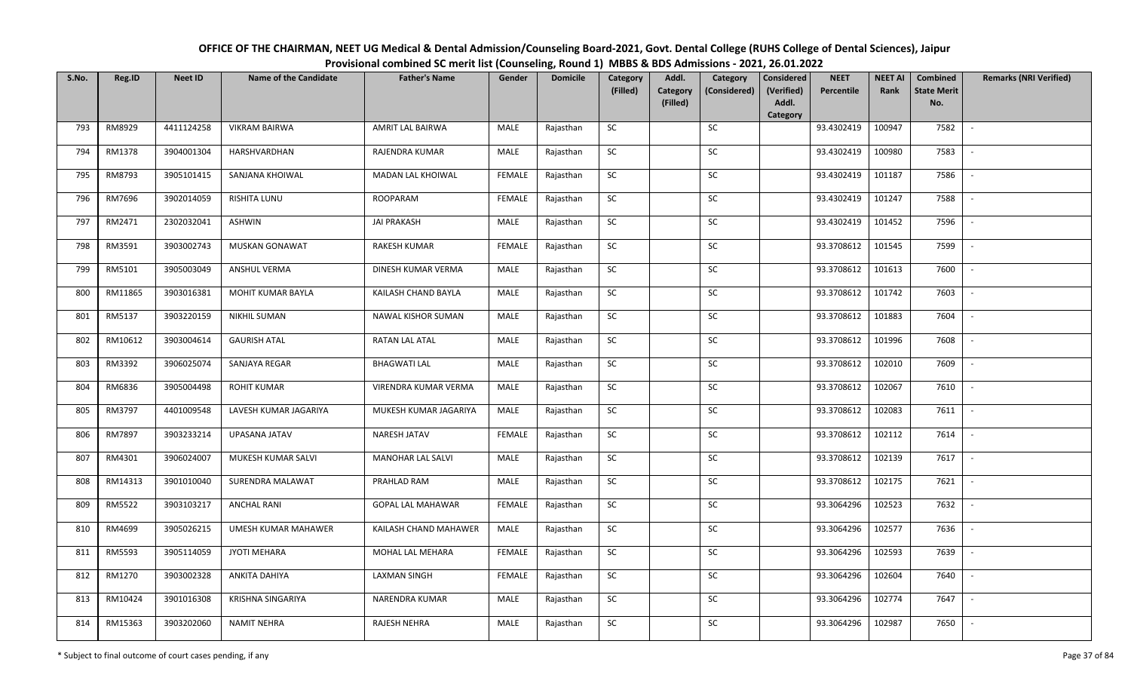| OFFICE OF THE CHAIRMAN, NEET UG Medical & Dental Admission/Counseling Board-2021, Govt. Dental College (RUHS College of Dental Sciences), Jaipur |
|--------------------------------------------------------------------------------------------------------------------------------------------------|
| Provisional combined SC merit list (Counseling, Round 1) MBBS & BDS Admissions - 2021, 26.01.2022                                                |

| S.No. | Reg.ID  | <b>Neet ID</b> | <b>Name of the Candidate</b> | <b>Father's Name</b>     | Gender        | <b>Domicile</b> | Category<br>(Filled) | Addl.<br>Category | Category<br>(Considered) | <b>Considered</b><br>(Verified) | <b>NEET</b><br>Percentile | <b>NEET AI</b><br>Rank | Combined<br><b>State Merit</b> | <b>Remarks (NRI Verified)</b> |
|-------|---------|----------------|------------------------------|--------------------------|---------------|-----------------|----------------------|-------------------|--------------------------|---------------------------------|---------------------------|------------------------|--------------------------------|-------------------------------|
|       |         |                |                              |                          |               |                 |                      | (Filled)          |                          | Addl.<br>Category               |                           |                        | No.                            |                               |
| 793   | RM8929  | 4411124258     | <b>VIKRAM BAIRWA</b>         | AMRIT LAL BAIRWA         | MALE          | Rajasthan       | <b>SC</b>            |                   | SC                       |                                 | 93.4302419                | 100947                 | 7582                           |                               |
| 794   | RM1378  | 3904001304     | HARSHVARDHAN                 | RAJENDRA KUMAR           | MALE          | Rajasthan       | SC                   |                   | SC                       |                                 | 93.4302419                | 100980                 | 7583                           |                               |
| 795   | RM8793  | 3905101415     | SANJANA KHOIWAL              | MADAN LAL KHOIWAL        | <b>FEMALE</b> | Rajasthan       | SC                   |                   | SC                       |                                 | 93.4302419                | 101187                 | 7586                           |                               |
| 796   | RM7696  | 3902014059     | <b>RISHITA LUNU</b>          | ROOPARAM                 | <b>FEMALE</b> | Rajasthan       | SC                   |                   | ${\sf SC}$               |                                 | 93.4302419                | 101247                 | 7588                           |                               |
| 797   | RM2471  | 2302032041     | <b>ASHWIN</b>                | <b>JAI PRAKASH</b>       | <b>MALE</b>   | Rajasthan       | SC                   |                   | SC                       |                                 | 93.4302419                | 101452                 | 7596                           | $\sim$                        |
| 798   | RM3591  | 3903002743     | MUSKAN GONAWAT               | <b>RAKESH KUMAR</b>      | <b>FEMALE</b> | Rajasthan       | SC                   |                   | ${\sf SC}$               |                                 | 93.3708612                | 101545                 | 7599                           | $\overline{\phantom{a}}$      |
| 799   | RM5101  | 3905003049     | ANSHUL VERMA                 | DINESH KUMAR VERMA       | MALE          | Rajasthan       | ${\sf SC}$           |                   | SC                       |                                 | 93.3708612                | 101613                 | 7600                           |                               |
| 800   | RM11865 | 3903016381     | MOHIT KUMAR BAYLA            | KAILASH CHAND BAYLA      | MALE          | Rajasthan       | SC                   |                   | SC                       |                                 | 93.3708612                | 101742                 | 7603                           |                               |
| 801   | RM5137  | 3903220159     | NIKHIL SUMAN                 | NAWAL KISHOR SUMAN       | MALE          | Rajasthan       | ${\sf SC}$           |                   | ${\sf SC}$               |                                 | 93.3708612                | 101883                 | 7604                           |                               |
| 802   | RM10612 | 3903004614     | <b>GAURISH ATAL</b>          | RATAN LAL ATAL           | MALE          | Rajasthan       | SC                   |                   | SC                       |                                 | 93.3708612                | 101996                 | 7608                           | $\blacksquare$                |
| 803   | RM3392  | 3906025074     | SANJAYA REGAR                | <b>BHAGWATI LAL</b>      | MALE          | Rajasthan       | ${\sf SC}$           |                   | ${\sf SC}$               |                                 | 93.3708612                | 102010                 | 7609                           |                               |
| 804   | RM6836  | 3905004498     | <b>ROHIT KUMAR</b>           | VIRENDRA KUMAR VERMA     | MALE          | Rajasthan       | SC                   |                   | SC                       |                                 | 93.3708612                | 102067                 | 7610                           |                               |
| 805   | RM3797  | 4401009548     | LAVESH KUMAR JAGARIYA        | MUKESH KUMAR JAGARIYA    | MALE          | Rajasthan       | SC                   |                   | SC                       |                                 | 93.3708612                | 102083                 | 7611                           |                               |
| 806   | RM7897  | 3903233214     | UPASANA JATAV                | NARESH JATAV             | <b>FEMALE</b> | Rajasthan       | SC                   |                   | SC                       |                                 | 93.3708612                | 102112                 | 7614                           |                               |
| 807   | RM4301  | 3906024007     | MUKESH KUMAR SALVI           | MANOHAR LAL SALVI        | MALE          | Rajasthan       | SC                   |                   | SC                       |                                 | 93.3708612                | 102139                 | 7617                           |                               |
| 808   | RM14313 | 3901010040     | SURENDRA MALAWAT             | PRAHLAD RAM              | <b>MALE</b>   | Rajasthan       | ${\sf SC}$           |                   | SC                       |                                 | 93.3708612                | 102175                 | 7621                           | $\sim$                        |
| 809   | RM5522  | 3903103217     | <b>ANCHAL RANI</b>           | <b>GOPAL LAL MAHAWAR</b> | <b>FEMALE</b> | Rajasthan       | SC                   |                   | SC                       |                                 | 93.3064296                | 102523                 | 7632                           | $\overline{\phantom{a}}$      |
| 810   | RM4699  | 3905026215     | UMESH KUMAR MAHAWER          | KAILASH CHAND MAHAWER    | MALE          | Rajasthan       | ${\sf SC}$           |                   | SC                       |                                 | 93.3064296                | 102577                 | 7636                           |                               |
| 811   | RM5593  | 3905114059     | <b>JYOTI MEHARA</b>          | MOHAL LAL MEHARA         | <b>FEMALE</b> | Rajasthan       | SC                   |                   | SC                       |                                 | 93.3064296                | 102593                 | 7639                           | $\overline{a}$                |
| 812   | RM1270  | 3903002328     | ANKITA DAHIYA                | <b>LAXMAN SINGH</b>      | <b>FEMALE</b> | Rajasthan       | SC                   |                   | ${\sf SC}$               |                                 | 93.3064296                | 102604                 | 7640                           |                               |
| 813   | RM10424 | 3901016308     | KRISHNA SINGARIYA            | NARENDRA KUMAR           | MALE          | Rajasthan       | SC                   |                   | SC                       |                                 | 93.3064296                | 102774                 | 7647                           |                               |
| 814   | RM15363 | 3903202060     | <b>NAMIT NEHRA</b>           | RAJESH NEHRA             | MALE          | Rajasthan       | SC                   |                   | <b>SC</b>                |                                 | 93.3064296                | 102987                 | 7650                           |                               |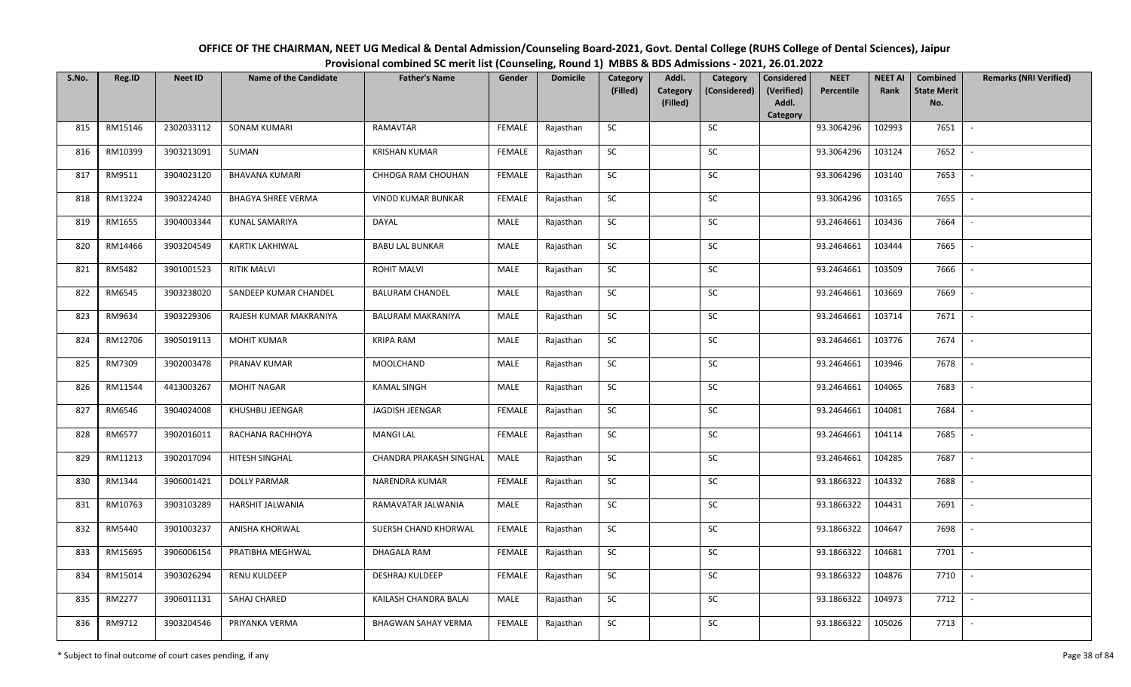| OFFICE OF THE CHAIRMAN, NEET UG Medical & Dental Admission/Counseling Board-2021, Govt. Dental College (RUHS College of Dental Sciences), Jaipur |
|--------------------------------------------------------------------------------------------------------------------------------------------------|
| Provisional combined SC merit list (Counseling, Round 1) MBBS & BDS Admissions - 2021, 26.01.2022                                                |

| S.No. | Reg.ID  | <b>Neet ID</b> | <b>Name of the Candidate</b> | <b>Father's Name</b>       | Gender        | <b>Domicile</b> | Category<br>(Filled) | Addl.<br><b>Category</b> | Category<br>(Considered) | <b>Considered</b><br>(Verified) | <b>NEET</b><br>Percentile | <b>NEET AI</b><br>Rank | Combined<br><b>State Merit</b> | <b>Remarks (NRI Verified)</b> |
|-------|---------|----------------|------------------------------|----------------------------|---------------|-----------------|----------------------|--------------------------|--------------------------|---------------------------------|---------------------------|------------------------|--------------------------------|-------------------------------|
|       |         |                |                              |                            |               |                 |                      | (Filled)                 |                          | Addl.<br>Category               |                           |                        | No.                            |                               |
| 815   | RM15146 | 2302033112     | <b>SONAM KUMARI</b>          | <b>RAMAVTAR</b>            | <b>FEMALE</b> | Rajasthan       | SC                   |                          | SC                       |                                 | 93.3064296                | 102993                 | 7651                           | $\mathbb{L}$                  |
| 816   | RM10399 | 3903213091     | SUMAN                        | <b>KRISHAN KUMAR</b>       | <b>FEMALE</b> | Rajasthan       | SC                   |                          | <b>SC</b>                |                                 | 93.3064296                | 103124                 | 7652                           |                               |
| 817   | RM9511  | 3904023120     | <b>BHAVANA KUMARI</b>        | CHHOGA RAM CHOUHAN         | FEMALE        | Rajasthan       | SC                   |                          | SC                       |                                 | 93.3064296                | 103140                 | 7653                           |                               |
| 818   | RM13224 | 3903224240     | <b>BHAGYA SHREE VERMA</b>    | <b>VINOD KUMAR BUNKAR</b>  | <b>FEMALE</b> | Rajasthan       | SC                   |                          | SC                       |                                 | 93.3064296                | 103165                 | 7655                           |                               |
| 819   | RM1655  | 3904003344     | KUNAL SAMARIYA               | DAYAL                      | MALE          | Rajasthan       | SC                   |                          | ${\sf SC}$               |                                 | 93.2464661                | 103436                 | 7664                           | $\sim$                        |
| 820   | RM14466 | 3903204549     | <b>KARTIK LAKHIWAL</b>       | <b>BABU LAL BUNKAR</b>     | MALE          | Rajasthan       | ${\sf SC}$           |                          | ${\sf SC}$               |                                 | 93.2464661                | 103444                 | 7665                           | $\overline{\phantom{a}}$      |
| 821   | RM5482  | 3901001523     | <b>RITIK MALVI</b>           | <b>ROHIT MALVI</b>         | MALE          | Rajasthan       | SC                   |                          | SC                       |                                 | 93.2464661                | 103509                 | 7666                           |                               |
| 822   | RM6545  | 3903238020     | SANDEEP KUMAR CHANDEL        | <b>BALURAM CHANDEL</b>     | MALE          | Rajasthan       | SC                   |                          | SC                       |                                 | 93.2464661                | 103669                 | 7669                           | $\overline{\phantom{a}}$      |
| 823   | RM9634  | 3903229306     | RAJESH KUMAR MAKRANIYA       | <b>BALURAM MAKRANIYA</b>   | MALE          | Rajasthan       | SC                   |                          | SC                       |                                 | 93.2464661                | 103714                 | 7671                           |                               |
| 824   | RM12706 | 3905019113     | <b>MOHIT KUMAR</b>           | <b>KRIPA RAM</b>           | MALE          | Rajasthan       | SC                   |                          | SC                       |                                 | 93.2464661                | 103776                 | 7674                           |                               |
| 825   | RM7309  | 3902003478     | PRANAV KUMAR                 | MOOLCHAND                  | <b>MALE</b>   | Rajasthan       | ${\sf SC}$           |                          | SC                       |                                 | 93.2464661                | 103946                 | 7678                           | $\overline{\phantom{a}}$      |
| 826   | RM11544 | 4413003267     | <b>MOHIT NAGAR</b>           | <b>KAMAL SINGH</b>         | MALE          | Rajasthan       | <b>SC</b>            |                          | SC                       |                                 | 93.2464661                | 104065                 | 7683                           |                               |
| 827   | RM6546  | 3904024008     | KHUSHBU JEENGAR              | JAGDISH JEENGAR            | <b>FEMALE</b> | Rajasthan       | SC                   |                          | SC                       |                                 | 93.2464661                | 104081                 | 7684                           |                               |
| 828   | RM6577  | 3902016011     | RACHANA RACHHOYA             | <b>MANGI LAL</b>           | <b>FEMALE</b> | Rajasthan       | SC                   |                          | SC                       |                                 | 93.2464661                | 104114                 | 7685                           | $\blacksquare$                |
| 829   | RM11213 | 3902017094     | HITESH SINGHAL               | CHANDRA PRAKASH SINGHAL    | MALE          | Rajasthan       | SC                   |                          | SC                       |                                 | 93.2464661                | 104285                 | 7687                           |                               |
| 830   | RM1344  | 3906001421     | <b>DOLLY PARMAR</b>          | NARENDRA KUMAR             | <b>FEMALE</b> | Rajasthan       | SC                   |                          | ${\sf SC}$               |                                 | 93.1866322                | 104332                 | 7688                           | $\overline{\phantom{a}}$      |
| 831   | RM10763 | 3903103289     | HARSHIT JALWANIA             | RAMAVATAR JALWANIA         | MALE          | Rajasthan       | <b>SC</b>            |                          | SC                       |                                 | 93.1866322                | 104431                 | 7691                           | $\overline{\phantom{a}}$      |
| 832   | RM5440  | 3901003237     | ANISHA KHORWAL               | SUERSH CHAND KHORWAL       | <b>FEMALE</b> | Rajasthan       | <b>SC</b>            |                          | SC                       |                                 | 93.1866322                | 104647                 | 7698                           |                               |
| 833   | RM15695 | 3906006154     | PRATIBHA MEGHWAL             | DHAGALA RAM                | FEMALE        | Rajasthan       | SC                   |                          | SC                       |                                 | 93.1866322                | 104681                 | 7701                           | $\sim$                        |
| 834   | RM15014 | 3903026294     | <b>RENU KULDEEP</b>          | <b>DESHRAJ KULDEEP</b>     | <b>FEMALE</b> | Rajasthan       | SC                   |                          | SC                       |                                 | 93.1866322                | 104876                 | 7710                           | $\sim$                        |
| 835   | RM2277  | 3906011131     | SAHAJ CHARED                 | KAILASH CHANDRA BALAI      | MALE          | Rajasthan       | SC                   |                          | ${\sf SC}$               |                                 | 93.1866322                | 104973                 | 7712                           |                               |
| 836   | RM9712  | 3903204546     | PRIYANKA VERMA               | <b>BHAGWAN SAHAY VERMA</b> | FEMALE        | Rajasthan       | ${\sf SC}$           |                          | ${\sf SC}$               |                                 | 93.1866322                | 105026                 | 7713                           |                               |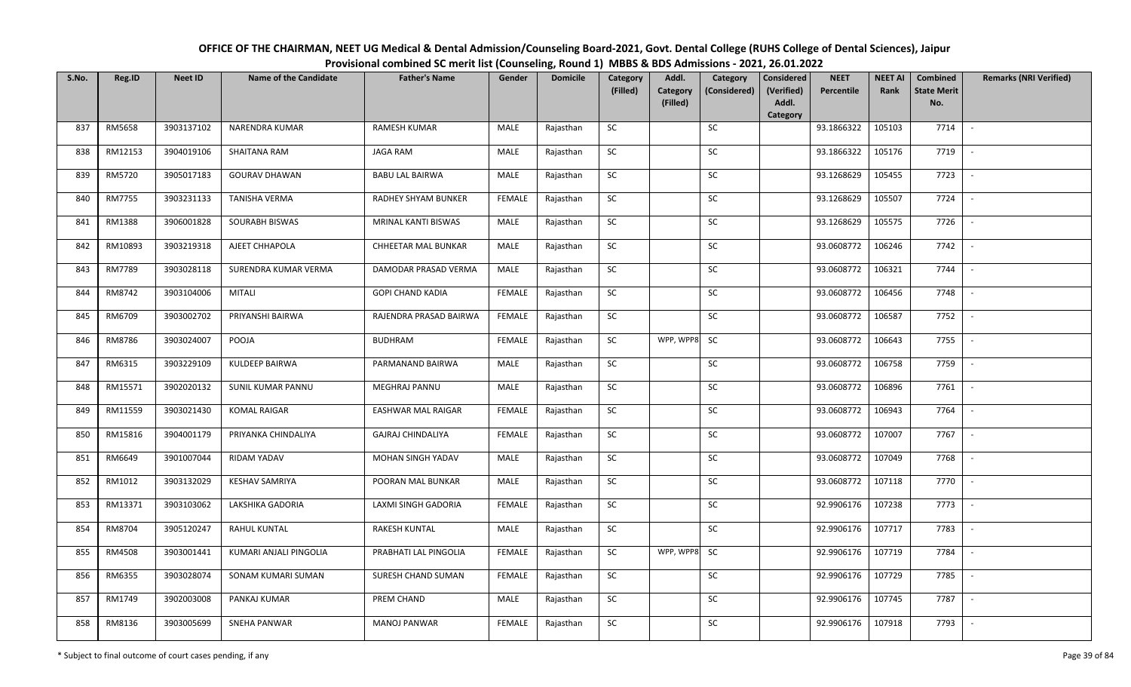| OFFICE OF THE CHAIRMAN, NEET UG Medical & Dental Admission/Counseling Board-2021, Govt. Dental College (RUHS College of Dental Sciences), Jaipur |
|--------------------------------------------------------------------------------------------------------------------------------------------------|
| Provisional combined SC merit list (Counseling, Round 1) MBBS & BDS Admissions - 2021, 26.01.2022                                                |

| S.No. | Reg.ID        | <b>Neet ID</b> | <b>Name of the Candidate</b> | <b>Father's Name</b>     | Gender        | <b>Domicile</b> | Category<br>(Filled) | Addl.<br><b>Category</b> | Category<br>(Considered) | <b>Considered</b><br>(Verified) | <b>NEET</b><br>Percentile | <b>NEET AI</b><br>Rank | Combined<br><b>State Merit</b> | <b>Remarks (NRI Verified)</b> |
|-------|---------------|----------------|------------------------------|--------------------------|---------------|-----------------|----------------------|--------------------------|--------------------------|---------------------------------|---------------------------|------------------------|--------------------------------|-------------------------------|
|       |               |                |                              |                          |               |                 |                      | (Filled)                 |                          | Addl.<br>Category               |                           |                        | No.                            |                               |
| 837   | RM5658        | 3903137102     | NARENDRA KUMAR               | <b>RAMESH KUMAR</b>      | MALE          | Rajasthan       | <b>SC</b>            |                          | SC                       |                                 | 93.1866322                | 105103                 | 7714                           | $\sim$                        |
| 838   | RM12153       | 3904019106     | SHAITANA RAM                 | <b>JAGA RAM</b>          | MALE          | Rajasthan       | SC                   |                          | SC                       |                                 | 93.1866322                | 105176                 | 7719                           |                               |
| 839   | RM5720        | 3905017183     | <b>GOURAV DHAWAN</b>         | <b>BABU LAL BAIRWA</b>   | MALE          | Rajasthan       | SC                   |                          | SC                       |                                 | 93.1268629                | 105455                 | 7723                           |                               |
| 840   | <b>RM7755</b> | 3903231133     | TANISHA VERMA                | RADHEY SHYAM BUNKER      | <b>FEMALE</b> | Rajasthan       | <b>SC</b>            |                          | ${\sf SC}$               |                                 | 93.1268629                | 105507                 | 7724                           | $\sim$                        |
| 841   | RM1388        | 3906001828     | SOURABH BISWAS               | MRINAL KANTI BISWAS      | <b>MALE</b>   | Rajasthan       | SC                   |                          | SC                       |                                 | 93.1268629                | 105575                 | 7726                           | $\sim$                        |
| 842   | RM10893       | 3903219318     | AJEET CHHAPOLA               | CHHEETAR MAL BUNKAR      | MALE          | Rajasthan       | SC                   |                          | ${\sf SC}$               |                                 | 93.0608772                | 106246                 | 7742                           | $\overline{\phantom{a}}$      |
| 843   | RM7789        | 3903028118     | SURENDRA KUMAR VERMA         | DAMODAR PRASAD VERMA     | MALE          | Rajasthan       | SC                   |                          | SC                       |                                 | 93.0608772                | 106321                 | 7744                           | $\overline{\phantom{a}}$      |
| 844   | RM8742        | 3903104006     | MITALI                       | <b>GOPI CHAND KADIA</b>  | <b>FEMALE</b> | Rajasthan       | <b>SC</b>            |                          | SC                       |                                 | 93.0608772                | 106456                 | 7748                           |                               |
| 845   | RM6709        | 3903002702     | PRIYANSHI BAIRWA             | RAJENDRA PRASAD BAIRWA   | FEMALE        | Rajasthan       | ${\sf SC}$           |                          | ${\sf SC}$               |                                 | 93.0608772                | 106587                 | 7752                           |                               |
| 846   | RM8786        | 3903024007     | POOJA                        | <b>BUDHRAM</b>           | <b>FEMALE</b> | Rajasthan       | SC                   | WPP, WPP8                | SC                       |                                 | 93.0608772                | 106643                 | 7755                           | $\overline{\phantom{a}}$      |
| 847   | RM6315        | 3903229109     | KULDEEP BAIRWA               | PARMANAND BAIRWA         | MALE          | Rajasthan       | ${\sf SC}$           |                          | ${\sf SC}$               |                                 | 93.0608772                | 106758                 | 7759                           |                               |
| 848   | RM15571       | 3902020132     | SUNIL KUMAR PANNU            | <b>MEGHRAJ PANNU</b>     | MALE          | Rajasthan       | SC                   |                          | SC                       |                                 | 93.0608772                | 106896                 | 7761                           |                               |
| 849   | RM11559       | 3903021430     | <b>KOMAL RAIGAR</b>          | EASHWAR MAL RAIGAR       | <b>FEMALE</b> | Rajasthan       | <b>SC</b>            |                          | SC                       |                                 | 93.0608772                | 106943                 | 7764                           |                               |
| 850   | RM15816       | 3904001179     | PRIYANKA CHINDALIYA          | <b>GAJRAJ CHINDALIYA</b> | <b>FEMALE</b> | Rajasthan       | SC                   |                          | SC                       |                                 | 93.0608772                | 107007                 | 7767                           | $\mathbb{L}$                  |
| 851   | RM6649        | 3901007044     | RIDAM YADAV                  | MOHAN SINGH YADAV        | MALE          | Rajasthan       | SC                   |                          | SC                       |                                 | 93.0608772                | 107049                 | 7768                           |                               |
| 852   | RM1012        | 3903132029     | <b>KESHAV SAMRIYA</b>        | POORAN MAL BUNKAR        | <b>MALE</b>   | Rajasthan       | ${\sf SC}$           |                          | SC                       |                                 | 93.0608772                | 107118                 | 7770                           | $\sim$                        |
| 853   | RM13371       | 3903103062     | LAKSHIKA GADORIA             | LAXMI SINGH GADORIA      | <b>FEMALE</b> | Rajasthan       | <b>SC</b>            |                          | SC                       |                                 | 92.9906176                | 107238                 | 7773                           | $\overline{\phantom{a}}$      |
| 854   | RM8704        | 3905120247     | <b>RAHUL KUNTAL</b>          | RAKESH KUNTAL            | MALE          | Rajasthan       | ${\sf SC}$           |                          | SC                       |                                 | 92.9906176                | 107717                 | 7783                           | $\overline{\phantom{a}}$      |
| 855   | RM4508        | 3903001441     | KUMARI ANJALI PINGOLIA       | PRABHATI LAL PINGOLIA    | <b>FEMALE</b> | Rajasthan       | <b>SC</b>            | WPP, WPP8                | <b>SC</b>                |                                 | 92.9906176                | 107719                 | 7784                           | $\overline{\phantom{a}}$      |
| 856   | RM6355        | 3903028074     | SONAM KUMARI SUMAN           | SURESH CHAND SUMAN       | <b>FEMALE</b> | Rajasthan       | SC                   |                          | ${\sf SC}$               |                                 | 92.9906176                | 107729                 | 7785                           |                               |
| 857   | RM1749        | 3902003008     | PANKAJ KUMAR                 | PREM CHAND               | MALE          | Rajasthan       | SC                   |                          | SC                       |                                 | 92.9906176                | 107745                 | 7787                           | $\blacksquare$                |
| 858   | RM8136        | 3903005699     | <b>SNEHA PANWAR</b>          | <b>MANOJ PANWAR</b>      | <b>FEMALE</b> | Rajasthan       | <b>SC</b>            |                          | <b>SC</b>                |                                 | 92.9906176                | 107918                 | 7793                           |                               |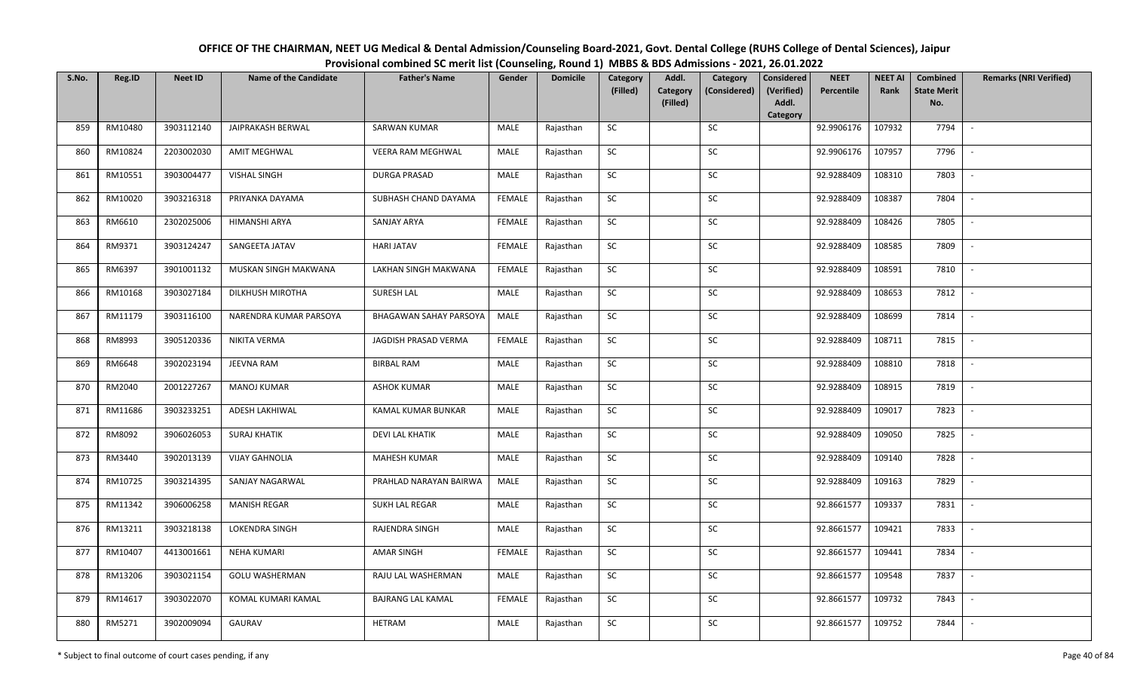| OFFICE OF THE CHAIRMAN, NEET UG Medical & Dental Admission/Counseling Board-2021, Govt. Dental College (RUHS College of Dental Sciences), Jaipur |
|--------------------------------------------------------------------------------------------------------------------------------------------------|
| Provisional combined SC merit list (Counseling, Round 1) MBBS & BDS Admissions - 2021, 26.01.2022                                                |

| S.No. | Reg.ID  | <b>Neet ID</b> | <b>Name of the Candidate</b> | <b>Father's Name</b>          | Gender        | <b>Domicile</b> | Category<br>(Filled) | Addl.<br>Category | Category<br>(Considered) | <b>Considered</b><br>(Verified)<br>Addl. | <b>NEET</b><br>Percentile | <b>NEET AI</b><br>Rank | Combined<br><b>State Merit</b> | <b>Remarks (NRI Verified)</b> |
|-------|---------|----------------|------------------------------|-------------------------------|---------------|-----------------|----------------------|-------------------|--------------------------|------------------------------------------|---------------------------|------------------------|--------------------------------|-------------------------------|
|       |         |                |                              |                               |               |                 |                      | (Filled)          |                          | Category                                 |                           |                        | No.                            |                               |
| 859   | RM10480 | 3903112140     | JAIPRAKASH BERWAL            | <b>SARWAN KUMAR</b>           | MALE          | Rajasthan       | <b>SC</b>            |                   | <b>SC</b>                |                                          | 92.9906176                | 107932                 | 7794                           | $\overline{\phantom{a}}$      |
| 860   | RM10824 | 2203002030     | <b>AMIT MEGHWAL</b>          | VEERA RAM MEGHWAL             | MALE          | Rajasthan       | SC                   |                   | SC                       |                                          | 92.9906176                | 107957                 | 7796                           |                               |
| 861   | RM10551 | 3903004477     | <b>VISHAL SINGH</b>          | <b>DURGA PRASAD</b>           | MALE          | Rajasthan       | SC                   |                   | SC                       |                                          | 92.9288409                | 108310                 | 7803                           | $\overline{\phantom{a}}$      |
| 862   | RM10020 | 3903216318     | PRIYANKA DAYAMA              | SUBHASH CHAND DAYAMA          | <b>FEMALE</b> | Rajasthan       | SC                   |                   | $\sf SC$                 |                                          | 92.9288409                | 108387                 | 7804                           |                               |
| 863   | RM6610  | 2302025006     | HIMANSHI ARYA                | SANJAY ARYA                   | <b>FEMALE</b> | Rajasthan       | SC                   |                   | SC                       |                                          | 92.9288409                | 108426                 | 7805                           | $\sim$                        |
| 864   | RM9371  | 3903124247     | SANGEETA JATAV               | <b>HARI JATAV</b>             | <b>FEMALE</b> | Rajasthan       | <b>SC</b>            |                   | SC                       |                                          | 92.9288409                | 108585                 | 7809                           | $\sim$                        |
| 865   | RM6397  | 3901001132     | MUSKAN SINGH MAKWANA         | LAKHAN SINGH MAKWANA          | <b>FEMALE</b> | Rajasthan       | <b>SC</b>            |                   | <b>SC</b>                |                                          | 92.9288409                | 108591                 | 7810                           | $\sim$                        |
| 866   | RM10168 | 3903027184     | DILKHUSH MIROTHA             | <b>SURESH LAL</b>             | MALE          | Rajasthan       | $\sf SC$             |                   | <b>SC</b>                |                                          | 92.9288409                | 108653                 | 7812                           | $\overline{\phantom{a}}$      |
| 867   | RM11179 | 3903116100     | NARENDRA KUMAR PARSOYA       | <b>BHAGAWAN SAHAY PARSOYA</b> | MALE          | Rajasthan       | SC                   |                   | SC                       |                                          | 92.9288409                | 108699                 | 7814                           | $\overline{\phantom{a}}$      |
| 868   | RM8993  | 3905120336     | NIKITA VERMA                 | JAGDISH PRASAD VERMA          | <b>FEMALE</b> | Rajasthan       | SC                   |                   | SC                       |                                          | 92.9288409                | 108711                 | 7815                           | $\sim$                        |
| 869   | RM6648  | 3902023194     | JEEVNA RAM                   | <b>BIRBAL RAM</b>             | MALE          | Rajasthan       | ${\sf SC}$           |                   | SC                       |                                          | 92.9288409                | 108810                 | 7818                           |                               |
| 870   | RM2040  | 2001227267     | <b>MANOJ KUMAR</b>           | <b>ASHOK KUMAR</b>            | MALE          | Rajasthan       | SC                   |                   | SC                       |                                          | 92.9288409                | 108915                 | 7819                           |                               |
| 871   | RM11686 | 3903233251     | ADESH LAKHIWAL               | KAMAL KUMAR BUNKAR            | MALE          | Rajasthan       | SC                   |                   | SC                       |                                          | 92.9288409                | 109017                 | 7823                           |                               |
| 872   | RM8092  | 3906026053     | <b>SURAJ KHATIK</b>          | <b>DEVI LAL KHATIK</b>        | MALE          | Rajasthan       | <b>SC</b>            |                   | <b>SC</b>                |                                          | 92.9288409                | 109050                 | 7825                           | $\overline{\phantom{a}}$      |
| 873   | RM3440  | 3902013139     | <b>VIJAY GAHNOLIA</b>        | MAHESH KUMAR                  | MALE          | Rajasthan       | SC                   |                   | SC                       |                                          | 92.9288409                | 109140                 | 7828                           |                               |
| 874   | RM10725 | 3903214395     | SANJAY NAGARWAL              | PRAHLAD NARAYAN BAIRWA        | MALE          | Rajasthan       | SC                   |                   | SC                       |                                          | 92.9288409                | 109163                 | 7829                           | $\sim$                        |
| 875   | RM11342 | 3906006258     | <b>MANISH REGAR</b>          | SUKH LAL REGAR                | MALE          | Rajasthan       | <b>SC</b>            |                   | <b>SC</b>                |                                          | 92.8661577                | 109337                 | 7831                           | $\overline{\phantom{a}}$      |
| 876   | RM13211 | 3903218138     | <b>LOKENDRA SINGH</b>        | RAJENDRA SINGH                | MALE          | Rajasthan       | SC                   |                   | SC                       |                                          | 92.8661577                | 109421                 | 7833                           | $\sim$                        |
| 877   | RM10407 | 4413001661     | <b>NEHA KUMARI</b>           | <b>AMAR SINGH</b>             | <b>FEMALE</b> | Rajasthan       | SC                   |                   | SC                       |                                          | 92.8661577                | 109441                 | 7834                           | $\overline{\phantom{a}}$      |
| 878   | RM13206 | 3903021154     | <b>GOLU WASHERMAN</b>        | RAJU LAL WASHERMAN            | MALE          | Rajasthan       | SC                   |                   | SC                       |                                          | 92.8661577                | 109548                 | 7837                           | $\sim$                        |
| 879   | RM14617 | 3903022070     | KOMAL KUMARI KAMAL           | <b>BAJRANG LAL KAMAL</b>      | <b>FEMALE</b> | Rajasthan       | ${\sf SC}$           |                   | SC                       |                                          | 92.8661577                | 109732                 | 7843                           | $\sim$                        |
| 880   | RM5271  | 3902009094     | GAURAV                       | HETRAM                        | MALE          | Rajasthan       | SC                   |                   | SC                       |                                          | 92.8661577                | 109752                 | 7844                           |                               |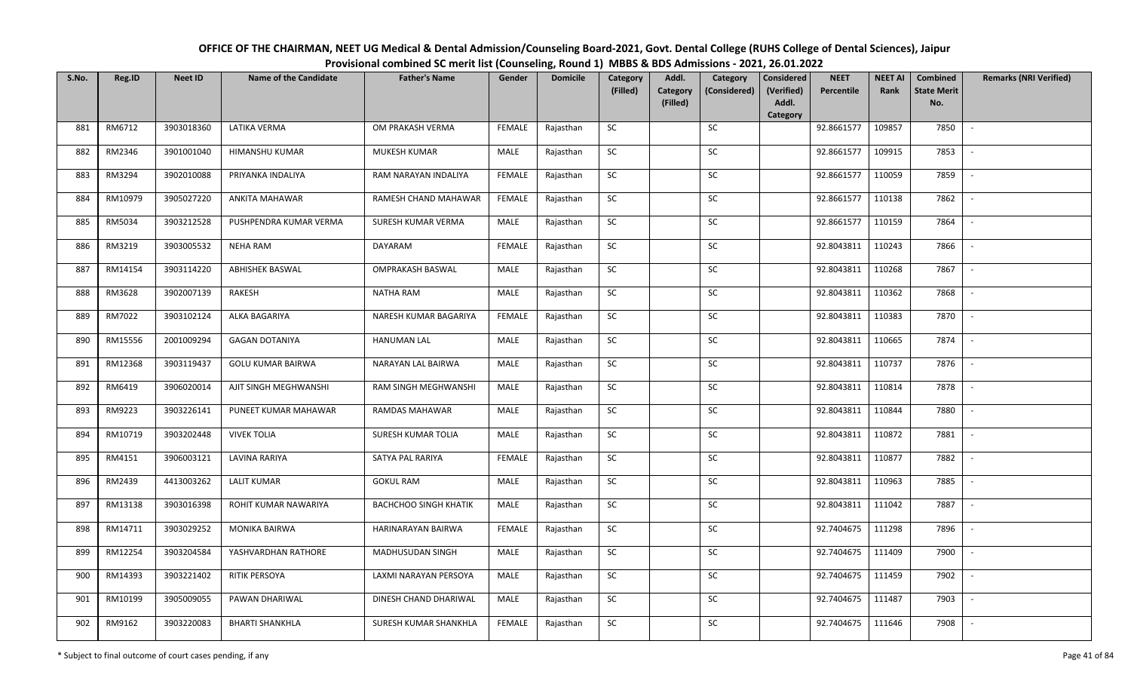| OFFICE OF THE CHAIRMAN, NEET UG Medical & Dental Admission/Counseling Board-2021, Govt. Dental College (RUHS College of Dental Sciences), Jaipur |
|--------------------------------------------------------------------------------------------------------------------------------------------------|
| Provisional combined SC merit list (Counseling, Round 1) MBBS & BDS Admissions - 2021, 26.01.2022                                                |

| S.No. | Reg.ID  | <b>Neet ID</b> | <b>Name of the Candidate</b> | <b>Father's Name</b>         | Gender        | <b>Domicile</b> | Category<br>(Filled) | Addl.                       | Category<br>(Considered) | <b>Considered</b><br>(Verified) | <b>NEET</b><br>Percentile | <b>NEET AI</b><br>Rank | Combined<br><b>State Merit</b> | <b>Remarks (NRI Verified)</b> |
|-------|---------|----------------|------------------------------|------------------------------|---------------|-----------------|----------------------|-----------------------------|--------------------------|---------------------------------|---------------------------|------------------------|--------------------------------|-------------------------------|
|       |         |                |                              |                              |               |                 |                      | <b>Category</b><br>(Filled) |                          | Addl.                           |                           |                        | No.                            |                               |
| 881   | RM6712  | 3903018360     | LATIKA VERMA                 | OM PRAKASH VERMA             | <b>FEMALE</b> | Rajasthan       | SC                   |                             | SC                       | Category                        | 92.8661577                | 109857                 | 7850                           | $\mathcal{L}$                 |
|       |         |                |                              |                              |               |                 |                      |                             |                          |                                 |                           |                        |                                |                               |
| 882   | RM2346  | 3901001040     | HIMANSHU KUMAR               | MUKESH KUMAR                 | MALE          | Rajasthan       | <b>SC</b>            |                             | <b>SC</b>                |                                 | 92.8661577                | 109915                 | 7853                           |                               |
| 883   | RM3294  | 3902010088     | PRIYANKA INDALIYA            | RAM NARAYAN INDALIYA         | <b>FEMALE</b> | Rajasthan       | ${\sf SC}$           |                             | SC                       |                                 | 92.8661577                | 110059                 | 7859                           |                               |
| 884   | RM10979 | 3905027220     | ANKITA MAHAWAR               | RAMESH CHAND MAHAWAR         | <b>FEMALE</b> | Rajasthan       | <b>SC</b>            |                             | SC                       |                                 | 92.8661577                | 110138                 | 7862                           |                               |
| 885   | RM5034  | 3903212528     | PUSHPENDRA KUMAR VERMA       | SURESH KUMAR VERMA           | MALE          | Rajasthan       | SC                   |                             | SC                       |                                 | 92.8661577                | 110159                 | 7864                           | $\sim$                        |
| 886   | RM3219  | 3903005532     | <b>NEHA RAM</b>              | DAYARAM                      | <b>FEMALE</b> | Rajasthan       | SC                   |                             | SC                       |                                 | 92.8043811                | 110243                 | 7866                           | $\sim$                        |
| 887   | RM14154 | 3903114220     | <b>ABHISHEK BASWAL</b>       | <b>OMPRAKASH BASWAL</b>      | MALE          | Rajasthan       | SC                   |                             | SC                       |                                 | 92.8043811                | 110268                 | 7867                           | $\overline{\phantom{a}}$      |
| 888   | RM3628  | 3902007139     | RAKESH                       | <b>NATHA RAM</b>             | MALE          | Rajasthan       | SC                   |                             | $\sf SC$                 |                                 | 92.8043811                | 110362                 | 7868                           |                               |
| 889   | RM7022  | 3903102124     | ALKA BAGARIYA                | NARESH KUMAR BAGARIYA        | <b>FEMALE</b> | Rajasthan       | SC                   |                             | SC                       |                                 | 92.8043811                | 110383                 | 7870                           |                               |
| 890   | RM15556 | 2001009294     | <b>GAGAN DOTANIYA</b>        | <b>HANUMAN LAL</b>           | MALE          | Rajasthan       | ${\sf SC}$           |                             | $\sf SC$                 |                                 | 92.8043811                | 110665                 | 7874                           | $\blacksquare$                |
| 891   | RM12368 | 3903119437     | <b>GOLU KUMAR BAIRWA</b>     | NARAYAN LAL BAIRWA           | MALE          | Rajasthan       | SC                   |                             | SC                       |                                 | 92.8043811                | 110737                 | 7876                           | $\blacksquare$                |
| 892   | RM6419  | 3906020014     | AJIT SINGH MEGHWANSHI        | RAM SINGH MEGHWANSHI         | MALE          | Rajasthan       | <b>SC</b>            |                             | ${\sf SC}$               |                                 | 92.8043811                | 110814                 | 7878                           |                               |
| 893   | RM9223  | 3903226141     | PUNEET KUMAR MAHAWAR         | RAMDAS MAHAWAR               | MALE          | Rajasthan       | <b>SC</b>            |                             | <b>SC</b>                |                                 | 92.8043811                | 110844                 | 7880                           |                               |
| 894   | RM10719 | 3903202448     | <b>VIVEK TOLIA</b>           | SURESH KUMAR TOLIA           | MALE          | Rajasthan       | SC                   |                             | SC                       |                                 | 92.8043811                | 110872                 | 7881                           |                               |
| 895   | RM4151  | 3906003121     | LAVINA RARIYA                | SATYA PAL RARIYA             | <b>FEMALE</b> | Rajasthan       | SC                   |                             | ${\sf SC}$               |                                 | 92.8043811                | 110877                 | 7882                           |                               |
| 896   | RM2439  | 4413003262     | <b>LALIT KUMAR</b>           | <b>GOKUL RAM</b>             | MALE          | Rajasthan       | SC                   |                             | SC                       |                                 | 92.8043811                | 110963                 | 7885                           | $\sim$                        |
| 897   | RM13138 | 3903016398     | ROHIT KUMAR NAWARIYA         | <b>BACHCHOO SINGH KHATIK</b> | MALE          | Rajasthan       | ${\sf SC}$           |                             | ${\sf SC}$               |                                 | 92.8043811                | 111042                 | 7887                           | $\sim$                        |
| 898   | RM14711 | 3903029252     | MONIKA BAIRWA                | HARINARAYAN BAIRWA           | <b>FEMALE</b> | Rajasthan       | SC                   |                             | SC                       |                                 | 92.7404675                | 111298                 | 7896                           |                               |
| 899   | RM12254 | 3903204584     | YASHVARDHAN RATHORE          | MADHUSUDAN SINGH             | MALE          | Rajasthan       | SC                   |                             | SC                       |                                 | 92.7404675                | 111409                 | 7900                           | $\overline{\phantom{a}}$      |
| 900   | RM14393 | 3903221402     | RITIK PERSOYA                | LAXMI NARAYAN PERSOYA        | MALE          | Rajasthan       | ${\sf SC}$           |                             | ${\sf SC}$               |                                 | 92.7404675                | 111459                 | 7902                           |                               |
| 901   | RM10199 | 3905009055     | PAWAN DHARIWAL               | DINESH CHAND DHARIWAL        | MALE          | Rajasthan       | SC                   |                             | SC                       |                                 | 92.7404675                | 111487                 | 7903                           |                               |
| 902   | RM9162  | 3903220083     | <b>BHARTI SHANKHLA</b>       | SURESH KUMAR SHANKHLA        | <b>FEMALE</b> | Rajasthan       | SC                   |                             | SC                       |                                 | 92.7404675                | 111646                 | 7908                           | $\overline{\phantom{a}}$      |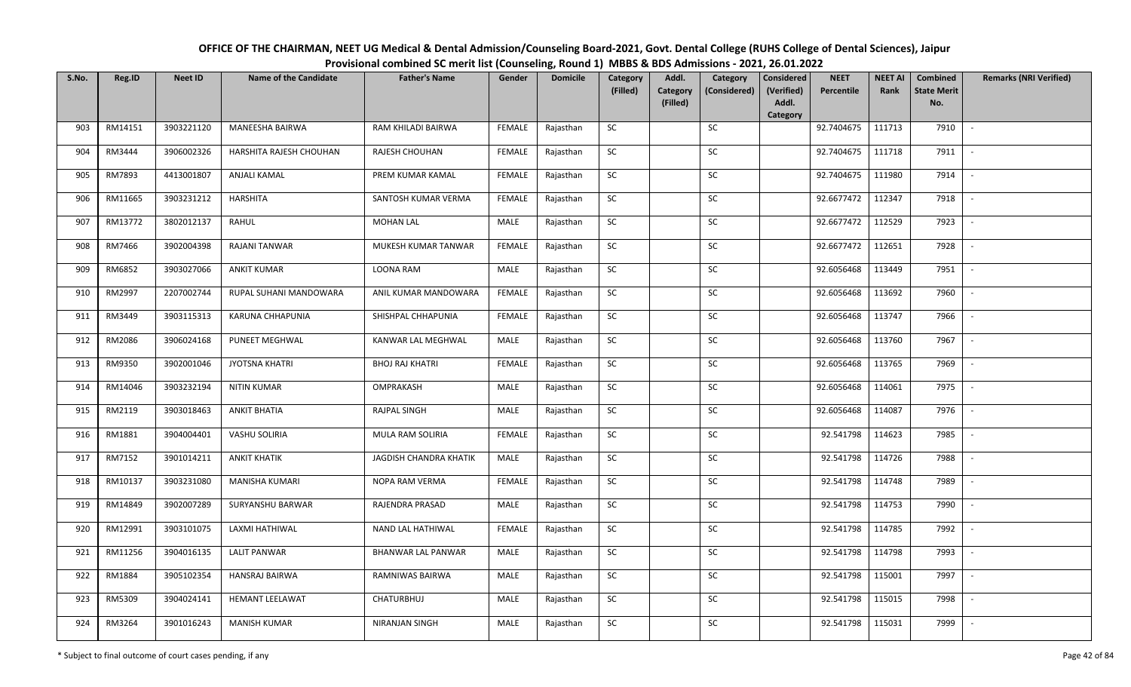| OFFICE OF THE CHAIRMAN, NEET UG Medical & Dental Admission/Counseling Board-2021, Govt. Dental College (RUHS College of Dental Sciences), Jaipur |
|--------------------------------------------------------------------------------------------------------------------------------------------------|
| Provisional combined SC merit list (Counseling, Round 1) MBBS & BDS Admissions - 2021, 26.01.2022                                                |

| S.No. | Reg.ID  | <b>Neet ID</b> | <b>Name of the Candidate</b> | <b>Father's Name</b>     | Gender        | <b>Domicile</b> | Category   | Addl.                | Category     | <b>Considered</b>   | <b>NEET</b> | <b>NEET AI</b> | Combined                  | <b>Remarks (NRI Verified)</b> |
|-------|---------|----------------|------------------------------|--------------------------|---------------|-----------------|------------|----------------------|--------------|---------------------|-------------|----------------|---------------------------|-------------------------------|
|       |         |                |                              |                          |               |                 | (Filled)   | Category<br>(Filled) | (Considered) | (Verified)<br>Addl. | Percentile  | Rank           | <b>State Merit</b><br>No. |                               |
|       |         |                |                              |                          |               |                 |            |                      |              | Category            |             |                |                           |                               |
| 903   | RM14151 | 3903221120     | MANEESHA BAIRWA              | RAM KHILADI BAIRWA       | FEMALE        | Rajasthan       | SC         |                      | <b>SC</b>    |                     | 92.7404675  | 111713         | 7910                      | $\blacksquare$                |
| 904   | RM3444  | 3906002326     | HARSHITA RAJESH CHOUHAN      | RAJESH CHOUHAN           | FEMALE        | Rajasthan       | ${\sf SC}$ |                      | SC           |                     | 92.7404675  | 111718         | 7911                      |                               |
| 905   | RM7893  | 4413001807     | <b>ANJALI KAMAL</b>          | PREM KUMAR KAMAL         | <b>FEMALE</b> | Rajasthan       | SC         |                      | <b>SC</b>    |                     | 92.7404675  | 111980         | 7914                      | $\sim$                        |
| 906   | RM11665 | 3903231212     | <b>HARSHITA</b>              | SANTOSH KUMAR VERMA      | FEMALE        | Rajasthan       | SC         |                      | <b>SC</b>    |                     | 92.6677472  | 112347         | 7918                      |                               |
| 907   | RM13772 | 3802012137     | RAHUL                        | <b>MOHAN LAL</b>         | MALE          | Rajasthan       | SC         |                      | SC           |                     | 92.6677472  | 112529         | 7923                      | $\sim$                        |
| 908   | RM7466  | 3902004398     | <b>RAJANI TANWAR</b>         | MUKESH KUMAR TANWAR      | FEMALE        | Rajasthan       | ${\sf SC}$ |                      | SC           |                     | 92.6677472  | 112651         | 7928                      | $\overline{\phantom{a}}$      |
| 909   | RM6852  | 3903027066     | <b>ANKIT KUMAR</b>           | LOONA RAM                | MALE          | Rajasthan       | ${\sf SC}$ |                      | SC           |                     | 92.6056468  | 113449         | 7951                      | $\sim$                        |
| 910   | RM2997  | 2207002744     | RUPAL SUHANI MANDOWARA       | ANIL KUMAR MANDOWARA     | <b>FEMALE</b> | Rajasthan       | <b>SC</b>  |                      | <b>SC</b>    |                     | 92.6056468  | 113692         | 7960                      | $\blacksquare$                |
| 911   | RM3449  | 3903115313     | KARUNA CHHAPUNIA             | SHISHPAL CHHAPUNIA       | FEMALE        | Rajasthan       | <b>SC</b>  |                      | <b>SC</b>    |                     | 92.6056468  | 113747         | 7966                      | $\overline{\phantom{a}}$      |
| 912   | RM2086  | 3906024168     | <b>PUNEET MEGHWAL</b>        | KANWAR LAL MEGHWAL       | MALE          | Rajasthan       | SC         |                      | SC           |                     | 92.6056468  | 113760         | 7967                      | $\overline{\phantom{a}}$      |
| 913   | RM9350  | 3902001046     | <b>JYOTSNA KHATRI</b>        | <b>BHOJ RAJ KHATRI</b>   | FEMALE        | Rajasthan       | ${\sf SC}$ |                      | SC           |                     | 92.6056468  | 113765         | 7969                      |                               |
| 914   | RM14046 | 3903232194     | NITIN KUMAR                  | OMPRAKASH                | MALE          | Rajasthan       | SC         |                      | SC           |                     | 92.6056468  | 114061         | 7975                      | $\sim$                        |
| 915   | RM2119  | 3903018463     | <b>ANKIT BHATIA</b>          | RAJPAL SINGH             | <b>MALE</b>   | Rajasthan       | ${\sf SC}$ |                      | $\sf SC$     |                     | 92.6056468  | 114087         | 7976                      |                               |
| 916   | RM1881  | 3904004401     | VASHU SOLIRIA                | MULA RAM SOLIRIA         | <b>FEMALE</b> | Rajasthan       | <b>SC</b>  |                      | <b>SC</b>    |                     | 92.541798   | 114623         | 7985                      | $\sim$                        |
| 917   | RM7152  | 3901014211     | <b>ANKIT KHATIK</b>          | JAGDISH CHANDRA KHATIK   | MALE          | Rajasthan       | <b>SC</b>  |                      | <b>SC</b>    |                     | 92.541798   | 114726         | 7988                      |                               |
| 918   | RM10137 | 3903231080     | <b>MANISHA KUMARI</b>        | NOPA RAM VERMA           | FEMALE        | Rajasthan       | SC         |                      | SC           |                     | 92.541798   | 114748         | 7989                      | $\overline{\phantom{a}}$      |
| 919   | RM14849 | 3902007289     | SURYANSHU BARWAR             | RAJENDRA PRASAD          | MALE          | Rajasthan       | SC         |                      | SC           |                     | 92.541798   | 114753         | 7990                      |                               |
| 920   | RM12991 | 3903101075     | LAXMI HATHIWAL               | <b>NAND LAL HATHIWAL</b> | <b>FEMALE</b> | Rajasthan       | SC         |                      | <b>SC</b>    |                     | 92.541798   | 114785         | 7992                      |                               |
| 921   | RM11256 | 3904016135     | <b>LALIT PANWAR</b>          | BHANWAR LAL PANWAR       | MALE          | Rajasthan       | SC         |                      | SC           |                     | 92.541798   | 114798         | 7993                      |                               |
| 922   | RM1884  | 3905102354     | <b>HANSRAJ BAIRWA</b>        | RAMNIWAS BAIRWA          | MALE          | Rajasthan       | SC         |                      | SC           |                     | 92.541798   | 115001         | 7997                      | $\sim$                        |
| 923   | RM5309  | 3904024141     | <b>HEMANT LEELAWAT</b>       | CHATURBHUJ               | MALE          | Rajasthan       | ${\sf SC}$ |                      | <b>SC</b>    |                     | 92.541798   | 115015         | 7998                      | $\sim$                        |
| 924   | RM3264  | 3901016243     | <b>MANISH KUMAR</b>          | NIRANJAN SINGH           | MALE          | Rajasthan       | ${\sf SC}$ |                      | SC           |                     | 92.541798   | 115031         | 7999                      |                               |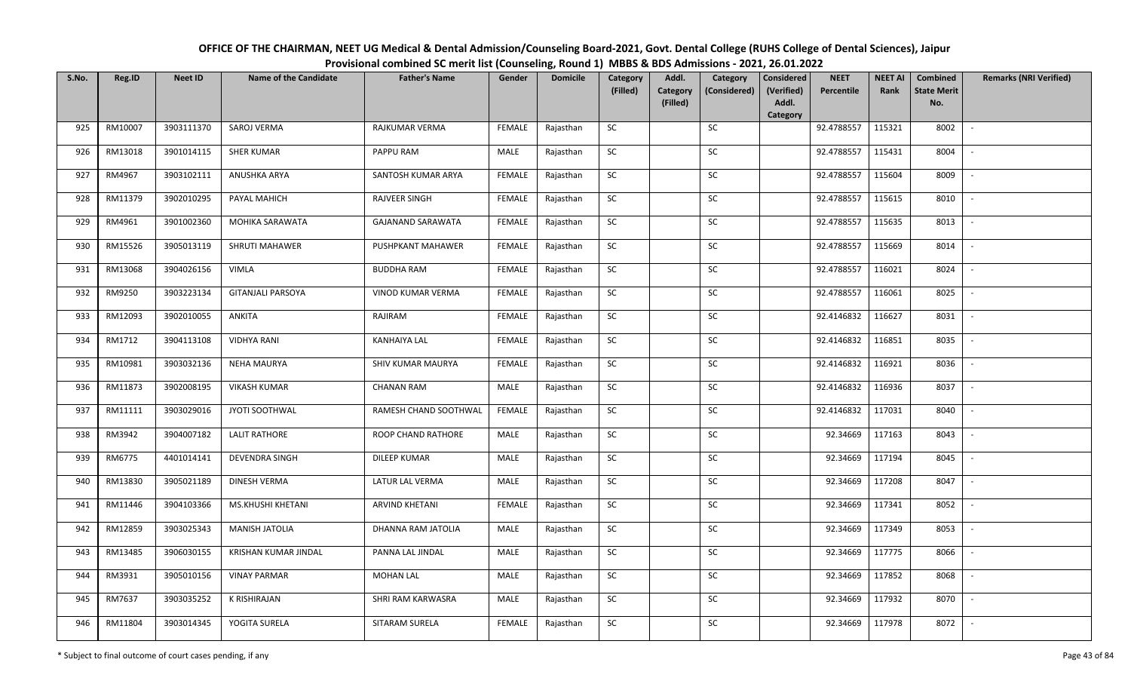| OFFICE OF THE CHAIRMAN, NEET UG Medical & Dental Admission/Counseling Board-2021, Govt. Dental College (RUHS College of Dental Sciences), Jaipur |
|--------------------------------------------------------------------------------------------------------------------------------------------------|
| Provisional combined SC merit list (Counseling, Round 1) MBBS & BDS Admissions - 2021, 26.01.2022                                                |

| S.No. | Reg.ID  | <b>Neet ID</b> | <b>Name of the Candidate</b> | <b>Father's Name</b>     | Gender        | <b>Domicile</b> | Category<br>(Filled) | Addl.                       | Category<br>(Considered) | <b>Considered</b><br>(Verified) | <b>NEET</b><br>Percentile | <b>NEET AI</b><br>Rank | Combined<br><b>State Merit</b> | <b>Remarks (NRI Verified)</b> |
|-------|---------|----------------|------------------------------|--------------------------|---------------|-----------------|----------------------|-----------------------------|--------------------------|---------------------------------|---------------------------|------------------------|--------------------------------|-------------------------------|
|       |         |                |                              |                          |               |                 |                      | <b>Category</b><br>(Filled) |                          | Addl.                           |                           |                        | No.                            |                               |
| 925   | RM10007 | 3903111370     | SAROJ VERMA                  | RAJKUMAR VERMA           | <b>FEMALE</b> | Rajasthan       | SC                   |                             | SC                       | Category                        | 92.4788557                | 115321                 | 8002                           | $\overline{\phantom{a}}$      |
|       |         |                |                              |                          |               |                 |                      |                             |                          |                                 |                           |                        |                                |                               |
| 926   | RM13018 | 3901014115     | <b>SHER KUMAR</b>            | PAPPU RAM                | MALE          | Rajasthan       | <b>SC</b>            |                             | <b>SC</b>                |                                 | 92.4788557                | 115431                 | 8004                           |                               |
| 927   | RM4967  | 3903102111     | ANUSHKA ARYA                 | SANTOSH KUMAR ARYA       | <b>FEMALE</b> | Rajasthan       | SC                   |                             | SC                       |                                 | 92.4788557                | 115604                 | 8009                           |                               |
| 928   | RM11379 | 3902010295     | PAYAL MAHICH                 | <b>RAJVEER SINGH</b>     | <b>FEMALE</b> | Rajasthan       | <b>SC</b>            |                             | SC                       |                                 | 92.4788557                | 115615                 | 8010                           |                               |
| 929   | RM4961  | 3901002360     | MOHIKA SARAWATA              | <b>GAJANAND SARAWATA</b> | <b>FEMALE</b> | Rajasthan       | SC                   |                             | SC                       |                                 | 92.4788557                | 115635                 | 8013                           | $\sim$                        |
| 930   | RM15526 | 3905013119     | SHRUTI MAHAWER               | PUSHPKANT MAHAWER        | <b>FEMALE</b> | Rajasthan       | SC                   |                             | SC                       |                                 | 92.4788557                | 115669                 | 8014                           | $\sim$                        |
| 931   | RM13068 | 3904026156     | <b>VIMLA</b>                 | <b>BUDDHA RAM</b>        | <b>FEMALE</b> | Rajasthan       | SC                   |                             | SC                       |                                 | 92.4788557                | 116021                 | 8024                           | $\overline{\phantom{a}}$      |
| 932   | RM9250  | 3903223134     | <b>GITANJALI PARSOYA</b>     | VINOD KUMAR VERMA        | <b>FEMALE</b> | Rajasthan       | SC                   |                             | $\sf SC$                 |                                 | 92.4788557                | 116061                 | 8025                           |                               |
| 933   | RM12093 | 3902010055     | ANKITA                       | RAJIRAM                  | <b>FEMALE</b> | Rajasthan       | SC                   |                             | SC                       |                                 | 92.4146832                | 116627                 | 8031                           |                               |
| 934   | RM1712  | 3904113108     | <b>VIDHYA RANI</b>           | <b>KANHAIYA LAL</b>      | FEMALE        | Rajasthan       | SC                   |                             | SC                       |                                 | 92.4146832                | 116851                 | 8035                           |                               |
| 935   | RM10981 | 3903032136     | <b>NEHA MAURYA</b>           | SHIV KUMAR MAURYA        | <b>FEMALE</b> | Rajasthan       | SC                   |                             | SC                       |                                 | 92.4146832                | 116921                 | 8036                           | $\sim$                        |
| 936   | RM11873 | 3902008195     | <b>VIKASH KUMAR</b>          | <b>CHANAN RAM</b>        | MALE          | Rajasthan       | <b>SC</b>            |                             | ${\sf SC}$               |                                 | 92.4146832                | 116936                 | 8037                           |                               |
| 937   | RM11111 | 3903029016     | JYOTI SOOTHWAL               | RAMESH CHAND SOOTHWAL    | <b>FEMALE</b> | Rajasthan       | SC                   |                             | <b>SC</b>                |                                 | 92.4146832                | 117031                 | 8040                           |                               |
| 938   | RM3942  | 3904007182     | <b>LALIT RATHORE</b>         | ROOP CHAND RATHORE       | MALE          | Rajasthan       | SC                   |                             | SC                       |                                 | 92.34669                  | 117163                 | 8043                           |                               |
| 939   | RM6775  | 4401014141     | DEVENDRA SINGH               | DILEEP KUMAR             | MALE          | Rajasthan       | SC                   |                             | ${\sf SC}$               |                                 | 92.34669                  | 117194                 | 8045                           |                               |
| 940   | RM13830 | 3905021189     | DINESH VERMA                 | LATUR LAL VERMA          | MALE          | Rajasthan       | SC                   |                             | SC                       |                                 | 92.34669                  | 117208                 | 8047                           | $\sim$                        |
| 941   | RM11446 | 3904103366     | MS.KHUSHI KHETANI            | <b>ARVIND KHETANI</b>    | <b>FEMALE</b> | Rajasthan       | ${\sf SC}$           |                             | ${\sf SC}$               |                                 | 92.34669                  | 117341                 | 8052                           | $\overline{\phantom{a}}$      |
| 942   | RM12859 | 3903025343     | MANISH JATOLIA               | DHANNA RAM JATOLIA       | MALE          | Rajasthan       | SC                   |                             | SC                       |                                 | 92.34669                  | 117349                 | 8053                           |                               |
| 943   | RM13485 | 3906030155     | KRISHAN KUMAR JINDAL         | PANNA LAL JINDAL         | MALE          | Rajasthan       | SC                   |                             | SC                       |                                 | 92.34669                  | 117775                 | 8066                           | $\overline{\phantom{a}}$      |
| 944   | RM3931  | 3905010156     | <b>VINAY PARMAR</b>          | <b>MOHAN LAL</b>         | MALE          | Rajasthan       | ${\sf SC}$           |                             | $\sf SC$                 |                                 | 92.34669                  | 117852                 | 8068                           |                               |
| 945   | RM7637  | 3903035252     | K RISHIRAJAN                 | SHRI RAM KARWASRA        | MALE          | Rajasthan       | SC                   |                             | SC                       |                                 | 92.34669                  | 117932                 | 8070                           |                               |
| 946   | RM11804 | 3903014345     | YOGITA SURELA                | SITARAM SURELA           | <b>FEMALE</b> | Rajasthan       | SC                   |                             | SC                       |                                 | 92.34669                  | 117978                 | 8072                           | $\blacksquare$                |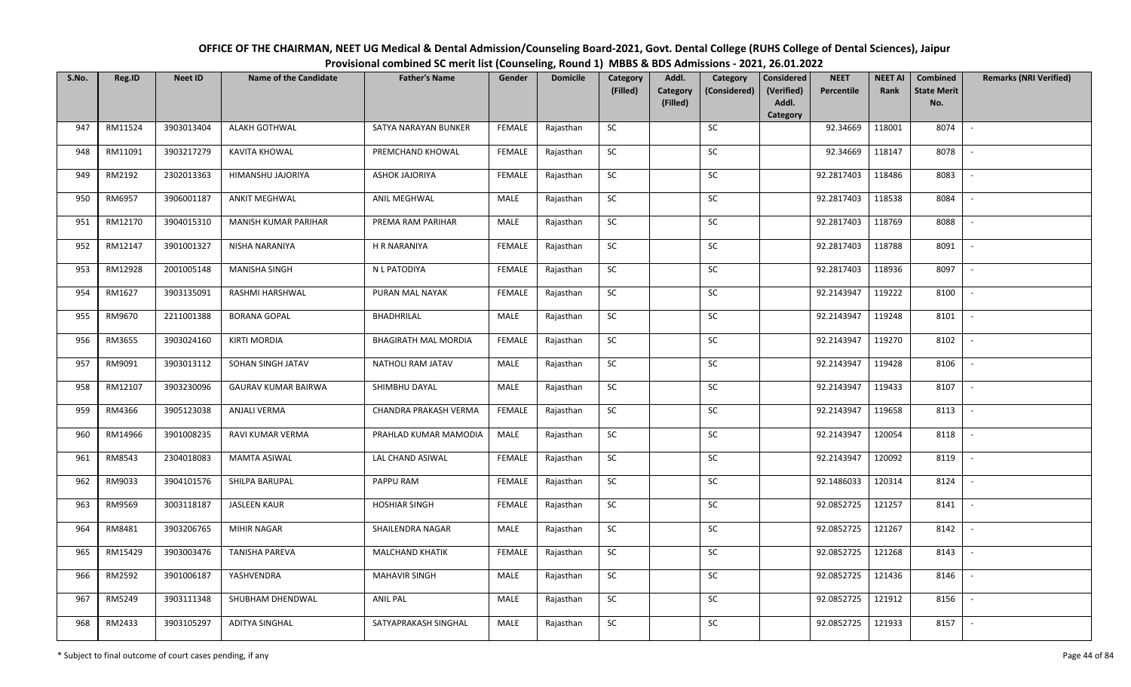| OFFICE OF THE CHAIRMAN, NEET UG Medical & Dental Admission/Counseling Board-2021, Govt. Dental College (RUHS College of Dental Sciences), Jaipur |
|--------------------------------------------------------------------------------------------------------------------------------------------------|
| Provisional combined SC merit list (Counseling, Round 1) MBBS & BDS Admissions - 2021, 26.01.2022                                                |

| S.No. | Reg.ID  | <b>Neet ID</b> | <b>Name of the Candidate</b> | <b>Father's Name</b>        | Gender        | <b>Domicile</b> | Category<br>(Filled) | Addl.<br><b>Category</b> | Category<br>(Considered) | <b>Considered</b><br>(Verified) | <b>NEET</b><br>Percentile | <b>NEET AI</b><br>Rank | <b>Combined</b><br><b>State Merit</b> | <b>Remarks (NRI Verified)</b> |
|-------|---------|----------------|------------------------------|-----------------------------|---------------|-----------------|----------------------|--------------------------|--------------------------|---------------------------------|---------------------------|------------------------|---------------------------------------|-------------------------------|
|       |         |                |                              |                             |               |                 |                      | (Filled)                 |                          | Addl.<br>Category               |                           |                        | No.                                   |                               |
| 947   | RM11524 | 3903013404     | <b>ALAKH GOTHWAL</b>         | SATYA NARAYAN BUNKER        | <b>FEMALE</b> | Rajasthan       | <b>SC</b>            |                          | SC                       |                                 | 92.34669                  | 118001                 | 8074                                  | $\sim$                        |
| 948   | RM11091 | 3903217279     | <b>KAVITA KHOWAL</b>         | PREMCHAND KHOWAL            | <b>FEMALE</b> | Rajasthan       | SC                   |                          | SC                       |                                 | 92.34669                  | 118147                 | 8078                                  |                               |
| 949   | RM2192  | 2302013363     | HIMANSHU JAJORIYA            | <b>ASHOK JAJORIYA</b>       | <b>FEMALE</b> | Rajasthan       | <b>SC</b>            |                          | SC                       |                                 | 92.2817403                | 118486                 | 8083                                  | $\sim$                        |
| 950   | RM6957  | 3906001187     | <b>ANKIT MEGHWAL</b>         | ANIL MEGHWAL                | MALE          | Rajasthan       | <b>SC</b>            |                          | <b>SC</b>                |                                 | 92.2817403                | 118538                 | 8084                                  | $\sim$                        |
| 951   | RM12170 | 3904015310     | MANISH KUMAR PARIHAR         | PREMA RAM PARIHAR           | MALE          | Rajasthan       | SC                   |                          | SC                       |                                 | 92.2817403                | 118769                 | 8088                                  | $\sim$                        |
| 952   | RM12147 | 3901001327     | NISHA NARANIYA               | H R NARANIYA                | <b>FEMALE</b> | Rajasthan       | SC                   |                          | $\sf SC$                 |                                 | 92.2817403                | 118788                 | 8091                                  | $\sim$                        |
| 953   | RM12928 | 2001005148     | <b>MANISHA SINGH</b>         | N L PATODIYA                | <b>FEMALE</b> | Rajasthan       | SC                   |                          | SC                       |                                 | 92.2817403                | 118936                 | 8097                                  | $\overline{\phantom{a}}$      |
| 954   | RM1627  | 3903135091     | RASHMI HARSHWAL              | PURAN MAL NAYAK             | <b>FEMALE</b> | Rajasthan       | <b>SC</b>            |                          | <b>SC</b>                |                                 | 92.2143947                | 119222                 | 8100                                  | $\overline{\phantom{a}}$      |
| 955   | RM9670  | 2211001388     | <b>BORANA GOPAL</b>          | BHADHRILAL                  | MALE          | Rajasthan       | ${\sf SC}$           |                          | $\sf SC$                 |                                 | 92.2143947                | 119248                 | 8101                                  |                               |
| 956   | RM3655  | 3903024160     | <b>KIRTI MORDIA</b>          | <b>BHAGIRATH MAL MORDIA</b> | <b>FEMALE</b> | Rajasthan       | SC                   |                          | SC                       |                                 | 92.2143947                | 119270                 | 8102                                  | $\sim$                        |
| 957   | RM9091  | 3903013112     | SOHAN SINGH JATAV            | NATHOLI RAM JATAV           | MALE          | Rajasthan       | ${\sf SC}$           |                          | $\sf SC$                 |                                 | 92.2143947                | 119428                 | 8106                                  | $\sim$                        |
| 958   | RM12107 | 3903230096     | <b>GAURAV KUMAR BAIRWA</b>   | SHIMBHU DAYAL               | MALE          | Rajasthan       | <b>SC</b>            |                          | SC                       |                                 | 92.2143947                | 119433                 | 8107                                  | $\sim$                        |
| 959   | RM4366  | 3905123038     | <b>ANJALI VERMA</b>          | CHANDRA PRAKASH VERMA       | <b>FEMALE</b> | Rajasthan       | <b>SC</b>            |                          | <b>SC</b>                |                                 | 92.2143947                | 119658                 | 8113                                  |                               |
| 960   | RM14966 | 3901008235     | RAVI KUMAR VERMA             | PRAHLAD KUMAR MAMODIA       | MALE          | Rajasthan       | SC                   |                          | SC                       |                                 | 92.2143947                | 120054                 | 8118                                  | $\mathbb{L}$                  |
| 961   | RM8543  | 2304018083     | <b>MAMTA ASIWAL</b>          | LAL CHAND ASIWAL            | <b>FEMALE</b> | Rajasthan       | <b>SC</b>            |                          | SC                       |                                 | 92.2143947                | 120092                 | 8119                                  | $\overline{\phantom{a}}$      |
| 962   | RM9033  | 3904101576     | SHILPA BARUPAL               | PAPPU RAM                   | <b>FEMALE</b> | Rajasthan       | ${\sf SC}$           |                          | SC                       |                                 | 92.1486033                | 120314                 | 8124                                  | $\sim$                        |
| 963   | RM9569  | 3003118187     | <b>JASLEEN KAUR</b>          | <b>HOSHIAR SINGH</b>        | <b>FEMALE</b> | Rajasthan       | SC                   |                          | SC                       |                                 | 92.0852725                | 121257                 | 8141                                  | $\sim$                        |
| 964   | RM8481  | 3903206765     | MIHIR NAGAR                  | SHAILENDRA NAGAR            | MALE          | Rajasthan       | SC                   |                          | SC                       |                                 | 92.0852725                | 121267                 | 8142                                  | $\overline{\phantom{a}}$      |
| 965   | RM15429 | 3903003476     | <b>TANISHA PAREVA</b>        | <b>MALCHAND KHATIK</b>      | <b>FEMALE</b> | Rajasthan       | <b>SC</b>            |                          | <b>SC</b>                |                                 | 92.0852725                | 121268                 | 8143                                  | $\overline{\phantom{a}}$      |
| 966   | RM2592  | 3901006187     | YASHVENDRA                   | <b>MAHAVIR SINGH</b>        | MALE          | Rajasthan       | ${\sf SC}$           |                          | $\sf SC$                 |                                 | 92.0852725                | 121436                 | 8146                                  |                               |
| 967   | RM5249  | 3903111348     | SHUBHAM DHENDWAL             | <b>ANIL PAL</b>             | MALE          | Rajasthan       | SC                   |                          | SC                       |                                 | 92.0852725                | 121912                 | 8156                                  | $\sim$                        |
| 968   | RM2433  | 3903105297     | <b>ADITYA SINGHAL</b>        | SATYAPRAKASH SINGHAL        | MALE          | Rajasthan       | ${\sf SC}$           |                          | SC                       |                                 | 92.0852725                | 121933                 | 8157                                  | $\overline{\phantom{a}}$      |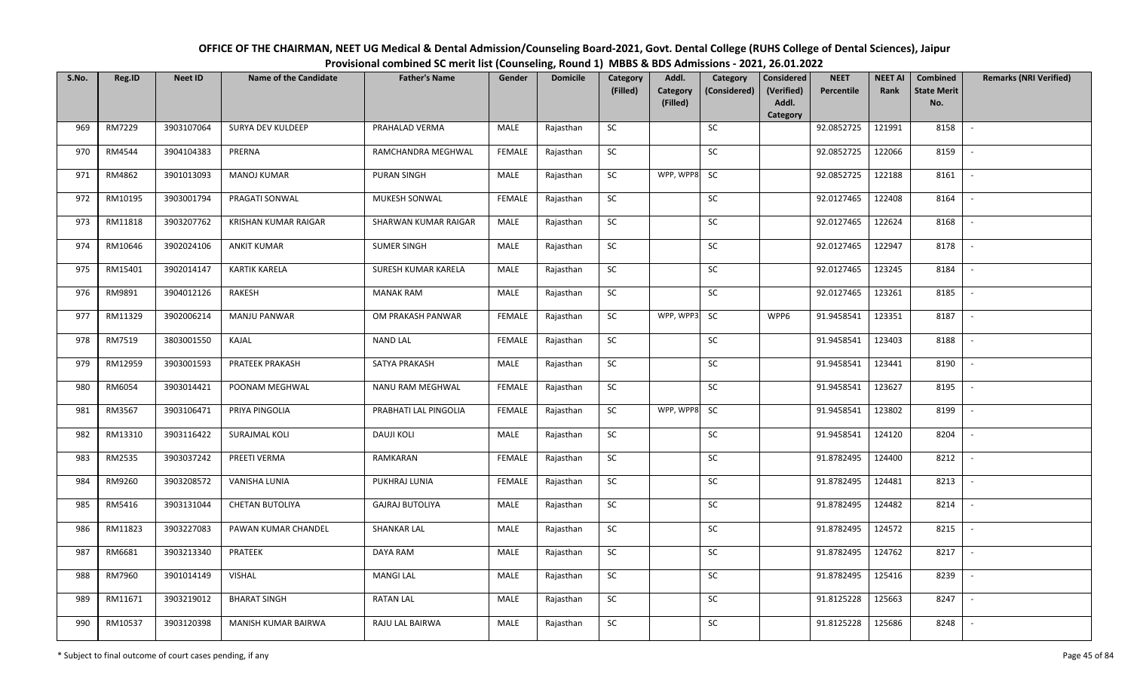| OFFICE OF THE CHAIRMAN, NEET UG Medical & Dental Admission/Counseling Board-2021, Govt. Dental College (RUHS College of Dental Sciences), Jaipur |
|--------------------------------------------------------------------------------------------------------------------------------------------------|
| Provisional combined SC merit list (Counseling, Round 1) MBBS & BDS Admissions - 2021, 26.01.2022                                                |

| S.No. | Reg.ID  | <b>Neet ID</b> | <b>Name of the Candidate</b> | <b>Father's Name</b>   | Gender        | <b>Domicile</b> | Category   | Addl.                       | Category     | <b>Considered</b>   | <b>NEET</b> | <b>NEET AI</b> | <b>Combined</b>           | <b>Remarks (NRI Verified)</b> |
|-------|---------|----------------|------------------------------|------------------------|---------------|-----------------|------------|-----------------------------|--------------|---------------------|-------------|----------------|---------------------------|-------------------------------|
|       |         |                |                              |                        |               |                 | (Filled)   | <b>Category</b><br>(Filled) | (Considered) | (Verified)<br>Addl. | Percentile  | Rank           | <b>State Merit</b><br>No. |                               |
|       |         |                |                              |                        |               |                 |            |                             |              | Category            |             |                |                           |                               |
| 969   | RM7229  | 3903107064     | SURYA DEV KULDEEP            | PRAHALAD VERMA         | MALE          | Rajasthan       | <b>SC</b>  |                             | SC           |                     | 92.0852725  | 121991         | 8158                      | $\sim$                        |
| 970   | RM4544  | 3904104383     | PRERNA                       | RAMCHANDRA MEGHWAL     | <b>FEMALE</b> | Rajasthan       | ${\sf SC}$ |                             | SC           |                     | 92.0852725  | 122066         | 8159                      | $\sim$                        |
| 971   | RM4862  | 3901013093     | <b>MANOJ KUMAR</b>           | <b>PURAN SINGH</b>     | MALE          | Rajasthan       | SC         | WPP, WPP8                   | <b>SC</b>    |                     | 92.0852725  | 122188         | 8161                      | $\overline{\phantom{a}}$      |
| 972   | RM10195 | 3903001794     | PRAGATI SONWAL               | MUKESH SONWAL          | <b>FEMALE</b> | Rajasthan       | ${\sf SC}$ |                             | ${\sf SC}$   |                     | 92.0127465  | 122408         | 8164                      | $\overline{\phantom{a}}$      |
| 973   | RM11818 | 3903207762     | KRISHAN KUMAR RAIGAR         | SHARWAN KUMAR RAIGAR   | MALE          | Rajasthan       | SC         |                             | SC           |                     | 92.0127465  | 122624         | 8168                      | $\sim$                        |
| 974   | RM10646 | 3902024106     | <b>ANKIT KUMAR</b>           | <b>SUMER SINGH</b>     | MALE          | Rajasthan       | ${\sf SC}$ |                             | SC           |                     | 92.0127465  | 122947         | 8178                      | $\mathbb{L}$                  |
| 975   | RM15401 | 3902014147     | <b>KARTIK KARELA</b>         | SURESH KUMAR KARELA    | MALE          | Rajasthan       | <b>SC</b>  |                             | <b>SC</b>    |                     | 92.0127465  | 123245         | 8184                      | $\sim$                        |
| 976   | RM9891  | 3904012126     | RAKESH                       | <b>MANAK RAM</b>       | <b>MALE</b>   | Rajasthan       | ${\sf SC}$ |                             | $\sf SC$     |                     | 92.0127465  | 123261         | 8185                      | $\overline{\phantom{a}}$      |
| 977   | RM11329 | 3902006214     | MANJU PANWAR                 | OM PRAKASH PANWAR      | <b>FEMALE</b> | Rajasthan       | ${\sf SC}$ | WPP, WPP3                   | <b>SC</b>    | WPP6                | 91.9458541  | 123351         | 8187                      |                               |
| 978   | RM7519  | 3803001550     | KAJAL                        | <b>NAND LAL</b>        | <b>FEMALE</b> | Rajasthan       | ${\sf SC}$ |                             | $\sf SC$     |                     | 91.9458541  | 123403         | 8188                      | $\overline{\phantom{a}}$      |
| 979   | RM12959 | 3903001593     | <b>PRATEEK PRAKASH</b>       | SATYA PRAKASH          | MALE          | Rajasthan       | <b>SC</b>  |                             | SC           |                     | 91.9458541  | 123441         | 8190                      | $\overline{\phantom{a}}$      |
| 980   | RM6054  | 3903014421     | POONAM MEGHWAL               | NANU RAM MEGHWAL       | <b>FEMALE</b> | Rajasthan       | SC         |                             | SC           |                     | 91.9458541  | 123627         | 8195                      | $\sim$                        |
| 981   | RM3567  | 3903106471     | PRIYA PINGOLIA               | PRABHATI LAL PINGOLIA  | FEMALE        | Rajasthan       | SC         | WPP, WPP8                   | SC           |                     | 91.9458541  | 123802         | 8199                      | $\blacksquare$                |
| 982   | RM13310 | 3903116422     | <b>SURAJMAL KOLI</b>         | <b>DAUJI KOLI</b>      | MALE          | Rajasthan       | SC         |                             | ${\sf SC}$   |                     | 91.9458541  | 124120         | 8204                      | $\overline{\phantom{a}}$      |
| 983   | RM2535  | 3903037242     | PREETI VERMA                 | RAMKARAN               | <b>FEMALE</b> | Rajasthan       | SC         |                             | SC           |                     | 91.8782495  | 124400         | 8212                      | $\overline{\phantom{a}}$      |
| 984   | RM9260  | 3903208572     | VANISHA LUNIA                | PUKHRAJ LUNIA          | <b>FEMALE</b> | Rajasthan       | ${\sf SC}$ |                             | SC           |                     | 91.8782495  | 124481         | 8213                      | $\sim$                        |
| 985   | RM5416  | 3903131044     | CHETAN BUTOLIYA              | <b>GAJRAJ BUTOLIYA</b> | MALE          | Rajasthan       | SC         |                             | SC           |                     | 91.8782495  | 124482         | 8214                      | $\sim$                        |
| 986   | RM11823 | 3903227083     | PAWAN KUMAR CHANDEL          | <b>SHANKAR LAL</b>     | MALE          | Rajasthan       | ${\sf SC}$ |                             | <b>SC</b>    |                     | 91.8782495  | 124572         | 8215                      | $\sim$                        |
| 987   | RM6681  | 3903213340     | PRATEEK                      | DAYA RAM               | <b>MALE</b>   | Rajasthan       | SC         |                             | SC           |                     | 91.8782495  | 124762         | 8217                      | $\overline{\phantom{a}}$      |
| 988   | RM7960  | 3901014149     | <b>VISHAL</b>                | <b>MANGI LAL</b>       | MALE          | Rajasthan       | SC         |                             | ${\sf SC}$   |                     | 91.8782495  | 125416         | 8239                      |                               |
| 989   | RM11671 | 3903219012     | <b>BHARAT SINGH</b>          | <b>RATAN LAL</b>       | MALE          | Rajasthan       | SC         |                             | SC           |                     | 91.8125228  | 125663         | 8247                      | $\sim$                        |
| 990   | RM10537 | 3903120398     | MANISH KUMAR BAIRWA          | RAJU LAL BAIRWA        | MALE          | Rajasthan       | ${\sf SC}$ |                             | SC           |                     | 91.8125228  | 125686         | 8248                      |                               |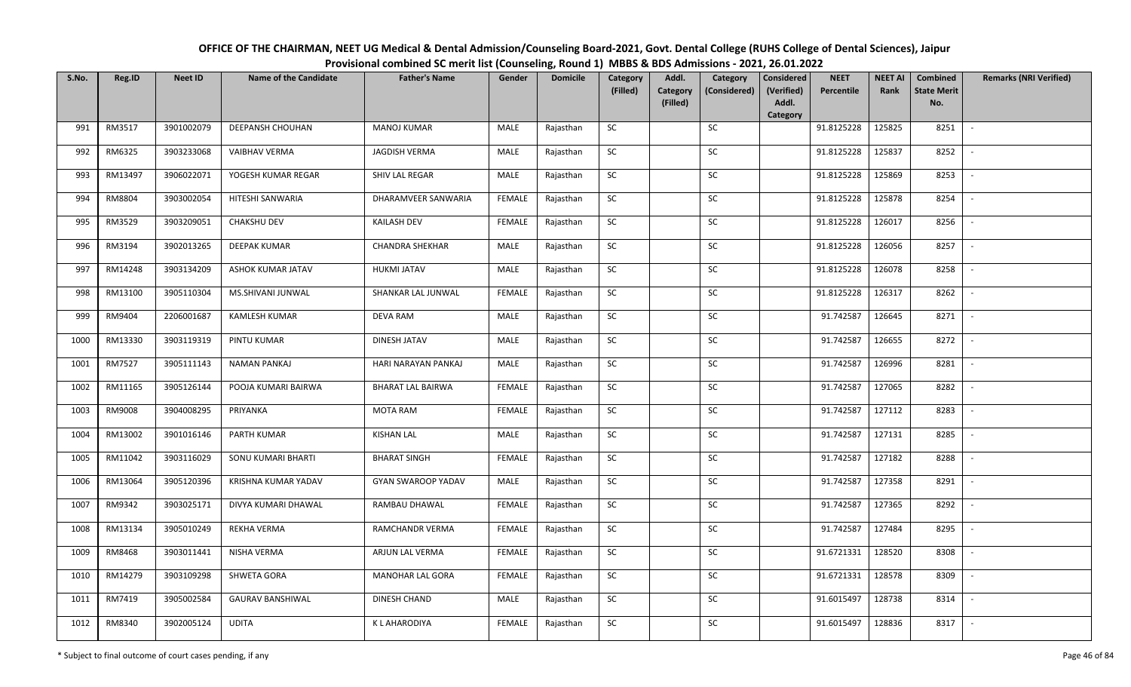| OFFICE OF THE CHAIRMAN, NEET UG Medical & Dental Admission/Counseling Board-2021, Govt. Dental College (RUHS College of Dental Sciences), Jaipur |
|--------------------------------------------------------------------------------------------------------------------------------------------------|
| Provisional combined SC merit list (Counseling, Round 1) MBBS & BDS Admissions - 2021, 26.01.2022                                                |

| S.No. | Reg.ID  | <b>Neet ID</b> | <b>Name of the Candidate</b> | <b>Father's Name</b>      | Gender        | <b>Domicile</b> | Category<br>(Filled) | Addl.<br>Category | Category<br>(Considered) | <b>Considered</b><br>(Verified) | <b>NEET</b><br>Percentile | <b>NEET AI</b><br>Rank | Combined<br><b>State Merit</b> | <b>Remarks (NRI Verified)</b> |
|-------|---------|----------------|------------------------------|---------------------------|---------------|-----------------|----------------------|-------------------|--------------------------|---------------------------------|---------------------------|------------------------|--------------------------------|-------------------------------|
|       |         |                |                              |                           |               |                 |                      | (Filled)          |                          | Addl.<br>Category               |                           |                        | No.                            |                               |
| 991   | RM3517  | 3901002079     | <b>DEEPANSH CHOUHAN</b>      | <b>MANOJ KUMAR</b>        | MALE          | Rajasthan       | SC                   |                   | SC                       |                                 | 91.8125228                | 125825                 | 8251                           | $\blacksquare$                |
| 992   | RM6325  | 3903233068     | <b>VAIBHAV VERMA</b>         | JAGDISH VERMA             | MALE          | Rajasthan       | SC                   |                   | SC                       |                                 | 91.8125228                | 125837                 | 8252                           |                               |
| 993   | RM13497 | 3906022071     | YOGESH KUMAR REGAR           | SHIV LAL REGAR            | MALE          | Rajasthan       | SC                   |                   | SC                       |                                 | 91.8125228                | 125869                 | 8253                           |                               |
| 994   | RM8804  | 3903002054     | HITESHI SANWARIA             | DHARAMVEER SANWARIA       | <b>FEMALE</b> | Rajasthan       | SC                   |                   | ${\sf SC}$               |                                 | 91.8125228                | 125878                 | 8254                           |                               |
| 995   | RM3529  | 3903209051     | <b>CHAKSHU DEV</b>           | <b>KAILASH DEV</b>        | <b>FEMALE</b> | Rajasthan       | SC                   |                   | SC                       |                                 | 91.8125228                | 126017                 | 8256                           | $\sim$                        |
| 996   | RM3194  | 3902013265     | <b>DEEPAK KUMAR</b>          | <b>CHANDRA SHEKHAR</b>    | MALE          | Rajasthan       | SC                   |                   | ${\sf SC}$               |                                 | 91.8125228                | 126056                 | 8257                           | $\overline{\phantom{a}}$      |
| 997   | RM14248 | 3903134209     | ASHOK KUMAR JATAV            | HUKMI JATAV               | MALE          | Rajasthan       | ${\sf SC}$           |                   | SC                       |                                 | 91.8125228                | 126078                 | 8258                           |                               |
| 998   | RM13100 | 3905110304     | MS.SHIVANI JUNWAL            | SHANKAR LAL JUNWAL        | <b>FEMALE</b> | Rajasthan       | SC                   |                   | SC                       |                                 | 91.8125228                | 126317                 | 8262                           |                               |
| 999   | RM9404  | 2206001687     | KAMLESH KUMAR                | DEVA RAM                  | MALE          | Rajasthan       | ${\sf SC}$           |                   | ${\sf SC}$               |                                 | 91.742587                 | 126645                 | 8271                           |                               |
| 1000  | RM13330 | 3903119319     | PINTU KUMAR                  | DINESH JATAV              | MALE          | Rajasthan       | SC                   |                   | SC                       |                                 | 91.742587                 | 126655                 | 8272                           | $\blacksquare$                |
| 1001  | RM7527  | 3905111143     | NAMAN PANKAJ                 | HARI NARAYAN PANKAJ       | MALE          | Rajasthan       | ${\sf SC}$           |                   | ${\sf SC}$               |                                 | 91.742587                 | 126996                 | 8281                           |                               |
| 1002  | RM11165 | 3905126144     | POOJA KUMARI BAIRWA          | <b>BHARAT LAL BAIRWA</b>  | <b>FEMALE</b> | Rajasthan       | SC                   |                   | SC                       |                                 | 91.742587                 | 127065                 | 8282                           |                               |
| 1003  | RM9008  | 3904008295     | PRIYANKA                     | <b>MOTA RAM</b>           | <b>FEMALE</b> | Rajasthan       | SC                   |                   | SC                       |                                 | 91.742587                 | 127112                 | 8283                           |                               |
| 1004  | RM13002 | 3901016146     | PARTH KUMAR                  | <b>KISHAN LAL</b>         | <b>MALE</b>   | Rajasthan       | SC                   |                   | SC                       |                                 | 91.742587                 | 127131                 | 8285                           |                               |
| 1005  | RM11042 | 3903116029     | SONU KUMARI BHARTI           | <b>BHARAT SINGH</b>       | <b>FEMALE</b> | Rajasthan       | SC                   |                   | SC                       |                                 | 91.742587                 | 127182                 | 8288                           |                               |
| 1006  | RM13064 | 3905120396     | KRISHNA KUMAR YADAV          | <b>GYAN SWAROOP YADAV</b> | MALE          | Rajasthan       | ${\sf SC}$           |                   | SC                       |                                 | 91.742587                 | 127358                 | 8291                           | $\sim$                        |
| 1007  | RM9342  | 3903025171     | DIVYA KUMARI DHAWAL          | RAMBAU DHAWAL             | <b>FEMALE</b> | Rajasthan       | SC                   |                   | ${\sf SC}$               |                                 | 91.742587                 | 127365                 | 8292                           |                               |
| 1008  | RM13134 | 3905010249     | <b>REKHA VERMA</b>           | RAMCHANDR VERMA           | FEMALE        | Rajasthan       | ${\sf SC}$           |                   | SC                       |                                 | 91.742587                 | 127484                 | 8295                           |                               |
| 1009  | RM8468  | 3903011441     | NISHA VERMA                  | ARJUN LAL VERMA           | <b>FEMALE</b> | Rajasthan       | SC                   |                   | SC                       |                                 | 91.6721331                | 128520                 | 8308                           |                               |
| 1010  | RM14279 | 3903109298     | SHWETA GORA                  | MANOHAR LAL GORA          | <b>FEMALE</b> | Rajasthan       | SC                   |                   | ${\sf SC}$               |                                 | 91.6721331                | 128578                 | 8309                           |                               |
| 1011  | RM7419  | 3905002584     | <b>GAURAV BANSHIWAL</b>      | DINESH CHAND              | MALE          | Rajasthan       | SC                   |                   | SC                       |                                 | 91.6015497                | 128738                 | 8314                           | $\overline{\phantom{a}}$      |
| 1012  | RM8340  | 3902005124     | <b>UDITA</b>                 | K L AHARODIYA             | <b>FEMALE</b> | Rajasthan       | SC                   |                   | <b>SC</b>                |                                 | 91.6015497                | 128836                 | 8317                           |                               |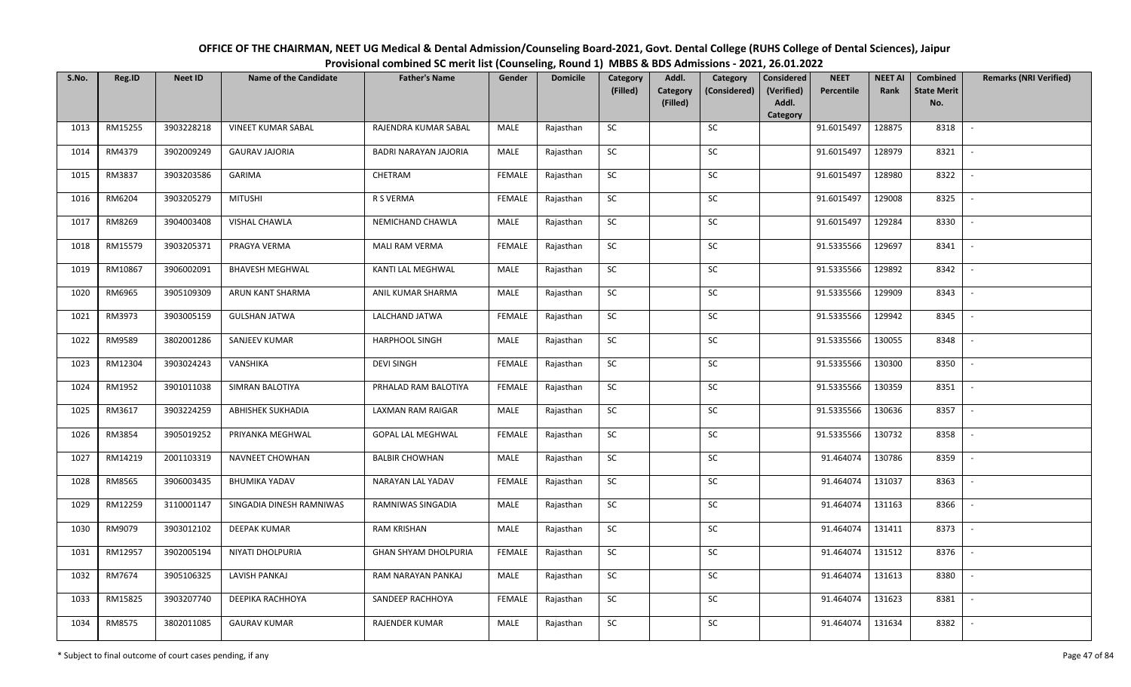| OFFICE OF THE CHAIRMAN, NEET UG Medical & Dental Admission/Counseling Board-2021, Govt. Dental College (RUHS College of Dental Sciences), Jaipur |
|--------------------------------------------------------------------------------------------------------------------------------------------------|
| Provisional combined SC merit list (Counseling, Round 1) MBBS & BDS Admissions - 2021, 26.01.2022                                                |

| S.No. | Reg.ID  | <b>Neet ID</b> | <b>Name of the Candidate</b> | <b>Father's Name</b>        | Gender        | <b>Domicile</b> | Category<br>(Filled) | Addl.<br>Category | Category<br>(Considered) | <b>Considered</b><br>(Verified) | <b>NEET</b><br>Percentile | <b>NEET AI</b><br>Rank | Combined<br><b>State Merit</b> | <b>Remarks (NRI Verified)</b> |
|-------|---------|----------------|------------------------------|-----------------------------|---------------|-----------------|----------------------|-------------------|--------------------------|---------------------------------|---------------------------|------------------------|--------------------------------|-------------------------------|
|       |         |                |                              |                             |               |                 |                      | (Filled)          |                          | Addl.<br>Category               |                           |                        | No.                            |                               |
| 1013  | RM15255 | 3903228218     | <b>VINEET KUMAR SABAL</b>    | RAJENDRA KUMAR SABAL        | MALE          | Rajasthan       | SC                   |                   | <b>SC</b>                |                                 | 91.6015497                | 128875                 | 8318                           | $\sim$                        |
| 1014  | RM4379  | 3902009249     | <b>GAURAV JAJORIA</b>        | BADRI NARAYAN JAJORIA       | MALE          | Rajasthan       | SC                   |                   | SC                       |                                 | 91.6015497                | 128979                 | 8321                           |                               |
| 1015  | RM3837  | 3903203586     | <b>GARIMA</b>                | CHETRAM                     | <b>FEMALE</b> | Rajasthan       | SC                   |                   | SC                       |                                 | 91.6015497                | 128980                 | 8322                           | $\overline{\phantom{a}}$      |
| 1016  | RM6204  | 3903205279     | <b>MITUSHI</b>               | R S VERMA                   | <b>FEMALE</b> | Rajasthan       | SC                   |                   | <b>SC</b>                |                                 | 91.6015497                | 129008                 | 8325                           | $\overline{\phantom{a}}$      |
| 1017  | RM8269  | 3904003408     | VISHAL CHAWLA                | NEMICHAND CHAWLA            | MALE          | Rajasthan       | SC                   |                   | SC                       |                                 | 91.6015497                | 129284                 | 8330                           | $\sim$                        |
| 1018  | RM15579 | 3903205371     | PRAGYA VERMA                 | <b>MALI RAM VERMA</b>       | <b>FEMALE</b> | Rajasthan       | SC                   |                   | SC                       |                                 | 91.5335566                | 129697                 | 8341                           | $\sim$                        |
| 1019  | RM10867 | 3906002091     | <b>BHAVESH MEGHWAL</b>       | KANTI LAL MEGHWAL           | MALE          | Rajasthan       | SC                   |                   | <b>SC</b>                |                                 | 91.5335566                | 129892                 | 8342                           | $\overline{\phantom{a}}$      |
| 1020  | RM6965  | 3905109309     | ARUN KANT SHARMA             | ANIL KUMAR SHARMA           | MALE          | Rajasthan       | SC                   |                   | SC                       |                                 | 91.5335566                | 129909                 | 8343                           | $\overline{\phantom{a}}$      |
| 1021  | RM3973  | 3903005159     | <b>GULSHAN JATWA</b>         | LALCHAND JATWA              | <b>FEMALE</b> | Rajasthan       | SC                   |                   | <b>SC</b>                |                                 | 91.5335566                | 129942                 | 8345                           |                               |
| 1022  | RM9589  | 3802001286     | SANJEEV KUMAR                | HARPHOOL SINGH              | MALE          | Rajasthan       | ${\sf SC}$           |                   | SC                       |                                 | 91.5335566                | 130055                 | 8348                           | $\sim$                        |
| 1023  | RM12304 | 3903024243     | VANSHIKA                     | <b>DEVI SINGH</b>           | <b>FEMALE</b> | Rajasthan       | <b>SC</b>            |                   | SC                       |                                 | 91.5335566                | 130300                 | 8350                           | $\mathbb{L}$                  |
| 1024  | RM1952  | 3901011038     | SIMRAN BALOTIYA              | PRHALAD RAM BALOTIYA        | <b>FEMALE</b> | Rajasthan       | <b>SC</b>            |                   | <b>SC</b>                |                                 | 91.5335566                | 130359                 | 8351                           | $\sim$                        |
| 1025  | RM3617  | 3903224259     | <b>ABHISHEK SUKHADIA</b>     | LAXMAN RAM RAIGAR           | MALE          | Rajasthan       | <b>SC</b>            |                   | SC                       |                                 | 91.5335566                | 130636                 | 8357                           | $\overline{\phantom{a}}$      |
| 1026  | RM3854  | 3905019252     | PRIYANKA MEGHWAL             | <b>GOPAL LAL MEGHWAL</b>    | <b>FEMALE</b> | Rajasthan       | SC                   |                   | <b>SC</b>                |                                 | 91.5335566                | 130732                 | 8358                           | $\overline{\phantom{a}}$      |
| 1027  | RM14219 | 2001103319     | <b>NAVNEET CHOWHAN</b>       | <b>BALBIR CHOWHAN</b>       | MALE          | Rajasthan       | ${\sf SC}$           |                   | $\sf SC$                 |                                 | 91.464074                 | 130786                 | 8359                           | $\overline{\phantom{a}}$      |
| 1028  | RM8565  | 3906003435     | <b>BHUMIKA YADAV</b>         | NARAYAN LAL YADAV           | <b>FEMALE</b> | Rajasthan       | <b>SC</b>            |                   | SC                       |                                 | 91.464074                 | 131037                 | 8363                           | $\sim$                        |
| 1029  | RM12259 | 3110001147     | SINGADIA DINESH RAMNIWAS     | RAMNIWAS SINGADIA           | MALE          | Rajasthan       | ${\sf SC}$           |                   | $\sf SC$                 |                                 | 91.464074                 | 131163                 | 8366                           | $\mathbb{L}$                  |
| 1030  | RM9079  | 3903012102     | <b>DEEPAK KUMAR</b>          | <b>RAM KRISHAN</b>          | MALE          | Rajasthan       | SC                   |                   | SC                       |                                 | 91.464074                 | 131411                 | 8373                           | $\mathbb{L}$                  |
| 1031  | RM12957 | 3902005194     | NIYATI DHOLPURIA             | <b>GHAN SHYAM DHOLPURIA</b> | <b>FEMALE</b> | Rajasthan       | SC                   |                   | SC                       |                                 | 91.464074                 | 131512                 | 8376                           | $\overline{\phantom{a}}$      |
| 1032  | RM7674  | 3905106325     | LAVISH PANKAJ                | RAM NARAYAN PANKAJ          | MALE          | Rajasthan       | ${\sf SC}$           |                   | ${\sf SC}$               |                                 | 91.464074                 | 131613                 | 8380                           |                               |
| 1033  | RM15825 | 3903207740     | DEEPIKA RACHHOYA             | SANDEEP RACHHOYA            | <b>FEMALE</b> | Rajasthan       | <b>SC</b>            |                   | <b>SC</b>                |                                 | 91.464074                 | 131623                 | 8381                           | $\overline{\phantom{a}}$      |
| 1034  | RM8575  | 3802011085     | <b>GAURAV KUMAR</b>          | RAJENDER KUMAR              | MALE          | Rajasthan       | ${\sf SC}$           |                   | SC                       |                                 | 91.464074                 | 131634                 | 8382                           | $\overline{\phantom{a}}$      |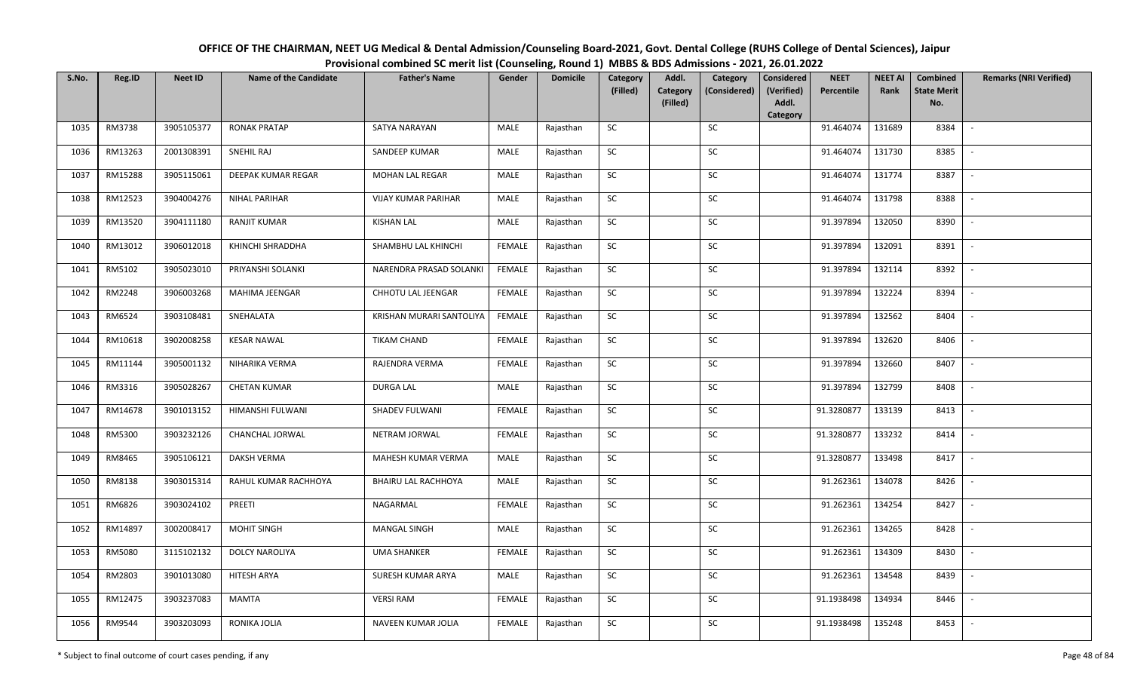| OFFICE OF THE CHAIRMAN, NEET UG Medical & Dental Admission/Counseling Board-2021, Govt. Dental College (RUHS College of Dental Sciences), Jaipur |
|--------------------------------------------------------------------------------------------------------------------------------------------------|
| Provisional combined SC merit list (Counseling, Round 1) MBBS & BDS Admissions - 2021, 26.01.2022                                                |

| S.No. | Reg.ID  | <b>Neet ID</b> | <b>Name of the Candidate</b> | <b>Father's Name</b>       | Gender        | <b>Domicile</b> | Category<br>(Filled) | Addl.<br><b>Category</b> | Category<br>(Considered) | <b>Considered</b><br>(Verified) | <b>NEET</b><br>Percentile | <b>NEET AI</b><br>Rank | Combined<br><b>State Merit</b> | <b>Remarks (NRI Verified)</b> |
|-------|---------|----------------|------------------------------|----------------------------|---------------|-----------------|----------------------|--------------------------|--------------------------|---------------------------------|---------------------------|------------------------|--------------------------------|-------------------------------|
|       |         |                |                              |                            |               |                 |                      | (Filled)                 |                          | Addl.<br>Category               |                           |                        | No.                            |                               |
| 1035  | RM3738  | 3905105377     | <b>RONAK PRATAP</b>          | SATYA NARAYAN              | MALE          | Rajasthan       | SC                   |                          | SC                       |                                 | 91.464074                 | 131689                 | 8384                           | $\overline{\phantom{a}}$      |
| 1036  | RM13263 | 2001308391     | SNEHIL RAJ                   | SANDEEP KUMAR              | MALE          | Rajasthan       | SC                   |                          | <b>SC</b>                |                                 | 91.464074                 | 131730                 | 8385                           |                               |
| 1037  | RM15288 | 3905115061     | DEEPAK KUMAR REGAR           | MOHAN LAL REGAR            | <b>MALE</b>   | Rajasthan       | SC                   |                          | SC                       |                                 | 91.464074                 | 131774                 | 8387                           |                               |
| 1038  | RM12523 | 3904004276     | <b>NIHAL PARIHAR</b>         | <b>VIJAY KUMAR PARIHAR</b> | MALE          | Rajasthan       | SC                   |                          | ${\sf SC}$               |                                 | 91.464074                 | 131798                 | 8388                           |                               |
| 1039  | RM13520 | 3904111180     | <b>RANJIT KUMAR</b>          | <b>KISHAN LAL</b>          | MALE          | Rajasthan       | SC                   |                          | ${\sf SC}$               |                                 | 91.397894                 | 132050                 | 8390                           | $\sim$                        |
| 1040  | RM13012 | 3906012018     | KHINCHI SHRADDHA             | SHAMBHU LAL KHINCHI        | <b>FEMALE</b> | Rajasthan       | ${\sf SC}$           |                          | ${\sf SC}$               |                                 | 91.397894                 | 132091                 | 8391                           | $\overline{\phantom{a}}$      |
| 1041  | RM5102  | 3905023010     | PRIYANSHI SOLANKI            | NARENDRA PRASAD SOLANKI    | FEMALE        | Rajasthan       | SC                   |                          | SC                       |                                 | 91.397894                 | 132114                 | 8392                           |                               |
| 1042  | RM2248  | 3906003268     | MAHIMA JEENGAR               | CHHOTU LAL JEENGAR         | <b>FEMALE</b> | Rajasthan       | SC                   |                          | SC                       |                                 | 91.397894                 | 132224                 | 8394                           | $\overline{\phantom{a}}$      |
| 1043  | RM6524  | 3903108481     | SNEHALATA                    | KRISHAN MURARI SANTOLIYA   | <b>FEMALE</b> | Rajasthan       | SC                   |                          | SC                       |                                 | 91.397894                 | 132562                 | 8404                           |                               |
| 1044  | RM10618 | 3902008258     | <b>KESAR NAWAL</b>           | <b>TIKAM CHAND</b>         | <b>FEMALE</b> | Rajasthan       | SC                   |                          | SC                       |                                 | 91.397894                 | 132620                 | 8406                           |                               |
| 1045  | RM11144 | 3905001132     | NIHARIKA VERMA               | RAJENDRA VERMA             | <b>FEMALE</b> | Rajasthan       | ${\sf SC}$           |                          | SC                       |                                 | 91.397894                 | 132660                 | 8407                           | $\overline{\phantom{a}}$      |
| 1046  | RM3316  | 3905028267     | <b>CHETAN KUMAR</b>          | <b>DURGA LAL</b>           | MALE          | Rajasthan       | SC                   |                          | SC                       |                                 | 91.397894                 | 132799                 | 8408                           |                               |
| 1047  | RM14678 | 3901013152     | HIMANSHI FULWANI             | SHADEV FULWANI             | <b>FEMALE</b> | Rajasthan       | SC                   |                          | SC                       |                                 | 91.3280877                | 133139                 | 8413                           |                               |
| 1048  | RM5300  | 3903232126     | CHANCHAL JORWAL              | NETRAM JORWAL              | <b>FEMALE</b> | Rajasthan       | SC                   |                          | SC                       |                                 | 91.3280877                | 133232                 | 8414                           | $\overline{\phantom{a}}$      |
| 1049  | RM8465  | 3905106121     | <b>DAKSH VERMA</b>           | MAHESH KUMAR VERMA         | MALE          | Rajasthan       | SC                   |                          | SC                       |                                 | 91.3280877                | 133498                 | 8417                           |                               |
| 1050  | RM8138  | 3903015314     | RAHUL KUMAR RACHHOYA         | BHAIRU LAL RACHHOYA        | MALE          | Rajasthan       | ${\sf SC}$           |                          | ${\sf SC}$               |                                 | 91.262361                 | 134078                 | 8426                           | $\overline{\phantom{a}}$      |
| 1051  | RM6826  | 3903024102     | PREETI                       | NAGARMAL                   | <b>FEMALE</b> | Rajasthan       | SC                   |                          | SC                       |                                 | 91.262361                 | 134254                 | 8427                           | $\overline{\phantom{a}}$      |
| 1052  | RM14897 | 3002008417     | MOHIT SINGH                  | <b>MANGAL SINGH</b>        | MALE          | Rajasthan       | <b>SC</b>            |                          | SC                       |                                 | 91.262361                 | 134265                 | 8428                           |                               |
| 1053  | RM5080  | 3115102132     | DOLCY NAROLIYA               | <b>UMA SHANKER</b>         | <b>FEMALE</b> | Rajasthan       | SC                   |                          | $\sf SC$                 |                                 | 91.262361                 | 134309                 | 8430                           | $\overline{\phantom{a}}$      |
| 1054  | RM2803  | 3901013080     | HITESH ARYA                  | SURESH KUMAR ARYA          | MALE          | Rajasthan       | SC                   |                          | SC                       |                                 | 91.262361                 | 134548                 | 8439                           |                               |
| 1055  | RM12475 | 3903237083     | MAMTA                        | <b>VERSI RAM</b>           | FEMALE        | Rajasthan       | SC                   |                          | ${\sf SC}$               |                                 | 91.1938498                | 134934                 | 8446                           |                               |
| 1056  | RM9544  | 3903203093     | RONIKA JOLIA                 | NAVEEN KUMAR JOLIA         | <b>FEMALE</b> | Rajasthan       | ${\sf SC}$           |                          | ${\sf SC}$               |                                 | 91.1938498                | 135248                 | 8453                           |                               |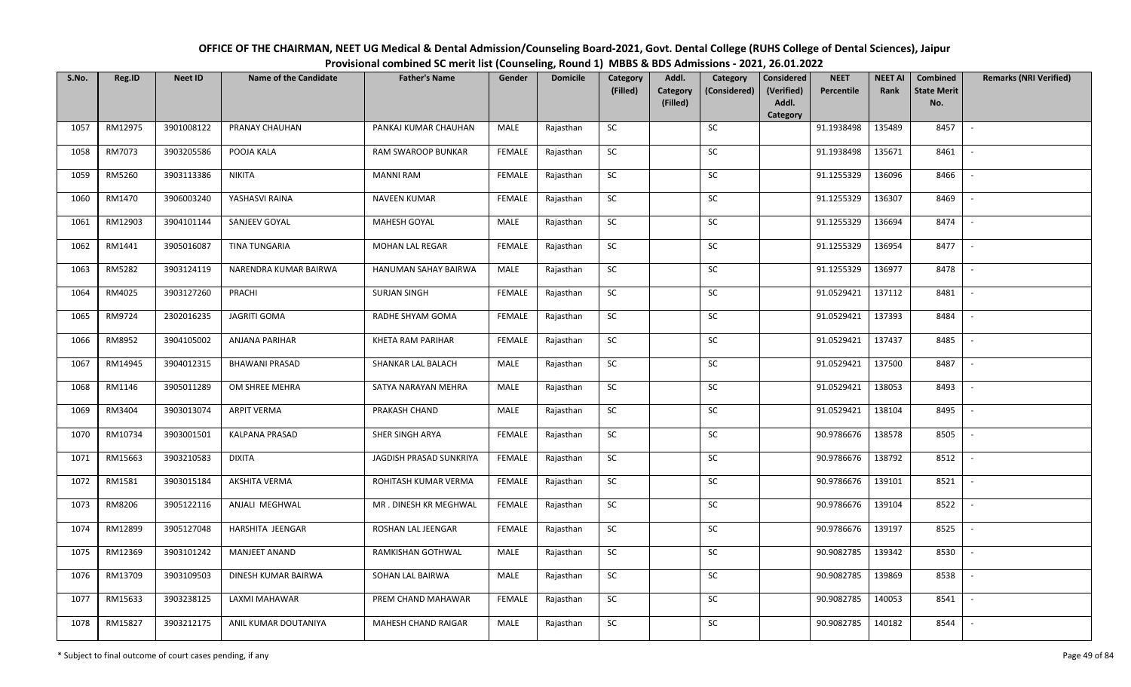| OFFICE OF THE CHAIRMAN, NEET UG Medical & Dental Admission/Counseling Board-2021, Govt. Dental College (RUHS College of Dental Sciences), Jaipur |
|--------------------------------------------------------------------------------------------------------------------------------------------------|
| Provisional combined SC merit list (Counseling, Round 1) MBBS & BDS Admissions - 2021, 26.01.2022                                                |

| S.No. | Reg.ID  | <b>Neet ID</b> | <b>Name of the Candidate</b> | <b>Father's Name</b>      | Gender        | <b>Domicile</b> | Category   | Addl.                       | Category     | <b>Considered</b>   | <b>NEET</b> | <b>NEET AI</b> | <b>Combined</b>           | <b>Remarks (NRI Verified)</b> |
|-------|---------|----------------|------------------------------|---------------------------|---------------|-----------------|------------|-----------------------------|--------------|---------------------|-------------|----------------|---------------------------|-------------------------------|
|       |         |                |                              |                           |               |                 | (Filled)   | <b>Category</b><br>(Filled) | (Considered) | (Verified)<br>Addl. | Percentile  | Rank           | <b>State Merit</b><br>No. |                               |
|       |         |                |                              |                           |               |                 |            |                             |              | Category            |             |                |                           |                               |
| 1057  | RM12975 | 3901008122     | PRANAY CHAUHAN               | PANKAJ KUMAR CHAUHAN      | MALE          | Rajasthan       | SC         |                             | SC           |                     | 91.1938498  | 135489         | 8457                      | $\sim$                        |
| 1058  | RM7073  | 3903205586     | POOJA KALA                   | <b>RAM SWAROOP BUNKAR</b> | <b>FEMALE</b> | Rajasthan       | SC         |                             | SC           |                     | 91.1938498  | 135671         | 8461                      |                               |
| 1059  | RM5260  | 3903113386     | <b>NIKITA</b>                | <b>MANNI RAM</b>          | FEMALE        | Rajasthan       | SC         |                             | SC           |                     | 91.1255329  | 136096         | 8466                      |                               |
| 1060  | RM1470  | 3906003240     | YASHASVI RAINA               | <b>NAVEEN KUMAR</b>       | <b>FEMALE</b> | Rajasthan       | ${\sf SC}$ |                             | ${\sf SC}$   |                     | 91.1255329  | 136307         | 8469                      |                               |
| 1061  | RM12903 | 3904101144     | SANJEEV GOYAL                | <b>MAHESH GOYAL</b>       | MALE          | Rajasthan       | SC         |                             | SC           |                     | 91.1255329  | 136694         | 8474                      | $\sim$                        |
| 1062  | RM1441  | 3905016087     | TINA TUNGARIA                | MOHAN LAL REGAR           | <b>FEMALE</b> | Rajasthan       | ${\sf SC}$ |                             | SC           |                     | 91.1255329  | 136954         | 8477                      | $\overline{\phantom{a}}$      |
| 1063  | RM5282  | 3903124119     | NARENDRA KUMAR BAIRWA        | HANUMAN SAHAY BAIRWA      | MALE          | Rajasthan       | SC         |                             | SC           |                     | 91.1255329  | 136977         | 8478                      |                               |
| 1064  | RM4025  | 3903127260     | PRACHI                       | <b>SURJAN SINGH</b>       | <b>FEMALE</b> | Rajasthan       | ${\sf SC}$ |                             | ${\sf SC}$   |                     | 91.0529421  | 137112         | 8481                      | $\sim$                        |
| 1065  | RM9724  | 2302016235     | <b>JAGRITI GOMA</b>          | RADHE SHYAM GOMA          | FEMALE        | Rajasthan       | SC         |                             | SC           |                     | 91.0529421  | 137393         | 8484                      |                               |
| 1066  | RM8952  | 3904105002     | ANJANA PARIHAR               | KHETA RAM PARIHAR         | <b>FEMALE</b> | Rajasthan       | ${\sf SC}$ |                             | ${\sf SC}$   |                     | 91.0529421  | 137437         | 8485                      |                               |
| 1067  | RM14945 | 3904012315     | <b>BHAWANI PRASAD</b>        | SHANKAR LAL BALACH        | MALE          | Rajasthan       | SC         |                             | SC           |                     | 91.0529421  | 137500         | 8487                      |                               |
| 1068  | RM1146  | 3905011289     | OM SHREE MEHRA               | SATYA NARAYAN MEHRA       | MALE          | Rajasthan       | SC         |                             | SC           |                     | 91.0529421  | 138053         | 8493                      |                               |
| 1069  | RM3404  | 3903013074     | <b>ARPIT VERMA</b>           | PRAKASH CHAND             | MALE          | Rajasthan       | SC         |                             | SC           |                     | 91.0529421  | 138104         | 8495                      |                               |
| 1070  | RM10734 | 3903001501     | <b>KALPANA PRASAD</b>        | <b>SHER SINGH ARYA</b>    | <b>FEMALE</b> | Rajasthan       | SC         |                             | ${\sf SC}$   |                     | 90.9786676  | 138578         | 8505                      |                               |
| 1071  | RM15663 | 3903210583     | <b>DIXITA</b>                | JAGDISH PRASAD SUNKRIYA   | FEMALE        | Rajasthan       | SC         |                             | ${\sf SC}$   |                     | 90.9786676  | 138792         | 8512                      |                               |
| 1072  | RM1581  | 3903015184     | AKSHITA VERMA                | ROHITASH KUMAR VERMA      | FEMALE        | Rajasthan       | ${\sf SC}$ |                             | ${\sf SC}$   |                     | 90.9786676  | 139101         | 8521                      | $\sim$                        |
| 1073  | RM8206  | 3905122116     | ANJALI MEGHWAL               | MR. DINESH KR MEGHWAL     | <b>FEMALE</b> | Rajasthan       | SC         |                             | SC           |                     | 90.9786676  | 139104         | 8522                      |                               |
| 1074  | RM12899 | 3905127048     | HARSHITA JEENGAR             | ROSHAN LAL JEENGAR        | <b>FEMALE</b> | Rajasthan       | SC         |                             | SC           |                     | 90.9786676  | 139197         | 8525                      |                               |
| 1075  | RM12369 | 3903101242     | <b>MANJEET ANAND</b>         | RAMKISHAN GOTHWAL         | MALE          | Rajasthan       | SC         |                             | SC           |                     | 90.9082785  | 139342         | 8530                      | $\overline{\phantom{a}}$      |
| 1076  | RM13709 | 3903109503     | DINESH KUMAR BAIRWA          | SOHAN LAL BAIRWA          | MALE          | Rajasthan       | SC         |                             | ${\sf SC}$   |                     | 90.9082785  | 139869         | 8538                      |                               |
| 1077  | RM15633 | 3903238125     | LAXMI MAHAWAR                | PREM CHAND MAHAWAR        | <b>FEMALE</b> | Rajasthan       | SC         |                             | SC           |                     | 90.9082785  | 140053         | 8541                      |                               |
| 1078  | RM15827 | 3903212175     | ANIL KUMAR DOUTANIYA         | MAHESH CHAND RAIGAR       | MALE          | Rajasthan       | SC         |                             | <b>SC</b>    |                     | 90.9082785  | 140182         | 8544                      |                               |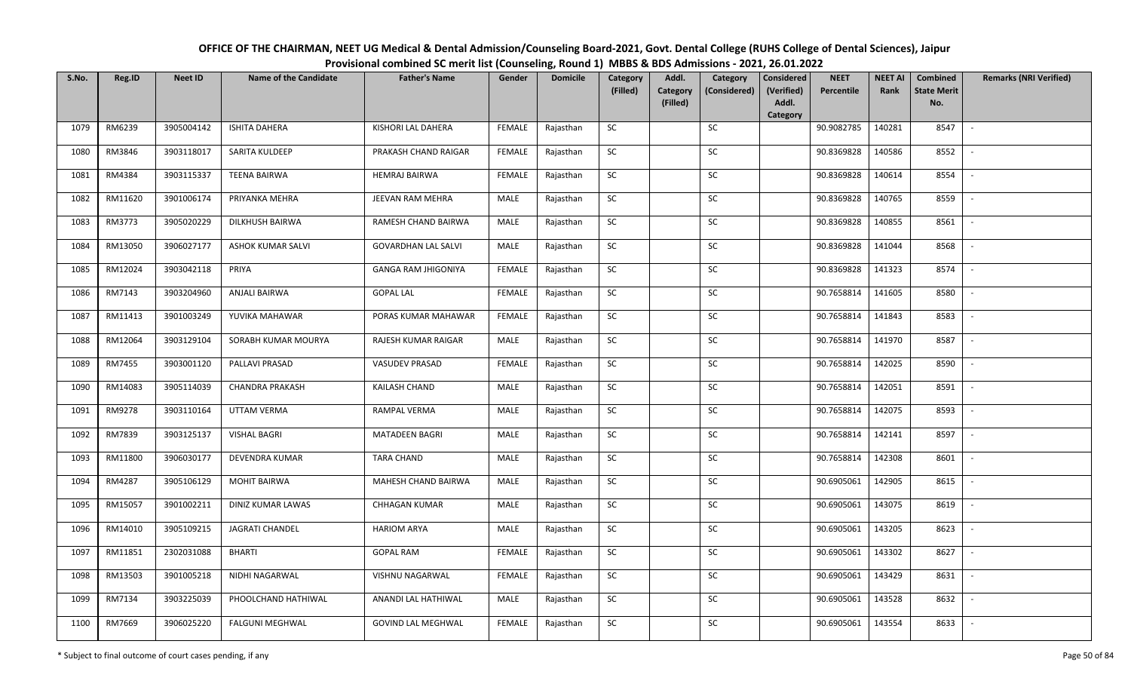| OFFICE OF THE CHAIRMAN, NEET UG Medical & Dental Admission/Counseling Board-2021, Govt. Dental College (RUHS College of Dental Sciences), Jaipur |
|--------------------------------------------------------------------------------------------------------------------------------------------------|
| Provisional combined SC merit list (Counseling, Round 1) MBBS & BDS Admissions - 2021, 26.01.2022                                                |

| S.No. | Reg.ID  | <b>Neet ID</b> | <b>Name of the Candidate</b> | <b>Father's Name</b>       | Gender        | <b>Domicile</b> | Category<br>(Filled) | Addl.<br>Category | Category<br>(Considered) | <b>Considered</b><br>(Verified) | <b>NEET</b><br>Percentile | <b>NEET AI</b><br>Rank | Combined<br><b>State Merit</b> | <b>Remarks (NRI Verified)</b> |
|-------|---------|----------------|------------------------------|----------------------------|---------------|-----------------|----------------------|-------------------|--------------------------|---------------------------------|---------------------------|------------------------|--------------------------------|-------------------------------|
|       |         |                |                              |                            |               |                 |                      | (Filled)          |                          | Addl.<br>Category               |                           |                        | No.                            |                               |
| 1079  | RM6239  | 3905004142     | <b>ISHITA DAHERA</b>         | KISHORI LAL DAHERA         | <b>FEMALE</b> | Rajasthan       | SC                   |                   | SC                       |                                 | 90.9082785                | 140281                 | 8547                           | $\overline{\phantom{a}}$      |
| 1080  | RM3846  | 3903118017     | SARITA KULDEEP               | PRAKASH CHAND RAIGAR       | <b>FEMALE</b> | Rajasthan       | SC                   |                   | <b>SC</b>                |                                 | 90.8369828                | 140586                 | 8552                           |                               |
| 1081  | RM4384  | 3903115337     | <b>TEENA BAIRWA</b>          | <b>HEMRAJ BAIRWA</b>       | <b>FEMALE</b> | Rajasthan       | SC                   |                   | SC                       |                                 | 90.8369828                | 140614                 | 8554                           |                               |
| 1082  | RM11620 | 3901006174     | PRIYANKA MEHRA               | JEEVAN RAM MEHRA           | MALE          | Rajasthan       | SC                   |                   | SC                       |                                 | 90.8369828                | 140765                 | 8559                           |                               |
| 1083  | RM3773  | 3905020229     | DILKHUSH BAIRWA              | RAMESH CHAND BAIRWA        | MALE          | Rajasthan       | ${\sf SC}$           |                   | SC                       |                                 | 90.8369828                | 140855                 | 8561                           | $\sim$                        |
| 1084  | RM13050 | 3906027177     | ASHOK KUMAR SALVI            | <b>GOVARDHAN LAL SALVI</b> | MALE          | Rajasthan       | SC                   |                   | SC                       |                                 | 90.8369828                | 141044                 | 8568                           | $\overline{\phantom{a}}$      |
| 1085  | RM12024 | 3903042118     | PRIYA                        | GANGA RAM JHIGONIYA        | <b>FEMALE</b> | Rajasthan       | SC                   |                   | SC                       |                                 | 90.8369828                | 141323                 | 8574                           | $\overline{\phantom{a}}$      |
| 1086  | RM7143  | 3903204960     | <b>ANJALI BAIRWA</b>         | <b>GOPAL LAL</b>           | <b>FEMALE</b> | Rajasthan       | SC                   |                   | $\sf SC$                 |                                 | 90.7658814                | 141605                 | 8580                           | $\overline{\phantom{a}}$      |
| 1087  | RM11413 | 3901003249     | YUVIKA MAHAWAR               | PORAS KUMAR MAHAWAR        | <b>FEMALE</b> | Rajasthan       | SC                   |                   | SC                       |                                 | 90.7658814                | 141843                 | 8583                           |                               |
| 1088  | RM12064 | 3903129104     | SORABH KUMAR MOURYA          | RAJESH KUMAR RAIGAR        | MALE          | Rajasthan       | SC                   |                   | ${\sf SC}$               |                                 | 90.7658814                | 141970                 | 8587                           |                               |
| 1089  | RM7455  | 3903001120     | PALLAVI PRASAD               | <b>VASUDEV PRASAD</b>      | <b>FEMALE</b> | Rajasthan       | SC                   |                   | SC                       |                                 | 90.7658814                | 142025                 | 8590                           |                               |
| 1090  | RM14083 | 3905114039     | <b>CHANDRA PRAKASH</b>       | <b>KAILASH CHAND</b>       | MALE          | Rajasthan       | SC                   |                   | ${\sf SC}$               |                                 | 90.7658814                | 142051                 | 8591                           |                               |
| 1091  | RM9278  | 3903110164     | <b>UTTAM VERMA</b>           | RAMPAL VERMA               | MALE          | Rajasthan       | SC                   |                   | SC                       |                                 | 90.7658814                | 142075                 | 8593                           |                               |
| 1092  | RM7839  | 3903125137     | <b>VISHAL BAGRI</b>          | <b>MATADEEN BAGRI</b>      | MALE          | Rajasthan       | <b>SC</b>            |                   | SC                       |                                 | 90.7658814                | 142141                 | 8597                           | $\sim$                        |
| 1093  | RM11800 | 3906030177     | DEVENDRA KUMAR               | <b>TARA CHAND</b>          | MALE          | Rajasthan       | SC                   |                   | ${\sf SC}$               |                                 | 90.7658814                | 142308                 | 8601                           |                               |
| 1094  | RM4287  | 3905106129     | <b>MOHIT BAIRWA</b>          | MAHESH CHAND BAIRWA        | MALE          | Rajasthan       | SC                   |                   | SC                       |                                 | 90.6905061                | 142905                 | 8615                           | $\sim$                        |
| 1095  | RM15057 | 3901002211     | DINIZ KUMAR LAWAS            | <b>CHHAGAN KUMAR</b>       | MALE          | Rajasthan       | SC                   |                   | SC                       |                                 | 90.6905061                | 143075                 | 8619                           | $\overline{\phantom{a}}$      |
| 1096  | RM14010 | 3905109215     | <b>JAGRATI CHANDEL</b>       | <b>HARIOM ARYA</b>         | MALE          | Rajasthan       | SC                   |                   | SC                       |                                 | 90.6905061                | 143205                 | 8623                           | $\sim$                        |
| 1097  | RM11851 | 2302031088     | <b>BHARTI</b>                | <b>GOPAL RAM</b>           | <b>FEMALE</b> | Rajasthan       | SC                   |                   | SC                       |                                 | 90.6905061                | 143302                 | 8627                           | $\sim$                        |
| 1098  | RM13503 | 3901005218     | NIDHI NAGARWAL               | VISHNU NAGARWAL            | FEMALE        | Rajasthan       | SC                   |                   | ${\sf SC}$               |                                 | 90.6905061                | 143429                 | 8631                           |                               |
| 1099  | RM7134  | 3903225039     | PHOOLCHAND HATHIWAL          | ANANDI LAL HATHIWAL        | MALE          | Rajasthan       | SC                   |                   | SC                       |                                 | 90.6905061                | 143528                 | 8632                           |                               |
| 1100  | RM7669  | 3906025220     | <b>FALGUNI MEGHWAL</b>       | <b>GOVIND LAL MEGHWAL</b>  | <b>FEMALE</b> | Rajasthan       | SC                   |                   | SC                       |                                 | 90.6905061                | 143554                 | 8633                           | $\overline{\phantom{a}}$      |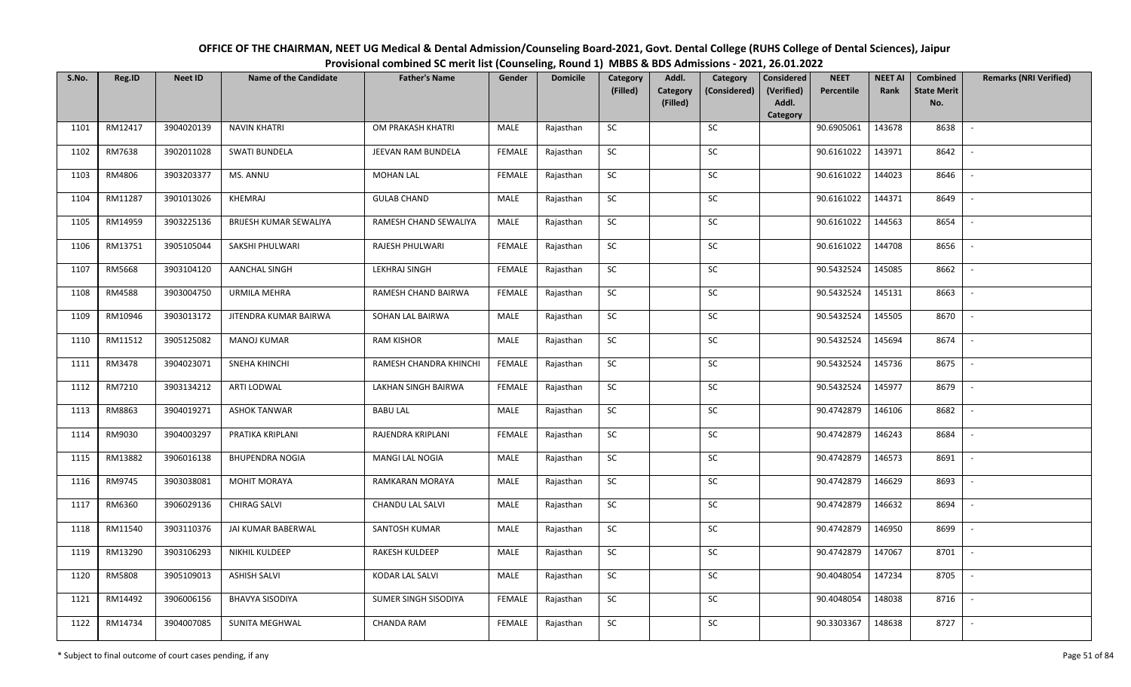| OFFICE OF THE CHAIRMAN, NEET UG Medical & Dental Admission/Counseling Board-2021, Govt. Dental College (RUHS College of Dental Sciences), Jaipur |                                                                                                   |  |  |  |  |  |
|--------------------------------------------------------------------------------------------------------------------------------------------------|---------------------------------------------------------------------------------------------------|--|--|--|--|--|
|                                                                                                                                                  | Provisional combined SC merit list (Counseling, Round 1) MBBS & BDS Admissions - 2021, 26.01.2022 |  |  |  |  |  |
|                                                                                                                                                  |                                                                                                   |  |  |  |  |  |

| S.No. | Reg.ID  | <b>Neet ID</b> | <b>Name of the Candidate</b> | <b>Father's Name</b>   | Gender        | <b>Domicile</b> | Category<br>(Filled) | Addl.<br><b>Category</b><br>(Filled) | Category<br>(Considered) | <b>Considered</b><br>(Verified)<br>Addl. | <b>NEET</b><br>Percentile | <b>NEET AI</b><br>Rank | Combined<br><b>State Merit</b><br>No. | <b>Remarks (NRI Verified)</b> |
|-------|---------|----------------|------------------------------|------------------------|---------------|-----------------|----------------------|--------------------------------------|--------------------------|------------------------------------------|---------------------------|------------------------|---------------------------------------|-------------------------------|
|       |         |                |                              |                        |               |                 |                      |                                      |                          | Category                                 |                           |                        |                                       |                               |
| 1101  | RM12417 | 3904020139     | <b>NAVIN KHATRI</b>          | OM PRAKASH KHATRI      | MALE          | Rajasthan       | <b>SC</b>            |                                      | SC                       |                                          | 90.6905061                | 143678                 | 8638                                  | $\sim$                        |
| 1102  | RM7638  | 3902011028     | <b>SWATI BUNDELA</b>         | JEEVAN RAM BUNDELA     | <b>FEMALE</b> | Rajasthan       | ${\sf SC}$           |                                      | <b>SC</b>                |                                          | 90.6161022                | 143971                 | 8642                                  |                               |
| 1103  | RM4806  | 3903203377     | MS. ANNU                     | <b>MOHAN LAL</b>       | <b>FEMALE</b> | Rajasthan       | SC                   |                                      | SC                       |                                          | 90.6161022                | 144023                 | 8646                                  | $\overline{\phantom{a}}$      |
| 1104  | RM11287 | 3901013026     | KHEMRAJ                      | <b>GULAB CHAND</b>     | MALE          | Rajasthan       | SC                   |                                      | SC                       |                                          | 90.6161022                | 144371                 | 8649                                  |                               |
| 1105  | RM14959 | 3903225136     | BRIJESH KUMAR SEWALIYA       | RAMESH CHAND SEWALIYA  | MALE          | Rajasthan       | SC                   |                                      | SC                       |                                          | 90.6161022                | 144563                 | 8654                                  | $\sim$                        |
| 1106  | RM13751 | 3905105044     | SAKSHI PHULWARI              | RAJESH PHULWARI        | <b>FEMALE</b> | Rajasthan       | <b>SC</b>            |                                      | SC                       |                                          | 90.6161022                | 144708                 | 8656                                  | $\sim$                        |
| 1107  | RM5668  | 3903104120     | <b>AANCHAL SINGH</b>         | <b>LEKHRAJ SINGH</b>   | <b>FEMALE</b> | Rajasthan       | ${\sf SC}$           |                                      | SC                       |                                          | 90.5432524                | 145085                 | 8662                                  | $\overline{\phantom{a}}$      |
| 1108  | RM4588  | 3903004750     | URMILA MEHRA                 | RAMESH CHAND BAIRWA    | <b>FEMALE</b> | Rajasthan       | <b>SC</b>            |                                      | SC                       |                                          | 90.5432524                | 145131                 | 8663                                  | $\overline{\phantom{a}}$      |
| 1109  | RM10946 | 3903013172     | JITENDRA KUMAR BAIRWA        | SOHAN LAL BAIRWA       | MALE          | Rajasthan       | SC                   |                                      | <b>SC</b>                |                                          | 90.5432524                | 145505                 | 8670                                  |                               |
| 1110  | RM11512 | 3905125082     | <b>MANOJ KUMAR</b>           | <b>RAM KISHOR</b>      | MALE          | Rajasthan       | ${\sf SC}$           |                                      | $\sf SC$                 |                                          | 90.5432524                | 145694                 | 8674                                  |                               |
| 1111  | RM3478  | 3904023071     | <b>SNEHA KHINCHI</b>         | RAMESH CHANDRA KHINCHI | <b>FEMALE</b> | Rajasthan       | ${\sf SC}$           |                                      | SC                       |                                          | 90.5432524                | 145736                 | 8675                                  |                               |
| 1112  | RM7210  | 3903134212     | ARTI LODWAL                  | LAKHAN SINGH BAIRWA    | <b>FEMALE</b> | Rajasthan       | ${\sf SC}$           |                                      | SC                       |                                          | 90.5432524                | 145977                 | 8679                                  | $\sim$                        |
| 1113  | RM8863  | 3904019271     | <b>ASHOK TANWAR</b>          | <b>BABU LAL</b>        | MALE          | Rajasthan       | <b>SC</b>            |                                      | <b>SC</b>                |                                          | 90.4742879                | 146106                 | 8682                                  |                               |
| 1114  | RM9030  | 3904003297     | PRATIKA KRIPLANI             | RAJENDRA KRIPLANI      | <b>FEMALE</b> | Rajasthan       | <b>SC</b>            |                                      | <b>SC</b>                |                                          | 90.4742879                | 146243                 | 8684                                  | $\overline{\phantom{a}}$      |
| 1115  | RM13882 | 3906016138     | <b>BHUPENDRA NOGIA</b>       | MANGI LAL NOGIA        | MALE          | Rajasthan       | ${\sf SC}$           |                                      | $\sf SC$                 |                                          | 90.4742879                | 146573                 | 8691                                  |                               |
| 1116  | RM9745  | 3903038081     | <b>MOHIT MORAYA</b>          | RAMKARAN MORAYA        | MALE          | Rajasthan       | ${\sf SC}$           |                                      | SC                       |                                          | 90.4742879                | 146629                 | 8693                                  | $\sim$                        |
| 1117  | RM6360  | 3906029136     | <b>CHIRAG SALVI</b>          | CHANDU LAL SALVI       | <b>MALE</b>   | Rajasthan       | ${\sf SC}$           |                                      | $\sf SC$                 |                                          | 90.4742879                | 146632                 | 8694                                  | $\sim$                        |
| 1118  | RM11540 | 3903110376     | JAI KUMAR BABERWAL           | SANTOSH KUMAR          | MALE          | Rajasthan       | SC                   |                                      | SC                       |                                          | 90.4742879                | 146950                 | 8699                                  | $\sim$                        |
| 1119  | RM13290 | 3903106293     | NIKHIL KULDEEP               | RAKESH KULDEEP         | MALE          | Rajasthan       | SC                   |                                      | <b>SC</b>                |                                          | 90.4742879                | 147067                 | 8701                                  | $\sim$                        |
| 1120  | RM5808  | 3905109013     | <b>ASHISH SALVI</b>          | <b>KODAR LAL SALVI</b> | <b>MALE</b>   | Rajasthan       | SC                   |                                      | SC                       |                                          | 90.4048054                | 147234                 | 8705                                  |                               |
| 1121  | RM14492 | 3906006156     | <b>BHAVYA SISODIYA</b>       | SUMER SINGH SISODIYA   | <b>FEMALE</b> | Rajasthan       | SC                   |                                      | SC                       |                                          | 90.4048054                | 148038                 | 8716                                  |                               |
| 1122  | RM14734 | 3904007085     | SUNITA MEGHWAL               | <b>CHANDA RAM</b>      | FEMALE        | Rajasthan       | ${\sf SC}$           |                                      | ${\sf SC}$               |                                          | 90.3303367                | 148638                 | 8727                                  |                               |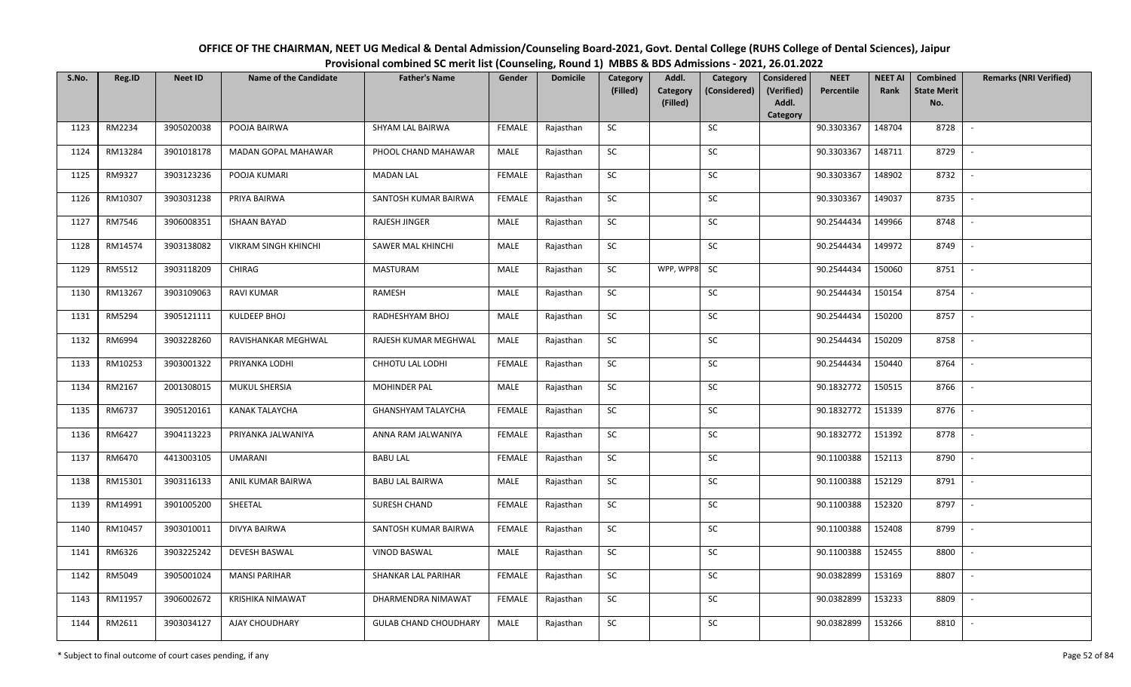| OFFICE OF THE CHAIRMAN, NEET UG Medical & Dental Admission/Counseling Board-2021, Govt. Dental College (RUHS College of Dental Sciences), Jaipur |
|--------------------------------------------------------------------------------------------------------------------------------------------------|
| Provisional combined SC merit list (Counseling, Round 1) MBBS & BDS Admissions - 2021, 26.01.2022                                                |

| S.No. | Reg.ID  | <b>Neet ID</b> | <b>Name of the Candidate</b> | <b>Father's Name</b>         | Gender        | <b>Domicile</b> | Category<br>(Filled) | Addl.<br><b>Category</b><br>(Filled) | Category<br>(Considered) | <b>Considered</b><br>(Verified)<br>Addl. | <b>NEET</b><br>Percentile | <b>NEET AI</b><br>Rank | Combined<br><b>State Merit</b><br>No. | <b>Remarks (NRI Verified)</b> |
|-------|---------|----------------|------------------------------|------------------------------|---------------|-----------------|----------------------|--------------------------------------|--------------------------|------------------------------------------|---------------------------|------------------------|---------------------------------------|-------------------------------|
|       |         |                |                              |                              |               |                 |                      |                                      |                          | Category                                 |                           |                        |                                       |                               |
| 1123  | RM2234  | 3905020038     | POOJA BAIRWA                 | SHYAM LAL BAIRWA             | FEMALE        | Rajasthan       | <b>SC</b>            |                                      | SC                       |                                          | 90.3303367                | 148704                 | 8728                                  | $\sim$                        |
| 1124  | RM13284 | 3901018178     | MADAN GOPAL MAHAWAR          | PHOOL CHAND MAHAWAR          | MALE          | Rajasthan       | SC                   |                                      | SC                       |                                          | 90.3303367                | 148711                 | 8729                                  |                               |
| 1125  | RM9327  | 3903123236     | POOJA KUMARI                 | <b>MADAN LAL</b>             | FEMALE        | Rajasthan       | <b>SC</b>            |                                      | SC                       |                                          | 90.3303367                | 148902                 | 8732                                  | $\overline{\phantom{a}}$      |
| 1126  | RM10307 | 3903031238     | PRIYA BAIRWA                 | SANTOSH KUMAR BAIRWA         | <b>FEMALE</b> | Rajasthan       | ${\sf SC}$           |                                      | ${\sf SC}$               |                                          | 90.3303367                | 149037                 | 8735                                  |                               |
| 1127  | RM7546  | 3906008351     | <b>ISHAAN BAYAD</b>          | RAJESH JINGER                | MALE          | Rajasthan       | <b>SC</b>            |                                      | SC                       |                                          | 90.2544434                | 149966                 | 8748                                  | $\sim$                        |
| 1128  | RM14574 | 3903138082     | <b>VIKRAM SINGH KHINCHI</b>  | SAWER MAL KHINCHI            | <b>MALE</b>   | Rajasthan       | ${\sf SC}$           |                                      | SC                       |                                          | 90.2544434                | 149972                 | 8749                                  | $\sim$                        |
| 1129  | RM5512  | 3903118209     | CHIRAG                       | <b>MASTURAM</b>              | MALE          | Rajasthan       | <b>SC</b>            | WPP, WPP8                            | <b>SC</b>                |                                          | 90.2544434                | 150060                 | 8751                                  | $\sim$                        |
| 1130  | RM13267 | 3903109063     | <b>RAVI KUMAR</b>            | RAMESH                       | MALE          | Rajasthan       | ${\sf SC}$           |                                      | $\sf SC$                 |                                          | 90.2544434                | 150154                 | 8754                                  |                               |
| 1131  | RM5294  | 3905121111     | <b>KULDEEP BHOJ</b>          | RADHESHYAM BHOJ              | MALE          | Rajasthan       | SC                   |                                      | SC                       |                                          | 90.2544434                | 150200                 | 8757                                  |                               |
| 1132  | RM6994  | 3903228260     | RAVISHANKAR MEGHWAL          | RAJESH KUMAR MEGHWAL         | MALE          | Rajasthan       | ${\sf SC}$           |                                      | SC                       |                                          | 90.2544434                | 150209                 | 8758                                  | $\overline{\phantom{a}}$      |
| 1133  | RM10253 | 3903001322     | PRIYANKA LODHI               | CHHOTU LAL LODHI             | <b>FEMALE</b> | Rajasthan       | SC                   |                                      | SC                       |                                          | 90.2544434                | 150440                 | 8764                                  | $\overline{\phantom{a}}$      |
| 1134  | RM2167  | 2001308015     | MUKUL SHERSIA                | <b>MOHINDER PAL</b>          | MALE          | Rajasthan       | ${\sf SC}$           |                                      | ${\sf SC}$               |                                          | 90.1832772                | 150515                 | 8766                                  | $\overline{\phantom{a}}$      |
| 1135  | RM6737  | 3905120161     | <b>KANAK TALAYCHA</b>        | <b>GHANSHYAM TALAYCHA</b>    | <b>FEMALE</b> | Rajasthan       | <b>SC</b>            |                                      | <b>SC</b>                |                                          | 90.1832772                | 151339                 | 8776                                  |                               |
| 1136  | RM6427  | 3904113223     | PRIYANKA JALWANIYA           | ANNA RAM JALWANIYA           | <b>FEMALE</b> | Rajasthan       | SC                   |                                      | SC                       |                                          | 90.1832772                | 151392                 | 8778                                  |                               |
| 1137  | RM6470  | 4413003105     | <b>UMARANI</b>               | <b>BABU LAL</b>              | <b>FEMALE</b> | Rajasthan       | <b>SC</b>            |                                      | SC                       |                                          | 90.1100388                | 152113                 | 8790                                  | $\overline{\phantom{a}}$      |
| 1138  | RM15301 | 3903116133     | ANIL KUMAR BAIRWA            | <b>BABU LAL BAIRWA</b>       | MALE          | Rajasthan       | ${\sf SC}$           |                                      | SC                       |                                          | 90.1100388                | 152129                 | 8791                                  | $\sim$                        |
| 1139  | RM14991 | 3901005200     | SHEETAL                      | SURESH CHAND                 | <b>FEMALE</b> | Rajasthan       | SC                   |                                      | SC                       |                                          | 90.1100388                | 152320                 | 8797                                  | $\sim$                        |
| 1140  | RM10457 | 3903010011     | DIVYA BAIRWA                 | SANTOSH KUMAR BAIRWA         | <b>FEMALE</b> | Rajasthan       | SC                   |                                      | <b>SC</b>                |                                          | 90.1100388                | 152408                 | 8799                                  | $\overline{\phantom{a}}$      |
| 1141  | RM6326  | 3903225242     | <b>DEVESH BASWAL</b>         | <b>VINOD BASWAL</b>          | <b>MALE</b>   | Rajasthan       | <b>SC</b>            |                                      | <b>SC</b>                |                                          | 90.1100388                | 152455                 | 8800                                  | $\overline{\phantom{a}}$      |
| 1142  | RM5049  | 3905001024     | <b>MANSI PARIHAR</b>         | SHANKAR LAL PARIHAR          | <b>FEMALE</b> | Rajasthan       | SC                   |                                      | ${\sf SC}$               |                                          | 90.0382899                | 153169                 | 8807                                  |                               |
| 1143  | RM11957 | 3906002672     | <b>KRISHIKA NIMAWAT</b>      | DHARMENDRA NIMAWAT           | <b>FEMALE</b> | Rajasthan       | SC                   |                                      | SC                       |                                          | 90.0382899                | 153233                 | 8809                                  | $\overline{\phantom{a}}$      |
| 1144  | RM2611  | 3903034127     | AJAY CHOUDHARY               | <b>GULAB CHAND CHOUDHARY</b> | <b>MALE</b>   | Rajasthan       | ${\sf SC}$           |                                      | <b>SC</b>                |                                          | 90.0382899                | 153266                 | 8810                                  |                               |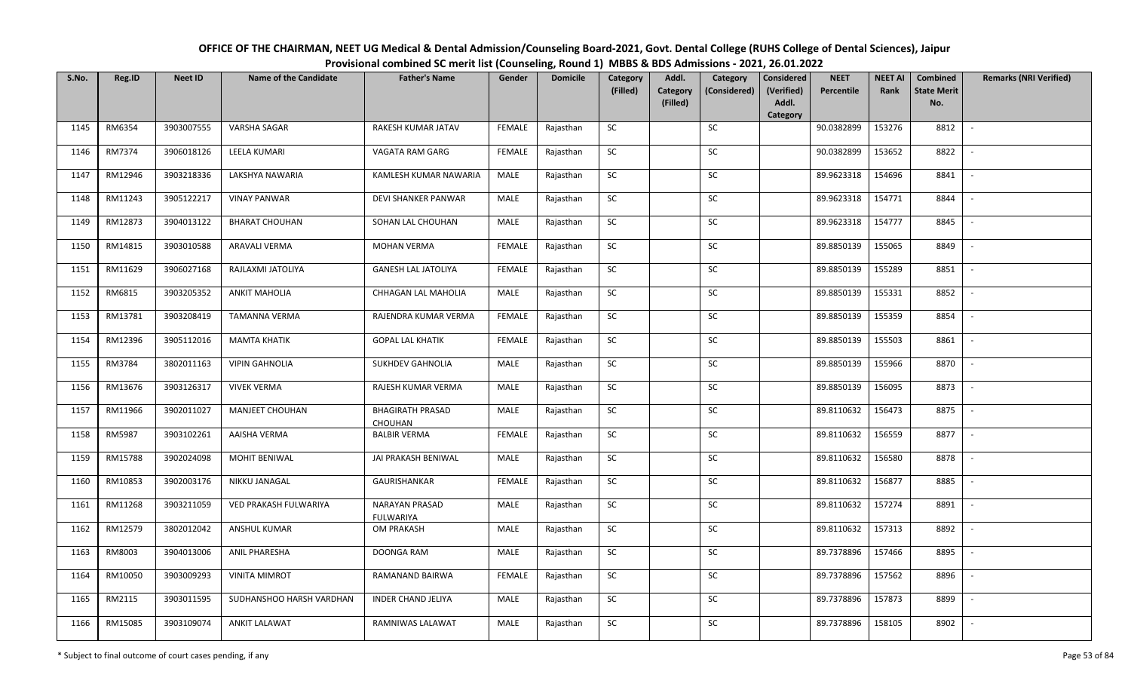| OFFICE OF THE CHAIRMAN, NEET UG Medical & Dental Admission/Counseling Board-2021, Govt. Dental College (RUHS College of Dental Sciences), Jaipur |
|--------------------------------------------------------------------------------------------------------------------------------------------------|
| Provisional combined SC merit list (Counseling, Round 1) MBBS & BDS Admissions - 2021, 26.01.2022                                                |

| S.No. | Reg.ID  | <b>Neet ID</b> | <b>Name of the Candidate</b> | <b>Father's Name</b>                      | Gender        | <b>Domicile</b> | Category<br>(Filled) | Addl.<br><b>Category</b> | Category<br>(Considered) | <b>Considered</b><br>(Verified) | <b>NEET</b><br>Percentile | <b>NEET AI</b><br>Rank | Combined<br><b>State Merit</b> | <b>Remarks (NRI Verified)</b> |
|-------|---------|----------------|------------------------------|-------------------------------------------|---------------|-----------------|----------------------|--------------------------|--------------------------|---------------------------------|---------------------------|------------------------|--------------------------------|-------------------------------|
|       |         |                |                              |                                           |               |                 |                      | (Filled)                 |                          | Addl.<br>Category               |                           |                        | No.                            |                               |
| 1145  | RM6354  | 3903007555     | <b>VARSHA SAGAR</b>          | RAKESH KUMAR JATAV                        | <b>FEMALE</b> | Rajasthan       | <b>SC</b>            |                          | SC                       |                                 | 90.0382899                | 153276                 | 8812                           | $\overline{\phantom{a}}$      |
| 1146  | RM7374  | 3906018126     | LEELA KUMARI                 | VAGATA RAM GARG                           | <b>FEMALE</b> | Rajasthan       | <b>SC</b>            |                          | <b>SC</b>                |                                 | 90.0382899                | 153652                 | 8822                           |                               |
| 1147  | RM12946 | 3903218336     | LAKSHYA NAWARIA              | KAMLESH KUMAR NAWARIA                     | MALE          | Rajasthan       | ${\sf SC}$           |                          | SC                       |                                 | 89.9623318                | 154696                 | 8841                           | $\overline{\phantom{a}}$      |
| 1148  | RM11243 | 3905122217     | <b>VINAY PANWAR</b>          | DEVI SHANKER PANWAR                       | MALE          | Rajasthan       | <b>SC</b>            |                          | SC                       |                                 | 89.9623318                | 154771                 | 8844                           | $\overline{\phantom{a}}$      |
| 1149  | RM12873 | 3904013122     | <b>BHARAT CHOUHAN</b>        | SOHAN LAL CHOUHAN                         | MALE          | Rajasthan       | ${\sf SC}$           |                          | SC                       |                                 | 89.9623318                | 154777                 | 8845                           | $\sim$                        |
| 1150  | RM14815 | 3903010588     | <b>ARAVALI VERMA</b>         | <b>MOHAN VERMA</b>                        | <b>FEMALE</b> | Rajasthan       | SC                   |                          | SC                       |                                 | 89.8850139                | 155065                 | 8849                           | $\sim$                        |
| 1151  | RM11629 | 3906027168     | RAJLAXMI JATOLIYA            | <b>GANESH LAL JATOLIYA</b>                | <b>FEMALE</b> | Rajasthan       | SC                   |                          | <b>SC</b>                |                                 | 89.8850139                | 155289                 | 8851                           | $\overline{\phantom{a}}$      |
| 1152  | RM6815  | 3903205352     | <b>ANKIT MAHOLIA</b>         | CHHAGAN LAL MAHOLIA                       | <b>MALE</b>   | Rajasthan       | SC                   |                          | SC                       |                                 | 89.8850139                | 155331                 | 8852                           | $\overline{\phantom{a}}$      |
| 1153  | RM13781 | 3903208419     | TAMANNA VERMA                | RAJENDRA KUMAR VERMA                      | <b>FEMALE</b> | Rajasthan       | ${\sf SC}$           |                          | SC                       |                                 | 89.8850139                | 155359                 | 8854                           |                               |
| 1154  | RM12396 | 3905112016     | <b>MAMTA KHATIK</b>          | <b>GOPAL LAL KHATIK</b>                   | <b>FEMALE</b> | Rajasthan       | ${\sf SC}$           |                          | ${\sf SC}$               |                                 | 89.8850139                | 155503                 | 8861                           |                               |
| 1155  | RM3784  | 3802011163     | <b>VIPIN GAHNOLIA</b>        | <b>SUKHDEV GAHNOLIA</b>                   | <b>MALE</b>   | Rajasthan       | <b>SC</b>            |                          | <b>SC</b>                |                                 | 89.8850139                | 155966                 | 8870                           |                               |
| 1156  | RM13676 | 3903126317     | <b>VIVEK VERMA</b>           | RAJESH KUMAR VERMA                        | MALE          | Rajasthan       | <b>SC</b>            |                          | <b>SC</b>                |                                 | 89.8850139                | 156095                 | 8873                           | $\overline{\phantom{a}}$      |
| 1157  | RM11966 | 3902011027     | <b>MANJEET CHOUHAN</b>       | <b>BHAGIRATH PRASAD</b><br><b>CHOUHAN</b> | MALE          | Rajasthan       | SC                   |                          | SC                       |                                 | 89.8110632                | 156473                 | 8875                           |                               |
| 1158  | RM5987  | 3903102261     | AAISHA VERMA                 | <b>BALBIR VERMA</b>                       | <b>FEMALE</b> | Rajasthan       | <b>SC</b>            |                          | SC                       |                                 | 89.8110632                | 156559                 | 8877                           | $\sim$                        |
| 1159  | RM15788 | 3902024098     | MOHIT BENIWAL                | JAI PRAKASH BENIWAL                       | MALE          | Rajasthan       | ${\sf SC}$           |                          | ${\sf SC}$               |                                 | 89.8110632                | 156580                 | 8878                           |                               |
| 1160  | RM10853 | 3902003176     | NIKKU JANAGAL                | GAURISHANKAR                              | <b>FEMALE</b> | Rajasthan       | <b>SC</b>            |                          | <b>SC</b>                |                                 | 89.8110632                | 156877                 | 8885                           | $\sim$                        |
| 1161  | RM11268 | 3903211059     | VED PRAKASH FULWARIYA        | NARAYAN PRASAD<br><b>FULWARIYA</b>        | MALE          | Rajasthan       | ${\sf SC}$           |                          | SC                       |                                 | 89.8110632                | 157274                 | 8891                           | $\overline{\phantom{a}}$      |
| 1162  | RM12579 | 3802012042     | ANSHUL KUMAR                 | <b>OM PRAKASH</b>                         | MALE          | Rajasthan       | <b>SC</b>            |                          | SC                       |                                 | 89.8110632                | 157313                 | 8892                           | $\sim$                        |
| 1163  | RM8003  | 3904013006     | <b>ANIL PHARESHA</b>         | DOONGA RAM                                | MALE          | Rajasthan       | SC                   |                          | SC                       |                                 | 89.7378896                | 157466                 | 8895                           | $\sim$                        |
| 1164  | RM10050 | 3903009293     | <b>VINITA MIMROT</b>         | RAMANAND BAIRWA                           | <b>FEMALE</b> | Rajasthan       | ${\sf SC}$           |                          | $\sf SC$                 |                                 | 89.7378896                | 157562                 | 8896                           |                               |
| 1165  | RM2115  | 3903011595     | SUDHANSHOO HARSH VARDHAN     | <b>INDER CHAND JELIYA</b>                 | MALE          | Rajasthan       | SC                   |                          | <b>SC</b>                |                                 | 89.7378896                | 157873                 | 8899                           |                               |
| 1166  | RM15085 | 3903109074     | <b>ANKIT LALAWAT</b>         | RAMNIWAS LALAWAT                          | MALE          | Rajasthan       | ${\sf SC}$           |                          | SC                       |                                 | 89.7378896                | 158105                 | 8902                           |                               |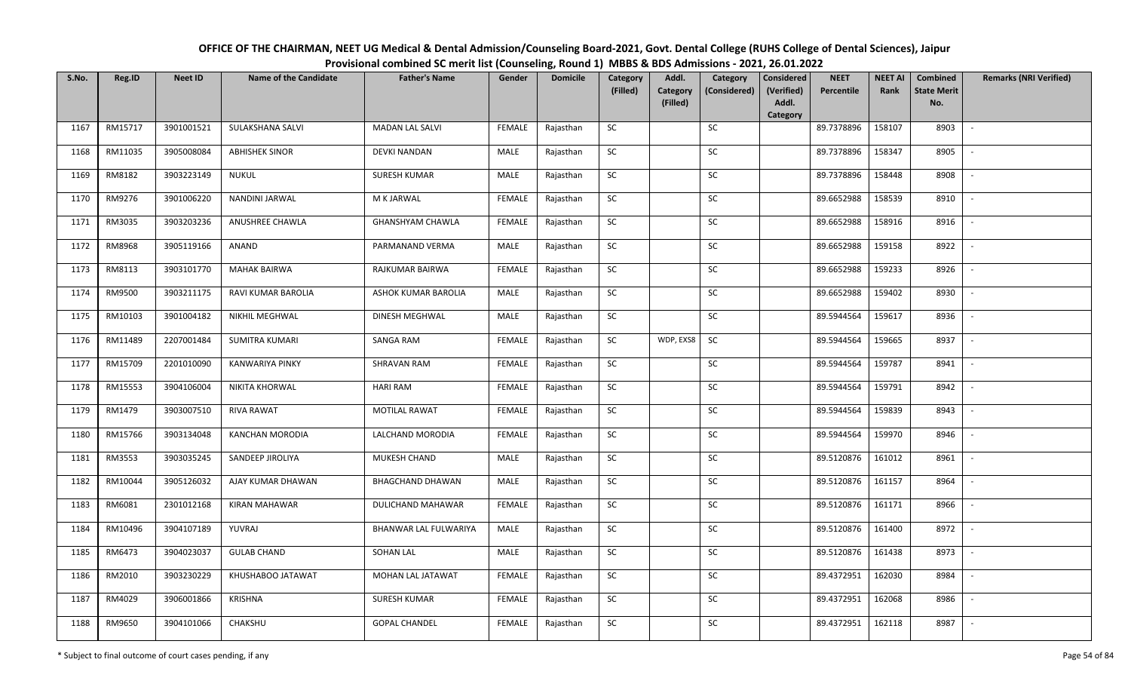| OFFICE OF THE CHAIRMAN, NEET UG Medical & Dental Admission/Counseling Board-2021, Govt. Dental College (RUHS College of Dental Sciences), Jaipur |
|--------------------------------------------------------------------------------------------------------------------------------------------------|
| Provisional combined SC merit list (Counseling, Round 1) MBBS & BDS Admissions - 2021, 26.01.2022                                                |

| S.No. | Reg.ID  | <b>Neet ID</b> | <b>Name of the Candidate</b> | <b>Father's Name</b>    | Gender        | <b>Domicile</b> | Category<br>(Filled) | Addl.<br>Category | Category<br>(Considered) | <b>Considered</b><br>(Verified) | <b>NEET</b><br>Percentile | <b>NEET AI</b><br>Rank | Combined<br><b>State Merit</b> | <b>Remarks (NRI Verified)</b> |
|-------|---------|----------------|------------------------------|-------------------------|---------------|-----------------|----------------------|-------------------|--------------------------|---------------------------------|---------------------------|------------------------|--------------------------------|-------------------------------|
|       |         |                |                              |                         |               |                 |                      | (Filled)          |                          | Addl.<br>Category               |                           |                        | No.                            |                               |
| 1167  | RM15717 | 3901001521     | SULAKSHANA SALVI             | <b>MADAN LAL SALVI</b>  | <b>FEMALE</b> | Rajasthan       | <b>SC</b>            |                   | SC                       |                                 | 89.7378896                | 158107                 | 8903                           | $\sim$                        |
| 1168  | RM11035 | 3905008084     | <b>ABHISHEK SINOR</b>        | <b>DEVKI NANDAN</b>     | MALE          | Rajasthan       | <b>SC</b>            |                   | SC                       |                                 | 89.7378896                | 158347                 | 8905                           |                               |
| 1169  | RM8182  | 3903223149     | NUKUL                        | <b>SURESH KUMAR</b>     | MALE          | Rajasthan       | SC                   |                   | SC                       |                                 | 89.7378896                | 158448                 | 8908                           | $\overline{\phantom{a}}$      |
| 1170  | RM9276  | 3901006220     | NANDINI JARWAL               | M K JARWAL              | <b>FEMALE</b> | Rajasthan       | <b>SC</b>            |                   | <b>SC</b>                |                                 | 89.6652988                | 158539                 | 8910                           | $\overline{\phantom{a}}$      |
| 1171  | RM3035  | 3903203236     | ANUSHREE CHAWLA              | <b>GHANSHYAM CHAWLA</b> | <b>FEMALE</b> | Rajasthan       | SC                   |                   | SC                       |                                 | 89.6652988                | 158916                 | 8916                           | $\sim$                        |
| 1172  | RM8968  | 3905119166     | ANAND                        | PARMANAND VERMA         | MALE          | Rajasthan       | SC                   |                   | SC                       |                                 | 89.6652988                | 159158                 | 8922                           | $\sim$                        |
| 1173  | RM8113  | 3903101770     | <b>MAHAK BAIRWA</b>          | RAJKUMAR BAIRWA         | <b>FEMALE</b> | Rajasthan       | ${\sf SC}$           |                   | <b>SC</b>                |                                 | 89.6652988                | 159233                 | 8926                           | $\sim$                        |
| 1174  | RM9500  | 3903211175     | RAVI KUMAR BAROLIA           | ASHOK KUMAR BAROLIA     | MALE          | Rajasthan       | SC                   |                   | SC                       |                                 | 89.6652988                | 159402                 | 8930                           | $\overline{\phantom{a}}$      |
| 1175  | RM10103 | 3901004182     | NIKHIL MEGHWAL               | DINESH MEGHWAL          | MALE          | Rajasthan       | SC                   |                   | <b>SC</b>                |                                 | 89.5944564                | 159617                 | 8936                           |                               |
| 1176  | RM11489 | 2207001484     | <b>SUMITRA KUMARI</b>        | SANGA RAM               | <b>FEMALE</b> | Rajasthan       | SC                   | WDP, EXS8         | <b>SC</b>                |                                 | 89.5944564                | 159665                 | 8937                           | $\sim$                        |
| 1177  | RM15709 | 2201010090     | <b>KANWARIYA PINKY</b>       | <b>SHRAVAN RAM</b>      | <b>FEMALE</b> | Rajasthan       | <b>SC</b>            |                   | SC                       |                                 | 89.5944564                | 159787                 | 8941                           | $\sim$                        |
| 1178  | RM15553 | 3904106004     | <b>NIKITA KHORWAL</b>        | <b>HARI RAM</b>         | <b>FEMALE</b> | Rajasthan       | <b>SC</b>            |                   | <b>SC</b>                |                                 | 89.5944564                | 159791                 | 8942                           | $\sim$                        |
| 1179  | RM1479  | 3903007510     | <b>RIVA RAWAT</b>            | <b>MOTILAL RAWAT</b>    | <b>FEMALE</b> | Rajasthan       | <b>SC</b>            |                   | SC                       |                                 | 89.5944564                | 159839                 | 8943                           | $\overline{\phantom{a}}$      |
| 1180  | RM15766 | 3903134048     | KANCHAN MORODIA              | LALCHAND MORODIA        | <b>FEMALE</b> | Rajasthan       | <b>SC</b>            |                   | <b>SC</b>                |                                 | 89.5944564                | 159970                 | 8946                           | $\overline{\phantom{a}}$      |
| 1181  | RM3553  | 3903035245     | SANDEEP JIROLIYA             | MUKESH CHAND            | MALE          | Rajasthan       | ${\sf SC}$           |                   | $\sf SC$                 |                                 | 89.5120876                | 161012                 | 8961                           | $\overline{\phantom{a}}$      |
| 1182  | RM10044 | 3905126032     | AJAY KUMAR DHAWAN            | <b>BHAGCHAND DHAWAN</b> | MALE          | Rajasthan       | SC                   |                   | SC                       |                                 | 89.5120876                | 161157                 | 8964                           | $\sim$                        |
| 1183  | RM6081  | 2301012168     | KIRAN MAHAWAR                | DULICHAND MAHAWAR       | <b>FEMALE</b> | Rajasthan       | ${\sf SC}$           |                   | $\sf SC$                 |                                 | 89.5120876                | 161171                 | 8966                           | $\mathbb{L}$                  |
| 1184  | RM10496 | 3904107189     | YUVRAJ                       | BHANWAR LAL FULWARIYA   | MALE          | Rajasthan       | <b>SC</b>            |                   | SC                       |                                 | 89.5120876                | 161400                 | 8972                           | $\mathbb{L}$                  |
| 1185  | RM6473  | 3904023037     | <b>GULAB CHAND</b>           | <b>SOHAN LAL</b>        | MALE          | Rajasthan       | SC                   |                   | SC                       |                                 | 89.5120876                | 161438                 | 8973                           | $\overline{\phantom{a}}$      |
| 1186  | RM2010  | 3903230229     | KHUSHABOO JATAWAT            | MOHAN LAL JATAWAT       | <b>FEMALE</b> | Rajasthan       | ${\sf SC}$           |                   | ${\sf SC}$               |                                 | 89.4372951                | 162030                 | 8984                           |                               |
| 1187  | RM4029  | 3906001866     | KRISHNA                      | <b>SURESH KUMAR</b>     | <b>FEMALE</b> | Rajasthan       | <b>SC</b>            |                   | <b>SC</b>                |                                 | 89.4372951                | 162068                 | 8986                           | $\overline{\phantom{a}}$      |
| 1188  | RM9650  | 3904101066     | CHAKSHU                      | <b>GOPAL CHANDEL</b>    | <b>FEMALE</b> | Rajasthan       | ${\sf SC}$           |                   | SC                       |                                 | 89.4372951                | 162118                 | 8987                           | $\sim$                        |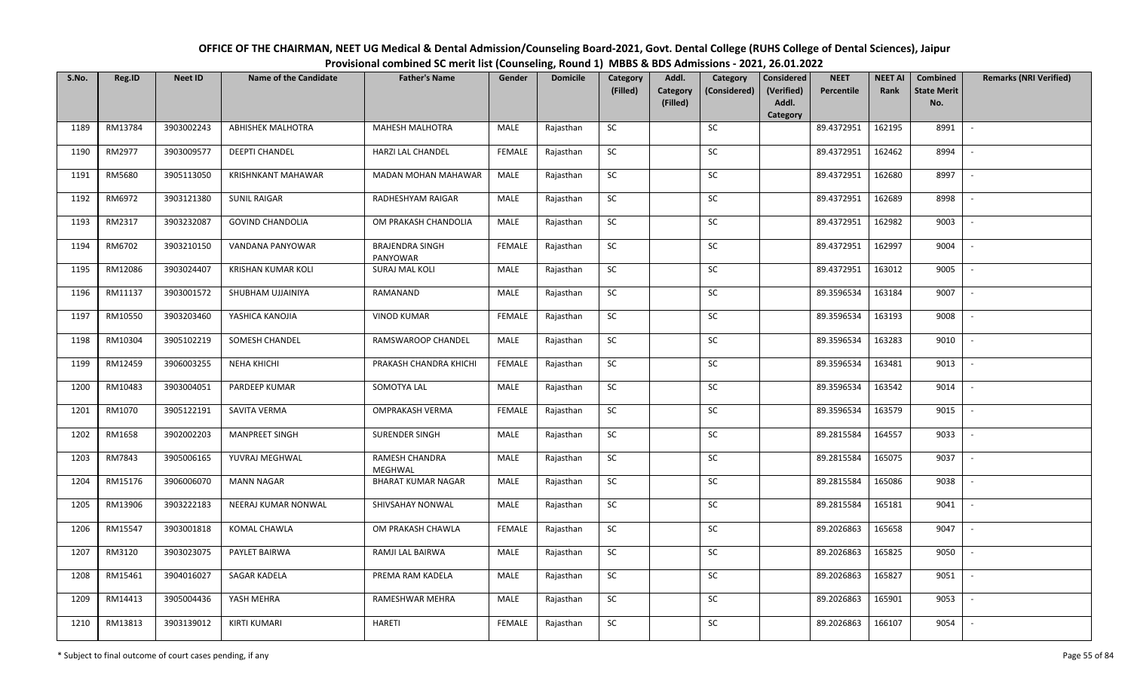| OFFICE OF THE CHAIRMAN, NEET UG Medical & Dental Admission/Counseling Board-2021, Govt. Dental College (RUHS College of Dental Sciences), Jaipur |
|--------------------------------------------------------------------------------------------------------------------------------------------------|
| Provisional combined SC merit list (Counseling, Round 1) MBBS & BDS Admissions - 2021, 26.01.2022                                                |

| S.No. | Reg.ID  | <b>Neet ID</b> | <b>Name of the Candidate</b> | <b>Father's Name</b>               | Gender        | <b>Domicile</b> | Category   | Addl.                | Category     | <b>Considered</b>   | <b>NEET</b> | <b>NEET AI</b> | Combined                  | <b>Remarks (NRI Verified)</b> |
|-------|---------|----------------|------------------------------|------------------------------------|---------------|-----------------|------------|----------------------|--------------|---------------------|-------------|----------------|---------------------------|-------------------------------|
|       |         |                |                              |                                    |               |                 | (Filled)   | Category<br>(Filled) | (Considered) | (Verified)<br>Addl. | Percentile  | Rank           | <b>State Merit</b><br>No. |                               |
|       |         |                |                              |                                    |               |                 |            |                      |              | Category            |             |                |                           |                               |
| 1189  | RM13784 | 3903002243     | <b>ABHISHEK MALHOTRA</b>     | <b>MAHESH MALHOTRA</b>             | MALE          | Rajasthan       | SC         |                      | SC           |                     | 89.4372951  | 162195         | 8991                      | $\overline{\phantom{a}}$      |
| 1190  | RM2977  | 3903009577     | <b>DEEPTI CHANDEL</b>        | HARZI LAL CHANDEL                  | <b>FEMALE</b> | Rajasthan       | SC         |                      | <b>SC</b>    |                     | 89.4372951  | 162462         | 8994                      |                               |
| 1191  | RM5680  | 3905113050     | <b>KRISHNKANT MAHAWAR</b>    | <b>MADAN MOHAN MAHAWAR</b>         | MALE          | Rajasthan       | SC         |                      | SC           |                     | 89.4372951  | 162680         | 8997                      |                               |
| 1192  | RM6972  | 3903121380     | <b>SUNIL RAIGAR</b>          | RADHESHYAM RAIGAR                  | MALE          | Rajasthan       | <b>SC</b>  |                      | SC           |                     | 89.4372951  | 162689         | 8998                      |                               |
| 1193  | RM2317  | 3903232087     | <b>GOVIND CHANDOLIA</b>      | OM PRAKASH CHANDOLIA               | MALE          | Rajasthan       | SC         |                      | SC           |                     | 89.4372951  | 162982         | 9003                      | $\sim$                        |
| 1194  | RM6702  | 3903210150     | VANDANA PANYOWAR             | <b>BRAJENDRA SINGH</b><br>PANYOWAR | <b>FEMALE</b> | Rajasthan       | SC         |                      | SC           |                     | 89.4372951  | 162997         | 9004                      | $\sim$                        |
| 1195  | RM12086 | 3903024407     | <b>KRISHAN KUMAR KOLI</b>    | <b>SURAJ MAL KOLI</b>              | MALE          | Rajasthan       | SC         |                      | SC           |                     | 89.4372951  | 163012         | 9005                      |                               |
| 1196  | RM11137 | 3903001572     | SHUBHAM UJJAINIYA            | RAMANAND                           | <b>MALE</b>   | Rajasthan       | SC         |                      | ${\sf SC}$   |                     | 89.3596534  | 163184         | 9007                      |                               |
| 1197  | RM10550 | 3903203460     | YASHICA KANOJIA              | <b>VINOD KUMAR</b>                 | <b>FEMALE</b> | Rajasthan       | <b>SC</b>  |                      | SC           |                     | 89.3596534  | 163193         | 9008                      |                               |
| 1198  | RM10304 | 3905102219     | SOMESH CHANDEL               | RAMSWAROOP CHANDEL                 | MALE          | Rajasthan       | SC         |                      | SC           |                     | 89.3596534  | 163283         | 9010                      |                               |
| 1199  | RM12459 | 3906003255     | <b>NEHA KHICHI</b>           | PRAKASH CHANDRA KHICHI             | <b>FEMALE</b> | Rajasthan       | <b>SC</b>  |                      | SC           |                     | 89.3596534  | 163481         | 9013                      | $\sim$                        |
| 1200  | RM10483 | 3903004051     | PARDEEP KUMAR                | SOMOTYA LAL                        | MALE          | Rajasthan       | <b>SC</b>  |                      | ${\sf SC}$   |                     | 89.3596534  | 163542         | 9014                      |                               |
| 1201  | RM1070  | 3905122191     | SAVITA VERMA                 | <b>OMPRAKASH VERMA</b>             | <b>FEMALE</b> | Rajasthan       | SC         |                      | <b>SC</b>    |                     | 89.3596534  | 163579         | 9015                      |                               |
| 1202  | RM1658  | 3902002203     | <b>MANPREET SINGH</b>        | <b>SURENDER SINGH</b>              | MALE          | Rajasthan       | SC         |                      | <b>SC</b>    |                     | 89.2815584  | 164557         | 9033                      |                               |
| 1203  | RM7843  | 3905006165     | YUVRAJ MEGHWAL               | RAMESH CHANDRA<br><b>MEGHWAL</b>   | MALE          | Rajasthan       | SC         |                      | ${\sf SC}$   |                     | 89.2815584  | 165075         | 9037                      |                               |
| 1204  | RM15176 | 3906006070     | <b>MANN NAGAR</b>            | <b>BHARAT KUMAR NAGAR</b>          | MALE          | Rajasthan       | SC         |                      | SC           |                     | 89.2815584  | 165086         | 9038                      | $\sim$                        |
| 1205  | RM13906 | 3903222183     | NEERAJ KUMAR NONWAL          | SHIVSAHAY NONWAL                   | MALE          | Rajasthan       | SC         |                      | SC           |                     | 89.2815584  | 165181         | 9041                      | $\overline{\phantom{a}}$      |
| 1206  | RM15547 | 3903001818     | KOMAL CHAWLA                 | OM PRAKASH CHAWLA                  | <b>FEMALE</b> | Rajasthan       | SC         |                      | SC           |                     | 89.2026863  | 165658         | 9047                      |                               |
| 1207  | RM3120  | 3903023075     | PAYLET BAIRWA                | RAMJI LAL BAIRWA                   | MALE          | Rajasthan       | <b>SC</b>  |                      | SC           |                     | 89.2026863  | 165825         | 9050                      | $\overline{\phantom{a}}$      |
| 1208  | RM15461 | 3904016027     | SAGAR KADELA                 | PREMA RAM KADELA                   | MALE          | Rajasthan       | ${\sf SC}$ |                      | SC           |                     | 89.2026863  | 165827         | 9051                      |                               |
| 1209  | RM14413 | 3905004436     | YASH MEHRA                   | RAMESHWAR MEHRA                    | MALE          | Rajasthan       | SC         |                      | SC           |                     | 89.2026863  | 165901         | 9053                      |                               |
| 1210  | RM13813 | 3903139012     | <b>KIRTI KUMARI</b>          | <b>HARETI</b>                      | <b>FEMALE</b> | Rajasthan       | SC         |                      | SC           |                     | 89.2026863  | 166107         | 9054                      |                               |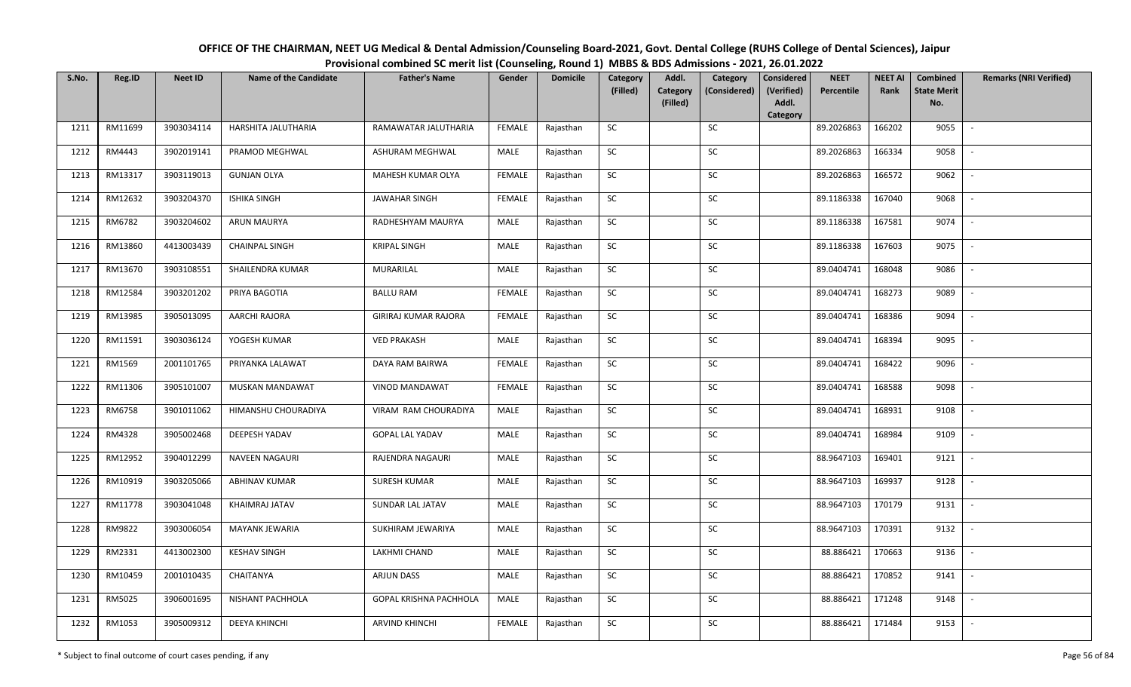| OFFICE OF THE CHAIRMAN, NEET UG Medical & Dental Admission/Counseling Board-2021, Govt. Dental College (RUHS College of Dental Sciences), Jaipur |
|--------------------------------------------------------------------------------------------------------------------------------------------------|
| Provisional combined SC merit list (Counseling, Round 1) MBBS & BDS Admissions - 2021, 26.01.2022                                                |

| S.No. | Reg.ID  | <b>Neet ID</b> | <b>Name of the Candidate</b> | <b>Father's Name</b>        | Gender        | <b>Domicile</b> | Category<br>(Filled) | Addl.<br><b>Category</b> | Category<br>(Considered) | <b>Considered</b><br>(Verified) | <b>NEET</b><br>Percentile | <b>NEET AI</b><br>Rank | Combined<br><b>State Merit</b> | <b>Remarks (NRI Verified)</b> |
|-------|---------|----------------|------------------------------|-----------------------------|---------------|-----------------|----------------------|--------------------------|--------------------------|---------------------------------|---------------------------|------------------------|--------------------------------|-------------------------------|
|       |         |                |                              |                             |               |                 |                      | (Filled)                 |                          | Addl.<br>Category               |                           |                        | No.                            |                               |
| 1211  | RM11699 | 3903034114     | HARSHITA JALUTHARIA          | RAMAWATAR JALUTHARIA        | <b>FEMALE</b> | Rajasthan       | <b>SC</b>            |                          | SC                       |                                 | 89.2026863                | 166202                 | 9055                           | $\overline{\phantom{a}}$      |
| 1212  | RM4443  | 3902019141     | PRAMOD MEGHWAL               | ASHURAM MEGHWAL             | MALE          | Rajasthan       | <b>SC</b>            |                          | <b>SC</b>                |                                 | 89.2026863                | 166334                 | 9058                           |                               |
| 1213  | RM13317 | 3903119013     | <b>GUNJAN OLYA</b>           | MAHESH KUMAR OLYA           | <b>FEMALE</b> | Rajasthan       | ${\sf SC}$           |                          | SC                       |                                 | 89.2026863                | 166572                 | 9062                           | $\overline{\phantom{a}}$      |
| 1214  | RM12632 | 3903204370     | <b>ISHIKA SINGH</b>          | <b>JAWAHAR SINGH</b>        | <b>FEMALE</b> | Rajasthan       | SC                   |                          | SC                       |                                 | 89.1186338                | 167040                 | 9068                           | $\overline{\phantom{a}}$      |
| 1215  | RM6782  | 3903204602     | ARUN MAURYA                  | RADHESHYAM MAURYA           | MALE          | Rajasthan       | ${\sf SC}$           |                          | SC                       |                                 | 89.1186338                | 167581                 | 9074                           | $\sim$                        |
| 1216  | RM13860 | 4413003439     | CHAINPAL SINGH               | <b>KRIPAL SINGH</b>         | MALE          | Rajasthan       | SC                   |                          | SC                       |                                 | 89.1186338                | 167603                 | 9075                           | $\sim$                        |
| 1217  | RM13670 | 3903108551     | SHAILENDRA KUMAR             | MURARILAL                   | MALE          | Rajasthan       | SC                   |                          | <b>SC</b>                |                                 | 89.0404741                | 168048                 | 9086                           | $\sim$                        |
| 1218  | RM12584 | 3903201202     | PRIYA BAGOTIA                | <b>BALLU RAM</b>            | <b>FEMALE</b> | Rajasthan       | SC                   |                          | SC                       |                                 | 89.0404741                | 168273                 | 9089                           | $\overline{\phantom{a}}$      |
| 1219  | RM13985 | 3905013095     | <b>AARCHI RAJORA</b>         | <b>GIRIRAJ KUMAR RAJORA</b> | <b>FEMALE</b> | Rajasthan       | ${\sf SC}$           |                          | SC                       |                                 | 89.0404741                | 168386                 | 9094                           |                               |
| 1220  | RM11591 | 3903036124     | YOGESH KUMAR                 | <b>VED PRAKASH</b>          | MALE          | Rajasthan       | ${\sf SC}$           |                          | ${\sf SC}$               |                                 | 89.0404741                | 168394                 | 9095                           |                               |
| 1221  | RM1569  | 2001101765     | PRIYANKA LALAWAT             | DAYA RAM BAIRWA             | <b>FEMALE</b> | Rajasthan       | SC                   |                          | <b>SC</b>                |                                 | 89.0404741                | 168422                 | 9096                           |                               |
| 1222  | RM11306 | 3905101007     | MUSKAN MANDAWAT              | VINOD MANDAWAT              | <b>FEMALE</b> | Rajasthan       | <b>SC</b>            |                          | <b>SC</b>                |                                 | 89.0404741                | 168588                 | 9098                           | $\overline{\phantom{a}}$      |
| 1223  | RM6758  | 3901011062     | HIMANSHU CHOURADIYA          | VIRAM RAM CHOURADIYA        | MALE          | Rajasthan       | SC                   |                          | SC                       |                                 | 89.0404741                | 168931                 | 9108                           |                               |
| 1224  | RM4328  | 3905002468     | DEEPESH YADAV                | <b>GOPAL LAL YADAV</b>      | MALE          | Rajasthan       | <b>SC</b>            |                          | SC                       |                                 | 89.0404741                | 168984                 | 9109                           | $\sim$                        |
| 1225  | RM12952 | 3904012299     | <b>NAVEEN NAGAURI</b>        | RAJENDRA NAGAURI            | MALE          | Rajasthan       | ${\sf SC}$           |                          | ${\sf SC}$               |                                 | 88.9647103                | 169401                 | 9121                           | $\overline{\phantom{a}}$      |
| 1226  | RM10919 | 3903205066     | <b>ABHINAV KUMAR</b>         | <b>SURESH KUMAR</b>         | MALE          | Rajasthan       | <b>SC</b>            |                          | SC                       |                                 | 88.9647103                | 169937                 | 9128                           | $\sim$                        |
| 1227  | RM11778 | 3903041048     | KHAIMRAJ JATAV               | SUNDAR LAL JATAV            | MALE          | Rajasthan       | ${\sf SC}$           |                          | SC                       |                                 | 88.9647103                | 170179                 | 9131                           | $\overline{\phantom{a}}$      |
| 1228  | RM9822  | 3903006054     | MAYANK JEWARIA               | SUKHIRAM JEWARIYA           | MALE          | Rajasthan       | SC                   |                          | SC                       |                                 | 88.9647103                | 170391                 | 9132                           | $\sim$                        |
| 1229  | RM2331  | 4413002300     | <b>KESHAV SINGH</b>          | LAKHMI CHAND                | MALE          | Rajasthan       | SC                   |                          | SC                       |                                 | 88.886421                 | 170663                 | 9136                           | $\overline{\phantom{a}}$      |
| 1230  | RM10459 | 2001010435     | CHAITANYA                    | ARJUN DASS                  | <b>MALE</b>   | Rajasthan       | ${\sf SC}$           |                          | $\sf SC$                 |                                 | 88.886421                 | 170852                 | 9141                           |                               |
| 1231  | RM5025  | 3906001695     | NISHANT PACHHOLA             | GOPAL KRISHNA PACHHOLA      | MALE          | Rajasthan       | SC                   |                          | <b>SC</b>                |                                 | 88.886421                 | 171248                 | 9148                           |                               |
| 1232  | RM1053  | 3905009312     | <b>DEEYA KHINCHI</b>         | ARVIND KHINCHI              | <b>FEMALE</b> | Rajasthan       | ${\sf SC}$           |                          | SC                       |                                 | 88.886421                 | 171484                 | 9153                           | $\overline{\phantom{a}}$      |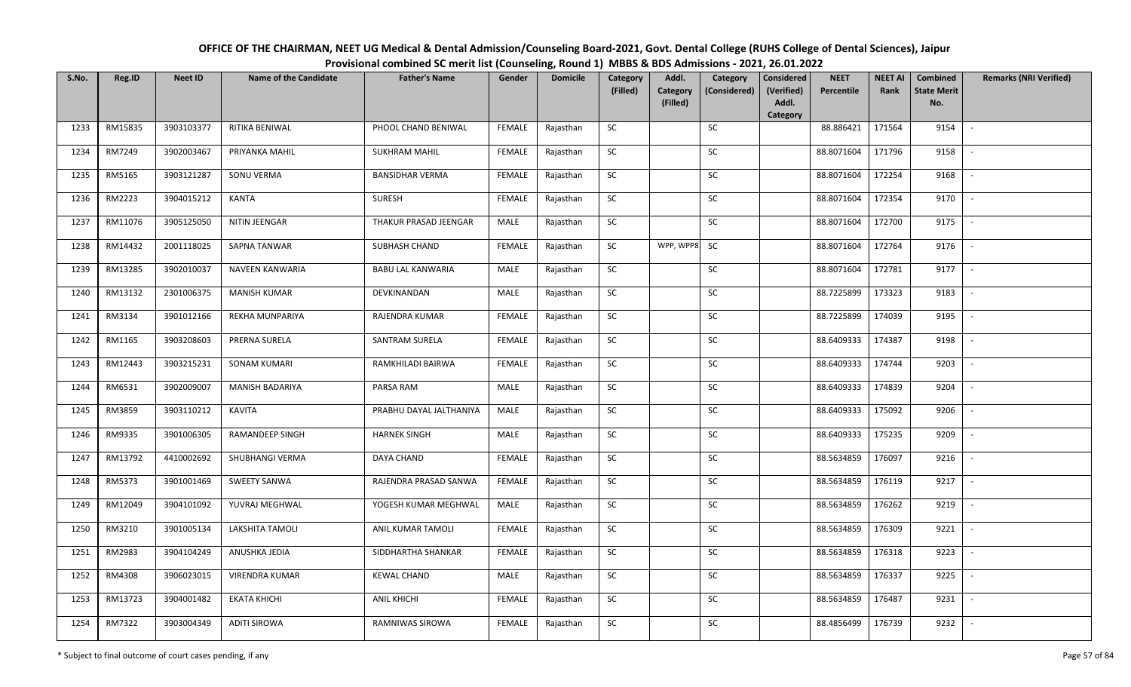| OFFICE OF THE CHAIRMAN, NEET UG Medical & Dental Admission/Counseling Board-2021, Govt. Dental College (RUHS College of Dental Sciences), Jaipur |
|--------------------------------------------------------------------------------------------------------------------------------------------------|
| Provisional combined SC merit list (Counseling, Round 1) MBBS & BDS Admissions - 2021, 26.01.2022                                                |

| S.No. | Reg.ID  | <b>Neet ID</b> | <b>Name of the Candidate</b> | <b>Father's Name</b>     | Gender        | <b>Domicile</b> | Category<br>(Filled) | Addl.<br>Category | Category<br>(Considered) | <b>Considered</b><br>(Verified) | <b>NEET</b><br>Percentile | <b>NEET AI</b><br>Rank | Combined<br><b>State Merit</b> | <b>Remarks (NRI Verified)</b> |
|-------|---------|----------------|------------------------------|--------------------------|---------------|-----------------|----------------------|-------------------|--------------------------|---------------------------------|---------------------------|------------------------|--------------------------------|-------------------------------|
|       |         |                |                              |                          |               |                 |                      | (Filled)          |                          | Addl.<br>Category               |                           |                        | No.                            |                               |
| 1233  | RM15835 | 3903103377     | RITIKA BENIWAL               | PHOOL CHAND BENIWAL      | <b>FEMALE</b> | Rajasthan       | <b>SC</b>            |                   | SC                       |                                 | 88.886421                 | 171564                 | 9154                           | $\sim$                        |
| 1234  | RM7249  | 3902003467     | PRIYANKA MAHIL               | <b>SUKHRAM MAHIL</b>     | <b>FEMALE</b> | Rajasthan       | <b>SC</b>            |                   | SC                       |                                 | 88.8071604                | 171796                 | 9158                           |                               |
| 1235  | RM5165  | 3903121287     | SONU VERMA                   | <b>BANSIDHAR VERMA</b>   | FEMALE        | Rajasthan       | SC                   |                   | SC                       |                                 | 88.8071604                | 172254                 | 9168                           | $\overline{\phantom{a}}$      |
| 1236  | RM2223  | 3904015212     | KANTA                        | <b>SURESH</b>            | <b>FEMALE</b> | Rajasthan       | <b>SC</b>            |                   | <b>SC</b>                |                                 | 88.8071604                | 172354                 | 9170                           | $\overline{\phantom{a}}$      |
| 1237  | RM11076 | 3905125050     | NITIN JEENGAR                | THAKUR PRASAD JEENGAR    | MALE          | Rajasthan       | SC                   |                   | SC                       |                                 | 88.8071604                | 172700                 | 9175                           | $\sim$                        |
| 1238  | RM14432 | 2001118025     | <b>SAPNA TANWAR</b>          | SUBHASH CHAND            | <b>FEMALE</b> | Rajasthan       | SC                   | WPP, WPP8         | <b>SC</b>                |                                 | 88.8071604                | 172764                 | 9176                           | $\sim$                        |
| 1239  | RM13285 | 3902010037     | NAVEEN KANWARIA              | <b>BABU LAL KANWARIA</b> | MALE          | Rajasthan       | ${\sf SC}$           |                   | <b>SC</b>                |                                 | 88.8071604                | 172781                 | 9177                           | $\sim$                        |
| 1240  | RM13132 | 2301006375     | <b>MANISH KUMAR</b>          | DEVKINANDAN              | MALE          | Rajasthan       | SC                   |                   | $\sf SC$                 |                                 | 88.7225899                | 173323                 | 9183                           |                               |
| 1241  | RM3134  | 3901012166     | REKHA MUNPARIYA              | RAJENDRA KUMAR           | <b>FEMALE</b> | Rajasthan       | SC                   |                   | <b>SC</b>                |                                 | 88.7225899                | 174039                 | 9195                           |                               |
| 1242  | RM1165  | 3903208603     | PRERNA SURELA                | SANTRAM SURELA           | <b>FEMALE</b> | Rajasthan       | ${\sf SC}$           |                   | SC                       |                                 | 88.6409333                | 174387                 | 9198                           | $\sim$                        |
| 1243  | RM12443 | 3903215231     | <b>SONAM KUMARI</b>          | RAMKHILADI BAIRWA        | <b>FEMALE</b> | Rajasthan       | SC                   |                   | SC                       |                                 | 88.6409333                | 174744                 | 9203                           | $\sim$                        |
| 1244  | RM6531  | 3902009007     | <b>MANISH BADARIYA</b>       | PARSA RAM                | MALE          | Rajasthan       | <b>SC</b>            |                   | SC                       |                                 | 88.6409333                | 174839                 | 9204                           | $\sim$                        |
| 1245  | RM3859  | 3903110212     | <b>KAVITA</b>                | PRABHU DAYAL JALTHANIYA  | MALE          | Rajasthan       | <b>SC</b>            |                   | SC                       |                                 | 88.6409333                | 175092                 | 9206                           |                               |
| 1246  | RM9335  | 3901006305     | <b>RAMANDEEP SINGH</b>       | <b>HARNEK SINGH</b>      | MALE          | Rajasthan       | SC                   |                   | <b>SC</b>                |                                 | 88.6409333                | 175235                 | 9209                           |                               |
| 1247  | RM13792 | 4410002692     | SHUBHANGI VERMA              | DAYA CHAND               | <b>FEMALE</b> | Rajasthan       | ${\sf SC}$           |                   | $\sf SC$                 |                                 | 88.5634859                | 176097                 | 9216                           | $\overline{\phantom{a}}$      |
| 1248  | RM5373  | 3901001469     | <b>SWEETY SANWA</b>          | RAJENDRA PRASAD SANWA    | <b>FEMALE</b> | Rajasthan       | <b>SC</b>            |                   | SC                       |                                 | 88.5634859                | 176119                 | 9217                           | $\mathbb{L}$                  |
| 1249  | RM12049 | 3904101092     | YUVRAJ MEGHWAL               | YOGESH KUMAR MEGHWAL     | MALE          | Rajasthan       | ${\sf SC}$           |                   | $\sf SC$                 |                                 | 88.5634859                | 176262                 | 9219                           | $\mathbb{L}$                  |
| 1250  | RM3210  | 3901005134     | LAKSHITA TAMOLI              | ANIL KUMAR TAMOLI        | <b>FEMALE</b> | Rajasthan       | <b>SC</b>            |                   | SC                       |                                 | 88.5634859                | 176309                 | 9221                           | $\mathbb{L}$                  |
| 1251  | RM2983  | 3904104249     | ANUSHKA JEDIA                | SIDDHARTHA SHANKAR       | <b>FEMALE</b> | Rajasthan       | SC                   |                   | SC                       |                                 | 88.5634859                | 176318                 | 9223                           | $\overline{\phantom{a}}$      |
| 1252  | RM4308  | 3906023015     | VIRENDRA KUMAR               | <b>KEWAL CHAND</b>       | MALE          | Rajasthan       | ${\sf SC}$           |                   | ${\sf SC}$               |                                 | 88.5634859                | 176337                 | 9225                           |                               |
| 1253  | RM13723 | 3904001482     | <b>EKATA KHICHI</b>          | <b>ANIL KHICHI</b>       | <b>FEMALE</b> | Rajasthan       | <b>SC</b>            |                   | <b>SC</b>                |                                 | 88.5634859                | 176487                 | 9231                           | $\overline{\phantom{a}}$      |
| 1254  | RM7322  | 3903004349     | <b>ADITI SIROWA</b>          | RAMNIWAS SIROWA          | <b>FEMALE</b> | Rajasthan       | ${\sf SC}$           |                   | SC                       |                                 | 88.4856499                | 176739                 | 9232                           | $\overline{\phantom{a}}$      |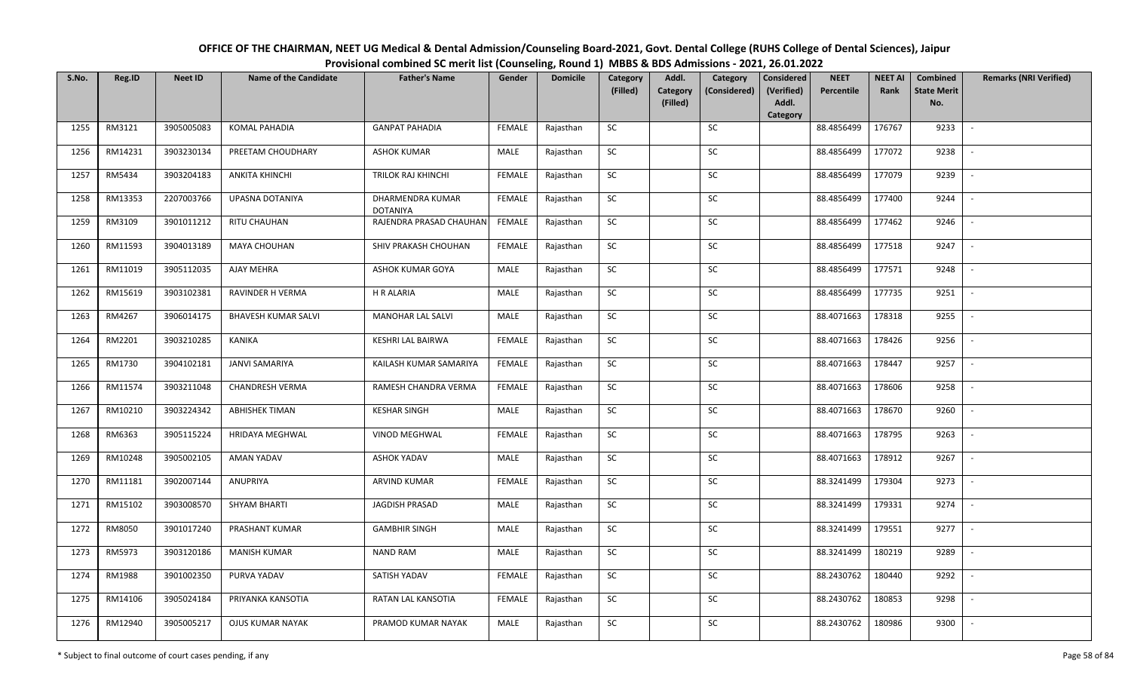| OFFICE OF THE CHAIRMAN, NEET UG Medical & Dental Admission/Counseling Board-2021, Govt. Dental College (RUHS College of Dental Sciences), Jaipur |
|--------------------------------------------------------------------------------------------------------------------------------------------------|
| Provisional combined SC merit list (Counseling, Round 1) MBBS & BDS Admissions - 2021, 26.01.2022                                                |

| S.No. | Reg.ID  | <b>Neet ID</b> | <b>Name of the Candidate</b> | <b>Father's Name</b>                | Gender        | <b>Domicile</b> | Category<br>(Filled) | Addl.<br>Category | Category<br>(Considered) | <b>Considered</b><br>(Verified) | <b>NEET</b><br>Percentile | <b>NEET AI</b><br>Rank | Combined<br><b>State Merit</b> | <b>Remarks (NRI Verified)</b> |
|-------|---------|----------------|------------------------------|-------------------------------------|---------------|-----------------|----------------------|-------------------|--------------------------|---------------------------------|---------------------------|------------------------|--------------------------------|-------------------------------|
|       |         |                |                              |                                     |               |                 |                      | (Filled)          |                          | Addl.<br>Category               |                           |                        | No.                            |                               |
| 1255  | RM3121  | 3905005083     | KOMAL PAHADIA                | <b>GANPAT PAHADIA</b>               | <b>FEMALE</b> | Rajasthan       | <b>SC</b>            |                   | <b>SC</b>                |                                 | 88.4856499                | 176767                 | 9233                           | $\sim$                        |
| 1256  | RM14231 | 3903230134     | PREETAM CHOUDHARY            | <b>ASHOK KUMAR</b>                  | MALE          | Rajasthan       | <b>SC</b>            |                   | SC                       |                                 | 88.4856499                | 177072                 | 9238                           |                               |
| 1257  | RM5434  | 3903204183     | <b>ANKITA KHINCHI</b>        | TRILOK RAJ KHINCHI                  | <b>FEMALE</b> | Rajasthan       | SC                   |                   | SC                       |                                 | 88.4856499                | 177079                 | 9239                           | $\overline{\phantom{a}}$      |
| 1258  | RM13353 | 2207003766     | UPASNA DOTANIYA              | DHARMENDRA KUMAR<br><b>DOTANIYA</b> | <b>FEMALE</b> | Rajasthan       | <b>SC</b>            |                   | <b>SC</b>                |                                 | 88.4856499                | 177400                 | 9244                           | $\overline{\phantom{a}}$      |
| 1259  | RM3109  | 3901011212     | <b>RITU CHAUHAN</b>          | RAJENDRA PRASAD CHAUHAN             | FEMALE        | Rajasthan       | SC                   |                   | SC                       |                                 | 88.4856499                | 177462                 | 9246                           | $\sim$                        |
| 1260  | RM11593 | 3904013189     | MAYA CHOUHAN                 | SHIV PRAKASH CHOUHAN                | <b>FEMALE</b> | Rajasthan       | SC                   |                   | SC                       |                                 | 88.4856499                | 177518                 | 9247                           | $\sim$                        |
| 1261  | RM11019 | 3905112035     | AJAY MEHRA                   | ASHOK KUMAR GOYA                    | MALE          | Rajasthan       | ${\sf SC}$           |                   | <b>SC</b>                |                                 | 88.4856499                | 177571                 | 9248                           | $\overline{\phantom{a}}$      |
| 1262  | RM15619 | 3903102381     | <b>RAVINDER H VERMA</b>      | <b>H R ALARIA</b>                   | MALE          | Rajasthan       | SC                   |                   | SC                       |                                 | 88.4856499                | 177735                 | 9251                           |                               |
| 1263  | RM4267  | 3906014175     | <b>BHAVESH KUMAR SALVI</b>   | MANOHAR LAL SALVI                   | MALE          | Rajasthan       | SC                   |                   | <b>SC</b>                |                                 | 88.4071663                | 178318                 | 9255                           |                               |
| 1264  | RM2201  | 3903210285     | KANIKA                       | KESHRI LAL BAIRWA                   | <b>FEMALE</b> | Rajasthan       | SC                   |                   | SC                       |                                 | 88.4071663                | 178426                 | 9256                           | $\sim$                        |
| 1265  | RM1730  | 3904102181     | <b>JANVI SAMARIYA</b>        | KAILASH KUMAR SAMARIYA              | <b>FEMALE</b> | Rajasthan       | <b>SC</b>            |                   | SC                       |                                 | 88.4071663                | 178447                 | 9257                           | $\overline{\phantom{a}}$      |
| 1266  | RM11574 | 3903211048     | CHANDRESH VERMA              | RAMESH CHANDRA VERMA                | <b>FEMALE</b> | Rajasthan       | <b>SC</b>            |                   | <b>SC</b>                |                                 | 88.4071663                | 178606                 | 9258                           | $\overline{\phantom{a}}$      |
| 1267  | RM10210 | 3903224342     | <b>ABHISHEK TIMAN</b>        | <b>KESHAR SINGH</b>                 | MALE          | Rajasthan       | <b>SC</b>            |                   | SC                       |                                 | 88.4071663                | 178670                 | 9260                           |                               |
| 1268  | RM6363  | 3905115224     | <b>HRIDAYA MEGHWAL</b>       | <b>VINOD MEGHWAL</b>                | <b>FEMALE</b> | Rajasthan       | SC                   |                   | <b>SC</b>                |                                 | 88.4071663                | 178795                 | 9263                           | $\overline{\phantom{a}}$      |
| 1269  | RM10248 | 3905002105     | AMAN YADAV                   | <b>ASHOK YADAV</b>                  | MALE          | Rajasthan       | ${\sf SC}$           |                   | SC                       |                                 | 88.4071663                | 178912                 | 9267                           | $\overline{\phantom{a}}$      |
| 1270  | RM11181 | 3902007144     | ANUPRIYA                     | <b>ARVIND KUMAR</b>                 | <b>FEMALE</b> | Rajasthan       | <b>SC</b>            |                   | <b>SC</b>                |                                 | 88.3241499                | 179304                 | 9273                           | $\sim$                        |
| 1271  | RM15102 | 3903008570     | <b>SHYAM BHARTI</b>          | <b>JAGDISH PRASAD</b>               | MALE          | Rajasthan       | ${\sf SC}$           |                   | SC                       |                                 | 88.3241499                | 179331                 | 9274                           | $\mathbb{L}$                  |
| 1272  | RM8050  | 3901017240     | PRASHANT KUMAR               | <b>GAMBHIR SINGH</b>                | MALE          | Rajasthan       | <b>SC</b>            |                   | SC                       |                                 | 88.3241499                | 179551                 | 9277                           | $\mathbb{L}$                  |
| 1273  | RM5973  | 3903120186     | <b>MANISH KUMAR</b>          | <b>NAND RAM</b>                     | MALE          | Rajasthan       | SC                   |                   | <b>SC</b>                |                                 | 88.3241499                | 180219                 | 9289                           | $\overline{\phantom{a}}$      |
| 1274  | RM1988  | 3901002350     | PURVA YADAV                  | SATISH YADAV                        | <b>FEMALE</b> | Rajasthan       | ${\sf SC}$           |                   | ${\sf SC}$               |                                 | 88.2430762                | 180440                 | 9292                           |                               |
| 1275  | RM14106 | 3905024184     | PRIYANKA KANSOTIA            | RATAN LAL KANSOTIA                  | <b>FEMALE</b> | Rajasthan       | <b>SC</b>            |                   | <b>SC</b>                |                                 | 88.2430762                | 180853                 | 9298                           | $\overline{\phantom{a}}$      |
| 1276  | RM12940 | 3905005217     | <b>OJUS KUMAR NAYAK</b>      | PRAMOD KUMAR NAYAK                  | MALE          | Rajasthan       | SC                   |                   | SC                       |                                 | 88.2430762                | 180986                 | 9300                           | $\overline{\phantom{a}}$      |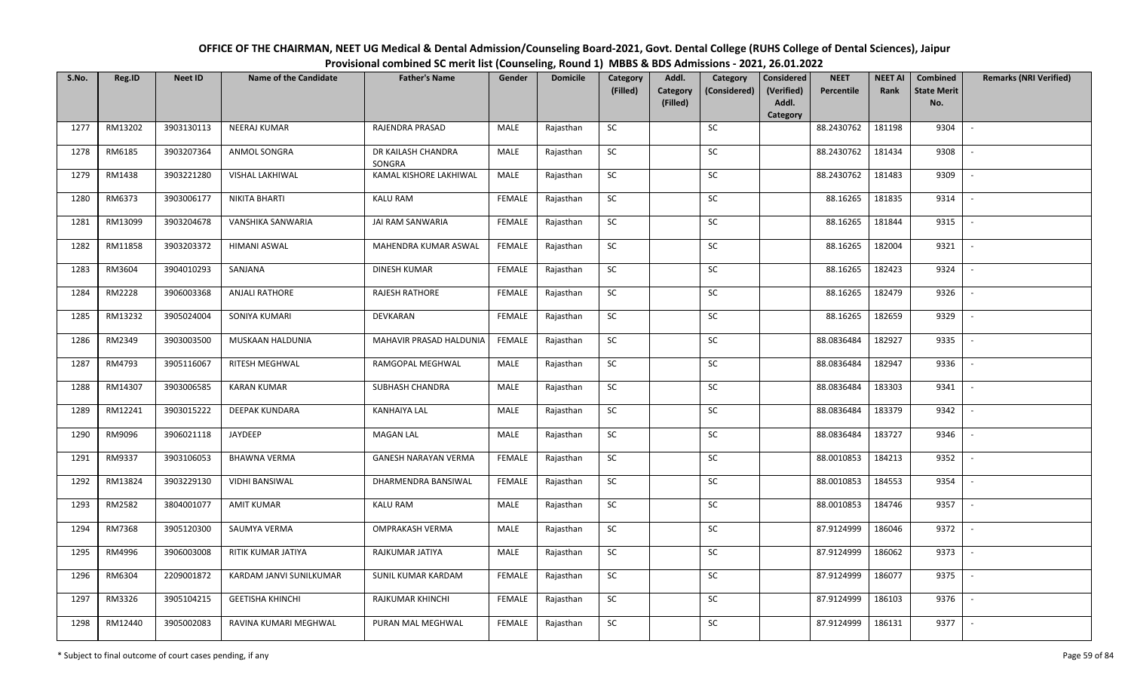| OFFICE OF THE CHAIRMAN, NEET UG Medical & Dental Admission/Counseling Board-2021, Govt. Dental College (RUHS College of Dental Sciences), Jaipur |
|--------------------------------------------------------------------------------------------------------------------------------------------------|
| Provisional combined SC merit list (Counseling, Round 1) MBBS & BDS Admissions - 2021, 26.01.2022                                                |

| S.No. | Reg.ID  | <b>Neet ID</b> | <b>Name of the Candidate</b> | <b>Father's Name</b>         | Gender        | <b>Domicile</b> | Category<br>(Filled) | Addl.<br>Category | Category<br>(Considered) | <b>Considered</b><br>(Verified) | <b>NEET</b><br>Percentile | <b>NEET AI</b><br>Rank | Combined<br><b>State Merit</b> | <b>Remarks (NRI Verified)</b> |
|-------|---------|----------------|------------------------------|------------------------------|---------------|-----------------|----------------------|-------------------|--------------------------|---------------------------------|---------------------------|------------------------|--------------------------------|-------------------------------|
|       |         |                |                              |                              |               |                 |                      | (Filled)          |                          | Addl.<br>Category               |                           |                        | No.                            |                               |
| 1277  | RM13202 | 3903130113     | <b>NEERAJ KUMAR</b>          | RAJENDRA PRASAD              | MALE          | Rajasthan       | SC                   |                   | <b>SC</b>                |                                 | 88.2430762                | 181198                 | 9304                           | $\sim$                        |
| 1278  | RM6185  | 3903207364     | ANMOL SONGRA                 | DR KAILASH CHANDRA<br>SONGRA | MALE          | Rajasthan       | SC                   |                   | SC                       |                                 | 88.2430762                | 181434                 | 9308                           |                               |
| 1279  | RM1438  | 3903221280     | VISHAL LAKHIWAL              | KAMAL KISHORE LAKHIWAL       | MALE          | Rajasthan       | SC                   |                   | SC                       |                                 | 88.2430762                | 181483                 | 9309                           | $\overline{\phantom{a}}$      |
| 1280  | RM6373  | 3903006177     | <b>NIKITA BHARTI</b>         | <b>KALU RAM</b>              | <b>FEMALE</b> | Rajasthan       | <b>SC</b>            |                   | <b>SC</b>                |                                 | 88.16265                  | 181835                 | 9314                           | $\overline{\phantom{a}}$      |
| 1281  | RM13099 | 3903204678     | VANSHIKA SANWARIA            | JAI RAM SANWARIA             | <b>FEMALE</b> | Rajasthan       | SC                   |                   | SC                       |                                 | 88.16265                  | 181844                 | 9315                           | $\sim$                        |
| 1282  | RM11858 | 3903203372     | <b>HIMANI ASWAL</b>          | MAHENDRA KUMAR ASWAL         | <b>FEMALE</b> | Rajasthan       | SC                   |                   | SC                       |                                 | 88.16265                  | 182004                 | 9321                           | $\sim$                        |
| 1283  | RM3604  | 3904010293     | SANJANA                      | DINESH KUMAR                 | <b>FEMALE</b> | Rajasthan       | SC                   |                   | <b>SC</b>                |                                 | 88.16265                  | 182423                 | 9324                           | $\overline{\phantom{a}}$      |
| 1284  | RM2228  | 3906003368     | <b>ANJALI RATHORE</b>        | RAJESH RATHORE               | <b>FEMALE</b> | Rajasthan       | SC                   |                   | $\sf SC$                 |                                 | 88.16265                  | 182479                 | 9326                           |                               |
| 1285  | RM13232 | 3905024004     | SONIYA KUMARI                | DEVKARAN                     | <b>FEMALE</b> | Rajasthan       | SC                   |                   | <b>SC</b>                |                                 | 88.16265                  | 182659                 | 9329                           |                               |
| 1286  | RM2349  | 3903003500     | MUSKAAN HALDUNIA             | MAHAVIR PRASAD HALDUNIA      | <b>FEMALE</b> | Rajasthan       | SC                   |                   | SC                       |                                 | 88.0836484                | 182927                 | 9335                           | $\sim$                        |
| 1287  | RM4793  | 3905116067     | <b>RITESH MEGHWAL</b>        | RAMGOPAL MEGHWAL             | MALE          | Rajasthan       | <b>SC</b>            |                   | SC                       |                                 | 88.0836484                | 182947                 | 9336                           | $\overline{\phantom{a}}$      |
| 1288  | RM14307 | 3903006585     | <b>KARAN KUMAR</b>           | SUBHASH CHANDRA              | MALE          | Rajasthan       | SC                   |                   | ${\sf SC}$               |                                 | 88.0836484                | 183303                 | 9341                           | $\overline{\phantom{a}}$      |
| 1289  | RM12241 | 3903015222     | <b>DEEPAK KUNDARA</b>        | <b>KANHAIYA LAL</b>          | MALE          | Rajasthan       | SC                   |                   | SC                       |                                 | 88.0836484                | 183379                 | 9342                           |                               |
| 1290  | RM9096  | 3906021118     | JAYDEEP                      | <b>MAGAN LAL</b>             | MALE          | Rajasthan       | SC                   |                   | <b>SC</b>                |                                 | 88.0836484                | 183727                 | 9346                           | $\overline{\phantom{a}}$      |
| 1291  | RM9337  | 3903106053     | <b>BHAWNA VERMA</b>          | <b>GANESH NARAYAN VERMA</b>  | <b>FEMALE</b> | Rajasthan       | ${\sf SC}$           |                   | SC                       |                                 | 88.0010853                | 184213                 | 9352                           | $\overline{\phantom{a}}$      |
| 1292  | RM13824 | 3903229130     | <b>VIDHI BANSIWAL</b>        | DHARMENDRA BANSIWAL          | <b>FEMALE</b> | Rajasthan       | <b>SC</b>            |                   | SC                       |                                 | 88.0010853                | 184553                 | 9354                           | $\sim$                        |
| 1293  | RM2582  | 3804001077     | <b>AMIT KUMAR</b>            | <b>KALU RAM</b>              | MALE          | Rajasthan       | ${\sf SC}$           |                   | SC                       |                                 | 88.0010853                | 184746                 | 9357                           | $\mathbb{L}$                  |
| 1294  | RM7368  | 3905120300     | SAUMYA VERMA                 | <b>OMPRAKASH VERMA</b>       | MALE          | Rajasthan       | SC                   |                   | SC                       |                                 | 87.9124999                | 186046                 | 9372                           | $\mathbb{L}$                  |
| 1295  | RM4996  | 3906003008     | RITIK KUMAR JATIYA           | RAJKUMAR JATIYA              | MALE          | Rajasthan       | SC                   |                   | SC                       |                                 | 87.9124999                | 186062                 | 9373                           | $\overline{\phantom{a}}$      |
| 1296  | RM6304  | 2209001872     | KARDAM JANVI SUNILKUMAR      | SUNIL KUMAR KARDAM           | <b>FEMALE</b> | Rajasthan       | ${\sf SC}$           |                   | ${\sf SC}$               |                                 | 87.9124999                | 186077                 | 9375                           |                               |
| 1297  | RM3326  | 3905104215     | <b>GEETISHA KHINCHI</b>      | RAJKUMAR KHINCHI             | <b>FEMALE</b> | Rajasthan       | <b>SC</b>            |                   | <b>SC</b>                |                                 | 87.9124999                | 186103                 | 9376                           | $\overline{\phantom{a}}$      |
| 1298  | RM12440 | 3905002083     | RAVINA KUMARI MEGHWAL        | PURAN MAL MEGHWAL            | <b>FEMALE</b> | Rajasthan       | ${\sf SC}$           |                   | SC                       |                                 | 87.9124999                | 186131                 | 9377                           | $\sim$                        |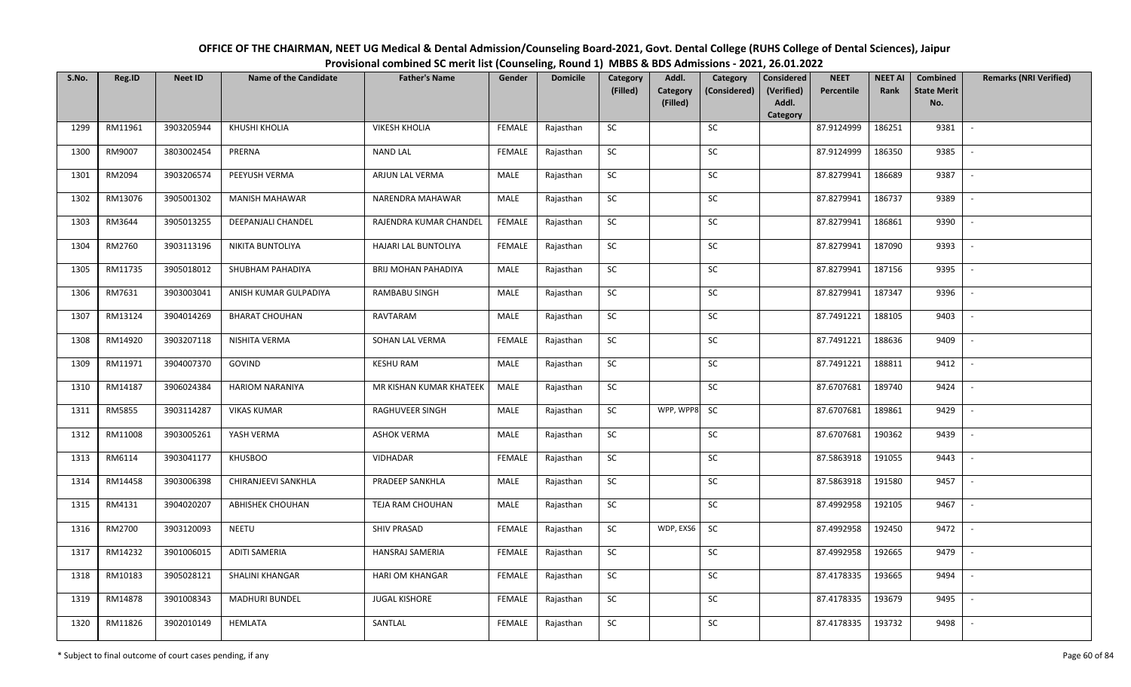| OFFICE OF THE CHAIRMAN, NEET UG Medical & Dental Admission/Counseling Board-2021, Govt. Dental College (RUHS College of Dental Sciences), Jaipur |
|--------------------------------------------------------------------------------------------------------------------------------------------------|
| Provisional combined SC merit list (Counseling, Round 1) MBBS & BDS Admissions - 2021, 26.01.2022                                                |

| S.No. | Reg.ID  | <b>Neet ID</b> | <b>Name of the Candidate</b> | <b>Father's Name</b>    | Gender        | <b>Domicile</b> | Category<br>(Filled) | Addl.<br>Category<br>(Filled) | Category<br>(Considered) | <b>Considered</b><br>(Verified)<br>Addl.<br>Category | <b>NEET</b><br>Percentile | <b>NEET AI</b><br>Rank | Combined<br><b>State Merit</b><br>No. | <b>Remarks (NRI Verified)</b> |
|-------|---------|----------------|------------------------------|-------------------------|---------------|-----------------|----------------------|-------------------------------|--------------------------|------------------------------------------------------|---------------------------|------------------------|---------------------------------------|-------------------------------|
| 1299  | RM11961 | 3903205944     | KHUSHI KHOLIA                | <b>VIKESH KHOLIA</b>    | FEMALE        | Rajasthan       | <b>SC</b>            |                               | <b>SC</b>                |                                                      | 87.9124999                | 186251                 | 9381                                  | $\overline{\phantom{a}}$      |
| 1300  | RM9007  | 3803002454     | PRERNA                       | <b>NAND LAL</b>         | FEMALE        | Rajasthan       | SC                   |                               | SC                       |                                                      | 87.9124999                | 186350                 | 9385                                  |                               |
| 1301  | RM2094  | 3903206574     | PEEYUSH VERMA                | ARJUN LAL VERMA         | MALE          | Rajasthan       | SC                   |                               | SC                       |                                                      | 87.8279941                | 186689                 | 9387                                  |                               |
| 1302  | RM13076 | 3905001302     | <b>MANISH MAHAWAR</b>        | NARENDRA MAHAWAR        | MALE          | Rajasthan       | SC                   |                               | <b>SC</b>                |                                                      | 87.8279941                | 186737                 | 9389                                  |                               |
| 1303  | RM3644  | 3905013255     | DEEPANJALI CHANDEL           | RAJENDRA KUMAR CHANDEL  | <b>FEMALE</b> | Rajasthan       | SC                   |                               | <b>SC</b>                |                                                      | 87.8279941                | 186861                 | 9390                                  | $\overline{\phantom{a}}$      |
| 1304  | RM2760  | 3903113196     | NIKITA BUNTOLIYA             | HAJARI LAL BUNTOLIYA    | FEMALE        | Rajasthan       | SC                   |                               | SC                       |                                                      | 87.8279941                | 187090                 | 9393                                  | $\sim$                        |
| 1305  | RM11735 | 3905018012     | SHUBHAM PAHADIYA             | BRIJ MOHAN PAHADIYA     | MALE          | Rajasthan       | <b>SC</b>            |                               | SC                       |                                                      | 87.8279941                | 187156                 | 9395                                  | $\sim$                        |
| 1306  | RM7631  | 3903003041     | ANISH KUMAR GULPADIYA        | RAMBABU SINGH           | MALE          | Rajasthan       | ${\sf SC}$           |                               | $\sf SC$                 |                                                      | 87.8279941                | 187347                 | 9396                                  | $\sim$                        |
| 1307  | RM13124 | 3904014269     | <b>BHARAT CHOUHAN</b>        | RAVTARAM                | MALE          | Rajasthan       | SC                   |                               | SC                       |                                                      | 87.7491221                | 188105                 | 9403                                  |                               |
| 1308  | RM14920 | 3903207118     | NISHITA VERMA                | SOHAN LAL VERMA         | <b>FEMALE</b> | Rajasthan       | ${\sf SC}$           |                               | SC                       |                                                      | 87.7491221                | 188636                 | 9409                                  | $\sim$                        |
| 1309  | RM11971 | 3904007370     | GOVIND                       | <b>KESHU RAM</b>        | <b>MALE</b>   | Rajasthan       | SC                   |                               | <b>SC</b>                |                                                      | 87.7491221                | 188811                 | 9412                                  |                               |
| 1310  | RM14187 | 3906024384     | <b>HARIOM NARANIYA</b>       | MR KISHAN KUMAR KHATEEK | <b>MALE</b>   | Rajasthan       | SC                   |                               | <b>SC</b>                |                                                      | 87.6707681                | 189740                 | 9424                                  | $\overline{\phantom{a}}$      |
| 1311  | RM5855  | 3903114287     | <b>VIKAS KUMAR</b>           | RAGHUVEER SINGH         | <b>MALE</b>   | Rajasthan       | SC                   | WPP, WPP8                     | SC                       |                                                      | 87.6707681                | 189861                 | 9429                                  | $\sim$                        |
| 1312  | RM11008 | 3903005261     | YASH VERMA                   | <b>ASHOK VERMA</b>      | <b>MALE</b>   | Rajasthan       | <b>SC</b>            |                               | <b>SC</b>                |                                                      | 87.6707681                | 190362                 | 9439                                  | $\overline{\phantom{a}}$      |
| 1313  | RM6114  | 3903041177     | <b>KHUSBOO</b>               | <b>VIDHADAR</b>         | FEMALE        | Rajasthan       | ${\sf SC}$           |                               | SC                       |                                                      | 87.5863918                | 191055                 | 9443                                  |                               |
| 1314  | RM14458 | 3903006398     | CHIRANJEEVI SANKHLA          | PRADEEP SANKHLA         | MALE          | Rajasthan       | <b>SC</b>            |                               | SC                       |                                                      | 87.5863918                | 191580                 | 9457                                  | $\sim$                        |
| 1315  | RM4131  | 3904020207     | <b>ABHISHEK CHOUHAN</b>      | TEJA RAM CHOUHAN        | MALE          | Rajasthan       | <b>SC</b>            |                               | <b>SC</b>                |                                                      | 87.4992958                | 192105                 | 9467                                  |                               |
| 1316  | RM2700  | 3903120093     | <b>NEETU</b>                 | <b>SHIV PRASAD</b>      | FEMALE        | Rajasthan       | SC                   | WDP, EXS6                     | <b>SC</b>                |                                                      | 87.4992958                | 192450                 | 9472                                  | $\sim$                        |
| 1317  | RM14232 | 3901006015     | <b>ADITI SAMERIA</b>         | HANSRAJ SAMERIA         | FEMALE        | Rajasthan       | SC                   |                               | SC                       |                                                      | 87.4992958                | 192665                 | 9479                                  | $\overline{\phantom{a}}$      |
| 1318  | RM10183 | 3905028121     | SHALINI KHANGAR              | <b>HARI OM KHANGAR</b>  | FEMALE        | Rajasthan       | ${\sf SC}$           |                               | SC                       |                                                      | 87.4178335                | 193665                 | 9494                                  | $\sim$                        |
| 1319  | RM14878 | 3901008343     | <b>MADHURI BUNDEL</b>        | <b>JUGAL KISHORE</b>    | FEMALE        | Rajasthan       | ${\sf SC}$           |                               | SC                       |                                                      | 87.4178335                | 193679                 | 9495                                  | $\sim$                        |
| 1320  | RM11826 | 3902010149     | HEMLATA                      | SANTLAL                 | FEMALE        | Rajasthan       | SC                   |                               | SC                       |                                                      | 87.4178335                | 193732                 | 9498                                  |                               |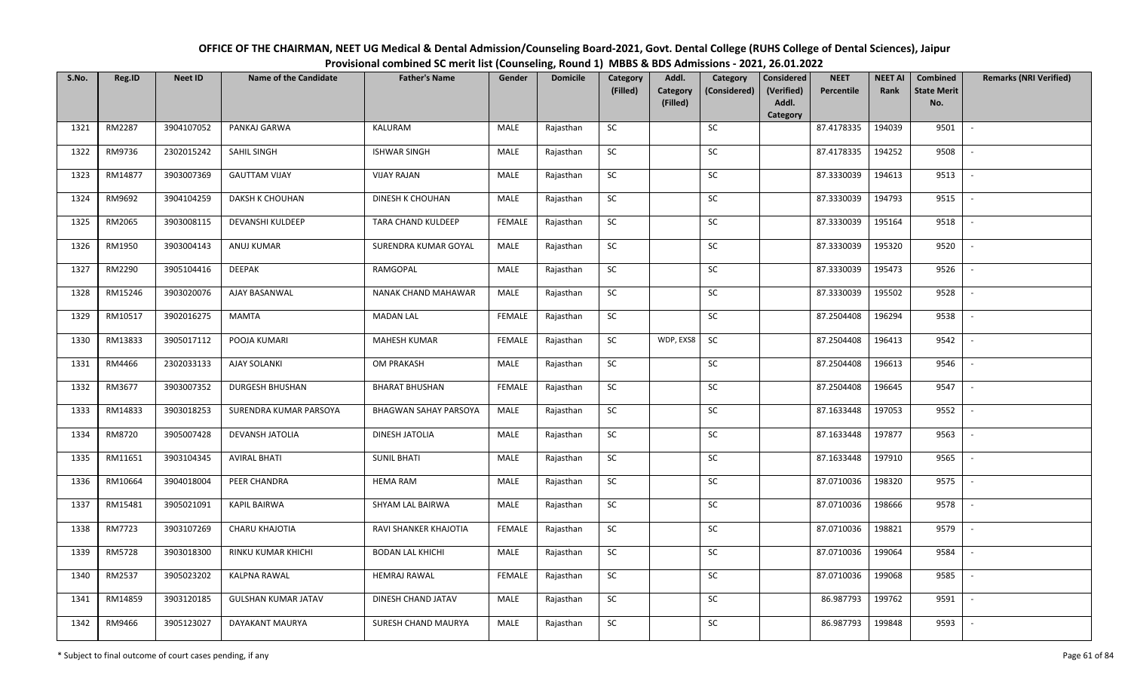| OFFICE OF THE CHAIRMAN, NEET UG Medical & Dental Admission/Counseling Board-2021, Govt. Dental College (RUHS College of Dental Sciences), Jaipur |
|--------------------------------------------------------------------------------------------------------------------------------------------------|
| Provisional combined SC merit list (Counseling, Round 1) MBBS & BDS Admissions - 2021, 26.01.2022                                                |

| S.No. | Reg.ID  | <b>Neet ID</b> | <b>Name of the Candidate</b> | <b>Father's Name</b>    | Gender        | <b>Domicile</b> | Category<br>(Filled) | Addl.<br><b>Category</b> | Category<br>(Considered) | <b>Considered</b><br>(Verified) | <b>NEET</b><br>Percentile | <b>NEET AI</b><br>Rank | Combined<br><b>State Merit</b> | <b>Remarks (NRI Verified)</b> |
|-------|---------|----------------|------------------------------|-------------------------|---------------|-----------------|----------------------|--------------------------|--------------------------|---------------------------------|---------------------------|------------------------|--------------------------------|-------------------------------|
|       |         |                |                              |                         |               |                 |                      | (Filled)                 |                          | Addl.<br>Category               |                           |                        | No.                            |                               |
| 1321  | RM2287  | 3904107052     | PANKAJ GARWA                 | KALURAM                 | MALE          | Rajasthan       | <b>SC</b>            |                          | SC                       |                                 | 87.4178335                | 194039                 | 9501                           | $\sim$                        |
| 1322  | RM9736  | 2302015242     | SAHIL SINGH                  | <b>ISHWAR SINGH</b>     | MALE          | Rajasthan       | ${\sf SC}$           |                          | SC                       |                                 | 87.4178335                | 194252                 | 9508                           |                               |
| 1323  | RM14877 | 3903007369     | <b>GAUTTAM VIJAY</b>         | <b>VIJAY RAJAN</b>      | MALE          | Rajasthan       | <b>SC</b>            |                          | SC                       |                                 | 87.3330039                | 194613                 | 9513                           | $\overline{\phantom{a}}$      |
| 1324  | RM9692  | 3904104259     | DAKSH K CHOUHAN              | DINESH K CHOUHAN        | MALE          | Rajasthan       | ${\sf SC}$           |                          | ${\sf SC}$               |                                 | 87.3330039                | 194793                 | 9515                           |                               |
| 1325  | RM2065  | 3903008115     | DEVANSHI KULDEEP             | TARA CHAND KULDEEP      | <b>FEMALE</b> | Rajasthan       | <b>SC</b>            |                          | SC                       |                                 | 87.3330039                | 195164                 | 9518                           | $\sim$                        |
| 1326  | RM1950  | 3903004143     | ANUJ KUMAR                   | SURENDRA KUMAR GOYAL    | MALE          | Rajasthan       | ${\sf SC}$           |                          | $\sf SC$                 |                                 | 87.3330039                | 195320                 | 9520                           | $\overline{\phantom{a}}$      |
| 1327  | RM2290  | 3905104416     | DEEPAK                       | RAMGOPAL                | MALE          | Rajasthan       | SC                   |                          | <b>SC</b>                |                                 | 87.3330039                | 195473                 | 9526                           | $\sim$                        |
| 1328  | RM15246 | 3903020076     | AJAY BASANWAL                | NANAK CHAND MAHAWAR     | MALE          | Rajasthan       | ${\sf SC}$           |                          | $\sf SC$                 |                                 | 87.3330039                | 195502                 | 9528                           |                               |
| 1329  | RM10517 | 3902016275     | MAMTA                        | <b>MADAN LAL</b>        | <b>FEMALE</b> | Rajasthan       | SC                   |                          | SC                       |                                 | 87.2504408                | 196294                 | 9538                           |                               |
| 1330  | RM13833 | 3905017112     | POOJA KUMARI                 | <b>MAHESH KUMAR</b>     | <b>FEMALE</b> | Rajasthan       | SC                   | WDP, EXS8                | SC                       |                                 | 87.2504408                | 196413                 | 9542                           |                               |
| 1331  | RM4466  | 2302033133     | <b>AJAY SOLANKI</b>          | OM PRAKASH              | <b>MALE</b>   | Rajasthan       | SC                   |                          | SC                       |                                 | 87.2504408                | 196613                 | 9546                           | $\overline{\phantom{a}}$      |
| 1332  | RM3677  | 3903007352     | <b>DURGESH BHUSHAN</b>       | <b>BHARAT BHUSHAN</b>   | <b>FEMALE</b> | Rajasthan       | ${\sf SC}$           |                          | ${\sf SC}$               |                                 | 87.2504408                | 196645                 | 9547                           | $\overline{\phantom{a}}$      |
| 1333  | RM14833 | 3903018253     | SURENDRA KUMAR PARSOYA       | BHAGWAN SAHAY PARSOYA   | MALE          | Rajasthan       | <b>SC</b>            |                          | <b>SC</b>                |                                 | 87.1633448                | 197053                 | 9552                           |                               |
| 1334  | RM8720  | 3905007428     | DEVANSH JATOLIA              | DINESH JATOLIA          | MALE          | Rajasthan       | SC                   |                          | SC                       |                                 | 87.1633448                | 197877                 | 9563                           |                               |
| 1335  | RM11651 | 3903104345     | <b>AVIRAL BHATI</b>          | <b>SUNIL BHATI</b>      | MALE          | Rajasthan       | <b>SC</b>            |                          | SC                       |                                 | 87.1633448                | 197910                 | 9565                           | $\overline{\phantom{a}}$      |
| 1336  | RM10664 | 3904018004     | PEER CHANDRA                 | <b>HEMA RAM</b>         | MALE          | Rajasthan       | ${\sf SC}$           |                          | SC                       |                                 | 87.0710036                | 198320                 | 9575                           | $\sim$                        |
| 1337  | RM15481 | 3905021091     | <b>KAPIL BAIRWA</b>          | SHYAM LAL BAIRWA        | MALE          | Rajasthan       | SC                   |                          | SC                       |                                 | 87.0710036                | 198666                 | 9578                           | $\sim$                        |
| 1338  | RM7723  | 3903107269     | <b>CHARU KHAJOTIA</b>        | RAVI SHANKER KHAJOTIA   | <b>FEMALE</b> | Rajasthan       | SC                   |                          | <b>SC</b>                |                                 | 87.0710036                | 198821                 | 9579                           | $\overline{\phantom{a}}$      |
| 1339  | RM5728  | 3903018300     | <b>RINKU KUMAR KHICHI</b>    | <b>BODAN LAL KHICHI</b> | MALE          | Rajasthan       | <b>SC</b>            |                          | SC                       |                                 | 87.0710036                | 199064                 | 9584                           | $\overline{\phantom{a}}$      |
| 1340  | RM2537  | 3905023202     | <b>KALPNA RAWAL</b>          | <b>HEMRAJ RAWAL</b>     | <b>FEMALE</b> | Rajasthan       | ${\sf SC}$           |                          | ${\sf SC}$               |                                 | 87.0710036                | 199068                 | 9585                           |                               |
| 1341  | RM14859 | 3903120185     | <b>GULSHAN KUMAR JATAV</b>   | DINESH CHAND JATAV      | MALE          | Rajasthan       | SC                   |                          | SC                       |                                 | 86.987793                 | 199762                 | 9591                           |                               |
| 1342  | RM9466  | 3905123027     | DAYAKANT MAURYA              | SURESH CHAND MAURYA     | <b>MALE</b>   | Rajasthan       | ${\sf SC}$           |                          | <b>SC</b>                |                                 | 86.987793                 | 199848                 | 9593                           |                               |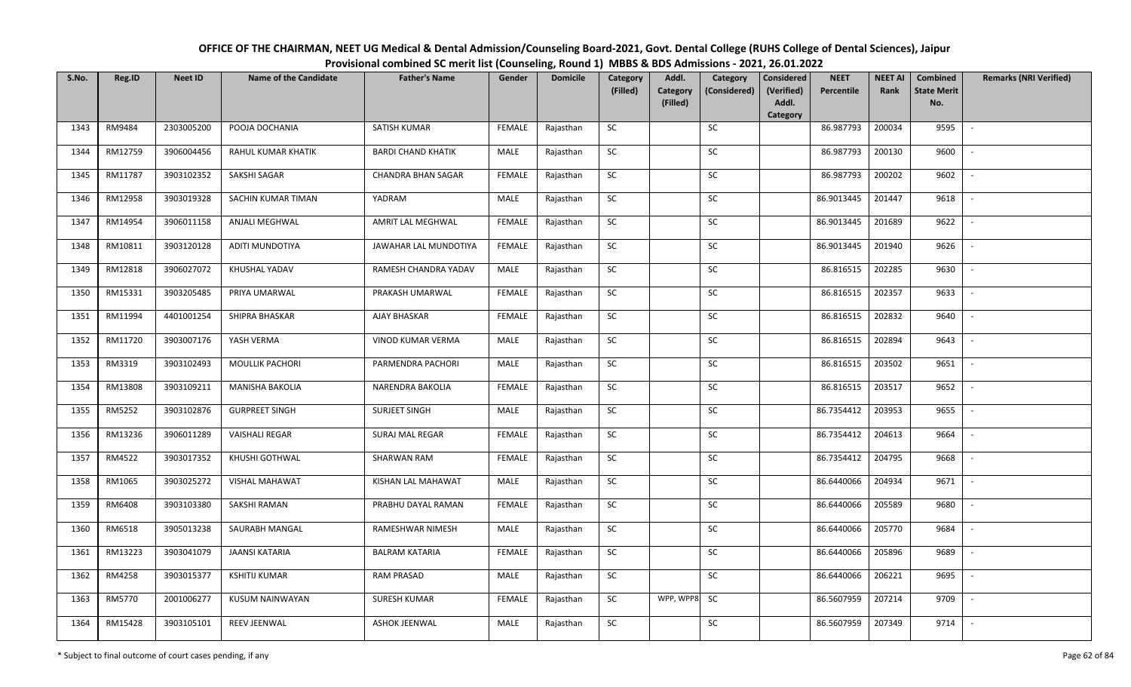| OFFICE OF THE CHAIRMAN, NEET UG Medical & Dental Admission/Counseling Board-2021, Govt. Dental College (RUHS College of Dental Sciences), Jaipur |
|--------------------------------------------------------------------------------------------------------------------------------------------------|
| Provisional combined SC merit list (Counseling, Round 1) MBBS & BDS Admissions - 2021, 26.01.2022                                                |

| S.No. | Reg.ID  | <b>Neet ID</b> | <b>Name of the Candidate</b> | <b>Father's Name</b>      | Gender        | <b>Domicile</b> | Category<br>(Filled) | Addl.<br>Category<br>(Filled) | Category<br>(Considered) | <b>Considered</b><br>(Verified)<br>Addl. | <b>NEET</b><br>Percentile | <b>NEET AI</b><br>Rank | Combined<br><b>State Merit</b><br>No. | <b>Remarks (NRI Verified)</b> |
|-------|---------|----------------|------------------------------|---------------------------|---------------|-----------------|----------------------|-------------------------------|--------------------------|------------------------------------------|---------------------------|------------------------|---------------------------------------|-------------------------------|
|       |         |                |                              |                           |               |                 |                      |                               |                          | Category                                 |                           |                        |                                       |                               |
| 1343  | RM9484  | 2303005200     | POOJA DOCHANIA               | SATISH KUMAR              | <b>FEMALE</b> | Rajasthan       | <b>SC</b>            |                               | SC                       |                                          | 86.987793                 | 200034                 | 9595                                  | $\sim$                        |
| 1344  | RM12759 | 3906004456     | RAHUL KUMAR KHATIK           | <b>BARDI CHAND KHATIK</b> | MALE          | Rajasthan       | <b>SC</b>            |                               | SC                       |                                          | 86.987793                 | 200130                 | 9600                                  |                               |
| 1345  | RM11787 | 3903102352     | SAKSHI SAGAR                 | <b>CHANDRA BHAN SAGAR</b> | <b>FEMALE</b> | Rajasthan       | SC                   |                               | SC                       |                                          | 86.987793                 | 200202                 | 9602                                  | $\overline{\phantom{a}}$      |
| 1346  | RM12958 | 3903019328     | SACHIN KUMAR TIMAN           | YADRAM                    | MALE          | Rajasthan       | SC                   |                               | SC                       |                                          | 86.9013445                | 201447                 | 9618                                  | $\overline{\phantom{a}}$      |
| 1347  | RM14954 | 3906011158     | ANJALI MEGHWAL               | AMRIT LAL MEGHWAL         | <b>FEMALE</b> | Rajasthan       | <b>SC</b>            |                               | ${\sf SC}$               |                                          | 86.9013445                | 201689                 | 9622                                  | $\sim$                        |
| 1348  | RM10811 | 3903120128     | <b>ADITI MUNDOTIYA</b>       | JAWAHAR LAL MUNDOTIYA     | <b>FEMALE</b> | Rajasthan       | ${\sf SC}$           |                               | ${\sf SC}$               |                                          | 86.9013445                | 201940                 | 9626                                  | $\sim$                        |
| 1349  | RM12818 | 3906027072     | KHUSHAL YADAV                | RAMESH CHANDRA YADAV      | MALE          | Rajasthan       | <b>SC</b>            |                               | <b>SC</b>                |                                          | 86.816515                 | 202285                 | 9630                                  | $\sim$                        |
| 1350  | RM15331 | 3903205485     | PRIYA UMARWAL                | PRAKASH UMARWAL           | <b>FEMALE</b> | Rajasthan       | SC                   |                               | SC                       |                                          | 86.816515                 | 202357                 | 9633                                  | $\overline{\phantom{a}}$      |
| 1351  | RM11994 | 4401001254     | SHIPRA BHASKAR               | AJAY BHASKAR              | <b>FEMALE</b> | Rajasthan       | SC                   |                               | SC                       |                                          | 86.816515                 | 202832                 | 9640                                  |                               |
| 1352  | RM11720 | 3903007176     | YASH VERMA                   | VINOD KUMAR VERMA         | MALE          | Rajasthan       | SC                   |                               | SC                       |                                          | 86.816515                 | 202894                 | 9643                                  | $\overline{\phantom{a}}$      |
| 1353  | RM3319  | 3903102493     | MOULLIK PACHORI              | PARMENDRA PACHORI         | MALE          | Rajasthan       | ${\sf SC}$           |                               | $\sf SC$                 |                                          | 86.816515                 | 203502                 | 9651                                  | $\sim$                        |
| 1354  | RM13808 | 3903109211     | <b>MANISHA BAKOLIA</b>       | NARENDRA BAKOLIA          | <b>FEMALE</b> | Rajasthan       | <b>SC</b>            |                               | SC                       |                                          | 86.816515                 | 203517                 | 9652                                  | $\sim$                        |
| 1355  | RM5252  | 3903102876     | <b>GURPREET SINGH</b>        | <b>SURJEET SINGH</b>      | MALE          | Rajasthan       | SC                   |                               | <b>SC</b>                |                                          | 86.7354412                | 203953                 | 9655                                  | $\overline{\phantom{a}}$      |
| 1356  | RM13236 | 3906011289     | <b>VAISHALI REGAR</b>        | <b>SURAJ MAL REGAR</b>    | <b>FEMALE</b> | Rajasthan       | SC                   |                               | SC                       |                                          | 86.7354412                | 204613                 | 9664                                  | $\sim$                        |
| 1357  | RM4522  | 3903017352     | KHUSHI GOTHWAL               | SHARWAN RAM               | <b>FEMALE</b> | Rajasthan       | SC                   |                               | SC                       |                                          | 86.7354412                | 204795                 | 9668                                  | $\overline{\phantom{a}}$      |
| 1358  | RM1065  | 3903025272     | <b>VISHAL MAHAWAT</b>        | KISHAN LAL MAHAWAT        | MALE          | Rajasthan       | ${\sf SC}$           |                               | ${\sf SC}$               |                                          | 86.6440066                | 204934                 | 9671                                  | $\sim$                        |
| 1359  | RM6408  | 3903103380     | SAKSHI RAMAN                 | PRABHU DAYAL RAMAN        | <b>FEMALE</b> | Rajasthan       | <b>SC</b>            |                               | SC                       |                                          | 86.6440066                | 205589                 | 9680                                  | $\sim$                        |
| 1360  | RM6518  | 3905013238     | SAURABH MANGAL               | RAMESHWAR NIMESH          | MALE          | Rajasthan       | SC                   |                               | SC                       |                                          | 86.6440066                | 205770                 | 9684                                  | $\sim$                        |
| 1361  | RM13223 | 3903041079     | <b>JAANSI KATARIA</b>        | <b>BALRAM KATARIA</b>     | <b>FEMALE</b> | Rajasthan       | SC                   |                               | SC                       |                                          | 86.6440066                | 205896                 | 9689                                  | $\sim$                        |
| 1362  | RM4258  | 3903015377     | <b>KSHITIJ KUMAR</b>         | <b>RAM PRASAD</b>         | MALE          | Rajasthan       | ${\sf SC}$           |                               | <b>SC</b>                |                                          | 86.6440066                | 206221                 | 9695                                  |                               |
| 1363  | RM5770  | 2001006277     | <b>KUSUM NAINWAYAN</b>       | <b>SURESH KUMAR</b>       | <b>FEMALE</b> | Rajasthan       | ${\sf SC}$           | WPP, WPP8 SC                  |                          |                                          | 86.5607959                | 207214                 | 9709                                  | $\overline{\phantom{a}}$      |
| 1364  | RM15428 | 3903105101     | REEV JEENWAL                 | <b>ASHOK JEENWAL</b>      | MALE          | Rajasthan       | ${\sf SC}$           |                               | $\sf SC$                 |                                          | 86.5607959                | 207349                 | 9714                                  |                               |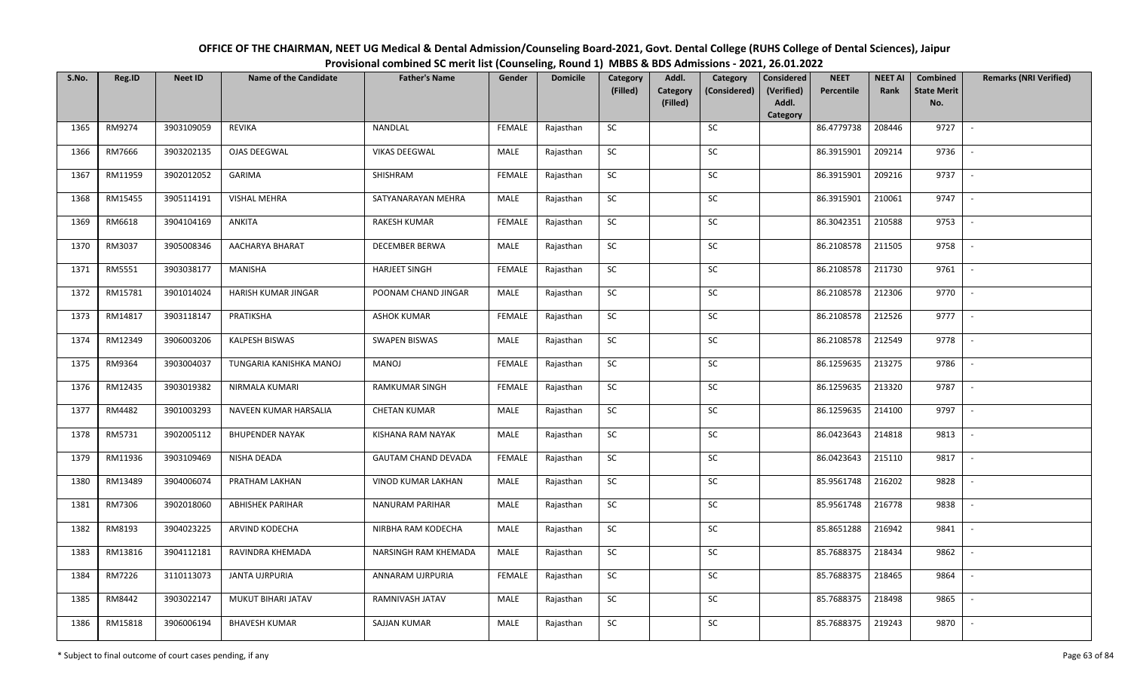| OFFICE OF THE CHAIRMAN, NEET UG Medical & Dental Admission/Counseling Board-2021, Govt. Dental College (RUHS College of Dental Sciences), Jaipur |
|--------------------------------------------------------------------------------------------------------------------------------------------------|
| Provisional combined SC merit list (Counseling, Round 1) MBBS & BDS Admissions - 2021, 26.01.2022                                                |

| S.No. | Reg.ID  | <b>Neet ID</b> | <b>Name of the Candidate</b> | <b>Father's Name</b>       | Gender        | <b>Domicile</b> | Category<br>(Filled) | Addl.<br><b>Category</b><br>(Filled) | Category<br>(Considered) | <b>Considered</b><br>(Verified)<br>Addl. | <b>NEET</b><br>Percentile | <b>NEET AI</b><br>Rank | Combined<br><b>State Merit</b><br>No. | <b>Remarks (NRI Verified)</b> |
|-------|---------|----------------|------------------------------|----------------------------|---------------|-----------------|----------------------|--------------------------------------|--------------------------|------------------------------------------|---------------------------|------------------------|---------------------------------------|-------------------------------|
|       |         |                |                              |                            |               |                 |                      |                                      |                          | Category                                 |                           |                        |                                       |                               |
| 1365  | RM9274  | 3903109059     | <b>REVIKA</b>                | NANDLAL                    | <b>FEMALE</b> | Rajasthan       | SC                   |                                      | SC                       |                                          | 86.4779738                | 208446                 | 9727                                  | $\overline{\phantom{a}}$      |
| 1366  | RM7666  | 3903202135     | OJAS DEEGWAL                 | <b>VIKAS DEEGWAL</b>       | MALE          | Rajasthan       | SC                   |                                      | SC                       |                                          | 86.3915901                | 209214                 | 9736                                  |                               |
| 1367  | RM11959 | 3902012052     | <b>GARIMA</b>                | SHISHRAM                   | <b>FEMALE</b> | Rajasthan       | <b>SC</b>            |                                      | SC                       |                                          | 86.3915901                | 209216                 | 9737                                  | $\overline{\phantom{a}}$      |
| 1368  | RM15455 | 3905114191     | <b>VISHAL MEHRA</b>          | SATYANARAYAN MEHRA         | MALE          | Rajasthan       | <b>SC</b>            |                                      | <b>SC</b>                |                                          | 86.3915901                | 210061                 | 9747                                  | $\overline{\phantom{a}}$      |
| 1369  | RM6618  | 3904104169     | ANKITA                       | <b>RAKESH KUMAR</b>        | <b>FEMALE</b> | Rajasthan       | SC                   |                                      | SC                       |                                          | 86.3042351                | 210588                 | 9753                                  | $\sim$                        |
| 1370  | RM3037  | 3905008346     | AACHARYA BHARAT              | <b>DECEMBER BERWA</b>      | MALE          | Rajasthan       | SC                   |                                      | $\sf SC$                 |                                          | 86.2108578                | 211505                 | 9758                                  | $\sim$                        |
| 1371  | RM5551  | 3903038177     | MANISHA                      | <b>HARJEET SINGH</b>       | <b>FEMALE</b> | Rajasthan       | SC                   |                                      | SC                       |                                          | 86.2108578                | 211730                 | 9761                                  | $\overline{\phantom{a}}$      |
| 1372  | RM15781 | 3901014024     | HARISH KUMAR JINGAR          | POONAM CHAND JINGAR        | MALE          | Rajasthan       | <b>SC</b>            |                                      | <b>SC</b>                |                                          | 86.2108578                | 212306                 | 9770                                  |                               |
| 1373  | RM14817 | 3903118147     | PRATIKSHA                    | <b>ASHOK KUMAR</b>         | <b>FEMALE</b> | Rajasthan       | ${\sf SC}$           |                                      | ${\sf SC}$               |                                          | 86.2108578                | 212526                 | 9777                                  |                               |
| 1374  | RM12349 | 3906003206     | KALPESH BISWAS               | <b>SWAPEN BISWAS</b>       | <b>MALE</b>   | Rajasthan       | SC                   |                                      | SC                       |                                          | 86.2108578                | 212549                 | 9778                                  | $\overline{\phantom{a}}$      |
| 1375  | RM9364  | 3903004037     | TUNGARIA KANISHKA MANOJ      | MANOJ                      | <b>FEMALE</b> | Rajasthan       | ${\sf SC}$           |                                      | SC                       |                                          | 86.1259635                | 213275                 | 9786                                  | $\sim$                        |
| 1376  | RM12435 | 3903019382     | NIRMALA KUMARI               | <b>RAMKUMAR SINGH</b>      | <b>FEMALE</b> | Rajasthan       | <b>SC</b>            |                                      | SC                       |                                          | 86.1259635                | 213320                 | 9787                                  | $\overline{\phantom{a}}$      |
| 1377  | RM4482  | 3901003293     | NAVEEN KUMAR HARSALIA        | <b>CHETAN KUMAR</b>        | MALE          | Rajasthan       | <b>SC</b>            |                                      | <b>SC</b>                |                                          | 86.1259635                | 214100                 | 9797                                  |                               |
| 1378  | RM5731  | 3902005112     | <b>BHUPENDER NAYAK</b>       | KISHANA RAM NAYAK          | <b>MALE</b>   | Rajasthan       | SC                   |                                      | SC                       |                                          | 86.0423643                | 214818                 | 9813                                  | $\sim$                        |
| 1379  | RM11936 | 3903109469     | NISHA DEADA                  | <b>GAUTAM CHAND DEVADA</b> | <b>FEMALE</b> | Rajasthan       | SC                   |                                      | SC                       |                                          | 86.0423643                | 215110                 | 9817                                  | $\overline{\phantom{a}}$      |
| 1380  | RM13489 | 3904006074     | PRATHAM LAKHAN               | VINOD KUMAR LAKHAN         | MALE          | Rajasthan       | ${\sf SC}$           |                                      | SC                       |                                          | 85.9561748                | 216202                 | 9828                                  | $\sim$                        |
| 1381  | RM7306  | 3902018060     | <b>ABHISHEK PARIHAR</b>      | <b>NANURAM PARIHAR</b>     | MALE          | Rajasthan       | SC                   |                                      | $\sf SC$                 |                                          | 85.9561748                | 216778                 | 9838                                  | $\overline{\phantom{a}}$      |
| 1382  | RM8193  | 3904023225     | ARVIND KODECHA               | NIRBHA RAM KODECHA         | MALE          | Rajasthan       | SC                   |                                      | SC                       |                                          | 85.8651288                | 216942                 | 9841                                  | $\overline{\phantom{a}}$      |
| 1383  | RM13816 | 3904112181     | RAVINDRA KHEMADA             | NARSINGH RAM KHEMADA       | MALE          | Rajasthan       | <b>SC</b>            |                                      | <b>SC</b>                |                                          | 85.7688375                | 218434                 | 9862                                  |                               |
| 1384  | RM7226  | 3110113073     | <b>JANTA UJRPURIA</b>        | ANNARAM UJRPURIA           | <b>FEMALE</b> | Rajasthan       | ${\sf SC}$           |                                      | ${\sf SC}$               |                                          | 85.7688375                | 218465                 | 9864                                  |                               |
| 1385  | RM8442  | 3903022147     | MUKUT BIHARI JATAV           | RAMNIVASH JATAV            | MALE          | Rajasthan       | SC                   |                                      | SC                       |                                          | 85.7688375                | 218498                 | 9865                                  |                               |
| 1386  | RM15818 | 3906006194     | <b>BHAVESH KUMAR</b>         | SAJJAN KUMAR               | MALE          | Rajasthan       | ${\sf SC}$           |                                      | <b>SC</b>                |                                          | 85.7688375                | 219243                 | 9870                                  |                               |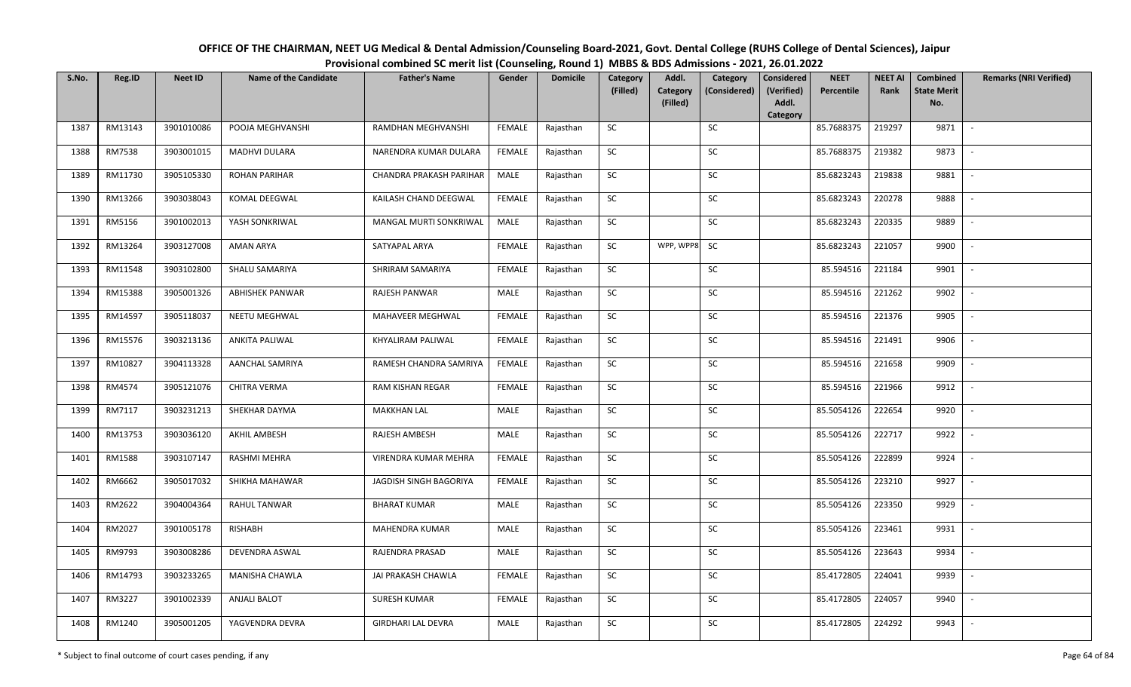| OFFICE OF THE CHAIRMAN, NEET UG Medical & Dental Admission/Counseling Board-2021, Govt. Dental College (RUHS College of Dental Sciences), Jaipur |
|--------------------------------------------------------------------------------------------------------------------------------------------------|
| Provisional combined SC merit list (Counseling, Round 1) MBBS & BDS Admissions - 2021, 26.01.2022                                                |

| S.No. | Reg.ID  | <b>Neet ID</b> | <b>Name of the Candidate</b> | <b>Father's Name</b>      | Gender        | <b>Domicile</b> | Category<br>(Filled) | Addl.<br>Category | Category<br>(Considered) | <b>Considered</b><br>(Verified) | <b>NEET</b><br>Percentile | <b>NEET AI</b><br>Rank | Combined<br><b>State Merit</b> | <b>Remarks (NRI Verified)</b> |
|-------|---------|----------------|------------------------------|---------------------------|---------------|-----------------|----------------------|-------------------|--------------------------|---------------------------------|---------------------------|------------------------|--------------------------------|-------------------------------|
|       |         |                |                              |                           |               |                 |                      | (Filled)          |                          | Addl.<br>Category               |                           |                        | No.                            |                               |
| 1387  | RM13143 | 3901010086     | POOJA MEGHVANSHI             | RAMDHAN MEGHVANSHI        | <b>FEMALE</b> | Rajasthan       | SC                   |                   | SC                       |                                 | 85.7688375                | 219297                 | 9871                           | $\sim$                        |
| 1388  | RM7538  | 3903001015     | <b>MADHVI DULARA</b>         | NARENDRA KUMAR DULARA     | <b>FEMALE</b> | Rajasthan       | SC                   |                   | SC                       |                                 | 85.7688375                | 219382                 | 9873                           |                               |
| 1389  | RM11730 | 3905105330     | <b>ROHAN PARIHAR</b>         | CHANDRA PRAKASH PARIHAR   | MALE          | Rajasthan       | SC                   |                   | SC                       |                                 | 85.6823243                | 219838                 | 9881                           | $\overline{\phantom{a}}$      |
| 1390  | RM13266 | 3903038043     | KOMAL DEEGWAL                | KAILASH CHAND DEEGWAL     | <b>FEMALE</b> | Rajasthan       | <b>SC</b>            |                   | <b>SC</b>                |                                 | 85.6823243                | 220278                 | 9888                           | $\overline{\phantom{a}}$      |
| 1391  | RM5156  | 3901002013     | YASH SONKRIWAL               | MANGAL MURTI SONKRIWAL    | MALE          | Rajasthan       | SC                   |                   | SC                       |                                 | 85.6823243                | 220335                 | 9889                           | $\sim$                        |
| 1392  | RM13264 | 3903127008     | <b>AMAN ARYA</b>             | SATYAPAL ARYA             | <b>FEMALE</b> | Rajasthan       | SC                   | WPP, WPP8         | <b>SC</b>                |                                 | 85.6823243                | 221057                 | 9900                           | $\sim$                        |
| 1393  | RM11548 | 3903102800     | SHALU SAMARIYA               | SHRIRAM SAMARIYA          | <b>FEMALE</b> | Rajasthan       | ${\sf SC}$           |                   | <b>SC</b>                |                                 | 85.594516                 | 221184                 | 9901                           | $\overline{\phantom{a}}$      |
| 1394  | RM15388 | 3905001326     | <b>ABHISHEK PANWAR</b>       | RAJESH PANWAR             | MALE          | Rajasthan       | SC                   |                   | SC                       |                                 | 85.594516                 | 221262                 | 9902                           |                               |
| 1395  | RM14597 | 3905118037     | NEETU MEGHWAL                | MAHAVEER MEGHWAL          | <b>FEMALE</b> | Rajasthan       | SC                   |                   | <b>SC</b>                |                                 | 85.594516                 | 221376                 | 9905                           |                               |
| 1396  | RM15576 | 3903213136     | <b>ANKITA PALIWAL</b>        | KHYALIRAM PALIWAL         | <b>FEMALE</b> | Rajasthan       | ${\sf SC}$           |                   | SC                       |                                 | 85.594516                 | 221491                 | 9906                           | $\sim$                        |
| 1397  | RM10827 | 3904113328     | <b>AANCHAL SAMRIYA</b>       | RAMESH CHANDRA SAMRIYA    | <b>FEMALE</b> | Rajasthan       | SC                   |                   | SC                       |                                 | 85.594516                 | 221658                 | 9909                           | $\overline{\phantom{a}}$      |
| 1398  | RM4574  | 3905121076     | CHITRA VERMA                 | RAM KISHAN REGAR          | <b>FEMALE</b> | Rajasthan       | ${\sf SC}$           |                   | <b>SC</b>                |                                 | 85.594516                 | 221966                 | 9912                           | $\sim$                        |
| 1399  | RM7117  | 3903231213     | SHEKHAR DAYMA                | <b>MAKKHAN LAL</b>        | MALE          | Rajasthan       | <b>SC</b>            |                   | SC                       |                                 | 85.5054126                | 222654                 | 9920                           | $\overline{\phantom{a}}$      |
| 1400  | RM13753 | 3903036120     | AKHIL AMBESH                 | RAJESH AMBESH             | MALE          | Rajasthan       | SC                   |                   | <b>SC</b>                |                                 | 85.5054126                | 222717                 | 9922                           | $\overline{\phantom{a}}$      |
| 1401  | RM1588  | 3903107147     | RASHMI MEHRA                 | VIRENDRA KUMAR MEHRA      | <b>FEMALE</b> | Rajasthan       | ${\sf SC}$           |                   | $\sf SC$                 |                                 | 85.5054126                | 222899                 | 9924                           | $\overline{\phantom{a}}$      |
| 1402  | RM6662  | 3905017032     | SHIKHA MAHAWAR               | JAGDISH SINGH BAGORIYA    | <b>FEMALE</b> | Rajasthan       | <b>SC</b>            |                   | SC                       |                                 | 85.5054126                | 223210                 | 9927                           | $\mathbb{L}$                  |
| 1403  | RM2622  | 3904004364     | <b>RAHUL TANWAR</b>          | <b>BHARAT KUMAR</b>       | MALE          | Rajasthan       | ${\sf SC}$           |                   | $\sf SC$                 |                                 | 85.5054126                | 223350                 | 9929                           | $\mathbb{L}$                  |
| 1404  | RM2027  | 3901005178     | RISHABH                      | MAHENDRA KUMAR            | MALE          | Rajasthan       | SC                   |                   | SC                       |                                 | 85.5054126                | 223461                 | 9931                           | $\mathbb{L}$                  |
| 1405  | RM9793  | 3903008286     | DEVENDRA ASWAL               | RAJENDRA PRASAD           | MALE          | Rajasthan       | SC                   |                   | SC                       |                                 | 85.5054126                | 223643                 | 9934                           | $\overline{\phantom{a}}$      |
| 1406  | RM14793 | 3903233265     | MANISHA CHAWLA               | JAI PRAKASH CHAWLA        | <b>FEMALE</b> | Rajasthan       | SC                   |                   | ${\sf SC}$               |                                 | 85.4172805                | 224041                 | 9939                           |                               |
| 1407  | RM3227  | 3901002339     | <b>ANJALI BALOT</b>          | <b>SURESH KUMAR</b>       | <b>FEMALE</b> | Rajasthan       | <b>SC</b>            |                   | <b>SC</b>                |                                 | 85.4172805                | 224057                 | 9940                           | $\overline{\phantom{a}}$      |
| 1408  | RM1240  | 3905001205     | YAGVENDRA DEVRA              | <b>GIRDHARI LAL DEVRA</b> | MALE          | Rajasthan       | ${\sf SC}$           |                   | SC                       |                                 | 85.4172805                | 224292                 | 9943                           | $\overline{\phantom{a}}$      |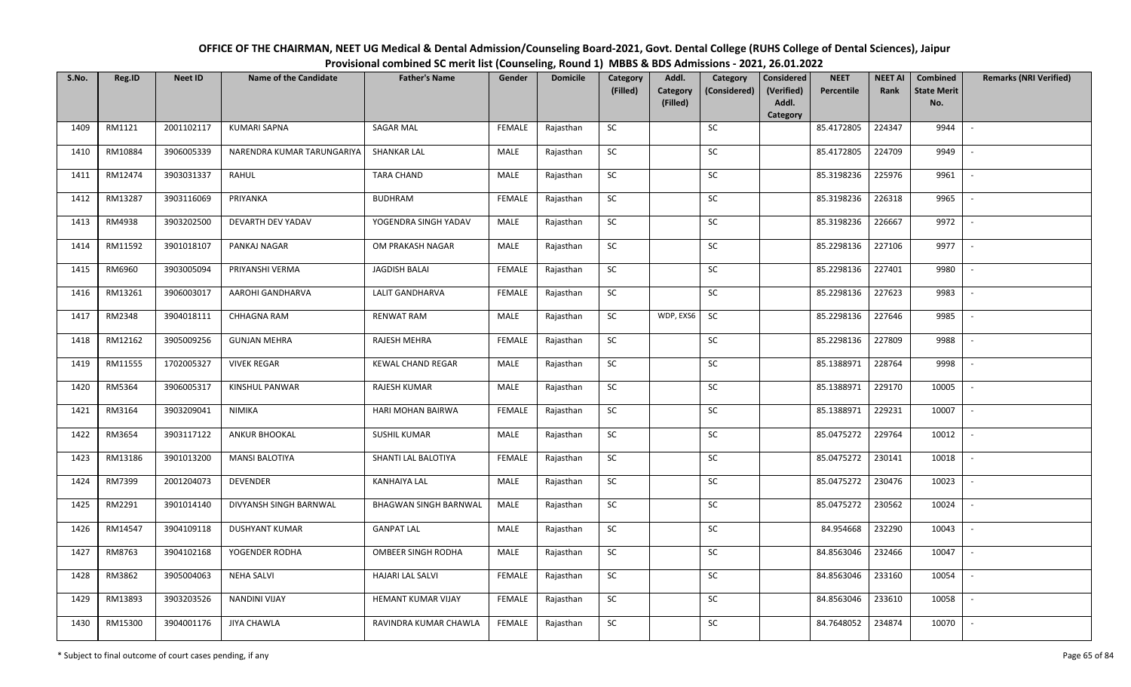| OFFICE OF THE CHAIRMAN, NEET UG Medical & Dental Admission/Counseling Board-2021, Govt. Dental College (RUHS College of Dental Sciences), Jaipur |
|--------------------------------------------------------------------------------------------------------------------------------------------------|
| Provisional combined SC merit list (Counseling, Round 1) MBBS & BDS Admissions - 2021, 26.01.2022                                                |

| S.No. | Reg.ID  | <b>Neet ID</b> | <b>Name of the Candidate</b> | <b>Father's Name</b>         | Gender        | <b>Domicile</b> | Category<br>(Filled) | Addl.<br><b>Category</b> | Category<br>(Considered) | <b>Considered</b><br>(Verified) | <b>NEET</b><br>Percentile | <b>NEET AI</b><br>Rank | Combined<br><b>State Merit</b> | <b>Remarks (NRI Verified)</b> |
|-------|---------|----------------|------------------------------|------------------------------|---------------|-----------------|----------------------|--------------------------|--------------------------|---------------------------------|---------------------------|------------------------|--------------------------------|-------------------------------|
|       |         |                |                              |                              |               |                 |                      | (Filled)                 |                          | Addl.<br>Category               |                           |                        | No.                            |                               |
| 1409  | RM1121  | 2001102117     | <b>KUMARI SAPNA</b>          | SAGAR MAL                    | <b>FEMALE</b> | Rajasthan       | SC                   |                          | SC                       |                                 | 85.4172805                | 224347                 | 9944                           |                               |
| 1410  | RM10884 | 3906005339     | NARENDRA KUMAR TARUNGARIYA   | <b>SHANKAR LAL</b>           | MALE          | Rajasthan       | SC                   |                          | <b>SC</b>                |                                 | 85.4172805                | 224709                 | 9949                           |                               |
| 1411  | RM12474 | 3903031337     | RAHUL                        | TARA CHAND                   | <b>MALE</b>   | Rajasthan       | SC                   |                          | SC                       |                                 | 85.3198236                | 225976                 | 9961                           |                               |
| 1412  | RM13287 | 3903116069     | PRIYANKA                     | <b>BUDHRAM</b>               | <b>FEMALE</b> | Rajasthan       | SC                   |                          | SC                       |                                 | 85.3198236                | 226318                 | 9965                           |                               |
| 1413  | RM4938  | 3903202500     | DEVARTH DEV YADAV            | YOGENDRA SINGH YADAV         | MALE          | Rajasthan       | SC                   |                          | ${\sf SC}$               |                                 | 85.3198236                | 226667                 | 9972                           | $\sim$                        |
| 1414  | RM11592 | 3901018107     | PANKAJ NAGAR                 | OM PRAKASH NAGAR             | MALE          | Rajasthan       | ${\sf SC}$           |                          | ${\sf SC}$               |                                 | 85.2298136                | 227106                 | 9977                           | $\overline{\phantom{a}}$      |
| 1415  | RM6960  | 3903005094     | PRIYANSHI VERMA              | JAGDISH BALAI                | <b>FEMALE</b> | Rajasthan       | SC                   |                          | SC                       |                                 | 85.2298136                | 227401                 | 9980                           |                               |
| 1416  | RM13261 | 3906003017     | AAROHI GANDHARVA             | <b>LALIT GANDHARVA</b>       | <b>FEMALE</b> | Rajasthan       | SC                   |                          | SC                       |                                 | 85.2298136                | 227623                 | 9983                           | $\overline{\phantom{a}}$      |
| 1417  | RM2348  | 3904018111     | CHHAGNA RAM                  | <b>RENWAT RAM</b>            | MALE          | Rajasthan       | SC                   | WDP, EXS6                | <b>SC</b>                |                                 | 85.2298136                | 227646                 | 9985                           |                               |
| 1418  | RM12162 | 3905009256     | <b>GUNJAN MEHRA</b>          | RAJESH MEHRA                 | <b>FEMALE</b> | Rajasthan       | SC                   |                          | SC                       |                                 | 85.2298136                | 227809                 | 9988                           |                               |
| 1419  | RM11555 | 1702005327     | <b>VIVEK REGAR</b>           | <b>KEWAL CHAND REGAR</b>     | MALE          | Rajasthan       | ${\sf SC}$           |                          | SC                       |                                 | 85.1388971                | 228764                 | 9998                           | $\overline{\phantom{a}}$      |
| 1420  | RM5364  | 3906005317     | KINSHUL PANWAR               | RAJESH KUMAR                 | MALE          | Rajasthan       | SC                   |                          | SC                       |                                 | 85.1388971                | 229170                 | 10005                          |                               |
| 1421  | RM3164  | 3903209041     | NIMIKA                       | HARI MOHAN BAIRWA            | <b>FEMALE</b> | Rajasthan       | SC                   |                          | SC                       |                                 | 85.1388971                | 229231                 | 10007                          |                               |
| 1422  | RM3654  | 3903117122     | <b>ANKUR BHOOKAL</b>         | <b>SUSHIL KUMAR</b>          | <b>MALE</b>   | Rajasthan       | SC                   |                          | SC                       |                                 | 85.0475272                | 229764                 | 10012                          | $\overline{\phantom{a}}$      |
| 1423  | RM13186 | 3901013200     | <b>MANSI BALOTIYA</b>        | SHANTI LAL BALOTIYA          | <b>FEMALE</b> | Rajasthan       | SC                   |                          | SC                       |                                 | 85.0475272                | 230141                 | 10018                          |                               |
| 1424  | RM7399  | 2001204073     | <b>DEVENDER</b>              | <b>KANHAIYA LAL</b>          | MALE          | Rajasthan       | ${\sf SC}$           |                          | ${\sf SC}$               |                                 | 85.0475272                | 230476                 | 10023                          | $\sim$                        |
| 1425  | RM2291  | 3901014140     | DIVYANSH SINGH BARNWAL       | <b>BHAGWAN SINGH BARNWAL</b> | MALE          | Rajasthan       | SC                   |                          | SC                       |                                 | 85.0475272                | 230562                 | 10024                          | $\overline{\phantom{a}}$      |
| 1426  | RM14547 | 3904109118     | <b>DUSHYANT KUMAR</b>        | <b>GANPAT LAL</b>            | MALE          | Rajasthan       | <b>SC</b>            |                          | SC                       |                                 | 84.954668                 | 232290                 | 10043                          | $\overline{\phantom{a}}$      |
| 1427  | RM8763  | 3904102168     | YOGENDER RODHA               | OMBEER SINGH RODHA           | <b>MALE</b>   | Rajasthan       | SC                   |                          | SC                       |                                 | 84.8563046                | 232466                 | 10047                          | $\overline{\phantom{a}}$      |
| 1428  | RM3862  | 3905004063     | <b>NEHA SALVI</b>            | <b>HAJARI LAL SALVI</b>      | <b>FEMALE</b> | Rajasthan       | SC                   |                          | SC                       |                                 | 84.8563046                | 233160                 | 10054                          |                               |
| 1429  | RM13893 | 3903203526     | <b>NANDINI VIJAY</b>         | HEMANT KUMAR VIJAY           | FEMALE        | Rajasthan       | SC                   |                          | ${\sf SC}$               |                                 | 84.8563046                | 233610                 | 10058                          |                               |
| 1430  | RM15300 | 3904001176     | <b>JIYA CHAWLA</b>           | RAVINDRA KUMAR CHAWLA        | FEMALE        | Rajasthan       | ${\sf SC}$           |                          | ${\sf SC}$               |                                 | 84.7648052                | 234874                 | 10070                          |                               |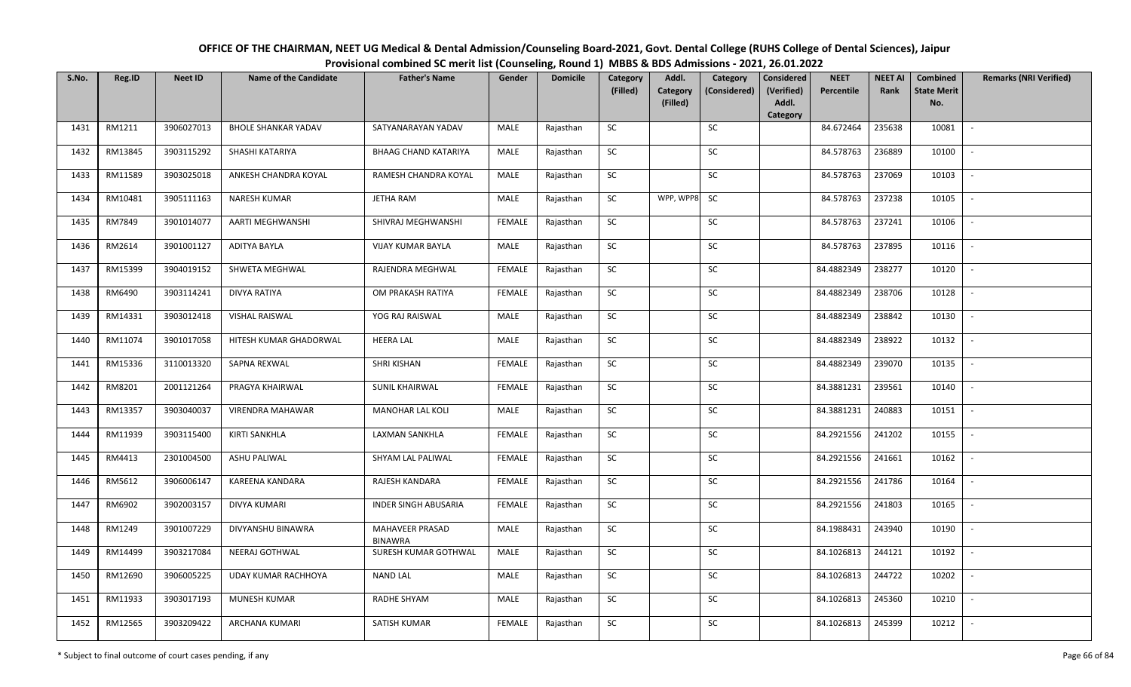| OFFICE OF THE CHAIRMAN, NEET UG Medical & Dental Admission/Counseling Board-2021, Govt. Dental College (RUHS College of Dental Sciences), Jaipur |
|--------------------------------------------------------------------------------------------------------------------------------------------------|
| Provisional combined SC merit list (Counseling, Round 1) MBBS & BDS Admissions - 2021, 26.01.2022                                                |

| S.No. | Reg.ID  | <b>Neet ID</b> | <b>Name of the Candidate</b> | <b>Father's Name</b>              | Gender        | <b>Domicile</b> | Category   | Addl.                | Category     | <b>Considered</b>   | <b>NEET</b> | <b>NEET AI</b> | <b>Combined</b>           | <b>Remarks (NRI Verified)</b> |
|-------|---------|----------------|------------------------------|-----------------------------------|---------------|-----------------|------------|----------------------|--------------|---------------------|-------------|----------------|---------------------------|-------------------------------|
|       |         |                |                              |                                   |               |                 | (Filled)   | Category<br>(Filled) | (Considered) | (Verified)<br>Addl. | Percentile  | Rank           | <b>State Merit</b><br>No. |                               |
|       |         |                |                              |                                   |               |                 |            |                      |              | Category            |             |                |                           |                               |
| 1431  | RM1211  | 3906027013     | <b>BHOLE SHANKAR YADAV</b>   | SATYANARAYAN YADAV                | MALE          | Rajasthan       | SC         |                      | <b>SC</b>    |                     | 84.672464   | 235638         | 10081                     | $\sim$                        |
| 1432  | RM13845 | 3903115292     | SHASHI KATARIYA              | <b>BHAAG CHAND KATARIYA</b>       | MALE          | Rajasthan       | <b>SC</b>  |                      | SC           |                     | 84.578763   | 236889         | 10100                     | $\sim$                        |
| 1433  | RM11589 | 3903025018     | ANKESH CHANDRA KOYAL         | RAMESH CHANDRA KOYAL              | MALE          | Rajasthan       | SC         |                      | SC           |                     | 84.578763   | 237069         | 10103                     | $\overline{\phantom{a}}$      |
| 1434  | RM10481 | 3905111163     | <b>NARESH KUMAR</b>          | <b>JETHA RAM</b>                  | MALE          | Rajasthan       | ${\sf SC}$ | WPP, WPP8            | SC           |                     | 84.578763   | 237238         | 10105                     | $\overline{\phantom{0}}$      |
| 1435  | RM7849  | 3901014077     | AARTI MEGHWANSHI             | SHIVRAJ MEGHWANSHI                | <b>FEMALE</b> | Rajasthan       | <b>SC</b>  |                      | SC           |                     | 84.578763   | 237241         | 10106                     | $\overline{\phantom{a}}$      |
| 1436  | RM2614  | 3901001127     | ADITYA BAYLA                 | <b>VIJAY KUMAR BAYLA</b>          | MALE          | Rajasthan       | SC         |                      | SC           |                     | 84.578763   | 237895         | 10116                     | $\mathbb{L}$                  |
| 1437  | RM15399 | 3904019152     | SHWETA MEGHWAL               | RAJENDRA MEGHWAL                  | <b>FEMALE</b> | Rajasthan       | SC         |                      | <b>SC</b>    |                     | 84.4882349  | 238277         | 10120                     | $\mathbb{L}$                  |
| 1438  | RM6490  | 3903114241     | <b>DIVYA RATIYA</b>          | OM PRAKASH RATIYA                 | <b>FEMALE</b> | Rajasthan       | SC         |                      | SC           |                     | 84.4882349  | 238706         | 10128                     | $\overline{\phantom{a}}$      |
| 1439  | RM14331 | 3903012418     | VISHAL RAISWAL               | YOG RAJ RAISWAL                   | MALE          | Rajasthan       | ${\sf SC}$ |                      | SC           |                     | 84.4882349  | 238842         | 10130                     |                               |
| 1440  | RM11074 | 3901017058     | HITESH KUMAR GHADORWAL       | <b>HEERA LAL</b>                  | MALE          | Rajasthan       | ${\sf SC}$ |                      | SC           |                     | 84.4882349  | 238922         | 10132                     | $\overline{\phantom{a}}$      |
| 1441  | RM15336 | 3110013320     | SAPNA REXWAL                 | <b>SHRI KISHAN</b>                | <b>FEMALE</b> | Rajasthan       | <b>SC</b>  |                      | <b>SC</b>    |                     | 84.4882349  | 239070         | 10135                     | $\overline{\phantom{a}}$      |
| 1442  | RM8201  | 2001121264     | PRAGYA KHAIRWAL              | <b>SUNIL KHAIRWAL</b>             | <b>FEMALE</b> | Rajasthan       | SC         |                      | SC           |                     | 84.3881231  | 239561         | 10140                     | $\sim$                        |
| 1443  | RM13357 | 3903040037     | <b>VIRENDRA MAHAWAR</b>      | <b>MANOHAR LAL KOLI</b>           | MALE          | Rajasthan       | SC         |                      | SC           |                     | 84.3881231  | 240883         | 10151                     | $\blacksquare$                |
| 1444  | RM11939 | 3903115400     | <b>KIRTI SANKHLA</b>         | LAXMAN SANKHLA                    | <b>FEMALE</b> | Rajasthan       | SC         |                      | ${\sf SC}$   |                     | 84.2921556  | 241202         | 10155                     | $\overline{\phantom{a}}$      |
| 1445  | RM4413  | 2301004500     | <b>ASHU PALIWAL</b>          | SHYAM LAL PALIWAL                 | <b>FEMALE</b> | Rajasthan       | SC         |                      | SC           |                     | 84.2921556  | 241661         | 10162                     | $\overline{\phantom{a}}$      |
| 1446  | RM5612  | 3906006147     | KAREENA KANDARA              | RAJESH KANDARA                    | <b>FEMALE</b> | Rajasthan       | SC         |                      | ${\sf SC}$   |                     | 84.2921556  | 241786         | 10164                     | $\sim$                        |
| 1447  | RM6902  | 3902003157     | <b>DIVYA KUMARI</b>          | <b>INDER SINGH ABUSARIA</b>       | <b>FEMALE</b> | Rajasthan       | <b>SC</b>  |                      | SC           |                     | 84.2921556  | 241803         | 10165                     | $\sim$                        |
| 1448  | RM1249  | 3901007229     | DIVYANSHU BINAWRA            | MAHAVEER PRASAD<br><b>BINAWRA</b> | MALE          | Rajasthan       | SC         |                      | <b>SC</b>    |                     | 84.1988431  | 243940         | 10190                     | $\overline{\phantom{a}}$      |
| 1449  | RM14499 | 3903217084     | <b>NEERAJ GOTHWAL</b>        | SURESH KUMAR GOTHWAL              | MALE          | Rajasthan       | <b>SC</b>  |                      | <b>SC</b>    |                     | 84.1026813  | 244121         | 10192                     | $\overline{\phantom{a}}$      |
| 1450  | RM12690 | 3906005225     | UDAY KUMAR RACHHOYA          | <b>NAND LAL</b>                   | MALE          | Rajasthan       | SC         |                      | <b>SC</b>    |                     | 84.1026813  | 244722         | 10202                     |                               |
| 1451  | RM11933 | 3903017193     | <b>MUNESH KUMAR</b>          | RADHE SHYAM                       | MALE          | Rajasthan       | <b>SC</b>  |                      | SC           |                     | 84.1026813  | 245360         | 10210                     | $\sim$                        |
| 1452  | RM12565 | 3903209422     | ARCHANA KUMARI               | SATISH KUMAR                      | <b>FEMALE</b> | Rajasthan       | <b>SC</b>  |                      | SC           |                     | 84.1026813  | 245399         | 10212                     |                               |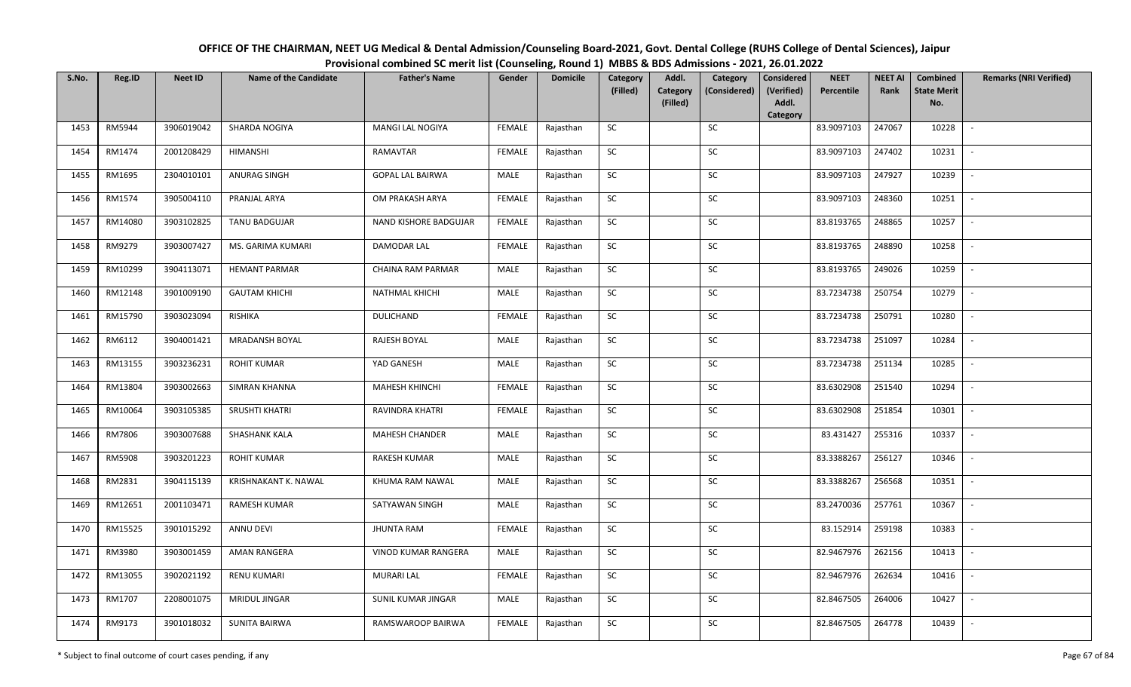| OFFICE OF THE CHAIRMAN, NEET UG Medical & Dental Admission/Counseling Board-2021, Govt. Dental College (RUHS College of Dental Sciences), Jaipur |
|--------------------------------------------------------------------------------------------------------------------------------------------------|
| Provisional combined SC merit list (Counseling, Round 1) MBBS & BDS Admissions - 2021, 26.01.2022                                                |

| S.No. | Reg.ID  | <b>Neet ID</b> | <b>Name of the Candidate</b> | <b>Father's Name</b>    | Gender        | <b>Domicile</b> | Category<br>(Filled) | Addl.<br>Category | Category<br>(Considered) | <b>Considered</b><br>(Verified) | <b>NEET</b><br>Percentile | <b>NEET AI</b><br>Rank | <b>Combined</b><br><b>State Merit</b> | <b>Remarks (NRI Verified)</b> |
|-------|---------|----------------|------------------------------|-------------------------|---------------|-----------------|----------------------|-------------------|--------------------------|---------------------------------|---------------------------|------------------------|---------------------------------------|-------------------------------|
|       |         |                |                              |                         |               |                 |                      | (Filled)          |                          | Addl.<br>Category               |                           |                        | No.                                   |                               |
| 1453  | RM5944  | 3906019042     | SHARDA NOGIYA                | MANGI LAL NOGIYA        | <b>FEMALE</b> | Rajasthan       | <b>SC</b>            |                   | SC                       |                                 | 83.9097103                | 247067                 | 10228                                 | $\sim$                        |
| 1454  | RM1474  | 2001208429     | <b>HIMANSHI</b>              | RAMAVTAR                | <b>FEMALE</b> | Rajasthan       | <b>SC</b>            |                   | SC                       |                                 | 83.9097103                | 247402                 | 10231                                 |                               |
| 1455  | RM1695  | 2304010101     | ANURAG SINGH                 | <b>GOPAL LAL BAIRWA</b> | MALE          | Rajasthan       | SC                   |                   | SC                       |                                 | 83.9097103                | 247927                 | 10239                                 | $\overline{\phantom{a}}$      |
| 1456  | RM1574  | 3905004110     | PRANJAL ARYA                 | OM PRAKASH ARYA         | <b>FEMALE</b> | Rajasthan       | SC                   |                   | SC                       |                                 | 83.9097103                | 248360                 | 10251                                 | $\overline{\phantom{a}}$      |
| 1457  | RM14080 | 3903102825     | TANU BADGUJAR                | NAND KISHORE BADGUJAR   | <b>FEMALE</b> | Rajasthan       | ${\sf SC}$           |                   | <b>SC</b>                |                                 | 83.8193765                | 248865                 | 10257                                 | $\sim$                        |
| 1458  | RM9279  | 3903007427     | MS. GARIMA KUMARI            | DAMODAR LAL             | <b>FEMALE</b> | Rajasthan       | ${\sf SC}$           |                   | ${\sf SC}$               |                                 | 83.8193765                | 248890                 | 10258                                 | $\sim$                        |
| 1459  | RM10299 | 3904113071     | <b>HEMANT PARMAR</b>         | CHAINA RAM PARMAR       | MALE          | Rajasthan       | <b>SC</b>            |                   | <b>SC</b>                |                                 | 83.8193765                | 249026                 | 10259                                 | $\sim$                        |
| 1460  | RM12148 | 3901009190     | <b>GAUTAM KHICHI</b>         | NATHMAL KHICHI          | MALE          | Rajasthan       | SC                   |                   | SC                       |                                 | 83.7234738                | 250754                 | 10279                                 | $\sim$                        |
| 1461  | RM15790 | 3903023094     | <b>RISHIKA</b>               | <b>DULICHAND</b>        | <b>FEMALE</b> | Rajasthan       | SC                   |                   | SC                       |                                 | 83.7234738                | 250791                 | 10280                                 |                               |
| 1462  | RM6112  | 3904001421     | MRADANSH BOYAL               | RAJESH BOYAL            | MALE          | Rajasthan       | SC                   |                   | SC                       |                                 | 83.7234738                | 251097                 | 10284                                 | $\sim$                        |
| 1463  | RM13155 | 3903236231     | <b>ROHIT KUMAR</b>           | YAD GANESH              | MALE          | Rajasthan       | ${\sf SC}$           |                   | $\sf SC$                 |                                 | 83.7234738                | 251134                 | 10285                                 | $\sim$                        |
| 1464  | RM13804 | 3903002663     | <b>SIMRAN KHANNA</b>         | MAHESH KHINCHI          | <b>FEMALE</b> | Rajasthan       | <b>SC</b>            |                   | SC                       |                                 | 83.6302908                | 251540                 | 10294                                 | $\sim$                        |
| 1465  | RM10064 | 3903105385     | <b>SRUSHTI KHATRI</b>        | RAVINDRA KHATRI         | <b>FEMALE</b> | Rajasthan       | SC                   |                   | <b>SC</b>                |                                 | 83.6302908                | 251854                 | 10301                                 | $\sim$                        |
| 1466  | RM7806  | 3903007688     | <b>SHASHANK KALA</b>         | <b>MAHESH CHANDER</b>   | MALE          | Rajasthan       | SC                   |                   | SC                       |                                 | 83.431427                 | 255316                 | 10337                                 | $\sim$                        |
| 1467  | RM5908  | 3903201223     | <b>ROHIT KUMAR</b>           | <b>RAKESH KUMAR</b>     | MALE          | Rajasthan       | SC                   |                   | SC                       |                                 | 83.3388267                | 256127                 | 10346                                 | $\overline{\phantom{a}}$      |
| 1468  | RM2831  | 3904115139     | KRISHNAKANT K. NAWAL         | KHUMA RAM NAWAL         | MALE          | Rajasthan       | ${\sf SC}$           |                   | ${\sf SC}$               |                                 | 83.3388267                | 256568                 | 10351                                 | $\sim$                        |
| 1469  | RM12651 | 2001103471     | <b>RAMESH KUMAR</b>          | SATYAWAN SINGH          | MALE          | Rajasthan       | <b>SC</b>            |                   | SC                       |                                 | 83.2470036                | 257761                 | 10367                                 | $\sim$                        |
| 1470  | RM15525 | 3901015292     | ANNU DEVI                    | <b>JHUNTA RAM</b>       | <b>FEMALE</b> | Rajasthan       | SC                   |                   | <b>SC</b>                |                                 | 83.152914                 | 259198                 | 10383                                 | $\sim$                        |
| 1471  | RM3980  | 3903001459     | <b>AMAN RANGERA</b>          | VINOD KUMAR RANGERA     | MALE          | Rajasthan       | <b>SC</b>            |                   | SC                       |                                 | 82.9467976                | 262156                 | 10413                                 | $\sim$                        |
| 1472  | RM13055 | 3902021192     | <b>RENU KUMARI</b>           | <b>MURARI LAL</b>       | <b>FEMALE</b> | Rajasthan       | SC                   |                   | SC                       |                                 | 82.9467976                | 262634                 | 10416                                 | $\blacksquare$                |
| 1473  | RM1707  | 2208001075     | MRIDUL JINGAR                | SUNIL KUMAR JINGAR      | MALE          | Rajasthan       | ${\sf SC}$           |                   | SC                       |                                 | 82.8467505                | 264006                 | 10427                                 | $\sim$                        |
| 1474  | RM9173  | 3901018032     | SUNITA BAIRWA                | RAMSWAROOP BAIRWA       | <b>FEMALE</b> | Rajasthan       | ${\sf SC}$           |                   | ${\sf SC}$               |                                 | 82.8467505                | 264778                 | 10439                                 |                               |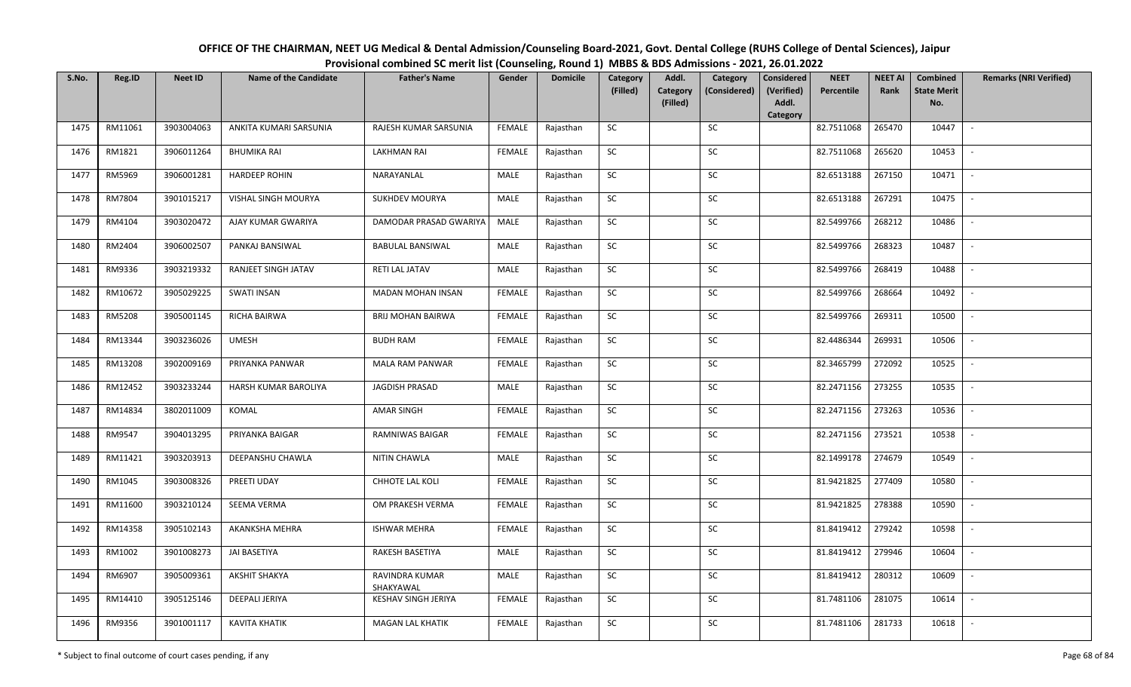| OFFICE OF THE CHAIRMAN, NEET UG Medical & Dental Admission/Counseling Board-2021, Govt. Dental College (RUHS College of Dental Sciences), Jaipur |
|--------------------------------------------------------------------------------------------------------------------------------------------------|
| Provisional combined SC merit list (Counseling, Round 1) MBBS & BDS Admissions - 2021, 26.01.2022                                                |

| S.No. | Reg.ID  | <b>Neet ID</b> | <b>Name of the Candidate</b> | <b>Father's Name</b>        | Gender        | <b>Domicile</b> | Category<br>(Filled) | Addl.<br>Category | Category<br>(Considered) | <b>Considered</b><br>(Verified) | <b>NEET</b><br>Percentile | <b>NEET AI</b><br>Rank | <b>Combined</b><br><b>State Merit</b> | <b>Remarks (NRI Verified)</b> |
|-------|---------|----------------|------------------------------|-----------------------------|---------------|-----------------|----------------------|-------------------|--------------------------|---------------------------------|---------------------------|------------------------|---------------------------------------|-------------------------------|
|       |         |                |                              |                             |               |                 |                      | (Filled)          |                          | Addl.                           |                           |                        | No.                                   |                               |
| 1475  | RM11061 | 3903004063     | ANKITA KUMARI SARSUNIA       | RAJESH KUMAR SARSUNIA       | <b>FEMALE</b> | Rajasthan       | SC                   |                   | SC                       | Category                        | 82.7511068                | 265470                 | 10447                                 | $\sim$                        |
|       |         |                |                              |                             |               |                 |                      |                   |                          |                                 |                           |                        |                                       |                               |
| 1476  | RM1821  | 3906011264     | <b>BHUMIKA RAI</b>           | <b>LAKHMAN RAI</b>          | <b>FEMALE</b> | Rajasthan       | SC                   |                   | SC                       |                                 | 82.7511068                | 265620                 | 10453                                 |                               |
| 1477  | RM5969  | 3906001281     | <b>HARDEEP ROHIN</b>         | NARAYANLAL                  | MALE          | Rajasthan       | <b>SC</b>            |                   | SC                       |                                 | 82.6513188                | 267150                 | 10471                                 | $\overline{\phantom{a}}$      |
| 1478  | RM7804  | 3901015217     | VISHAL SINGH MOURYA          | <b>SUKHDEV MOURYA</b>       | MALE          | Rajasthan       | <b>SC</b>            |                   | <b>SC</b>                |                                 | 82.6513188                | 267291                 | 10475                                 | $\overline{\phantom{a}}$      |
| 1479  | RM4104  | 3903020472     | AJAY KUMAR GWARIYA           | DAMODAR PRASAD GWARIYA      | MALE          | Rajasthan       | SC                   |                   | SC                       |                                 | 82.5499766                | 268212                 | 10486                                 | $\sim$                        |
| 1480  | RM2404  | 3906002507     | PANKAJ BANSIWAL              | <b>BABULAL BANSIWAL</b>     | MALE          | Rajasthan       | SC                   |                   | SC                       |                                 | 82.5499766                | 268323                 | 10487                                 | $\sim$                        |
| 1481  | RM9336  | 3903219332     | RANJEET SINGH JATAV          | RETI LAL JATAV              | MALE          | Rajasthan       | ${\sf SC}$           |                   | <b>SC</b>                |                                 | 82.5499766                | 268419                 | 10488                                 | $\overline{\phantom{a}}$      |
| 1482  | RM10672 | 3905029225     | <b>SWATI INSAN</b>           | <b>MADAN MOHAN INSAN</b>    | <b>FEMALE</b> | Rajasthan       | SC                   |                   | SC                       |                                 | 82.5499766                | 268664                 | 10492                                 | $\overline{\phantom{a}}$      |
| 1483  | RM5208  | 3905001145     | RICHA BAIRWA                 | <b>BRIJ MOHAN BAIRWA</b>    | <b>FEMALE</b> | Rajasthan       | SC                   |                   | <b>SC</b>                |                                 | 82.5499766                | 269311                 | 10500                                 | $\overline{\phantom{a}}$      |
| 1484  | RM13344 | 3903236026     | <b>UMESH</b>                 | <b>BUDH RAM</b>             | <b>FEMALE</b> | Rajasthan       | SC                   |                   | SC                       |                                 | 82.4486344                | 269931                 | 10506                                 | $\sim$                        |
| 1485  | RM13208 | 3902009169     | PRIYANKA PANWAR              | MALA RAM PANWAR             | <b>FEMALE</b> | Rajasthan       | SC                   |                   | SC                       |                                 | 82.3465799                | 272092                 | 10525                                 | $\sim$                        |
| 1486  | RM12452 | 3903233244     | HARSH KUMAR BAROLIYA         | JAGDISH PRASAD              | MALE          | Rajasthan       | <b>SC</b>            |                   | <b>SC</b>                |                                 | 82.2471156                | 273255                 | 10535                                 | $\sim$                        |
| 1487  | RM14834 | 3802011009     | KOMAL                        | <b>AMAR SINGH</b>           | <b>FEMALE</b> | Rajasthan       | <b>SC</b>            |                   | SC                       |                                 | 82.2471156                | 273263                 | 10536                                 | $\overline{\phantom{a}}$      |
| 1488  | RM9547  | 3904013295     | PRIYANKA BAIGAR              | RAMNIWAS BAIGAR             | <b>FEMALE</b> | Rajasthan       | SC                   |                   | <b>SC</b>                |                                 | 82.2471156                | 273521                 | 10538                                 | $\overline{\phantom{a}}$      |
| 1489  | RM11421 | 3903203913     | DEEPANSHU CHAWLA             | NITIN CHAWLA                | MALE          | Rajasthan       | ${\sf SC}$           |                   | SC                       |                                 | 82.1499178                | 274679                 | 10549                                 | $\overline{\phantom{a}}$      |
| 1490  | RM1045  | 3903008326     | PREETI UDAY                  | <b>CHHOTE LAL KOLI</b>      | <b>FEMALE</b> | Rajasthan       | SC                   |                   | SC                       |                                 | 81.9421825                | 277409                 | 10580                                 | $\sim$                        |
| 1491  | RM11600 | 3903210124     | SEEMA VERMA                  | OM PRAKESH VERMA            | <b>FEMALE</b> | Rajasthan       | $\sf SC$             |                   | SC                       |                                 | 81.9421825                | 278388                 | 10590                                 | $\mathbb{L}$                  |
| 1492  | RM14358 | 3905102143     | AKANKSHA MEHRA               | <b>ISHWAR MEHRA</b>         | <b>FEMALE</b> | Rajasthan       | SC                   |                   | SC                       |                                 | 81.8419412                | 279242                 | 10598                                 | $\mathbb{L}$                  |
| 1493  | RM1002  | 3901008273     | <b>JAI BASETIYA</b>          | RAKESH BASETIYA             | MALE          | Rajasthan       | SC                   |                   | <b>SC</b>                |                                 | 81.8419412                | 279946                 | 10604                                 | $\overline{\phantom{a}}$      |
| 1494  | RM6907  | 3905009361     | AKSHIT SHAKYA                | RAVINDRA KUMAR<br>SHAKYAWAL | MALE          | Rajasthan       | $\sf SC$             |                   | ${\sf SC}$               |                                 | 81.8419412                | 280312                 | 10609                                 |                               |
| 1495  | RM14410 | 3905125146     | DEEPALI JERIYA               | KESHAV SINGH JERIYA         | <b>FEMALE</b> | Rajasthan       | <b>SC</b>            |                   | <b>SC</b>                |                                 | 81.7481106                | 281075                 | 10614                                 | $\sim$                        |
| 1496  | RM9356  | 3901001117     | <b>KAVITA KHATIK</b>         | <b>MAGAN LAL KHATIK</b>     | <b>FEMALE</b> | Rajasthan       | SC                   |                   | SC                       |                                 | 81.7481106                | 281733                 | 10618                                 | $\sim$                        |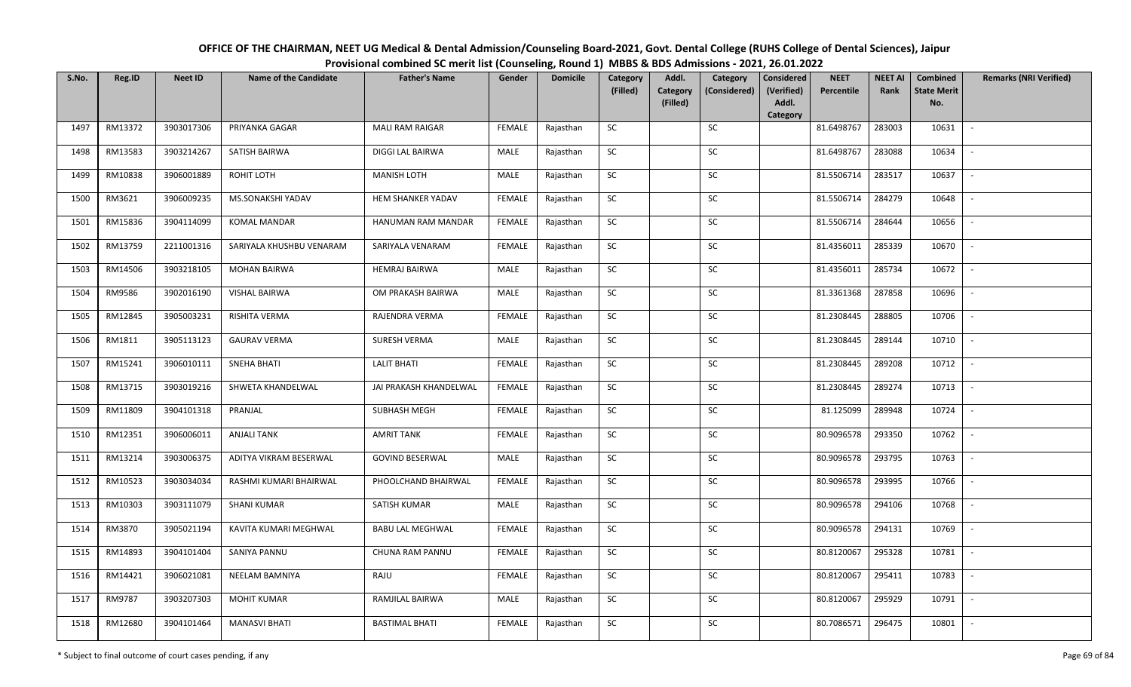| OFFICE OF THE CHAIRMAN, NEET UG Medical & Dental Admission/Counseling Board-2021, Govt. Dental College (RUHS College of Dental Sciences), Jaipur |
|--------------------------------------------------------------------------------------------------------------------------------------------------|
| Provisional combined SC merit list (Counseling, Round 1) MBBS & BDS Admissions - 2021, 26.01.2022                                                |

| S.No. | Reg.ID  | <b>Neet ID</b> | <b>Name of the Candidate</b> | <b>Father's Name</b>    | Gender        | <b>Domicile</b> | Category   | Addl.                | Category     | <b>Considered</b>   | <b>NEET</b> | <b>NEET AI</b> | <b>Combined</b>           | <b>Remarks (NRI Verified)</b> |
|-------|---------|----------------|------------------------------|-------------------------|---------------|-----------------|------------|----------------------|--------------|---------------------|-------------|----------------|---------------------------|-------------------------------|
|       |         |                |                              |                         |               |                 | (Filled)   | Category<br>(Filled) | (Considered) | (Verified)<br>Addl. | Percentile  | Rank           | <b>State Merit</b><br>No. |                               |
|       |         |                |                              |                         |               |                 |            |                      |              | Category            |             |                |                           |                               |
| 1497  | RM13372 | 3903017306     | PRIYANKA GAGAR               | <b>MALI RAM RAIGAR</b>  | <b>FEMALE</b> | Rajasthan       | <b>SC</b>  |                      | <b>SC</b>    |                     | 81.6498767  | 283003         | 10631                     | $\sim$                        |
| 1498  | RM13583 | 3903214267     | SATISH BAIRWA                | DIGGI LAL BAIRWA        | MALE          | Rajasthan       | SC         |                      | SC           |                     | 81.6498767  | 283088         | 10634                     | $\overline{\phantom{a}}$      |
| 1499  | RM10838 | 3906001889     | ROHIT LOTH                   | <b>MANISH LOTH</b>      | MALE          | Rajasthan       | SC         |                      | SC           |                     | 81.5506714  | 283517         | 10637                     | $\overline{\phantom{a}}$      |
| 1500  | RM3621  | 3906009235     | MS.SONAKSHI YADAV            | HEM SHANKER YADAV       | <b>FEMALE</b> | Rajasthan       | $\sf SC$   |                      | ${\sf SC}$   |                     | 81.5506714  | 284279         | 10648                     | $\overline{\phantom{0}}$      |
| 1501  | RM15836 | 3904114099     | <b>KOMAL MANDAR</b>          | HANUMAN RAM MANDAR      | <b>FEMALE</b> | Rajasthan       | <b>SC</b>  |                      | SC           |                     | 81.5506714  | 284644         | 10656                     | $\sim$                        |
| 1502  | RM13759 | 2211001316     | SARIYALA KHUSHBU VENARAM     | SARIYALA VENARAM        | <b>FEMALE</b> | Rajasthan       | SC         |                      | SC           |                     | 81.4356011  | 285339         | 10670                     | $\mathbb{L}$                  |
| 1503  | RM14506 | 3903218105     | <b>MOHAN BAIRWA</b>          | <b>HEMRAJ BAIRWA</b>    | MALE          | Rajasthan       | SC         |                      | <b>SC</b>    |                     | 81.4356011  | 285734         | 10672                     | $\sim$                        |
| 1504  | RM9586  | 3902016190     | VISHAL BAIRWA                | OM PRAKASH BAIRWA       | <b>MALE</b>   | Rajasthan       | ${\sf SC}$ |                      | $\sf SC$     |                     | 81.3361368  | 287858         | 10696                     | $\sim$                        |
| 1505  | RM12845 | 3905003231     | RISHITA VERMA                | RAJENDRA VERMA          | <b>FEMALE</b> | Rajasthan       | ${\sf SC}$ |                      | SC           |                     | 81.2308445  | 288805         | 10706                     |                               |
| 1506  | RM1811  | 3905113123     | <b>GAURAV VERMA</b>          | SURESH VERMA            | MALE          | Rajasthan       | ${\sf SC}$ |                      | $\sf SC$     |                     | 81.2308445  | 289144         | 10710                     | $\sim$                        |
| 1507  | RM15241 | 3906010111     | <b>SNEHA BHATI</b>           | <b>LALIT BHATI</b>      | <b>FEMALE</b> | Rajasthan       | <b>SC</b>  |                      | <b>SC</b>    |                     | 81.2308445  | 289208         | 10712                     | $\overline{\phantom{a}}$      |
| 1508  | RM13715 | 3903019216     | SHWETA KHANDELWAL            | JAI PRAKASH KHANDELWAL  | <b>FEMALE</b> | Rajasthan       | SC         |                      | SC           |                     | 81.2308445  | 289274         | 10713                     | $\sim$                        |
| 1509  | RM11809 | 3904101318     | PRANJAL                      | <b>SUBHASH MEGH</b>     | <b>FEMALE</b> | Rajasthan       | SC         |                      | SC           |                     | 81.125099   | 289948         | 10724                     | $\mathbb{L}$                  |
| 1510  | RM12351 | 3906006011     | <b>ANJALI TANK</b>           | <b>AMRIT TANK</b>       | <b>FEMALE</b> | Rajasthan       | SC         |                      | ${\sf SC}$   |                     | 80.9096578  | 293350         | 10762                     | $\sim$                        |
| 1511  | RM13214 | 3903006375     | ADITYA VIKRAM BESERWAL       | <b>GOVIND BESERWAL</b>  | MALE          | Rajasthan       | SC         |                      | SC           |                     | 80.9096578  | 293795         | 10763                     | $\overline{\phantom{a}}$      |
| 1512  | RM10523 | 3903034034     | RASHMI KUMARI BHAIRWAL       | PHOOLCHAND BHAIRWAL     | <b>FEMALE</b> | Rajasthan       | ${\sf SC}$ |                      | ${\sf SC}$   |                     | 80.9096578  | 293995         | 10766                     | $\sim$                        |
| 1513  | RM10303 | 3903111079     | <b>SHANI KUMAR</b>           | SATISH KUMAR            | MALE          | Rajasthan       | SC         |                      | SC           |                     | 80.9096578  | 294106         | 10768                     | $\sim$                        |
| 1514  | RM3870  | 3905021194     | KAVITA KUMARI MEGHWAL        | <b>BABU LAL MEGHWAL</b> | <b>FEMALE</b> | Rajasthan       | SC         |                      | <b>SC</b>    |                     | 80.9096578  | 294131         | 10769                     | $\sim$                        |
| 1515  | RM14893 | 3904101404     | SANIYA PANNU                 | CHUNA RAM PANNU         | <b>FEMALE</b> | Rajasthan       | SC         |                      | SC           |                     | 80.8120067  | 295328         | 10781                     | $\overline{\phantom{a}}$      |
| 1516  | RM14421 | 3906021081     | NEELAM BAMNIYA               | RAJU                    | <b>FEMALE</b> | Rajasthan       | ${\sf SC}$ |                      | SC           |                     | 80.8120067  | 295411         | 10783                     |                               |
| 1517  | RM9787  | 3903207303     | <b>MOHIT KUMAR</b>           | RAMJILAL BAIRWA         | MALE          | Rajasthan       | SC         |                      | SC           |                     | 80.8120067  | 295929         | 10791                     | $\sim$                        |
| 1518  | RM12680 | 3904101464     | <b>MANASVI BHATI</b>         | <b>BASTIMAL BHATI</b>   | <b>FEMALE</b> | Rajasthan       | ${\sf SC}$ |                      | SC           |                     | 80.7086571  | 296475         | 10801                     |                               |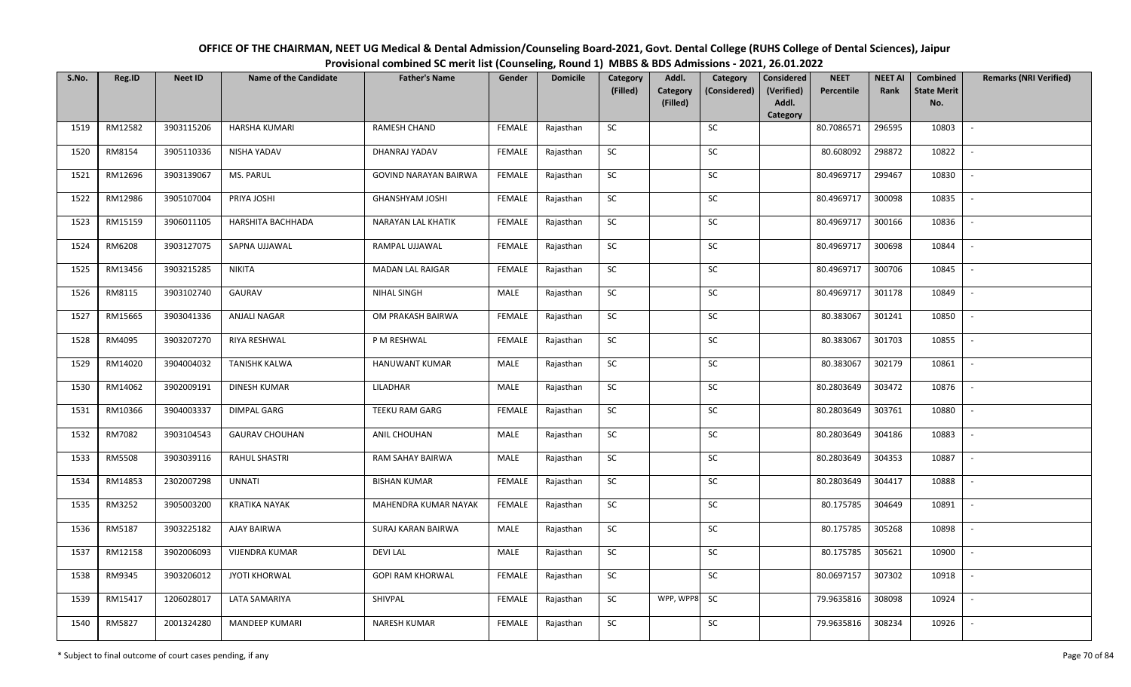| OFFICE OF THE CHAIRMAN, NEET UG Medical & Dental Admission/Counseling Board-2021, Govt. Dental College (RUHS College of Dental Sciences), Jaipur |
|--------------------------------------------------------------------------------------------------------------------------------------------------|
| Provisional combined SC merit list (Counseling, Round 1) MBBS & BDS Admissions - 2021, 26.01.2022                                                |

| S.No. | Reg.ID  | <b>Neet ID</b> | <b>Name of the Candidate</b> | <b>Father's Name</b>         | Gender        | <b>Domicile</b> | Category<br>(Filled) | Addl.<br>Category<br>(Filled) | Category<br>(Considered) | <b>Considered</b><br>(Verified)<br>Addl. | <b>NEET</b><br>Percentile | <b>NEET AI</b><br>Rank | <b>Combined</b><br><b>State Merit</b><br>No. | <b>Remarks (NRI Verified)</b> |
|-------|---------|----------------|------------------------------|------------------------------|---------------|-----------------|----------------------|-------------------------------|--------------------------|------------------------------------------|---------------------------|------------------------|----------------------------------------------|-------------------------------|
|       |         |                |                              |                              |               |                 |                      |                               |                          | Category                                 |                           |                        |                                              |                               |
| 1519  | RM12582 | 3903115206     | <b>HARSHA KUMARI</b>         | <b>RAMESH CHAND</b>          | <b>FEMALE</b> | Rajasthan       | <b>SC</b>            |                               | SC                       |                                          | 80.7086571                | 296595                 | 10803                                        | $\sim$                        |
| 1520  | RM8154  | 3905110336     | NISHA YADAV                  | DHANRAJ YADAV                | <b>FEMALE</b> | Rajasthan       | <b>SC</b>            |                               | SC                       |                                          | 80.608092                 | 298872                 | 10822                                        |                               |
| 1521  | RM12696 | 3903139067     | MS. PARUL                    | <b>GOVIND NARAYAN BAIRWA</b> | <b>FEMALE</b> | Rajasthan       | SC                   |                               | SC                       |                                          | 80.4969717                | 299467                 | 10830                                        | $\overline{\phantom{a}}$      |
| 1522  | RM12986 | 3905107004     | PRIYA JOSHI                  | <b>GHANSHYAM JOSHI</b>       | <b>FEMALE</b> | Rajasthan       | SC                   |                               | SC                       |                                          | 80.4969717                | 300098                 | 10835                                        | $\overline{\phantom{a}}$      |
| 1523  | RM15159 | 3906011105     | HARSHITA BACHHADA            | <b>NARAYAN LAL KHATIK</b>    | <b>FEMALE</b> | Rajasthan       | <b>SC</b>            |                               | ${\sf SC}$               |                                          | 80.4969717                | 300166                 | 10836                                        | $\sim$                        |
| 1524  | RM6208  | 3903127075     | SAPNA UJJAWAL                | RAMPAL UJJAWAL               | <b>FEMALE</b> | Rajasthan       | ${\sf SC}$           |                               | ${\sf SC}$               |                                          | 80.4969717                | 300698                 | 10844                                        | $\sim$                        |
| 1525  | RM13456 | 3903215285     | <b>NIKITA</b>                | MADAN LAL RAIGAR             | <b>FEMALE</b> | Rajasthan       | <b>SC</b>            |                               | <b>SC</b>                |                                          | 80.4969717                | 300706                 | 10845                                        | $\sim$                        |
| 1526  | RM8115  | 3903102740     | GAURAV                       | NIHAL SINGH                  | MALE          | Rajasthan       | SC                   |                               | SC                       |                                          | 80.4969717                | 301178                 | 10849                                        | $\sim$                        |
| 1527  | RM15665 | 3903041336     | ANJALI NAGAR                 | OM PRAKASH BAIRWA            | <b>FEMALE</b> | Rajasthan       | SC                   |                               | SC                       |                                          | 80.383067                 | 301241                 | 10850                                        |                               |
| 1528  | RM4095  | 3903207270     | RIYA RESHWAL                 | P M RESHWAL                  | <b>FEMALE</b> | Rajasthan       | SC                   |                               | SC                       |                                          | 80.383067                 | 301703                 | 10855                                        | $\sim$                        |
| 1529  | RM14020 | 3904004032     | <b>TANISHK KALWA</b>         | HANUWANT KUMAR               | MALE          | Rajasthan       | ${\sf SC}$           |                               | $\sf SC$                 |                                          | 80.383067                 | 302179                 | 10861                                        | $\sim$                        |
| 1530  | RM14062 | 3902009191     | <b>DINESH KUMAR</b>          | LILADHAR                     | MALE          | Rajasthan       | <b>SC</b>            |                               | SC                       |                                          | 80.2803649                | 303472                 | 10876                                        | $\sim$                        |
| 1531  | RM10366 | 3904003337     | DIMPAL GARG                  | TEEKU RAM GARG               | <b>FEMALE</b> | Rajasthan       | SC                   |                               | <b>SC</b>                |                                          | 80.2803649                | 303761                 | 10880                                        | $\overline{\phantom{a}}$      |
| 1532  | RM7082  | 3903104543     | <b>GAURAV CHOUHAN</b>        | ANIL CHOUHAN                 | MALE          | Rajasthan       | SC                   |                               | SC                       |                                          | 80.2803649                | 304186                 | 10883                                        | $\sim$                        |
| 1533  | RM5508  | 3903039116     | <b>RAHUL SHASTRI</b>         | RAM SAHAY BAIRWA             | MALE          | Rajasthan       | SC                   |                               | SC                       |                                          | 80.2803649                | 304353                 | 10887                                        | $\overline{\phantom{a}}$      |
| 1534  | RM14853 | 2302007298     | <b>UNNATI</b>                | <b>BISHAN KUMAR</b>          | <b>FEMALE</b> | Rajasthan       | ${\sf SC}$           |                               | ${\sf SC}$               |                                          | 80.2803649                | 304417                 | 10888                                        | $\sim$                        |
| 1535  | RM3252  | 3905003200     | <b>KRATIKA NAYAK</b>         | MAHENDRA KUMAR NAYAK         | <b>FEMALE</b> | Rajasthan       | SC                   |                               | SC                       |                                          | 80.175785                 | 304649                 | 10891                                        | $\sim$                        |
| 1536  | RM5187  | 3903225182     | <b>AJAY BAIRWA</b>           | SURAJ KARAN BAIRWA           | MALE          | Rajasthan       | SC                   |                               | SC                       |                                          | 80.175785                 | 305268                 | 10898                                        | $\sim$                        |
| 1537  | RM12158 | 3902006093     | <b>VIJENDRA KUMAR</b>        | <b>DEVILAL</b>               | MALE          | Rajasthan       | SC                   |                               | SC                       |                                          | 80.175785                 | 305621                 | 10900                                        | $\sim$                        |
| 1538  | RM9345  | 3903206012     | <b>JYOTI KHORWAL</b>         | <b>GOPI RAM KHORWAL</b>      | <b>FEMALE</b> | Rajasthan       | SC                   |                               | SC                       |                                          | 80.0697157                | 307302                 | 10918                                        | $\blacksquare$                |
| 1539  | RM15417 | 1206028017     | LATA SAMARIYA                | SHIVPAL                      | <b>FEMALE</b> | Rajasthan       | ${\sf SC}$           | WPP, WPP8 SC                  |                          |                                          | 79.9635816                | 308098                 | 10924                                        | $\sim$                        |
| 1540  | RM5827  | 2001324280     | <b>MANDEEP KUMARI</b>        | <b>NARESH KUMAR</b>          | <b>FEMALE</b> | Rajasthan       | ${\sf SC}$           |                               | $\sf SC$                 |                                          | 79.9635816                | 308234                 | 10926                                        |                               |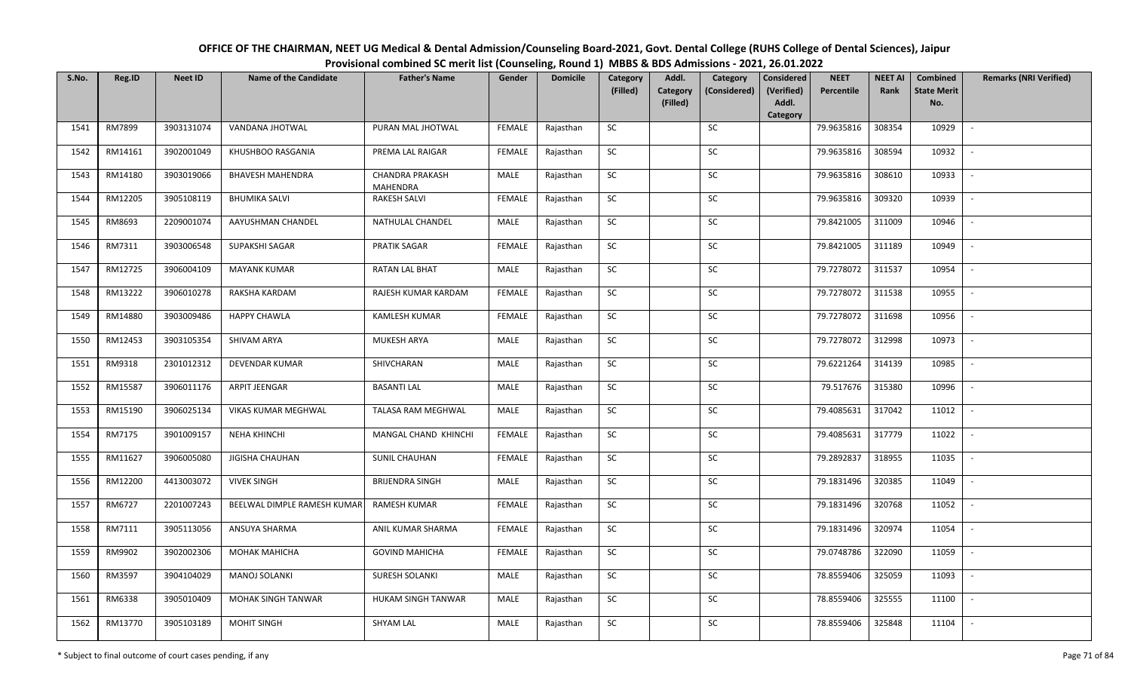| OFFICE OF THE CHAIRMAN, NEET UG Medical & Dental Admission/Counseling Board-2021, Govt. Dental College (RUHS College of Dental Sciences), Jaipur |
|--------------------------------------------------------------------------------------------------------------------------------------------------|
| Provisional combined SC merit list (Counseling, Round 1) MBBS & BDS Admissions - 2021, 26.01.2022                                                |

| S.No. | Reg.ID  | <b>Neet ID</b> | <b>Name of the Candidate</b> | <b>Father's Name</b>                      | Gender        | <b>Domicile</b> | Category<br>(Filled) | Addl.<br>Category | Category<br>(Considered) | <b>Considered</b><br>(Verified) | <b>NEET</b><br>Percentile | <b>NEET AI</b><br>Rank | <b>Combined</b><br><b>State Merit</b> | <b>Remarks (NRI Verified)</b> |
|-------|---------|----------------|------------------------------|-------------------------------------------|---------------|-----------------|----------------------|-------------------|--------------------------|---------------------------------|---------------------------|------------------------|---------------------------------------|-------------------------------|
|       |         |                |                              |                                           |               |                 |                      | (Filled)          |                          | Addl.<br>Category               |                           |                        | No.                                   |                               |
| 1541  | RM7899  | 3903131074     | VANDANA JHOTWAL              | PURAN MAL JHOTWAL                         | <b>FEMALE</b> | Rajasthan       | SC                   |                   | SC                       |                                 | 79.9635816                | 308354                 | 10929                                 | $\sim$                        |
| 1542  | RM14161 | 3902001049     | KHUSHBOO RASGANIA            | PREMA LAL RAIGAR                          | <b>FEMALE</b> | Rajasthan       | SC                   |                   | SC                       |                                 | 79.9635816                | 308594                 | 10932                                 |                               |
| 1543  | RM14180 | 3903019066     | <b>BHAVESH MAHENDRA</b>      | <b>CHANDRA PRAKASH</b><br><b>MAHENDRA</b> | MALE          | Rajasthan       | <b>SC</b>            |                   | SC                       |                                 | 79.9635816                | 308610                 | 10933                                 | $\overline{\phantom{a}}$      |
| 1544  | RM12205 | 3905108119     | <b>BHUMIKA SALVI</b>         | <b>RAKESH SALVI</b>                       | <b>FEMALE</b> | Rajasthan       | <b>SC</b>            |                   | <b>SC</b>                |                                 | 79.9635816                | 309320                 | 10939                                 | $\overline{\phantom{a}}$      |
| 1545  | RM8693  | 2209001074     | AAYUSHMAN CHANDEL            | NATHULAL CHANDEL                          | MALE          | Rajasthan       | SC                   |                   | SC                       |                                 | 79.8421005                | 311009                 | 10946                                 | $\sim$                        |
| 1546  | RM7311  | 3903006548     | SUPAKSHI SAGAR               | <b>PRATIK SAGAR</b>                       | <b>FEMALE</b> | Rajasthan       | SC                   |                   | SC                       |                                 | 79.8421005                | 311189                 | 10949                                 | $\sim$                        |
| 1547  | RM12725 | 3906004109     | <b>MAYANK KUMAR</b>          | RATAN LAL BHAT                            | MALE          | Rajasthan       | SC                   |                   | <b>SC</b>                |                                 | 79.7278072                | 311537                 | 10954                                 | $\overline{\phantom{a}}$      |
| 1548  | RM13222 | 3906010278     | RAKSHA KARDAM                | RAJESH KUMAR KARDAM                       | <b>FEMALE</b> | Rajasthan       | SC                   |                   | SC                       |                                 | 79.7278072                | 311538                 | 10955                                 |                               |
| 1549  | RM14880 | 3903009486     | <b>HAPPY CHAWLA</b>          | KAMLESH KUMAR                             | <b>FEMALE</b> | Rajasthan       | SC                   |                   | <b>SC</b>                |                                 | 79.7278072                | 311698                 | 10956                                 |                               |
| 1550  | RM12453 | 3903105354     | SHIVAM ARYA                  | MUKESH ARYA                               | MALE          | Rajasthan       | SC                   |                   | SC                       |                                 | 79.7278072                | 312998                 | 10973                                 | $\sim$                        |
| 1551  | RM9318  | 2301012312     | <b>DEVENDAR KUMAR</b>        | SHIVCHARAN                                | MALE          | Rajasthan       | <b>SC</b>            |                   | SC                       |                                 | 79.6221264                | 314139                 | 10985                                 | $\sim$                        |
| 1552  | RM15587 | 3906011176     | ARPIT JEENGAR                | <b>BASANTI LAL</b>                        | MALE          | Rajasthan       | SC                   |                   | <b>SC</b>                |                                 | 79.517676                 | 315380                 | 10996                                 | $\sim$                        |
| 1553  | RM15190 | 3906025134     | VIKAS KUMAR MEGHWAL          | <b>TALASA RAM MEGHWAL</b>                 | MALE          | Rajasthan       | SC                   |                   | SC                       |                                 | 79.4085631                | 317042                 | 11012                                 | $\overline{\phantom{a}}$      |
| 1554  | RM7175  | 3901009157     | <b>NEHA KHINCHI</b>          | MANGAL CHAND KHINCHI                      | <b>FEMALE</b> | Rajasthan       | <b>SC</b>            |                   | <b>SC</b>                |                                 | 79.4085631                | 317779                 | 11022                                 | $\overline{\phantom{a}}$      |
| 1555  | RM11627 | 3906005080     | <b>JIGISHA CHAUHAN</b>       | <b>SUNIL CHAUHAN</b>                      | <b>FEMALE</b> | Rajasthan       | ${\sf SC}$           |                   | SC                       |                                 | 79.2892837                | 318955                 | 11035                                 | $\overline{\phantom{a}}$      |
| 1556  | RM12200 | 4413003072     | <b>VIVEK SINGH</b>           | <b>BRIJENDRA SINGH</b>                    | MALE          | Rajasthan       | <b>SC</b>            |                   | SC                       |                                 | 79.1831496                | 320385                 | 11049                                 | $\sim$                        |
| 1557  | RM6727  | 2201007243     | BEELWAL DIMPLE RAMESH KUMAR  | <b>RAMESH KUMAR</b>                       | <b>FEMALE</b> | Rajasthan       | ${\sf SC}$           |                   | SC                       |                                 | 79.1831496                | 320768                 | 11052                                 | $\mathbb{L}$                  |
| 1558  | RM7111  | 3905113056     | ANSUYA SHARMA                | ANIL KUMAR SHARMA                         | <b>FEMALE</b> | Rajasthan       | SC                   |                   | SC                       |                                 | 79.1831496                | 320974                 | 11054                                 | $\mathbb{L}$                  |
| 1559  | RM9902  | 3902002306     | МОНАК МАНІСНА                | <b>GOVIND MAHICHA</b>                     | <b>FEMALE</b> | Rajasthan       | SC                   |                   | SC                       |                                 | 79.0748786                | 322090                 | 11059                                 | $\overline{\phantom{a}}$      |
| 1560  | RM3597  | 3904104029     | <b>MANOJ SOLANKI</b>         | <b>SURESH SOLANKI</b>                     | MALE          | Rajasthan       | ${\sf SC}$           |                   | ${\sf SC}$               |                                 | 78.8559406                | 325059                 | 11093                                 |                               |
| 1561  | RM6338  | 3905010409     | MOHAK SINGH TANWAR           | HUKAM SINGH TANWAR                        | MALE          | Rajasthan       | <b>SC</b>            |                   | <b>SC</b>                |                                 | 78.8559406                | 325555                 | 11100                                 | $\sim$                        |
| 1562  | RM13770 | 3905103189     | <b>MOHIT SINGH</b>           | <b>SHYAM LAL</b>                          | MALE          | Rajasthan       | SC                   |                   | SC                       |                                 | 78.8559406                | 325848                 | 11104                                 | $\sim$                        |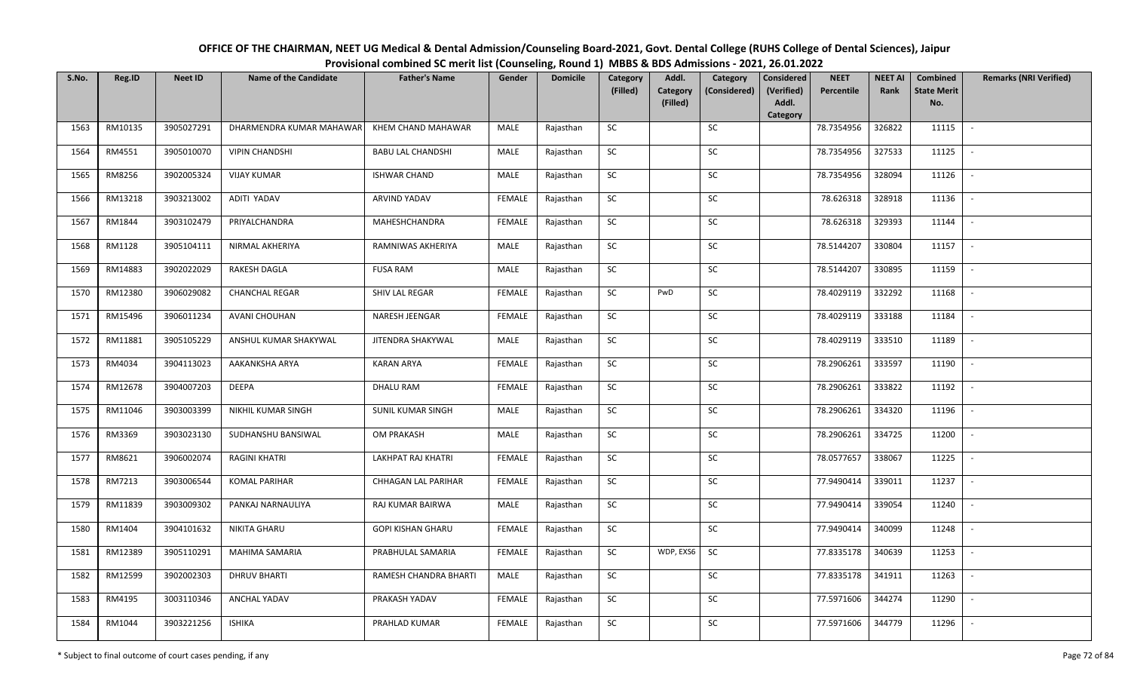| S.No. | Reg.ID  | <b>Neet ID</b> | <b>Name of the Candidate</b> | <b>Father's Name</b>     | Gender        | <b>Domicile</b> | Category<br>(Filled) | Addl.<br>Category | Category<br>(Considered) | <b>Considered</b><br>(Verified) | <b>NEET</b><br>Percentile | <b>NEET AI</b><br>Rank | Combined<br><b>State Merit</b> | <b>Remarks (NRI Verified)</b> |
|-------|---------|----------------|------------------------------|--------------------------|---------------|-----------------|----------------------|-------------------|--------------------------|---------------------------------|---------------------------|------------------------|--------------------------------|-------------------------------|
|       |         |                |                              |                          |               |                 |                      | (Filled)          |                          | Addl.<br>Category               |                           |                        | No.                            |                               |
| 1563  | RM10135 | 3905027291     | DHARMENDRA KUMAR MAHAWAR     | KHEM CHAND MAHAWAR       | MALE          | Rajasthan       | SC                   |                   | SC                       |                                 | 78.7354956                | 326822                 | 11115                          | $\overline{\phantom{a}}$      |
| 1564  | RM4551  | 3905010070     | <b>VIPIN CHANDSHI</b>        | <b>BABU LAL CHANDSHI</b> | MALE          | Rajasthan       | SC                   |                   | ${\sf SC}$               |                                 | 78.7354956                | 327533                 | 11125                          |                               |
| 1565  | RM8256  | 3902005324     | <b>VIJAY KUMAR</b>           | <b>ISHWAR CHAND</b>      | MALE          | Rajasthan       | SC                   |                   | SC                       |                                 | 78.7354956                | 328094                 | 11126                          | $\sim$                        |
| 1566  | RM13218 | 3903213002     | ADITI YADAV                  | <b>ARVIND YADAV</b>      | <b>FEMALE</b> | Rajasthan       | SC                   |                   | ${\sf SC}$               |                                 | 78.626318                 | 328918                 | 11136                          |                               |
| 1567  | RM1844  | 3903102479     | PRIYALCHANDRA                | MAHESHCHANDRA            | <b>FEMALE</b> | Rajasthan       | ${\sf SC}$           |                   | ${\sf SC}$               |                                 | 78.626318                 | 329393                 | 11144                          |                               |
| 1568  | RM1128  | 3905104111     | NIRMAL AKHERIYA              | RAMNIWAS AKHERIYA        | MALE          | Rajasthan       | ${\sf SC}$           |                   | ${\sf SC}$               |                                 | 78.5144207                | 330804                 | 11157                          | $\overline{\phantom{a}}$      |
| 1569  | RM14883 | 3902022029     | RAKESH DAGLA                 | <b>FUSA RAM</b>          | MALE          | Rajasthan       | SC                   |                   | SC                       |                                 | 78.5144207                | 330895                 | 11159                          |                               |
| 1570  | RM12380 | 3906029082     | <b>CHANCHAL REGAR</b>        | SHIV LAL REGAR           | <b>FEMALE</b> | Rajasthan       | <b>SC</b>            | PwD               | SC                       |                                 | 78.4029119                | 332292                 | 11168                          | $\overline{\phantom{a}}$      |
| 1571  | RM15496 | 3906011234     | AVANI CHOUHAN                | NARESH JEENGAR           | <b>FEMALE</b> | Rajasthan       | <b>SC</b>            |                   | SC                       |                                 | 78.4029119                | 333188                 | 11184                          |                               |
| 1572  | RM11881 | 3905105229     | ANSHUL KUMAR SHAKYWAL        | JITENDRA SHAKYWAL        | MALE          | Rajasthan       | <b>SC</b>            |                   | SC                       |                                 | 78.4029119                | 333510                 | 11189                          | $\sim$                        |
| 1573  | RM4034  | 3904113023     | AAKANKSHA ARYA               | <b>KARAN ARYA</b>        | <b>FEMALE</b> | Rajasthan       | SC                   |                   | SC                       |                                 | 78.2906261                | 333597                 | 11190                          |                               |
| 1574  | RM12678 | 3904007203     | <b>DEEPA</b>                 | <b>DHALU RAM</b>         | <b>FEMALE</b> | Rajasthan       | SC                   |                   | SC                       |                                 | 78.2906261                | 333822                 | 11192                          | $\sim$                        |
| 1575  | RM11046 | 3903003399     | NIKHIL KUMAR SINGH           | <b>SUNIL KUMAR SINGH</b> | MALE          | Rajasthan       | SC                   |                   | SC                       |                                 | 78.2906261                | 334320                 | 11196                          |                               |
| 1576  | RM3369  | 3903023130     | SUDHANSHU BANSIWAL           | <b>OM PRAKASH</b>        | <b>MALE</b>   | Rajasthan       | ${\sf SC}$           |                   | SC                       |                                 | 78.2906261                | 334725                 | 11200                          | $\sim$                        |
| 1577  | RM8621  | 3906002074     | <b>RAGINI KHATRI</b>         | LAKHPAT RAJ KHATRI       | <b>FEMALE</b> | Rajasthan       | SC                   |                   | SC                       |                                 | 78.0577657                | 338067                 | 11225                          |                               |
| 1578  | RM7213  | 3903006544     | <b>KOMAL PARIHAR</b>         | CHHAGAN LAL PARIHAR      | <b>FEMALE</b> | Rajasthan       | ${\sf SC}$           |                   | SC                       |                                 | 77.9490414                | 339011                 | 11237                          | $\mathbb{L}$                  |
| 1579  | RM11839 | 3903009302     | PANKAJ NARNAULIYA            | RAJ KUMAR BAIRWA         | MALE          | Rajasthan       | SC                   |                   | SC                       |                                 | 77.9490414                | 339054                 | 11240                          |                               |
| 1580  | RM1404  | 3904101632     | NIKITA GHARU                 | <b>GOPI KISHAN GHARU</b> | <b>FEMALE</b> | Rajasthan       | <b>SC</b>            |                   | SC                       |                                 | 77.9490414                | 340099                 | 11248                          |                               |
| 1581  | RM12389 | 3905110291     | MAHIMA SAMARIA               | PRABHULAL SAMARIA        | FEMALE        | Rajasthan       | SC                   | WDP, EXS6         | SC                       |                                 | 77.8335178                | 340639                 | 11253                          | $\mathbb{L}$                  |
| 1582  | RM12599 | 3902002303     | <b>DHRUV BHARTI</b>          | RAMESH CHANDRA BHARTI    | MALE          | Rajasthan       | SC                   |                   | SC                       |                                 | 77.8335178                | 341911                 | 11263                          | $\overline{\phantom{a}}$      |
| 1583  | RM4195  | 3003110346     | ANCHAL YADAV                 | PRAKASH YADAV            | <b>FEMALE</b> | Rajasthan       | SC                   |                   | <b>SC</b>                |                                 | 77.5971606                | 344274                 | 11290                          |                               |
| 1584  | RM1044  | 3903221256     | <b>ISHIKA</b>                | PRAHLAD KUMAR            | <b>FEMALE</b> | Rajasthan       | SC                   |                   | SC                       |                                 | 77.5971606                | 344779                 | 11296                          |                               |

OFFICE OF THE CHAIRMAN, NEET UG Medical & Dental Admission/Counseling Board-2021, Govt. Dental College (RUHS College of Dental Sciences), JaipurProvisional combined SC merit list (Counseling, Round 1) MBBS & BDS Admissions - 2021, 26.01.2022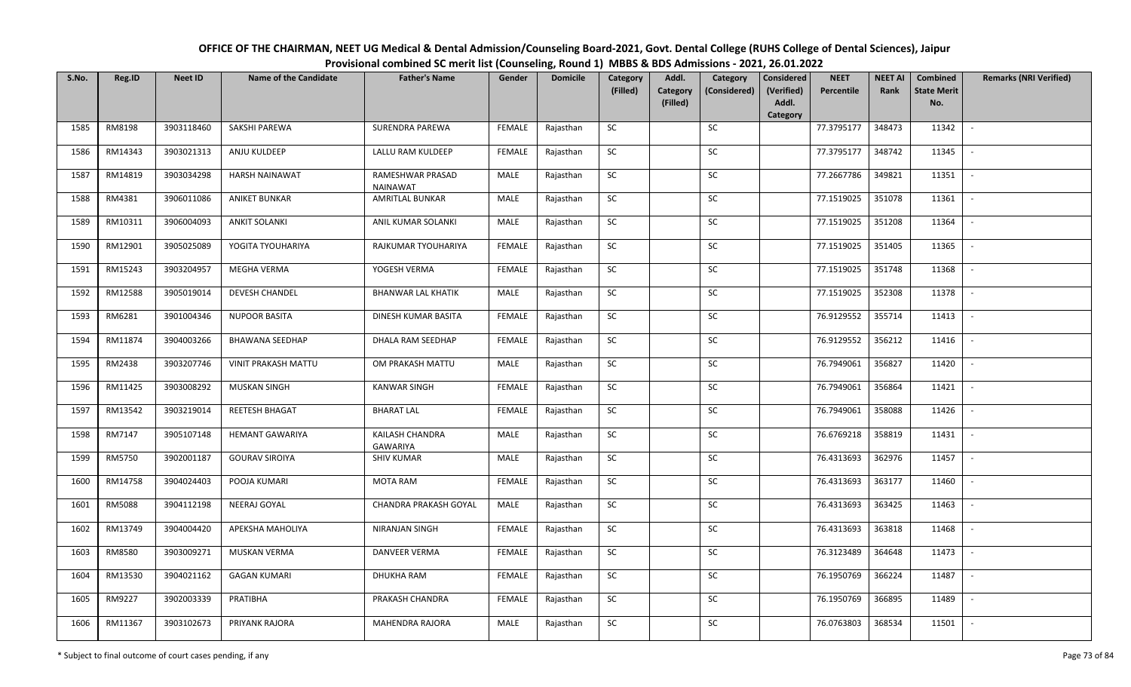| OFFICE OF THE CHAIRMAN, NEET UG Medical & Dental Admission/Counseling Board-2021, Govt. Dental College (RUHS College of Dental Sciences), Jaipur |
|--------------------------------------------------------------------------------------------------------------------------------------------------|
| Provisional combined SC merit list (Counseling, Round 1) MBBS & BDS Admissions - 2021, 26.01.2022                                                |

| S.No. | Reg.ID  | <b>Neet ID</b> | <b>Name of the Candidate</b> | <b>Father's Name</b>                | Gender        | <b>Domicile</b> | Category<br>(Filled) | Addl.<br>Category | Category<br>(Considered) | <b>Considered</b><br>(Verified) | <b>NEET</b><br>Percentile | <b>NEET AI</b><br>Rank | Combined<br><b>State Merit</b> | <b>Remarks (NRI Verified)</b> |
|-------|---------|----------------|------------------------------|-------------------------------------|---------------|-----------------|----------------------|-------------------|--------------------------|---------------------------------|---------------------------|------------------------|--------------------------------|-------------------------------|
|       |         |                |                              |                                     |               |                 |                      | (Filled)          |                          | Addl.<br>Category               |                           |                        | No.                            |                               |
| 1585  | RM8198  | 3903118460     | SAKSHI PAREWA                | SURENDRA PAREWA                     | <b>FEMALE</b> | Rajasthan       | <b>SC</b>            |                   | SC                       |                                 | 77.3795177                | 348473                 | 11342                          | $\sim$                        |
| 1586  | RM14343 | 3903021313     | ANJU KULDEEP                 | LALLU RAM KULDEEP                   | <b>FEMALE</b> | Rajasthan       | SC                   |                   | SC                       |                                 | 77.3795177                | 348742                 | 11345                          |                               |
| 1587  | RM14819 | 3903034298     | <b>HARSH NAINAWAT</b>        | RAMESHWAR PRASAD<br><b>NAINAWAT</b> | MALE          | Rajasthan       | SC                   |                   | SC                       |                                 | 77.2667786                | 349821                 | 11351                          | $\overline{\phantom{a}}$      |
| 1588  | RM4381  | 3906011086     | <b>ANIKET BUNKAR</b>         | <b>AMRITLAL BUNKAR</b>              | MALE          | Rajasthan       | SC                   |                   | SC                       |                                 | 77.1519025                | 351078                 | 11361                          | $\overline{\phantom{a}}$      |
| 1589  | RM10311 | 3906004093     | <b>ANKIT SOLANKI</b>         | ANIL KUMAR SOLANKI                  | MALE          | Rajasthan       | SC                   |                   | <b>SC</b>                |                                 | 77.1519025                | 351208                 | 11364                          | $\sim$                        |
| 1590  | RM12901 | 3905025089     | YOGITA TYOUHARIYA            | RAJKUMAR TYOUHARIYA                 | <b>FEMALE</b> | Rajasthan       | ${\sf SC}$           |                   | ${\sf SC}$               |                                 | 77.1519025                | 351405                 | 11365                          | $\sim$                        |
| 1591  | RM15243 | 3903204957     | MEGHA VERMA                  | YOGESH VERMA                        | <b>FEMALE</b> | Rajasthan       | SC                   |                   | <b>SC</b>                |                                 | 77.1519025                | 351748                 | 11368                          | $\overline{\phantom{a}}$      |
| 1592  | RM12588 | 3905019014     | DEVESH CHANDEL               | <b>BHANWAR LAL KHATIK</b>           | MALE          | Rajasthan       | SC                   |                   | SC                       |                                 | 77.1519025                | 352308                 | 11378                          | $\overline{\phantom{a}}$      |
| 1593  | RM6281  | 3901004346     | <b>NUPOOR BASITA</b>         | DINESH KUMAR BASITA                 | <b>FEMALE</b> | Rajasthan       | SC                   |                   | SC                       |                                 | 76.9129552                | 355714                 | 11413                          |                               |
| 1594  | RM11874 | 3904003266     | <b>BHAWANA SEEDHAP</b>       | DHALA RAM SEEDHAP                   | <b>FEMALE</b> | Rajasthan       | SC                   |                   | SC                       |                                 | 76.9129552                | 356212                 | 11416                          | $\sim$                        |
| 1595  | RM2438  | 3903207746     | VINIT PRAKASH MATTU          | OM PRAKASH MATTU                    | MALE          | Rajasthan       | ${\sf SC}$           |                   | $\sf SC$                 |                                 | 76.7949061                | 356827                 | 11420                          | $\sim$                        |
| 1596  | RM11425 | 3903008292     | <b>MUSKAN SINGH</b>          | <b>KANWAR SINGH</b>                 | <b>FEMALE</b> | Rajasthan       | <b>SC</b>            |                   | SC                       |                                 | 76.7949061                | 356864                 | 11421                          | $\sim$                        |
| 1597  | RM13542 | 3903219014     | REETESH BHAGAT               | <b>BHARAT LAL</b>                   | <b>FEMALE</b> | Rajasthan       | SC                   |                   | <b>SC</b>                |                                 | 76.7949061                | 358088                 | 11426                          | $\overline{\phantom{a}}$      |
| 1598  | RM7147  | 3905107148     | <b>HEMANT GAWARIYA</b>       | KAILASH CHANDRA<br><b>GAWARIYA</b>  | <b>MALE</b>   | Rajasthan       | SC                   |                   | SC                       |                                 | 76.6769218                | 358819                 | 11431                          | $\sim$                        |
| 1599  | RM5750  | 3902001187     | <b>GOURAV SIROIYA</b>        | <b>SHIV KUMAR</b>                   | MALE          | Rajasthan       | SC                   |                   | SC                       |                                 | 76.4313693                | 362976                 | 11457                          | $\overline{\phantom{a}}$      |
| 1600  | RM14758 | 3904024403     | POOJA KUMARI                 | <b>MOTA RAM</b>                     | <b>FEMALE</b> | Rajasthan       | SC                   |                   | ${\sf SC}$               |                                 | 76.4313693                | 363177                 | 11460                          | $\sim$                        |
| 1601  | RM5088  | 3904112198     | NEERAJ GOYAL                 | CHANDRA PRAKASH GOYAL               | MALE          | Rajasthan       | <b>SC</b>            |                   | SC                       |                                 | 76.4313693                | 363425                 | 11463                          | $\sim$                        |
| 1602  | RM13749 | 3904004420     | APEKSHA MAHOLIYA             | NIRANJAN SINGH                      | <b>FEMALE</b> | Rajasthan       | <b>SC</b>            |                   | <b>SC</b>                |                                 | 76.4313693                | 363818                 | 11468                          | $\sim$                        |
| 1603  | RM8580  | 3903009271     | MUSKAN VERMA                 | DANVEER VERMA                       | <b>FEMALE</b> | Rajasthan       | <b>SC</b>            |                   | <b>SC</b>                |                                 | 76.3123489                | 364648                 | 11473                          | $\sim$                        |
| 1604  | RM13530 | 3904021162     | <b>GAGAN KUMARI</b>          | DHUKHA RAM                          | <b>FEMALE</b> | Rajasthan       | SC                   |                   | <b>SC</b>                |                                 | 76.1950769                | 366224                 | 11487                          | $\blacksquare$                |
| 1605  | RM9227  | 3902003339     | PRATIBHA                     | PRAKASH CHANDRA                     | <b>FEMALE</b> | Rajasthan       | ${\sf SC}$           |                   | <b>SC</b>                |                                 | 76.1950769                | 366895                 | 11489                          | $\overline{\phantom{a}}$      |
| 1606  | RM11367 | 3903102673     | PRIYANK RAJORA               | MAHENDRA RAJORA                     | MALE          | Rajasthan       | ${\sf SC}$           |                   | SC                       |                                 | 76.0763803                | 368534                 | 11501                          |                               |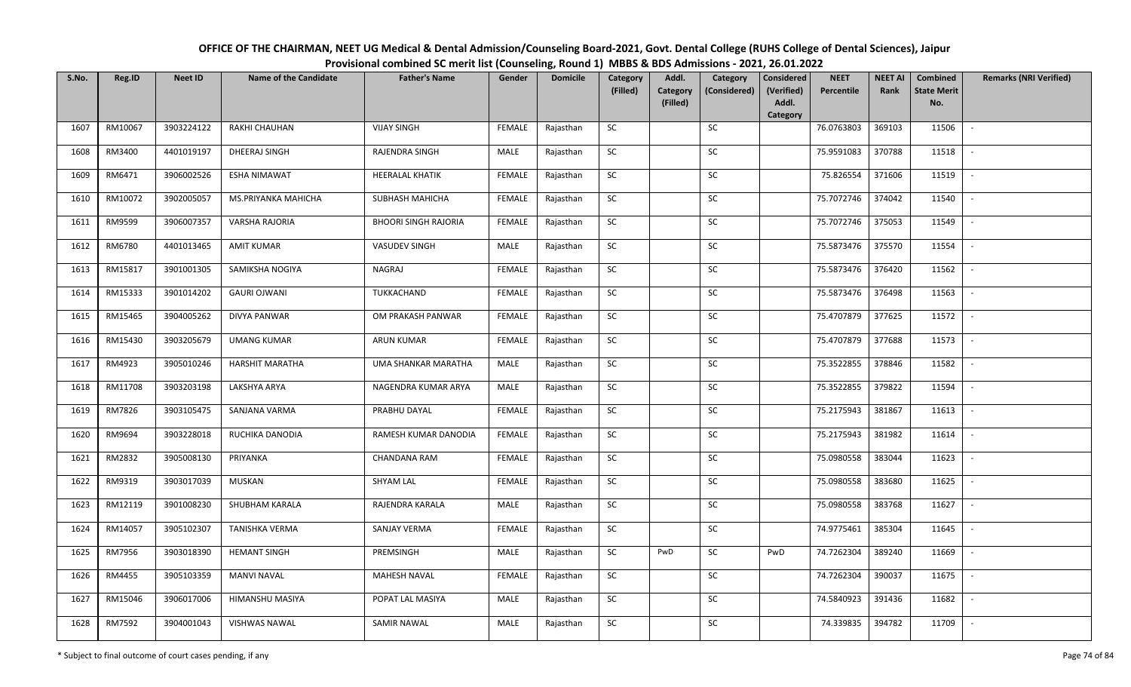| OFFICE OF THE CHAIRMAN, NEET UG Medical & Dental Admission/Counseling Board-2021, Govt. Dental College (RUHS College of Dental Sciences), Jaipur |
|--------------------------------------------------------------------------------------------------------------------------------------------------|
| Provisional combined SC merit list (Counseling, Round 1) MBBS & BDS Admissions - 2021, 26.01.2022                                                |

| S.No. | Reg.ID  | <b>Neet ID</b> | <b>Name of the Candidate</b> | <b>Father's Name</b>        | Gender        | <b>Domicile</b> | Category<br>(Filled) | Addl.<br>Category | Category<br>(Considered) | <b>Considered</b><br>(Verified) | <b>NEET</b><br>Percentile | <b>NEET AI</b><br>Rank | Combined<br><b>State Merit</b> | <b>Remarks (NRI Verified)</b> |
|-------|---------|----------------|------------------------------|-----------------------------|---------------|-----------------|----------------------|-------------------|--------------------------|---------------------------------|---------------------------|------------------------|--------------------------------|-------------------------------|
|       |         |                |                              |                             |               |                 |                      | (Filled)          |                          | Addl.<br>Category               |                           |                        | No.                            |                               |
| 1607  | RM10067 | 3903224122     | <b>RAKHI CHAUHAN</b>         | <b>VIJAY SINGH</b>          | <b>FEMALE</b> | Rajasthan       | <b>SC</b>            |                   | SC                       |                                 | 76.0763803                | 369103                 | 11506                          | $\sim$                        |
| 1608  | RM3400  | 4401019197     | DHEERAJ SINGH                | RAJENDRA SINGH              | MALE          | Rajasthan       | SC                   |                   | SC                       |                                 | 75.9591083                | 370788                 | 11518                          |                               |
| 1609  | RM6471  | 3906002526     | <b>ESHA NIMAWAT</b>          | <b>HEERALAL KHATIK</b>      | <b>FEMALE</b> | Rajasthan       | SC                   |                   | SC                       |                                 | 75.826554                 | 371606                 | 11519                          | $\mathbb{L}$                  |
| 1610  | RM10072 | 3902005057     | MS.PRIYANKA MAHICHA          | SUBHASH MAHICHA             | <b>FEMALE</b> | Rajasthan       | <b>SC</b>            |                   | <b>SC</b>                |                                 | 75.7072746                | 374042                 | 11540                          | $\overline{\phantom{a}}$      |
| 1611  | RM9599  | 3906007357     | VARSHA RAJORIA               | <b>BHOORI SINGH RAJORIA</b> | <b>FEMALE</b> | Rajasthan       | SC                   |                   | SC                       |                                 | 75.7072746                | 375053                 | 11549                          | $\sim$                        |
| 1612  | RM6780  | 4401013465     | <b>AMIT KUMAR</b>            | VASUDEV SINGH               | MALE          | Rajasthan       | SC                   |                   | $\sf SC$                 |                                 | 75.5873476                | 375570                 | 11554                          | $\sim$                        |
| 1613  | RM15817 | 3901001305     | SAMIKSHA NOGIYA              | NAGRAJ                      | <b>FEMALE</b> | Rajasthan       | SC                   |                   | SC                       |                                 | 75.5873476                | 376420                 | 11562                          | $\overline{\phantom{a}}$      |
| 1614  | RM15333 | 3901014202     | <b>GAURI OJWANI</b>          | TUKKACHAND                  | <b>FEMALE</b> | Rajasthan       | <b>SC</b>            |                   | <b>SC</b>                |                                 | 75.5873476                | 376498                 | 11563                          | $\overline{\phantom{a}}$      |
| 1615  | RM15465 | 3904005262     | <b>DIVYA PANWAR</b>          | OM PRAKASH PANWAR           | <b>FEMALE</b> | Rajasthan       | ${\sf SC}$           |                   | $\sf SC$                 |                                 | 75.4707879                | 377625                 | 11572                          | $\overline{\phantom{a}}$      |
| 1616  | RM15430 | 3903205679     | <b>UMANG KUMAR</b>           | <b>ARUN KUMAR</b>           | <b>FEMALE</b> | Rajasthan       | SC                   |                   | SC                       |                                 | 75.4707879                | 377688                 | 11573                          | $\sim$                        |
| 1617  | RM4923  | 3905010246     | <b>HARSHIT MARATHA</b>       | UMA SHANKAR MARATHA         | MALE          | Rajasthan       | ${\sf SC}$           |                   | ${\sf SC}$               |                                 | 75.3522855                | 378846                 | 11582                          | $\sim$                        |
| 1618  | RM11708 | 3903203198     | LAKSHYA ARYA                 | NAGENDRA KUMAR ARYA         | MALE          | Rajasthan       | <b>SC</b>            |                   | SC                       |                                 | 75.3522855                | 379822                 | 11594                          | $\sim$                        |
| 1619  | RM7826  | 3903105475     | SANJANA VARMA                | PRABHU DAYAL                | <b>FEMALE</b> | Rajasthan       | SC                   |                   | <b>SC</b>                |                                 | 75.2175943                | 381867                 | 11613                          |                               |
| 1620  | RM9694  | 3903228018     | RUCHIKA DANODIA              | RAMESH KUMAR DANODIA        | <b>FEMALE</b> | Rajasthan       | SC                   |                   | SC                       |                                 | 75.2175943                | 381982                 | 11614                          | $\mathbb{L}$                  |
| 1621  | RM2832  | 3905008130     | PRIYANKA                     | CHANDANA RAM                | <b>FEMALE</b> | Rajasthan       | SC                   |                   | SC                       |                                 | 75.0980558                | 383044                 | 11623                          | $\overline{\phantom{a}}$      |
| 1622  | RM9319  | 3903017039     | MUSKAN                       | <b>SHYAM LAL</b>            | <b>FEMALE</b> | Rajasthan       | ${\sf SC}$           |                   | SC                       |                                 | 75.0980558                | 383680                 | 11625                          | $\sim$                        |
| 1623  | RM12119 | 3901008230     | SHUBHAM KARALA               | RAJENDRA KARALA             | MALE          | Rajasthan       | SC                   |                   | SC                       |                                 | 75.0980558                | 383768                 | 11627                          | $\sim$                        |
| 1624  | RM14057 | 3905102307     | TANISHKA VERMA               | SANJAY VERMA                | <b>FEMALE</b> | Rajasthan       | SC                   |                   | <b>SC</b>                |                                 | 74.9775461                | 385304                 | 11645                          | $\overline{\phantom{a}}$      |
| 1625  | RM7956  | 3903018390     | <b>HEMANT SINGH</b>          | PREMSINGH                   | MALE          | Rajasthan       | SC                   | PwD               | <b>SC</b>                | PwD                             | 74.7262304                | 389240                 | 11669                          | $\overline{\phantom{a}}$      |
| 1626  | RM4455  | 3905103359     | <b>MANVI NAVAL</b>           | <b>MAHESH NAVAL</b>         | <b>FEMALE</b> | Rajasthan       | ${\sf SC}$           |                   | ${\sf SC}$               |                                 | 74.7262304                | 390037                 | 11675                          |                               |
| 1627  | RM15046 | 3906017006     | HIMANSHU MASIYA              | POPAT LAL MASIYA            | MALE          | Rajasthan       | ${\sf SC}$           |                   | SC                       |                                 | 74.5840923                | 391436                 | 11682                          | $\sim$                        |
| 1628  | RM7592  | 3904001043     | <b>VISHWAS NAWAL</b>         | SAMIR NAWAL                 | MALE          | Rajasthan       | ${\sf SC}$           |                   | SC                       |                                 | 74.339835                 | 394782                 | 11709                          | $\blacksquare$                |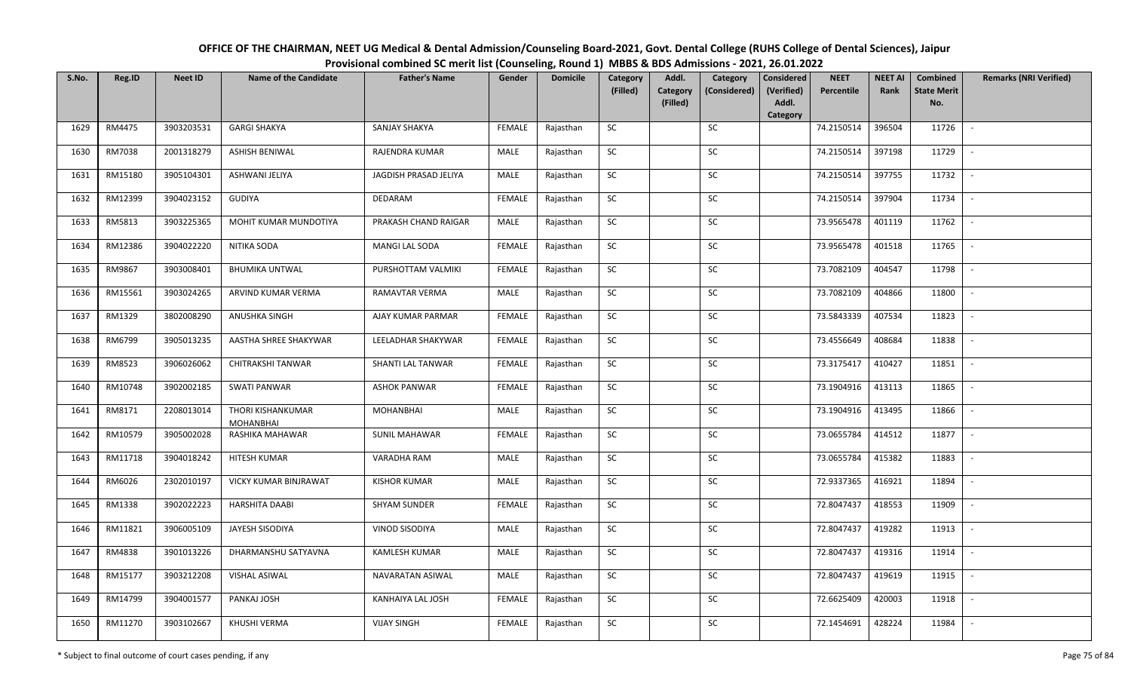| OFFICE OF THE CHAIRMAN, NEET UG Medical & Dental Admission/Counseling Board-2021, Govt. Dental College (RUHS College of Dental Sciences), Jaipur |
|--------------------------------------------------------------------------------------------------------------------------------------------------|
| Provisional combined SC merit list (Counseling, Round 1) MBBS & BDS Admissions - 2021, 26.01.2022                                                |

| S.No. | Reg.ID  | <b>Neet ID</b> | <b>Name of the Candidate</b>          | <b>Father's Name</b>  | Gender        | <b>Domicile</b> | Category<br>(Filled) | Addl.<br>Category | Category<br>(Considered) | <b>Considered</b><br>(Verified) | <b>NEET</b><br>Percentile | <b>NEET AI</b><br>Rank | Combined<br><b>State Merit</b> | <b>Remarks (NRI Verified)</b> |
|-------|---------|----------------|---------------------------------------|-----------------------|---------------|-----------------|----------------------|-------------------|--------------------------|---------------------------------|---------------------------|------------------------|--------------------------------|-------------------------------|
|       |         |                |                                       |                       |               |                 |                      | (Filled)          |                          | Addl.<br>Category               |                           |                        | No.                            |                               |
| 1629  | RM4475  | 3903203531     | <b>GARGI SHAKYA</b>                   | SANJAY SHAKYA         | <b>FEMALE</b> | Rajasthan       | SC                   |                   | <b>SC</b>                |                                 | 74.2150514                | 396504                 | 11726                          | $\sim$                        |
| 1630  | RM7038  | 2001318279     | ASHISH BENIWAL                        | RAJENDRA KUMAR        | MALE          | Rajasthan       | SC                   |                   | SC                       |                                 | 74.2150514                | 397198                 | 11729                          |                               |
| 1631  | RM15180 | 3905104301     | ASHWANI JELIYA                        | JAGDISH PRASAD JELIYA | MALE          | Rajasthan       | SC                   |                   | SC                       |                                 | 74.2150514                | 397755                 | 11732                          | $\overline{\phantom{a}}$      |
| 1632  | RM12399 | 3904023152     | <b>GUDIYA</b>                         | DEDARAM               | <b>FEMALE</b> | Rajasthan       | <b>SC</b>            |                   | <b>SC</b>                |                                 | 74.2150514                | 397904                 | 11734                          | $\overline{\phantom{a}}$      |
| 1633  | RM5813  | 3903225365     | MOHIT KUMAR MUNDOTIYA                 | PRAKASH CHAND RAIGAR  | MALE          | Rajasthan       | SC                   |                   | SC                       |                                 | 73.9565478                | 401119                 | 11762                          | $\sim$                        |
| 1634  | RM12386 | 3904022220     | NITIKA SODA                           | MANGI LAL SODA        | <b>FEMALE</b> | Rajasthan       | SC                   |                   | SC                       |                                 | 73.9565478                | 401518                 | 11765                          | $\sim$                        |
| 1635  | RM9867  | 3903008401     | <b>BHUMIKA UNTWAL</b>                 | PURSHOTTAM VALMIKI    | <b>FEMALE</b> | Rajasthan       | SC                   |                   | <b>SC</b>                |                                 | 73.7082109                | 404547                 | 11798                          | $\overline{\phantom{a}}$      |
| 1636  | RM15561 | 3903024265     | ARVIND KUMAR VERMA                    | RAMAVTAR VERMA        | MALE          | Rajasthan       | SC                   |                   | SC                       |                                 | 73.7082109                | 404866                 | 11800                          | $\overline{\phantom{a}}$      |
| 1637  | RM1329  | 3802008290     | <b>ANUSHKA SINGH</b>                  | AJAY KUMAR PARMAR     | <b>FEMALE</b> | Rajasthan       | SC                   |                   | <b>SC</b>                |                                 | 73.5843339                | 407534                 | 11823                          | $\blacksquare$                |
| 1638  | RM6799  | 3905013235     | AASTHA SHREE SHAKYWAR                 | LEELADHAR SHAKYWAR    | <b>FEMALE</b> | Rajasthan       | SC                   |                   | SC                       |                                 | 73.4556649                | 408684                 | 11838                          | $\sim$                        |
| 1639  | RM8523  | 3906026062     | <b>CHITRAKSHI TANWAR</b>              | SHANTI LAL TANWAR     | <b>FEMALE</b> | Rajasthan       | <b>SC</b>            |                   | SC                       |                                 | 73.3175417                | 410427                 | 11851                          | $\sim$                        |
| 1640  | RM10748 | 3902002185     | <b>SWATI PANWAR</b>                   | <b>ASHOK PANWAR</b>   | <b>FEMALE</b> | Rajasthan       | SC                   |                   | <b>SC</b>                |                                 | 73.1904916                | 413113                 | 11865                          | $\sim$                        |
| 1641  | RM8171  | 2208013014     | THORI KISHANKUMAR<br><b>MOHANBHAI</b> | <b>MOHANBHAI</b>      | MALE          | Rajasthan       | SC                   |                   | SC                       |                                 | 73.1904916                | 413495                 | 11866                          | $\overline{\phantom{a}}$      |
| 1642  | RM10579 | 3905002028     | RASHIKA MAHAWAR                       | <b>SUNIL MAHAWAR</b>  | <b>FEMALE</b> | Rajasthan       | SC                   |                   | <b>SC</b>                |                                 | 73.0655784                | 414512                 | 11877                          | $\overline{\phantom{a}}$      |
| 1643  | RM11718 | 3904018242     | HITESH KUMAR                          | VARADHA RAM           | MALE          | Rajasthan       | ${\sf SC}$           |                   | SC                       |                                 | 73.0655784                | 415382                 | 11883                          | $\overline{\phantom{a}}$      |
| 1644  | RM6026  | 2302010197     | VICKY KUMAR BINJRAWAT                 | <b>KISHOR KUMAR</b>   | MALE          | Rajasthan       | <b>SC</b>            |                   | <b>SC</b>                |                                 | 72.9337365                | 416921                 | 11894                          | $\sim$                        |
| 1645  | RM1338  | 3902022223     | <b>HARSHITA DAABI</b>                 | <b>SHYAM SUNDER</b>   | <b>FEMALE</b> | Rajasthan       | ${\sf SC}$           |                   | SC                       |                                 | 72.8047437                | 418553                 | 11909                          | $\mathbb{L}$                  |
| 1646  | RM11821 | 3906005109     | JAYESH SISODIYA                       | <b>VINOD SISODIYA</b> | MALE          | Rajasthan       | SC                   |                   | SC                       |                                 | 72.8047437                | 419282                 | 11913                          | $\mathbb{L}$                  |
| 1647  | RM4838  | 3901013226     | DHARMANSHU SATYAVNA                   | KAMLESH KUMAR         | MALE          | Rajasthan       | SC                   |                   | <b>SC</b>                |                                 | 72.8047437                | 419316                 | 11914                          | $\overline{\phantom{a}}$      |
| 1648  | RM15177 | 3903212208     | VISHAL ASIWAL                         | NAVARATAN ASIWAL      | MALE          | Rajasthan       | ${\sf SC}$           |                   | ${\sf SC}$               |                                 | 72.8047437                | 419619                 | 11915                          |                               |
| 1649  | RM14799 | 3904001577     | PANKAJ JOSH                           | KANHAIYA LAL JOSH     | <b>FEMALE</b> | Rajasthan       | <b>SC</b>            |                   | <b>SC</b>                |                                 | 72.6625409                | 420003                 | 11918                          | $\sim$                        |
| 1650  | RM11270 | 3903102667     | KHUSHI VERMA                          | <b>VIJAY SINGH</b>    | <b>FEMALE</b> | Rajasthan       | SC                   |                   | SC                       |                                 | 72.1454691                | 428224                 | 11984                          | $\sim$                        |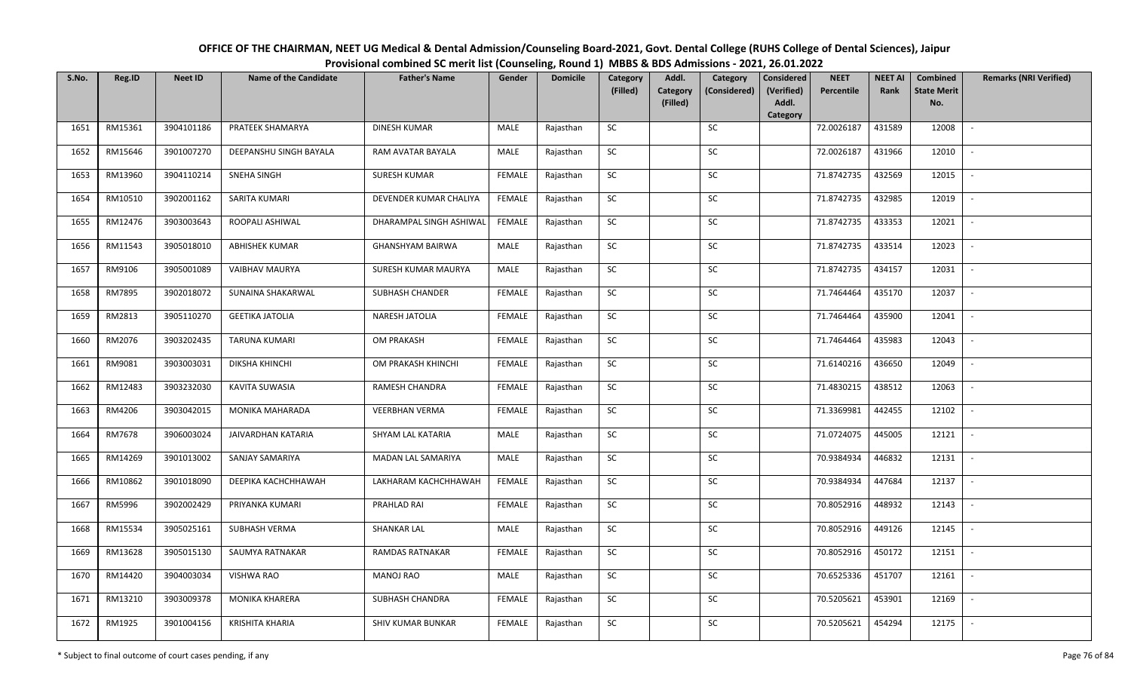| OFFICE OF THE CHAIRMAN, NEET UG Medical & Dental Admission/Counseling Board-2021, Govt. Dental College (RUHS College of Dental Sciences), Jaipur |
|--------------------------------------------------------------------------------------------------------------------------------------------------|
| Provisional combined SC merit list (Counseling, Round 1) MBBS & BDS Admissions - 2021, 26.01.2022                                                |

| S.No. | Reg.ID  | <b>Neet ID</b> | <b>Name of the Candidate</b> | <b>Father's Name</b>    | Gender        | <b>Domicile</b> | Category<br>(Filled) | Addl.<br>Category | Category<br>(Considered) | <b>Considered</b><br>(Verified) | <b>NEET</b><br>Percentile | <b>NEET AI</b><br>Rank | Combined<br><b>State Merit</b> | <b>Remarks (NRI Verified)</b> |
|-------|---------|----------------|------------------------------|-------------------------|---------------|-----------------|----------------------|-------------------|--------------------------|---------------------------------|---------------------------|------------------------|--------------------------------|-------------------------------|
|       |         |                |                              |                         |               |                 |                      | (Filled)          |                          | Addl.                           |                           |                        | No.                            |                               |
| 1651  | RM15361 | 3904101186     | PRATEEK SHAMARYA             | DINESH KUMAR            | MALE          | Rajasthan       | SC                   |                   | SC                       | Category                        | 72.0026187                | 431589                 | 12008                          | $\sim$                        |
|       |         |                |                              |                         |               |                 |                      |                   |                          |                                 |                           |                        |                                |                               |
| 1652  | RM15646 | 3901007270     | DEEPANSHU SINGH BAYALA       | RAM AVATAR BAYALA       | MALE          | Rajasthan       | SC                   |                   | SC                       |                                 | 72.0026187                | 431966                 | 12010                          |                               |
| 1653  | RM13960 | 3904110214     | <b>SNEHA SINGH</b>           | <b>SURESH KUMAR</b>     | <b>FEMALE</b> | Rajasthan       | SC                   |                   | SC                       |                                 | 71.8742735                | 432569                 | 12015                          | $\overline{\phantom{a}}$      |
| 1654  | RM10510 | 3902001162     | SARITA KUMARI                | DEVENDER KUMAR CHALIYA  | <b>FEMALE</b> | Rajasthan       | <b>SC</b>            |                   | <b>SC</b>                |                                 | 71.8742735                | 432985                 | 12019                          | $\overline{\phantom{a}}$      |
| 1655  | RM12476 | 3903003643     | ROOPALI ASHIWAL              | DHARAMPAL SINGH ASHIWAL | <b>FEMALE</b> | Rajasthan       | SC                   |                   | SC                       |                                 | 71.8742735                | 433353                 | 12021                          | $\sim$                        |
| 1656  | RM11543 | 3905018010     | <b>ABHISHEK KUMAR</b>        | <b>GHANSHYAM BAIRWA</b> | MALE          | Rajasthan       | SC                   |                   | SC                       |                                 | 71.8742735                | 433514                 | 12023                          | $\sim$                        |
| 1657  | RM9106  | 3905001089     | <b>VAIBHAV MAURYA</b>        | SURESH KUMAR MAURYA     | MALE          | Rajasthan       | SC                   |                   | <b>SC</b>                |                                 | 71.8742735                | 434157                 | 12031                          | $\sim$                        |
| 1658  | RM7895  | 3902018072     | SUNAINA SHAKARWAL            | <b>SUBHASH CHANDER</b>  | <b>FEMALE</b> | Rajasthan       | SC                   |                   | SC                       |                                 | 71.7464464                | 435170                 | 12037                          | $\overline{\phantom{a}}$      |
| 1659  | RM2813  | 3905110270     | <b>GEETIKA JATOLIA</b>       | NARESH JATOLIA          | <b>FEMALE</b> | Rajasthan       | SC                   |                   | <b>SC</b>                |                                 | 71.7464464                | 435900                 | 12041                          | $\overline{\phantom{a}}$      |
| 1660  | RM2076  | 3903202435     | <b>TARUNA KUMARI</b>         | OM PRAKASH              | <b>FEMALE</b> | Rajasthan       | ${\sf SC}$           |                   | SC                       |                                 | 71.7464464                | 435983                 | 12043                          | $\sim$                        |
| 1661  | RM9081  | 3903003031     | DIKSHA KHINCHI               | OM PRAKASH KHINCHI      | <b>FEMALE</b> | Rajasthan       | <b>SC</b>            |                   | SC                       |                                 | 71.6140216                | 436650                 | 12049                          | $\sim$                        |
| 1662  | RM12483 | 3903232030     | KAVITA SUWASIA               | RAMESH CHANDRA          | <b>FEMALE</b> | Rajasthan       | <b>SC</b>            |                   | <b>SC</b>                |                                 | 71.4830215                | 438512                 | 12063                          | $\sim$                        |
| 1663  | RM4206  | 3903042015     | MONIKA MAHARADA              | <b>VEERBHAN VERMA</b>   | <b>FEMALE</b> | Rajasthan       | <b>SC</b>            |                   | SC                       |                                 | 71.3369981                | 442455                 | 12102                          | $\overline{\phantom{a}}$      |
| 1664  | RM7678  | 3906003024     | JAIVARDHAN KATARIA           | SHYAM LAL KATARIA       | MALE          | Rajasthan       | SC                   |                   | <b>SC</b>                |                                 | 71.0724075                | 445005                 | 12121                          | $\overline{\phantom{a}}$      |
| 1665  | RM14269 | 3901013002     | SANJAY SAMARIYA              | MADAN LAL SAMARIYA      | MALE          | Rajasthan       | ${\sf SC}$           |                   | $\sf SC$                 |                                 | 70.9384934                | 446832                 | 12131                          | $\overline{\phantom{a}}$      |
| 1666  | RM10862 | 3901018090     | DEEPIKA KACHCHHAWAH          | LAKHARAM KACHCHHAWAH    | <b>FEMALE</b> | Rajasthan       | <b>SC</b>            |                   | SC                       |                                 | 70.9384934                | 447684                 | 12137                          | $\sim$                        |
| 1667  | RM5996  | 3902002429     | PRIYANKA KUMARI              | PRAHLAD RAI             | <b>FEMALE</b> | Rajasthan       | ${\sf SC}$           |                   | SC                       |                                 | 70.8052916                | 448932                 | 12143                          | $\sim$                        |
| 1668  | RM15534 | 3905025161     | SUBHASH VERMA                | <b>SHANKAR LAL</b>      | MALE          | Rajasthan       | SC                   |                   | SC                       |                                 | 70.8052916                | 449126                 | 12145                          | $\sim$                        |
| 1669  | RM13628 | 3905015130     | SAUMYA RATNAKAR              | RAMDAS RATNAKAR         | <b>FEMALE</b> | Rajasthan       | SC                   |                   | SC                       |                                 | 70.8052916                | 450172                 | 12151                          | $\overline{\phantom{a}}$      |
| 1670  | RM14420 | 3904003034     | VISHWA RAO                   | <b>MANOJ RAO</b>        | MALE          | Rajasthan       | ${\sf SC}$           |                   | ${\sf SC}$               |                                 | 70.6525336                | 451707                 | 12161                          |                               |
| 1671  | RM13210 | 3903009378     | <b>MONIKA KHARERA</b>        | SUBHASH CHANDRA         | <b>FEMALE</b> | Rajasthan       | <b>SC</b>            |                   | <b>SC</b>                |                                 | 70.5205621                | 453901                 | 12169                          | $\sim$                        |
| 1672  | RM1925  | 3901004156     | <b>KRISHITA KHARIA</b>       | SHIV KUMAR BUNKAR       | <b>FEMALE</b> | Rajasthan       | ${\sf SC}$           |                   | SC                       |                                 | 70.5205621                | 454294                 | 12175                          | $\sim$                        |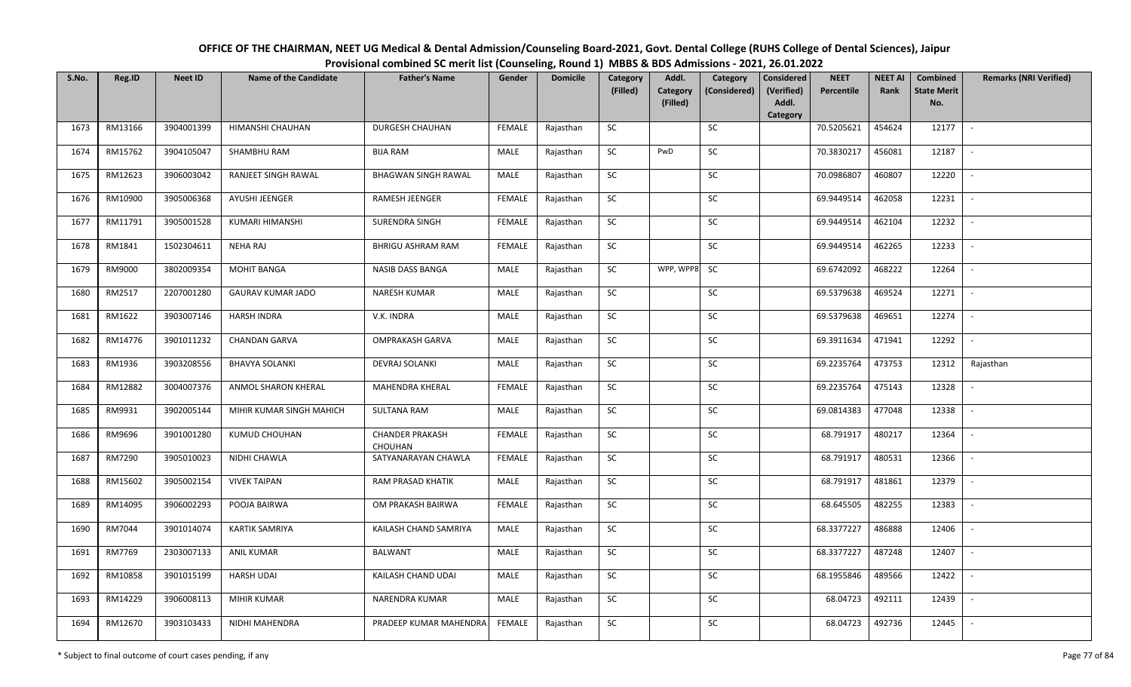| OFFICE OF THE CHAIRMAN, NEET UG Medical & Dental Admission/Counseling Board-2021, Govt. Dental College (RUHS College of Dental Sciences), Jaipur |
|--------------------------------------------------------------------------------------------------------------------------------------------------|
| Provisional combined SC merit list (Counseling, Round 1) MBBS & BDS Admissions - 2021, 26.01.2022                                                |

| S.No. | Reg.ID  | <b>Neet ID</b> | <b>Name of the Candidate</b> | <b>Father's Name</b>                     | Gender        | <b>Domicile</b> | Category<br>(Filled) | Addl.                       | Category     | <b>Considered</b><br>(Verified) | <b>NEET</b><br>Percentile | <b>NEET AI</b><br>Rank | Combined<br><b>State Merit</b> | <b>Remarks (NRI Verified)</b> |
|-------|---------|----------------|------------------------------|------------------------------------------|---------------|-----------------|----------------------|-----------------------------|--------------|---------------------------------|---------------------------|------------------------|--------------------------------|-------------------------------|
|       |         |                |                              |                                          |               |                 |                      | <b>Category</b><br>(Filled) | (Considered) | Addl.                           |                           |                        | No.                            |                               |
|       |         |                |                              |                                          |               |                 |                      |                             |              | Category                        |                           |                        |                                |                               |
| 1673  | RM13166 | 3904001399     | HIMANSHI CHAUHAN             | <b>DURGESH CHAUHAN</b>                   | <b>FEMALE</b> | Rajasthan       | SC                   |                             | SC           |                                 | 70.5205621                | 454624                 | 12177                          | $\sim$                        |
| 1674  | RM15762 | 3904105047     | SHAMBHU RAM                  | <b>BIJA RAM</b>                          | MALE          | Rajasthan       | SC                   | PwD                         | <b>SC</b>    |                                 | 70.3830217                | 456081                 | 12187                          |                               |
| 1675  | RM12623 | 3906003042     | RANJEET SINGH RAWAL          | <b>BHAGWAN SINGH RAWAL</b>               | MALE          | Rajasthan       | SC                   |                             | SC           |                                 | 70.0986807                | 460807                 | 12220                          |                               |
| 1676  | RM10900 | 3905006368     | AYUSHI JEENGER               | RAMESH JEENGER                           | <b>FEMALE</b> | Rajasthan       | SC                   |                             | SC           |                                 | 69.9449514                | 462058                 | 12231                          | $\overline{\phantom{a}}$      |
| 1677  | RM11791 | 3905001528     | KUMARI HIMANSHI              | SURENDRA SINGH                           | <b>FEMALE</b> | Rajasthan       | SC                   |                             | SC           |                                 | 69.9449514                | 462104                 | 12232                          | $\sim$                        |
| 1678  | RM1841  | 1502304611     | <b>NEHA RAJ</b>              | BHRIGU ASHRAM RAM                        | <b>FEMALE</b> | Rajasthan       | SC                   |                             | SC           |                                 | 69.9449514                | 462265                 | 12233                          | $\sim$                        |
| 1679  | RM9000  | 3802009354     | <b>MOHIT BANGA</b>           | <b>NASIB DASS BANGA</b>                  | MALE          | Rajasthan       | SC                   | WPP, WPP8                   | <b>SC</b>    |                                 | 69.6742092                | 468222                 | 12264                          |                               |
| 1680  | RM2517  | 2207001280     | <b>GAURAV KUMAR JADO</b>     | NARESH KUMAR                             | MALE          | Rajasthan       | SC                   |                             | $\sf SC$     |                                 | 69.5379638                | 469524                 | 12271                          | $\overline{\phantom{a}}$      |
| 1681  | RM1622  | 3903007146     | <b>HARSH INDRA</b>           | V.K. INDRA                               | MALE          | Rajasthan       | SC                   |                             | SC           |                                 | 69.5379638                | 469651                 | 12274                          |                               |
| 1682  | RM14776 | 3901011232     | <b>CHANDAN GARVA</b>         | <b>OMPRAKASH GARVA</b>                   | MALE          | Rajasthan       | SC                   |                             | SC           |                                 | 69.3911634                | 471941                 | 12292                          | $\blacksquare$                |
| 1683  | RM1936  | 3903208556     | <b>BHAVYA SOLANKI</b>        | <b>DEVRAJ SOLANKI</b>                    | MALE          | Rajasthan       | SC                   |                             | SC           |                                 | 69.2235764                | 473753                 | 12312                          | Rajasthan                     |
| 1684  | RM12882 | 3004007376     | ANMOL SHARON KHERAL          | MAHENDRA KHERAL                          | <b>FEMALE</b> | Rajasthan       | SC                   |                             | ${\sf SC}$   |                                 | 69.2235764                | 475143                 | 12328                          |                               |
| 1685  | RM9931  | 3902005144     | MIHIR KUMAR SINGH MAHICH     | <b>SULTANA RAM</b>                       | MALE          | Rajasthan       | SC                   |                             | <b>SC</b>    |                                 | 69.0814383                | 477048                 | 12338                          |                               |
| 1686  | RM9696  | 3901001280     | KUMUD CHOUHAN                | <b>CHANDER PRAKASH</b><br><b>CHOUHAN</b> | <b>FEMALE</b> | Rajasthan       | SC                   |                             | <b>SC</b>    |                                 | 68.791917                 | 480217                 | 12364                          |                               |
| 1687  | RM7290  | 3905010023     | NIDHI CHAWLA                 | SATYANARAYAN CHAWLA                      | <b>FEMALE</b> | Rajasthan       | SC                   |                             | ${\sf SC}$   |                                 | 68.791917                 | 480531                 | 12366                          |                               |
| 1688  | RM15602 | 3905002154     | <b>VIVEK TAIPAN</b>          | <b>RAM PRASAD KHATIK</b>                 | MALE          | Rajasthan       | <b>SC</b>            |                             | SC           |                                 | 68.791917                 | 481861                 | 12379                          | $\sim$                        |
| 1689  | RM14095 | 3906002293     | POOJA BAIRWA                 | OM PRAKASH BAIRWA                        | <b>FEMALE</b> | Rajasthan       | ${\sf SC}$           |                             | SC           |                                 | 68.645505                 | 482255                 | 12383                          | $\sim$                        |
| 1690  | RM7044  | 3901014074     | KARTIK SAMRIYA               | KAILASH CHAND SAMRIYA                    | MALE          | Rajasthan       | SC                   |                             | SC           |                                 | 68.3377227                | 486888                 | 12406                          |                               |
| 1691  | RM7769  | 2303007133     | <b>ANIL KUMAR</b>            | <b>BALWANT</b>                           | MALE          | Rajasthan       | SC                   |                             | SC           |                                 | 68.3377227                | 487248                 | 12407                          | $\overline{\phantom{a}}$      |
| 1692  | RM10858 | 3901015199     | <b>HARSH UDAI</b>            | KAILASH CHAND UDAI                       | MALE          | Rajasthan       | ${\sf SC}$           |                             | ${\sf SC}$   |                                 | 68.1955846                | 489566                 | 12422                          |                               |
| 1693  | RM14229 | 3906008113     | MIHIR KUMAR                  | NARENDRA KUMAR                           | MALE          | Rajasthan       | SC                   |                             | SC           |                                 | 68.04723                  | 492111                 | 12439                          |                               |
| 1694  | RM12670 | 3903103433     | NIDHI MAHENDRA               | PRADEEP KUMAR MAHENDRA                   | FEMALE        | Rajasthan       | SC                   |                             | SC           |                                 | 68.04723                  | 492736                 | 12445                          | $\sim$                        |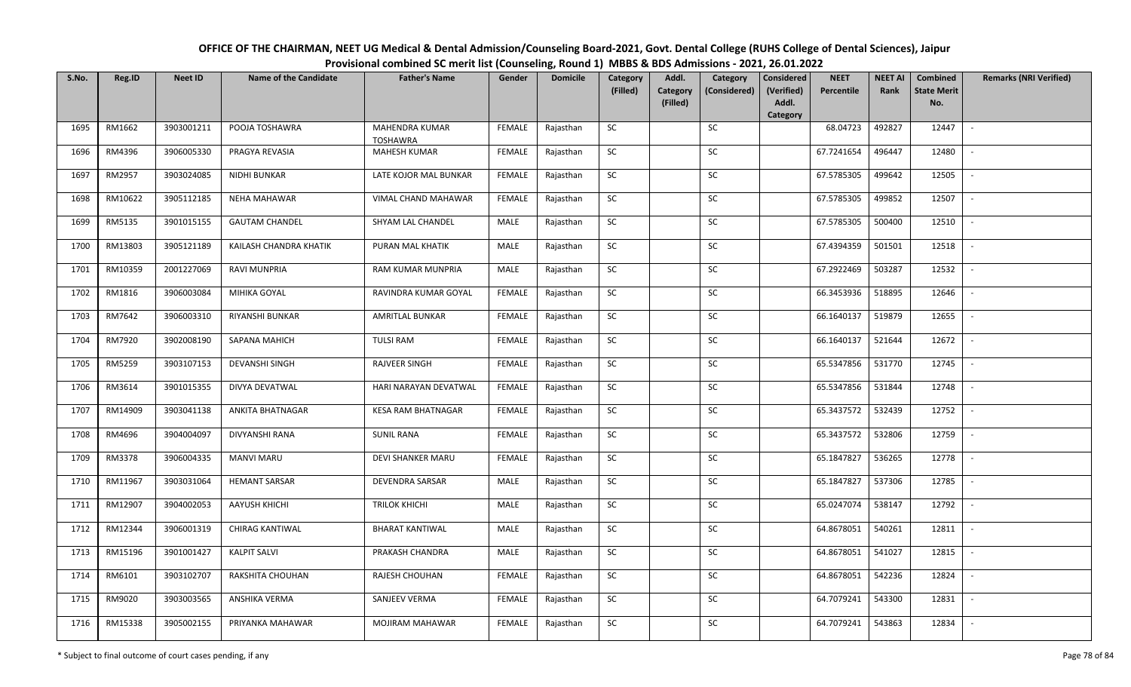| OFFICE OF THE CHAIRMAN, NEET UG Medical & Dental Admission/Counseling Board-2021, Govt. Dental College (RUHS College of Dental Sciences), Jaipur |
|--------------------------------------------------------------------------------------------------------------------------------------------------|
| Provisional combined SC merit list (Counseling, Round 1) MBBS & BDS Admissions - 2021, 26.01.2022                                                |

| S.No. | Reg.ID  | <b>Neet ID</b> | <b>Name of the Candidate</b> | <b>Father's Name</b>              | Gender        | <b>Domicile</b> | Category<br>(Filled) | Addl.<br>Category<br>(Filled) | Category<br>(Considered) | <b>Considered</b><br>(Verified)<br>Addl. | <b>NEET</b><br>Percentile | <b>NEET AI</b><br>Rank | Combined<br><b>State Merit</b><br>No. | <b>Remarks (NRI Verified)</b> |
|-------|---------|----------------|------------------------------|-----------------------------------|---------------|-----------------|----------------------|-------------------------------|--------------------------|------------------------------------------|---------------------------|------------------------|---------------------------------------|-------------------------------|
|       |         |                |                              |                                   |               |                 |                      |                               |                          | Category                                 |                           |                        |                                       |                               |
| 1695  | RM1662  | 3903001211     | POOJA TOSHAWRA               | MAHENDRA KUMAR<br><b>TOSHAWRA</b> | <b>FEMALE</b> | Rajasthan       | SC                   |                               | SC                       |                                          | 68.04723                  | 492827                 | 12447                                 | $\sim$                        |
| 1696  | RM4396  | 3906005330     | PRAGYA REVASIA               | <b>MAHESH KUMAR</b>               | <b>FEMALE</b> | Rajasthan       | <b>SC</b>            |                               | SC                       |                                          | 67.7241654                | 496447                 | 12480                                 |                               |
| 1697  | RM2957  | 3903024085     | NIDHI BUNKAR                 | LATE KOJOR MAL BUNKAR             | <b>FEMALE</b> | Rajasthan       | SC                   |                               | SC                       |                                          | 67.5785305                | 499642                 | 12505                                 | $\overline{\phantom{a}}$      |
| 1698  | RM10622 | 3905112185     | <b>NEHA MAHAWAR</b>          | VIMAL CHAND MAHAWAR               | <b>FEMALE</b> | Rajasthan       | SC                   |                               | SC                       |                                          | 67.5785305                | 499852                 | 12507                                 | $\overline{\phantom{a}}$      |
| 1699  | RM5135  | 3901015155     | <b>GAUTAM CHANDEL</b>        | SHYAM LAL CHANDEL                 | MALE          | Rajasthan       | <b>SC</b>            |                               | <b>SC</b>                |                                          | 67.5785305                | 500400                 | 12510                                 | $\sim$                        |
| 1700  | RM13803 | 3905121189     | KAILASH CHANDRA KHATIK       | PURAN MAL KHATIK                  | MALE          | Rajasthan       | ${\sf SC}$           |                               | ${\sf SC}$               |                                          | 67.4394359                | 501501                 | 12518                                 | $\sim$                        |
| 1701  | RM10359 | 2001227069     | <b>RAVI MUNPRIA</b>          | RAM KUMAR MUNPRIA                 | MALE          | Rajasthan       | SC                   |                               | <b>SC</b>                |                                          | 67.2922469                | 503287                 | 12532                                 | $\sim$                        |
| 1702  | RM1816  | 3906003084     | MIHIKA GOYAL                 | RAVINDRA KUMAR GOYAL              | <b>FEMALE</b> | Rajasthan       | SC                   |                               | SC                       |                                          | 66.3453936                | 518895                 | 12646                                 | $\overline{\phantom{a}}$      |
| 1703  | RM7642  | 3906003310     | <b>RIYANSHI BUNKAR</b>       | <b>AMRITLAL BUNKAR</b>            | <b>FEMALE</b> | Rajasthan       | SC                   |                               | SC                       |                                          | 66.1640137                | 519879                 | 12655                                 |                               |
| 1704  | RM7920  | 3902008190     | SAPANA MAHICH                | <b>TULSI RAM</b>                  | <b>FEMALE</b> | Rajasthan       | SC                   |                               | SC                       |                                          | 66.1640137                | 521644                 | 12672                                 | $\sim$                        |
| 1705  | RM5259  | 3903107153     | <b>DEVANSHI SINGH</b>        | RAJVEER SINGH                     | <b>FEMALE</b> | Rajasthan       | ${\sf SC}$           |                               | $\sf SC$                 |                                          | 65.5347856                | 531770                 | 12745                                 | $\sim$                        |
| 1706  | RM3614  | 3901015355     | DIVYA DEVATWAL               | HARI NARAYAN DEVATWAL             | <b>FEMALE</b> | Rajasthan       | <b>SC</b>            |                               | SC                       |                                          | 65.5347856                | 531844                 | 12748                                 | $\sim$                        |
| 1707  | RM14909 | 3903041138     | ANKITA BHATNAGAR             | <b>KESA RAM BHATNAGAR</b>         | <b>FEMALE</b> | Rajasthan       | SC                   |                               | <b>SC</b>                |                                          | 65.3437572                | 532439                 | 12752                                 | $\overline{\phantom{a}}$      |
| 1708  | RM4696  | 3904004097     | <b>DIVYANSHI RANA</b>        | <b>SUNIL RANA</b>                 | <b>FEMALE</b> | Rajasthan       | <b>SC</b>            |                               | SC                       |                                          | 65.3437572                | 532806                 | 12759                                 | $\sim$                        |
| 1709  | RM3378  | 3906004335     | <b>MANVI MARU</b>            | <b>DEVI SHANKER MARU</b>          | <b>FEMALE</b> | Rajasthan       | SC                   |                               | SC                       |                                          | 65.1847827                | 536265                 | 12778                                 | $\overline{\phantom{a}}$      |
| 1710  | RM11967 | 3903031064     | <b>HEMANT SARSAR</b>         | DEVENDRA SARSAR                   | MALE          | Rajasthan       | ${\sf SC}$           |                               | ${\sf SC}$               |                                          | 65.1847827                | 537306                 | 12785                                 | $\sim$                        |
| 1711  | RM12907 | 3904002053     | AAYUSH KHICHI                | <b>TRILOK KHICHI</b>              | MALE          | Rajasthan       | <b>SC</b>            |                               | SC                       |                                          | 65.0247074                | 538147                 | 12792                                 | $\sim$                        |
| 1712  | RM12344 | 3906001319     | CHIRAG KANTIWAL              | <b>BHARAT KANTIWAL</b>            | MALE          | Rajasthan       | <b>SC</b>            |                               | <b>SC</b>                |                                          | 64.8678051                | 540261                 | 12811                                 | $\sim$                        |
| 1713  | RM15196 | 3901001427     | <b>KALPIT SALVI</b>          | PRAKASH CHANDRA                   | MALE          | Rajasthan       | <b>SC</b>            |                               | <b>SC</b>                |                                          | 64.8678051                | 541027                 | 12815                                 | $\sim$                        |
| 1714  | RM6101  | 3903102707     | RAKSHITA CHOUHAN             | RAJESH CHOUHAN                    | <b>FEMALE</b> | Rajasthan       | SC                   |                               | SC                       |                                          | 64.8678051                | 542236                 | 12824                                 | $\blacksquare$                |
| 1715  | RM9020  | 3903003565     | ANSHIKA VERMA                | SANJEEV VERMA                     | <b>FEMALE</b> | Rajasthan       | ${\sf SC}$           |                               | <b>SC</b>                |                                          | 64.7079241                | 543300                 | 12831                                 | $\sim$                        |
| 1716  | RM15338 | 3905002155     | PRIYANKA MAHAWAR             | <b>MOJIRAM MAHAWAR</b>            | <b>FEMALE</b> | Rajasthan       | ${\sf SC}$           |                               | SC                       |                                          | 64.7079241                | 543863                 | 12834                                 |                               |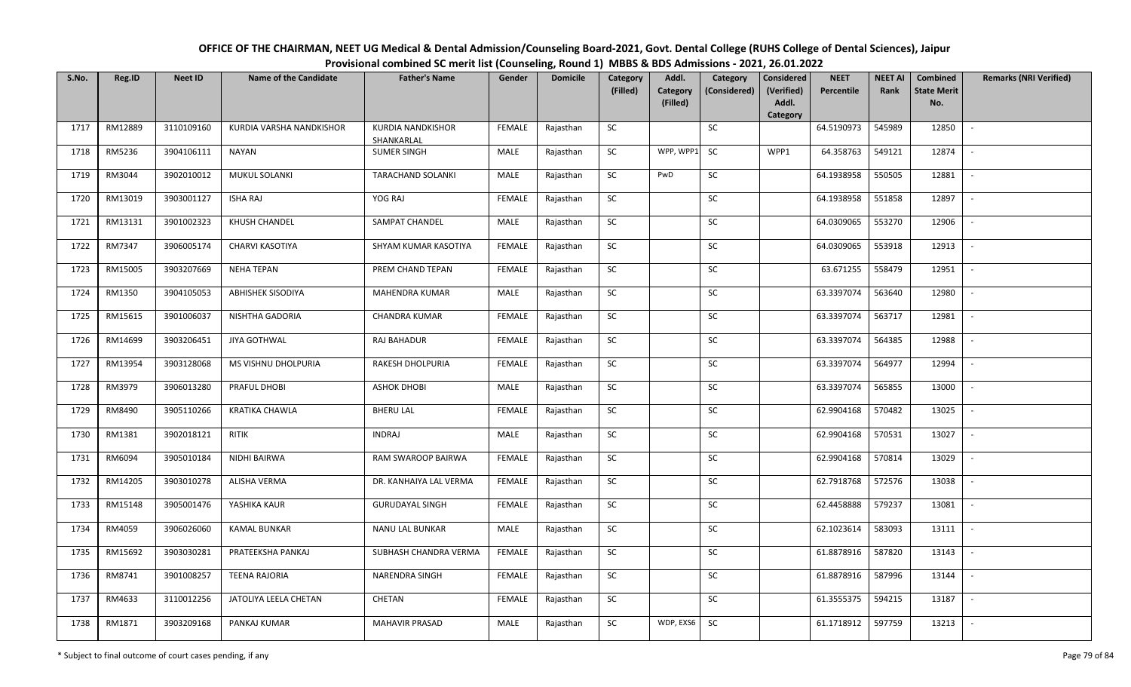| OFFICE OF THE CHAIRMAN, NEET UG Medical & Dental Admission/Counseling Board-2021, Govt. Dental College (RUHS College of Dental Sciences), Jaipur |
|--------------------------------------------------------------------------------------------------------------------------------------------------|
| Provisional combined SC merit list (Counseling, Round 1) MBBS & BDS Admissions - 2021, 26.01.2022                                                |

| S.No. | Reg.ID  | <b>Neet ID</b> | <b>Name of the Candidate</b> | <b>Father's Name</b>                   | Gender        | <b>Domicile</b> | Category<br>(Filled) | Addl.<br>Category | Category<br>(Considered) | <b>Considered</b><br>(Verified) | <b>NEET</b><br>Percentile | <b>NEET AI</b><br>Rank | Combined<br><b>State Merit</b> | <b>Remarks (NRI Verified)</b> |
|-------|---------|----------------|------------------------------|----------------------------------------|---------------|-----------------|----------------------|-------------------|--------------------------|---------------------------------|---------------------------|------------------------|--------------------------------|-------------------------------|
|       |         |                |                              |                                        |               |                 |                      | (Filled)          |                          | Addl.<br>Category               |                           |                        | No.                            |                               |
| 1717  | RM12889 | 3110109160     | KURDIA VARSHA NANDKISHOR     | <b>KURDIA NANDKISHOR</b><br>SHANKARLAL | <b>FEMALE</b> | Rajasthan       | SC                   |                   | <b>SC</b>                |                                 | 64.5190973                | 545989                 | 12850                          | $\sim$                        |
| 1718  | RM5236  | 3904106111     | <b>NAYAN</b>                 | <b>SUMER SINGH</b>                     | MALE          | Rajasthan       | SC                   | WPP, WPP1         | <b>SC</b>                | WPP1                            | 64.358763                 | 549121                 | 12874                          |                               |
| 1719  | RM3044  | 3902010012     | <b>MUKUL SOLANKI</b>         | <b>TARACHAND SOLANKI</b>               | MALE          | Rajasthan       | <b>SC</b>            | PwD               | SC                       |                                 | 64.1938958                | 550505                 | 12881                          | $\mathbb{L}$                  |
| 1720  | RM13019 | 3903001127     | <b>ISHA RAJ</b>              | YOG RAJ                                | <b>FEMALE</b> | Rajasthan       | <b>SC</b>            |                   | <b>SC</b>                |                                 | 64.1938958                | 551858                 | 12897                          | $\sim$                        |
| 1721  | RM13131 | 3901002323     | KHUSH CHANDEL                | SAMPAT CHANDEL                         | <b>MALE</b>   | Rajasthan       | SC                   |                   | SC                       |                                 | 64.0309065                | 553270                 | 12906                          | $\sim$                        |
| 1722  | RM7347  | 3906005174     | CHARVI KASOTIYA              | SHYAM KUMAR KASOTIYA                   | <b>FEMALE</b> | Rajasthan       | SC                   |                   | SC                       |                                 | 64.0309065                | 553918                 | 12913                          | $\sim$                        |
| 1723  | RM15005 | 3903207669     | <b>NEHA TEPAN</b>            | PREM CHAND TEPAN                       | <b>FEMALE</b> | Rajasthan       | SC                   |                   | SC                       |                                 | 63.671255                 | 558479                 | 12951                          | $\sim$                        |
| 1724  | RM1350  | 3904105053     | <b>ABHISHEK SISODIYA</b>     | <b>MAHENDRA KUMAR</b>                  | MALE          | Rajasthan       | <b>SC</b>            |                   | <b>SC</b>                |                                 | 63.3397074                | 563640                 | 12980                          | $\overline{\phantom{a}}$      |
| 1725  | RM15615 | 3901006037     | NISHTHA GADORIA              | <b>CHANDRA KUMAR</b>                   | <b>FEMALE</b> | Rajasthan       | ${\sf SC}$           |                   | SC                       |                                 | 63.3397074                | 563717                 | 12981                          |                               |
| 1726  | RM14699 | 3903206451     | <b>JIYA GOTHWAL</b>          | RAJ BAHADUR                            | <b>FEMALE</b> | Rajasthan       | SC                   |                   | SC                       |                                 | 63.3397074                | 564385                 | 12988                          | $\sim$                        |
| 1727  | RM13954 | 3903128068     | MS VISHNU DHOLPURIA          | RAKESH DHOLPURIA                       | <b>FEMALE</b> | Rajasthan       | ${\sf SC}$           |                   | SC                       |                                 | 63.3397074                | 564977                 | 12994                          | $\sim$                        |
| 1728  | RM3979  | 3906013280     | PRAFUL DHOBI                 | <b>ASHOK DHOBI</b>                     | MALE          | Rajasthan       | <b>SC</b>            |                   | SC                       |                                 | 63.3397074                | 565855                 | 13000                          | $\sim$                        |
| 1729  | RM8490  | 3905110266     | <b>KRATIKA CHAWLA</b>        | <b>BHERU LAL</b>                       | <b>FEMALE</b> | Rajasthan       | SC                   |                   | <b>SC</b>                |                                 | 62.9904168                | 570482                 | 13025                          |                               |
| 1730  | RM1381  | 3902018121     | <b>RITIK</b>                 | <b>INDRAJ</b>                          | MALE          | Rajasthan       | SC                   |                   | SC                       |                                 | 62.9904168                | 570531                 | 13027                          | $\sim$                        |
| 1731  | RM6094  | 3905010184     | NIDHI BAIRWA                 | RAM SWAROOP BAIRWA                     | <b>FEMALE</b> | Rajasthan       | <b>SC</b>            |                   | SC                       |                                 | 62.9904168                | 570814                 | 13029                          | $\overline{\phantom{a}}$      |
| 1732  | RM14205 | 3903010278     | ALISHA VERMA                 | DR. KANHAIYA LAL VERMA                 | <b>FEMALE</b> | Rajasthan       | ${\sf SC}$           |                   | SC                       |                                 | 62.7918768                | 572576                 | 13038                          | $\sim$                        |
| 1733  | RM15148 | 3905001476     | YASHIKA KAUR                 | <b>GURUDAYAL SINGH</b>                 | <b>FEMALE</b> | Rajasthan       | <b>SC</b>            |                   | SC                       |                                 | 62.4458888                | 579237                 | 13081                          | $\sim$                        |
| 1734  | RM4059  | 3906026060     | <b>KAMAL BUNKAR</b>          | NANU LAL BUNKAR                        | MALE          | Rajasthan       | SC                   |                   | SC                       |                                 | 62.1023614                | 583093                 | 13111                          | $\sim$                        |
| 1735  | RM15692 | 3903030281     | PRATEEKSHA PANKAJ            | SUBHASH CHANDRA VERMA                  | <b>FEMALE</b> | Rajasthan       | <b>SC</b>            |                   | <b>SC</b>                |                                 | 61.8878916                | 587820                 | 13143                          | $\overline{\phantom{a}}$      |
| 1736  | RM8741  | 3901008257     | <b>TEENA RAJORIA</b>         | NARENDRA SINGH                         | <b>FEMALE</b> | Rajasthan       | ${\sf SC}$           |                   | SC                       |                                 | 61.8878916                | 587996                 | 13144                          |                               |
| 1737  | RM4633  | 3110012256     | JATOLIYA LEELA CHETAN        | CHETAN                                 | <b>FEMALE</b> | Rajasthan       | <b>SC</b>            |                   | SC                       |                                 | 61.3555375                | 594215                 | 13187                          | $\sim$                        |
| 1738  | RM1871  | 3903209168     | PANKAJ KUMAR                 | <b>MAHAVIR PRASAD</b>                  | MALE          | Rajasthan       | <b>SC</b>            | WDP, EXS6         | SC                       |                                 | 61.1718912                | 597759                 | 13213                          | $\overline{\phantom{a}}$      |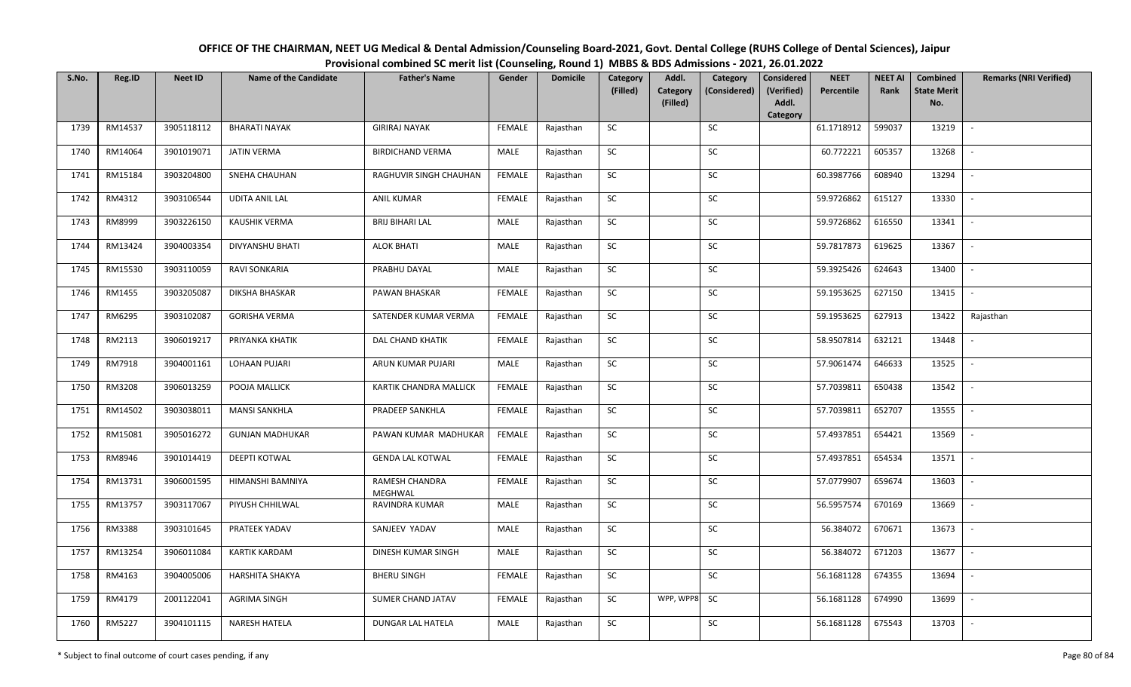| OFFICE OF THE CHAIRMAN, NEET UG Medical & Dental Admission/Counseling Board-2021, Govt. Dental College (RUHS College of Dental Sciences), Jaipur |
|--------------------------------------------------------------------------------------------------------------------------------------------------|
| Provisional combined SC merit list (Counseling, Round 1) MBBS & BDS Admissions - 2021, 26.01.2022                                                |

| S.No. | Reg.ID  | <b>Neet ID</b> | <b>Name of the Candidate</b> | <b>Father's Name</b>      | Gender        | <b>Domicile</b> | Category<br>(Filled) | Addl.<br>Category | Category<br>(Considered) | <b>Considered</b><br>(Verified) | <b>NEET</b><br>Percentile | <b>NEET AI</b><br>Rank | Combined<br><b>State Merit</b> | <b>Remarks (NRI Verified)</b> |
|-------|---------|----------------|------------------------------|---------------------------|---------------|-----------------|----------------------|-------------------|--------------------------|---------------------------------|---------------------------|------------------------|--------------------------------|-------------------------------|
|       |         |                |                              |                           |               |                 |                      | (Filled)          |                          | Addl.<br>Category               |                           |                        | No.                            |                               |
| 1739  | RM14537 | 3905118112     | <b>BHARATI NAYAK</b>         | <b>GIRIRAJ NAYAK</b>      | <b>FEMALE</b> | Rajasthan       | <b>SC</b>            |                   | SC                       |                                 | 61.1718912                | 599037                 | 13219                          | $\sim$                        |
| 1740  | RM14064 | 3901019071     | <b>JATIN VERMA</b>           | <b>BIRDICHAND VERMA</b>   | MALE          | Rajasthan       | <b>SC</b>            |                   | SC                       |                                 | 60.772221                 | 605357                 | 13268                          |                               |
| 1741  | RM15184 | 3903204800     | SNEHA CHAUHAN                | RAGHUVIR SINGH CHAUHAN    | <b>FEMALE</b> | Rajasthan       | SC                   |                   | SC                       |                                 | 60.3987766                | 608940                 | 13294                          | $\overline{\phantom{a}}$      |
| 1742  | RM4312  | 3903106544     | <b>UDITA ANIL LAL</b>        | <b>ANIL KUMAR</b>         | <b>FEMALE</b> | Rajasthan       | <b>SC</b>            |                   | <b>SC</b>                |                                 | 59.9726862                | 615127                 | 13330                          | $\sim$                        |
| 1743  | RM8999  | 3903226150     | <b>KAUSHIK VERMA</b>         | <b>BRIJ BIHARI LAL</b>    | MALE          | Rajasthan       | SC                   |                   | SC                       |                                 | 59.9726862                | 616550                 | 13341                          | $\sim$                        |
| 1744  | RM13424 | 3904003354     | <b>DIVYANSHU BHATI</b>       | <b>ALOK BHATI</b>         | MALE          | Rajasthan       | SC                   |                   | SC                       |                                 | 59.7817873                | 619625                 | 13367                          | $\sim$                        |
| 1745  | RM15530 | 3903110059     | RAVI SONKARIA                | PRABHU DAYAL              | MALE          | Rajasthan       | SC                   |                   | <b>SC</b>                |                                 | 59.3925426                | 624643                 | 13400                          | $\sim$                        |
| 1746  | RM1455  | 3903205087     | <b>DIKSHA BHASKAR</b>        | PAWAN BHASKAR             | <b>FEMALE</b> | Rajasthan       | SC                   |                   | SC                       |                                 | 59.1953625                | 627150                 | 13415                          | $\overline{\phantom{a}}$      |
| 1747  | RM6295  | 3903102087     | <b>GORISHA VERMA</b>         | SATENDER KUMAR VERMA      | <b>FEMALE</b> | Rajasthan       | SC                   |                   | <b>SC</b>                |                                 | 59.1953625                | 627913                 | 13422                          | Rajasthan                     |
| 1748  | RM2113  | 3906019217     | PRIYANKA KHATIK              | DAL CHAND KHATIK          | <b>FEMALE</b> | Rajasthan       | SC                   |                   | SC                       |                                 | 58.9507814                | 632121                 | 13448                          | $\sim$                        |
| 1749  | RM7918  | 3904001161     | LOHAAN PUJARI                | ARUN KUMAR PUJARI         | MALE          | Rajasthan       | SC                   |                   | SC                       |                                 | 57.9061474                | 646633                 | 13525                          | $\sim$                        |
| 1750  | RM3208  | 3906013259     | POOJA MALLICK                | KARTIK CHANDRA MALLICK    | <b>FEMALE</b> | Rajasthan       | <b>SC</b>            |                   | <b>SC</b>                |                                 | 57.7039811                | 650438                 | 13542                          | $\sim$                        |
| 1751  | RM14502 | 3903038011     | <b>MANSI SANKHLA</b>         | PRADEEP SANKHLA           | <b>FEMALE</b> | Rajasthan       | <b>SC</b>            |                   | SC                       |                                 | 57.7039811                | 652707                 | 13555                          | $\overline{\phantom{a}}$      |
| 1752  | RM15081 | 3905016272     | <b>GUNJAN MADHUKAR</b>       | PAWAN KUMAR MADHUKAR      | FEMALE        | Rajasthan       | SC                   |                   | <b>SC</b>                |                                 | 57.4937851                | 654421                 | 13569                          | $\overline{\phantom{a}}$      |
| 1753  | RM8946  | 3901014419     | <b>DEEPTI KOTWAL</b>         | <b>GENDA LAL KOTWAL</b>   | <b>FEMALE</b> | Rajasthan       | ${\sf SC}$           |                   | SC                       |                                 | 57.4937851                | 654534                 | 13571                          | $\overline{\phantom{a}}$      |
| 1754  | RM13731 | 3906001595     | HIMANSHI BAMNIYA             | RAMESH CHANDRA<br>MEGHWAL | <b>FEMALE</b> | Rajasthan       | <b>SC</b>            |                   | SC                       |                                 | 57.0779907                | 659674                 | 13603                          | $\sim$                        |
| 1755  | RM13757 | 3903117067     | PIYUSH CHHILWAL              | RAVINDRA KUMAR            | MALE          | Rajasthan       | ${\sf SC}$           |                   | SC                       |                                 | 56.5957574                | 670169                 | 13669                          | $\sim$                        |
| 1756  | RM3388  | 3903101645     | PRATEEK YADAV                | SANJEEV YADAV             | MALE          | Rajasthan       | SC                   |                   | SC                       |                                 | 56.384072                 | 670671                 | 13673                          | $\sim$                        |
| 1757  | RM13254 | 3906011084     | <b>KARTIK KARDAM</b>         | DINESH KUMAR SINGH        | MALE          | Rajasthan       | SC                   |                   | <b>SC</b>                |                                 | 56.384072                 | 671203                 | 13677                          | $\sim$                        |
| 1758  | RM4163  | 3904005006     | HARSHITA SHAKYA              | <b>BHERU SINGH</b>        | <b>FEMALE</b> | Rajasthan       | ${\sf SC}$           |                   | ${\sf SC}$               |                                 | 56.1681128                | 674355                 | 13694                          |                               |
| 1759  | RM4179  | 2001122041     | <b>AGRIMA SINGH</b>          | SUMER CHAND JATAV         | <b>FEMALE</b> | Rajasthan       | <b>SC</b>            | WPP, WPP8         | <b>SC</b>                |                                 | 56.1681128                | 674990                 | 13699                          | $\sim$                        |
| 1760  | RM5227  | 3904101115     | <b>NARESH HATELA</b>         | DUNGAR LAL HATELA         | MALE          | Rajasthan       | ${\sf SC}$           |                   | SC                       |                                 | 56.1681128                | 675543                 | 13703                          | $\sim$                        |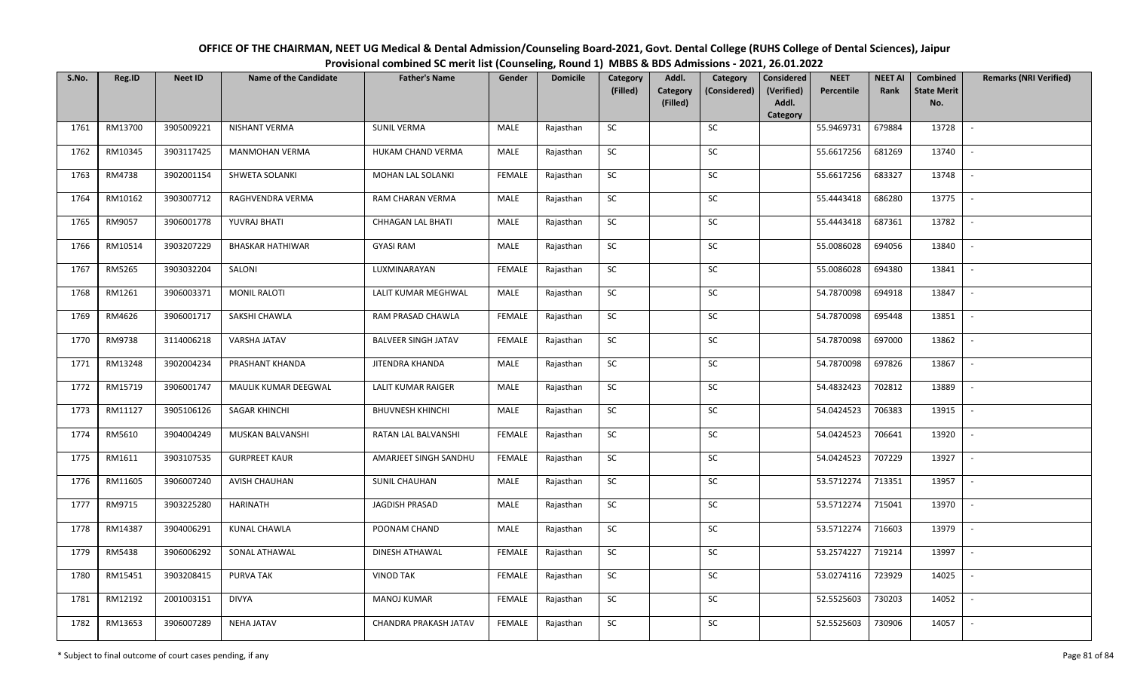| OFFICE OF THE CHAIRMAN, NEET UG Medical & Dental Admission/Counseling Board-2021, Govt. Dental College (RUHS College of Dental Sciences), Jaipur |
|--------------------------------------------------------------------------------------------------------------------------------------------------|
| Provisional combined SC merit list (Counseling, Round 1) MBBS & BDS Admissions - 2021, 26.01.2022                                                |

| S.No. | Reg.ID  | <b>Neet ID</b> | <b>Name of the Candidate</b> | <b>Father's Name</b>       | Gender        | <b>Domicile</b> | Category<br>(Filled) | Addl.<br>Category<br>(Filled) | Category<br>(Considered) | <b>Considered</b><br>(Verified)<br>Addl. | <b>NEET</b><br>Percentile | <b>NEET AI</b><br>Rank | <b>Combined</b><br><b>State Merit</b><br>No. | <b>Remarks (NRI Verified)</b> |
|-------|---------|----------------|------------------------------|----------------------------|---------------|-----------------|----------------------|-------------------------------|--------------------------|------------------------------------------|---------------------------|------------------------|----------------------------------------------|-------------------------------|
|       |         |                |                              |                            |               |                 |                      |                               |                          | Category                                 |                           |                        |                                              |                               |
| 1761  | RM13700 | 3905009221     | <b>NISHANT VERMA</b>         | <b>SUNIL VERMA</b>         | MALE          | Rajasthan       | <b>SC</b>            |                               | SC                       |                                          | 55.9469731                | 679884                 | 13728                                        | $\sim$                        |
| 1762  | RM10345 | 3903117425     | <b>MANMOHAN VERMA</b>        | HUKAM CHAND VERMA          | MALE          | Rajasthan       | <b>SC</b>            |                               | SC                       |                                          | 55.6617256                | 681269                 | 13740                                        |                               |
| 1763  | RM4738  | 3902001154     | SHWETA SOLANKI               | MOHAN LAL SOLANKI          | <b>FEMALE</b> | Rajasthan       | SC                   |                               | SC                       |                                          | 55.6617256                | 683327                 | 13748                                        | $\overline{\phantom{a}}$      |
| 1764  | RM10162 | 3903007712     | RAGHVENDRA VERMA             | RAM CHARAN VERMA           | MALE          | Rajasthan       | SC                   |                               | SC                       |                                          | 55.4443418                | 686280                 | 13775                                        | $\overline{\phantom{a}}$      |
| 1765  | RM9057  | 3906001778     | YUVRAJ BHATI                 | CHHAGAN LAL BHATI          | MALE          | Rajasthan       | <b>SC</b>            |                               | ${\sf SC}$               |                                          | 55.4443418                | 687361                 | 13782                                        | $\sim$                        |
| 1766  | RM10514 | 3903207229     | <b>BHASKAR HATHIWAR</b>      | <b>GYASI RAM</b>           | MALE          | Rajasthan       | ${\sf SC}$           |                               | ${\sf SC}$               |                                          | 55.0086028                | 694056                 | 13840                                        | $\sim$                        |
| 1767  | RM5265  | 3903032204     | SALONI                       | LUXMINARAYAN               | <b>FEMALE</b> | Rajasthan       | <b>SC</b>            |                               | <b>SC</b>                |                                          | 55.0086028                | 694380                 | 13841                                        | $\sim$                        |
| 1768  | RM1261  | 3906003371     | <b>MONIL RALOTI</b>          | LALIT KUMAR MEGHWAL        | MALE          | Rajasthan       | SC                   |                               | SC                       |                                          | 54.7870098                | 694918                 | 13847                                        | $\sim$                        |
| 1769  | RM4626  | 3906001717     | SAKSHI CHAWLA                | RAM PRASAD CHAWLA          | <b>FEMALE</b> | Rajasthan       | SC                   |                               | SC                       |                                          | 54.7870098                | 695448                 | 13851                                        | $\blacksquare$                |
| 1770  | RM9738  | 3114006218     | VARSHA JATAV                 | <b>BALVEER SINGH JATAV</b> | <b>FEMALE</b> | Rajasthan       | SC                   |                               | SC                       |                                          | 54.7870098                | 697000                 | 13862                                        | $\sim$                        |
| 1771  | RM13248 | 3902004234     | PRASHANT KHANDA              | JITENDRA KHANDA            | MALE          | Rajasthan       | ${\sf SC}$           |                               | $\sf SC$                 |                                          | 54.7870098                | 697826                 | 13867                                        | $\sim$                        |
| 1772  | RM15719 | 3906001747     | MAULIK KUMAR DEEGWAL         | <b>LALIT KUMAR RAIGER</b>  | MALE          | Rajasthan       | <b>SC</b>            |                               | SC                       |                                          | 54.4832423                | 702812                 | 13889                                        | $\sim$                        |
| 1773  | RM11127 | 3905106126     | <b>SAGAR KHINCHI</b>         | <b>BHUVNESH KHINCHI</b>    | MALE          | Rajasthan       | SC                   |                               | <b>SC</b>                |                                          | 54.0424523                | 706383                 | 13915                                        | $\overline{\phantom{a}}$      |
| 1774  | RM5610  | 3904004249     | MUSKAN BALVANSHI             | RATAN LAL BALVANSHI        | <b>FEMALE</b> | Rajasthan       | SC                   |                               | SC                       |                                          | 54.0424523                | 706641                 | 13920                                        | $\sim$                        |
| 1775  | RM1611  | 3903107535     | <b>GURPREET KAUR</b>         | AMARJEET SINGH SANDHU      | <b>FEMALE</b> | Rajasthan       | SC                   |                               | SC                       |                                          | 54.0424523                | 707229                 | 13927                                        | $\overline{\phantom{a}}$      |
| 1776  | RM11605 | 3906007240     | <b>AVISH CHAUHAN</b>         | <b>SUNIL CHAUHAN</b>       | MALE          | Rajasthan       | ${\sf SC}$           |                               | ${\sf SC}$               |                                          | 53.5712274                | 713351                 | 13957                                        | $\sim$                        |
| 1777  | RM9715  | 3903225280     | HARINATH                     | <b>JAGDISH PRASAD</b>      | MALE          | Rajasthan       | <b>SC</b>            |                               | SC                       |                                          | 53.5712274                | 715041                 | 13970                                        | $\sim$                        |
| 1778  | RM14387 | 3904006291     | KUNAL CHAWLA                 | POONAM CHAND               | MALE          | Rajasthan       | SC                   |                               | SC                       |                                          | 53.5712274                | 716603                 | 13979                                        | $\sim$                        |
| 1779  | RM5438  | 3906006292     | SONAL ATHAWAL                | DINESH ATHAWAL             | <b>FEMALE</b> | Rajasthan       | <b>SC</b>            |                               | SC                       |                                          | 53.2574227                | 719214                 | 13997                                        | $\sim$                        |
| 1780  | RM15451 | 3903208415     | PURVA TAK                    | <b>VINOD TAK</b>           | <b>FEMALE</b> | Rajasthan       | SC                   |                               | SC                       |                                          | 53.0274116                | 723929                 | 14025                                        | $\overline{\phantom{a}}$      |
| 1781  | RM12192 | 2001003151     | <b>DIVYA</b>                 | <b>MANOJ KUMAR</b>         | <b>FEMALE</b> | Rajasthan       | ${\sf SC}$           |                               | ${\sf SC}$               |                                          | 52.5525603                | 730203                 | 14052                                        | $\sim$                        |
| 1782  | RM13653 | 3906007289     | <b>NEHA JATAV</b>            | CHANDRA PRAKASH JATAV      | <b>FEMALE</b> | Rajasthan       | ${\sf SC}$           |                               | ${\sf SC}$               |                                          | 52.5525603                | 730906                 | 14057                                        |                               |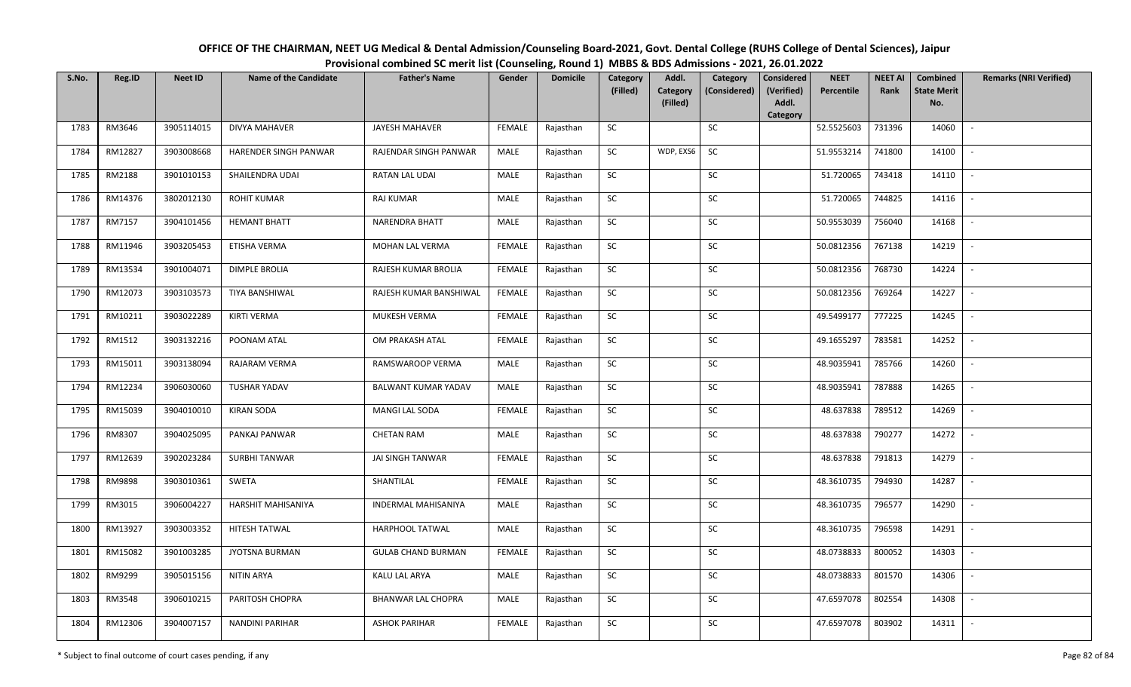| OFFICE OF THE CHAIRMAN, NEET UG Medical & Dental Admission/Counseling Board-2021, Govt. Dental College (RUHS College of Dental Sciences), Jaipur |
|--------------------------------------------------------------------------------------------------------------------------------------------------|
| Provisional combined SC merit list (Counseling, Round 1) MBBS & BDS Admissions - 2021, 26.01.2022                                                |

| S.No. | Reg.ID  | <b>Neet ID</b> | <b>Name of the Candidate</b> | <b>Father's Name</b>       | Gender        | <b>Domicile</b> | Category<br>(Filled) | Addl.<br>Category<br>(Filled) | Category<br>(Considered) | <b>Considered</b><br>(Verified)<br>Addl. | <b>NEET</b><br>Percentile | <b>NEET AI</b><br>Rank | <b>Combined</b><br><b>State Merit</b><br>No. | <b>Remarks (NRI Verified)</b> |
|-------|---------|----------------|------------------------------|----------------------------|---------------|-----------------|----------------------|-------------------------------|--------------------------|------------------------------------------|---------------------------|------------------------|----------------------------------------------|-------------------------------|
|       |         |                |                              |                            |               |                 |                      |                               |                          | Category                                 |                           |                        |                                              |                               |
| 1783  | RM3646  | 3905114015     | <b>DIVYA MAHAVER</b>         | <b>JAYESH MAHAVER</b>      | <b>FEMALE</b> | Rajasthan       | SC                   |                               | SC                       |                                          | 52.5525603                | 731396                 | 14060                                        | $\sim$                        |
| 1784  | RM12827 | 3903008668     | HARENDER SINGH PANWAR        | RAJENDAR SINGH PANWAR      | MALE          | Rajasthan       | SC                   | WDP, EXS6                     | SC                       |                                          | 51.9553214                | 741800                 | 14100                                        |                               |
| 1785  | RM2188  | 3901010153     | SHAILENDRA UDAI              | RATAN LAL UDAI             | <b>MALE</b>   | Rajasthan       | SC                   |                               | SC                       |                                          | 51.720065                 | 743418                 | 14110                                        | $\overline{\phantom{a}}$      |
| 1786  | RM14376 | 3802012130     | <b>ROHIT KUMAR</b>           | <b>RAJ KUMAR</b>           | MALE          | Rajasthan       | SC                   |                               | SC                       |                                          | 51.720065                 | 744825                 | 14116                                        | $\overline{\phantom{a}}$      |
| 1787  | RM7157  | 3904101456     | <b>HEMANT BHATT</b>          | <b>NARENDRA BHATT</b>      | MALE          | Rajasthan       | ${\sf SC}$           |                               | <b>SC</b>                |                                          | 50.9553039                | 756040                 | 14168                                        | $\sim$                        |
| 1788  | RM11946 | 3903205453     | ETISHA VERMA                 | MOHAN LAL VERMA            | <b>FEMALE</b> | Rajasthan       | ${\sf SC}$           |                               | ${\sf SC}$               |                                          | 50.0812356                | 767138                 | 14219                                        | $\sim$                        |
| 1789  | RM13534 | 3901004071     | <b>DIMPLE BROLIA</b>         | RAJESH KUMAR BROLIA        | <b>FEMALE</b> | Rajasthan       | <b>SC</b>            |                               | <b>SC</b>                |                                          | 50.0812356                | 768730                 | 14224                                        | $\sim$                        |
| 1790  | RM12073 | 3903103573     | TIYA BANSHIWAL               | RAJESH KUMAR BANSHIWAL     | FEMALE        | Rajasthan       | SC                   |                               | SC                       |                                          | 50.0812356                | 769264                 | 14227                                        | $\sim$                        |
| 1791  | RM10211 | 3903022289     | <b>KIRTI VERMA</b>           | MUKESH VERMA               | <b>FEMALE</b> | Rajasthan       | SC                   |                               | SC                       |                                          | 49.5499177                | 777225                 | 14245                                        |                               |
| 1792  | RM1512  | 3903132216     | POONAM ATAL                  | OM PRAKASH ATAL            | <b>FEMALE</b> | Rajasthan       | SC                   |                               | SC                       |                                          | 49.1655297                | 783581                 | 14252                                        | $\sim$                        |
| 1793  | RM15011 | 3903138094     | RAJARAM VERMA                | RAMSWAROOP VERMA           | MALE          | Rajasthan       | ${\sf SC}$           |                               | $\sf SC$                 |                                          | 48.9035941                | 785766                 | 14260                                        | $\sim$                        |
| 1794  | RM12234 | 3906030060     | <b>TUSHAR YADAV</b>          | BALWANT KUMAR YADAV        | MALE          | Rajasthan       | <b>SC</b>            |                               | SC                       |                                          | 48.9035941                | 787888                 | 14265                                        | $\sim$                        |
| 1795  | RM15039 | 3904010010     | <b>KIRAN SODA</b>            | MANGI LAL SODA             | <b>FEMALE</b> | Rajasthan       | SC                   |                               | <b>SC</b>                |                                          | 48.637838                 | 789512                 | 14269                                        | $\overline{\phantom{a}}$      |
| 1796  | RM8307  | 3904025095     | PANKAJ PANWAR                | <b>CHETAN RAM</b>          | MALE          | Rajasthan       | SC                   |                               | SC                       |                                          | 48.637838                 | 790277                 | 14272                                        | $\sim$                        |
| 1797  | RM12639 | 3902023284     | <b>SURBHI TANWAR</b>         | JAI SINGH TANWAR           | <b>FEMALE</b> | Rajasthan       | SC                   |                               | SC                       |                                          | 48.637838                 | 791813                 | 14279                                        | $\overline{\phantom{a}}$      |
| 1798  | RM9898  | 3903010361     | SWETA                        | SHANTILAL                  | <b>FEMALE</b> | Rajasthan       | ${\sf SC}$           |                               | ${\sf SC}$               |                                          | 48.3610735                | 794930                 | 14287                                        | $\sim$                        |
| 1799  | RM3015  | 3906004227     | HARSHIT MAHISANIYA           | <b>INDERMAL MAHISANIYA</b> | MALE          | Rajasthan       | <b>SC</b>            |                               | SC                       |                                          | 48.3610735                | 796577                 | 14290                                        | $\sim$                        |
| 1800  | RM13927 | 3903003352     | HITESH TATWAL                | HARPHOOL TATWAL            | MALE          | Rajasthan       | SC                   |                               | SC                       |                                          | 48.3610735                | 796598                 | 14291                                        | $\sim$                        |
| 1801  | RM15082 | 3901003285     | JYOTSNA BURMAN               | <b>GULAB CHAND BURMAN</b>  | <b>FEMALE</b> | Rajasthan       | SC                   |                               | SC                       |                                          | 48.0738833                | 800052                 | 14303                                        | $\sim$                        |
| 1802  | RM9299  | 3905015156     | NITIN ARYA                   | KALU LAL ARYA              | MALE          | Rajasthan       | SC                   |                               | SC                       |                                          | 48.0738833                | 801570                 | 14306                                        | $\blacksquare$                |
| 1803  | RM3548  | 3906010215     | PARITOSH CHOPRA              | <b>BHANWAR LAL CHOPRA</b>  | MALE          | Rajasthan       | ${\sf SC}$           |                               | SC                       |                                          | 47.6597078                | 802554                 | 14308                                        | $\overline{\phantom{a}}$      |
| 1804  | RM12306 | 3904007157     | <b>NANDINI PARIHAR</b>       | <b>ASHOK PARIHAR</b>       | <b>FEMALE</b> | Rajasthan       | ${\sf SC}$           |                               | ${\sf SC}$               |                                          | 47.6597078                | 803902                 | 14311                                        |                               |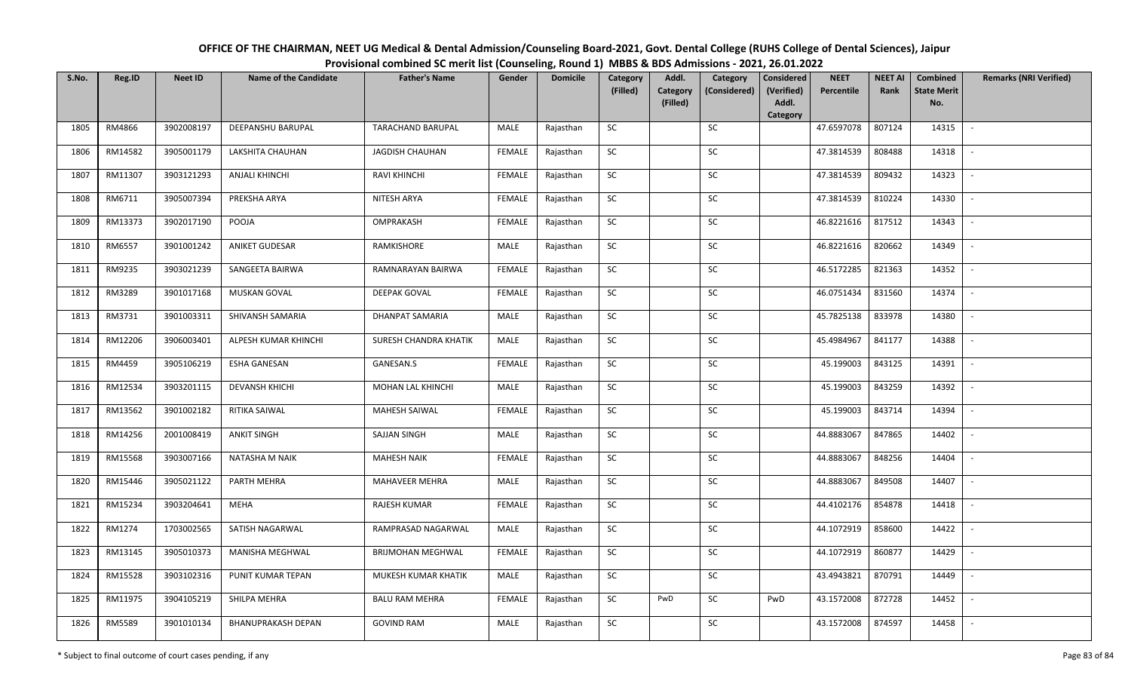| OFFICE OF THE CHAIRMAN, NEET UG Medical & Dental Admission/Counseling Board-2021, Govt. Dental College (RUHS College of Dental Sciences), Jaipur |
|--------------------------------------------------------------------------------------------------------------------------------------------------|
| Provisional combined SC merit list (Counseling, Round 1) MBBS & BDS Admissions - 2021, 26.01.2022                                                |

| S.No. | Reg.ID  | <b>Neet ID</b> | <b>Name of the Candidate</b> | <b>Father's Name</b>     | Gender        | <b>Domicile</b> | Category<br>(Filled) | Addl.<br>Category | Category<br>(Considered) | <b>Considered</b><br>(Verified) | <b>NEET</b><br>Percentile | <b>NEET AI</b><br>Rank | <b>Combined</b><br><b>State Merit</b> | <b>Remarks (NRI Verified)</b> |
|-------|---------|----------------|------------------------------|--------------------------|---------------|-----------------|----------------------|-------------------|--------------------------|---------------------------------|---------------------------|------------------------|---------------------------------------|-------------------------------|
|       |         |                |                              |                          |               |                 |                      | (Filled)          |                          | Addl.                           |                           |                        | No.                                   |                               |
| 1805  | RM4866  | 3902008197     | <b>DEEPANSHU BARUPAL</b>     | <b>TARACHAND BARUPAL</b> | MALE          | Rajasthan       | <b>SC</b>            |                   | SC                       | Category                        | 47.6597078                | 807124                 | 14315                                 | $\sim$                        |
|       |         |                |                              |                          |               |                 |                      |                   |                          |                                 |                           |                        |                                       |                               |
| 1806  | RM14582 | 3905001179     | LAKSHITA CHAUHAN             | JAGDISH CHAUHAN          | <b>FEMALE</b> | Rajasthan       | SC                   |                   | SC                       |                                 | 47.3814539                | 808488                 | 14318                                 |                               |
| 1807  | RM11307 | 3903121293     | <b>ANJALI KHINCHI</b>        | <b>RAVI KHINCHI</b>      | FEMALE        | Rajasthan       | SC                   |                   | SC                       |                                 | 47.3814539                | 809432                 | 14323                                 | $\overline{\phantom{a}}$      |
| 1808  | RM6711  | 3905007394     | PREKSHA ARYA                 | NITESH ARYA              | <b>FEMALE</b> | Rajasthan       | <b>SC</b>            |                   | <b>SC</b>                |                                 | 47.3814539                | 810224                 | 14330                                 | $\sim$                        |
| 1809  | RM13373 | 3902017190     | POOJA                        | OMPRAKASH                | <b>FEMALE</b> | Rajasthan       | SC                   |                   | SC                       |                                 | 46.8221616                | 817512                 | 14343                                 | $\sim$                        |
| 1810  | RM6557  | 3901001242     | ANIKET GUDESAR               | RAMKISHORE               | MALE          | Rajasthan       | SC                   |                   | SC                       |                                 | 46.8221616                | 820662                 | 14349                                 | $\sim$                        |
| 1811  | RM9235  | 3903021239     | SANGEETA BAIRWA              | RAMNARAYAN BAIRWA        | <b>FEMALE</b> | Rajasthan       | ${\sf SC}$           |                   | <b>SC</b>                |                                 | 46.5172285                | 821363                 | 14352                                 | $\sim$                        |
| 1812  | RM3289  | 3901017168     | MUSKAN GOVAL                 | <b>DEEPAK GOVAL</b>      | <b>FEMALE</b> | Rajasthan       | SC                   |                   | $\sf SC$                 |                                 | 46.0751434                | 831560                 | 14374                                 | $\overline{\phantom{a}}$      |
| 1813  | RM3731  | 3901003311     | SHIVANSH SAMARIA             | DHANPAT SAMARIA          | MALE          | Rajasthan       | SC                   |                   | <b>SC</b>                |                                 | 45.7825138                | 833978                 | 14380                                 | $\overline{\phantom{a}}$      |
| 1814  | RM12206 | 3906003401     | ALPESH KUMAR KHINCHI         | SURESH CHANDRA KHATIK    | MALE          | Rajasthan       | ${\sf SC}$           |                   | SC                       |                                 | 45.4984967                | 841177                 | 14388                                 | $\sim$                        |
| 1815  | RM4459  | 3905106219     | <b>ESHA GANESAN</b>          | GANESAN.S                | <b>FEMALE</b> | Rajasthan       | SC                   |                   | SC                       |                                 | 45.199003                 | 843125                 | 14391                                 | $\sim$                        |
| 1816  | RM12534 | 3903201115     | <b>DEVANSH KHICHI</b>        | MOHAN LAL KHINCHI        | MALE          | Rajasthan       | <b>SC</b>            |                   | ${\sf SC}$               |                                 | 45.199003                 | 843259                 | 14392                                 | $\sim$                        |
| 1817  | RM13562 | 3901002182     | RITIKA SAIWAL                | <b>MAHESH SAIWAL</b>     | <b>FEMALE</b> | Rajasthan       | <b>SC</b>            |                   | SC                       |                                 | 45.199003                 | 843714                 | 14394                                 | $\overline{\phantom{a}}$      |
| 1818  | RM14256 | 2001008419     | <b>ANKIT SINGH</b>           | SAJJAN SINGH             | MALE          | Rajasthan       | SC                   |                   | <b>SC</b>                |                                 | 44.8883067                | 847865                 | 14402                                 | $\overline{\phantom{a}}$      |
| 1819  | RM15568 | 3903007166     | NATASHA M NAIK               | <b>MAHESH NAIK</b>       | <b>FEMALE</b> | Rajasthan       | ${\sf SC}$           |                   | $\sf SC$                 |                                 | 44.8883067                | 848256                 | 14404                                 | $\overline{\phantom{a}}$      |
| 1820  | RM15446 | 3905021122     | PARTH MEHRA                  | MAHAVEER MEHRA           | MALE          | Rajasthan       | <b>SC</b>            |                   | SC                       |                                 | 44.8883067                | 849508                 | 14407                                 | $\sim$                        |
| 1821  | RM15234 | 3903204641     | MEHA                         | RAJESH KUMAR             | <b>FEMALE</b> | Rajasthan       | ${\sf SC}$           |                   | SC                       |                                 | 44.4102176                | 854878                 | 14418                                 | $\mathbb{L}$                  |
| 1822  | RM1274  | 1703002565     | SATISH NAGARWAL              | RAMPRASAD NAGARWAL       | MALE          | Rajasthan       | SC                   |                   | SC                       |                                 | 44.1072919                | 858600                 | 14422                                 | $\sim$                        |
| 1823  | RM13145 | 3905010373     | <b>MANISHA MEGHWAL</b>       | <b>BRIJMOHAN MEGHWAL</b> | <b>FEMALE</b> | Rajasthan       | SC                   |                   | SC                       |                                 | 44.1072919                | 860877                 | 14429                                 | $\overline{\phantom{a}}$      |
| 1824  | RM15528 | 3903102316     | PUNIT KUMAR TEPAN            | MUKESH KUMAR KHATIK      | MALE          | Rajasthan       | ${\sf SC}$           |                   | ${\sf SC}$               |                                 | 43.4943821                | 870791                 | 14449                                 |                               |
| 1825  | RM11975 | 3904105219     | SHILPA MEHRA                 | <b>BALU RAM MEHRA</b>    | <b>FEMALE</b> | Rajasthan       | <b>SC</b>            | PwD               | <b>SC</b>                | PwD                             | 43.1572008                | 872728                 | 14452                                 | $\sim$                        |
| 1826  | RM5589  | 3901010134     | <b>BHANUPRAKASH DEPAN</b>    | <b>GOVIND RAM</b>        | MALE          | Rajasthan       | ${\sf SC}$           |                   | SC                       |                                 | 43.1572008                | 874597                 | 14458                                 | $\sim$                        |